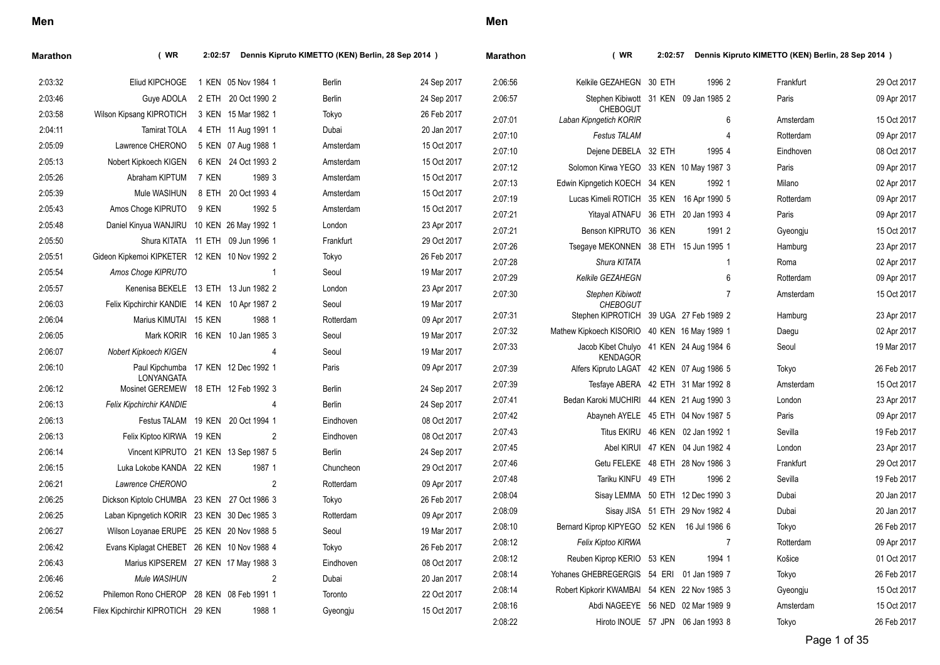| Marathon | (WR)                                               | 2:02:57 |                                 | Dennis Kipruto KIMETTO (KEN) Berlin, 28 Sep 2014 ) |             | <b>Marathon</b> | (WR)                                                       | 2:02:57 |                                   | Dennis Kipruto KIMETTO (KEN) Berlin, 28 Sep 2014 ) |             |
|----------|----------------------------------------------------|---------|---------------------------------|----------------------------------------------------|-------------|-----------------|------------------------------------------------------------|---------|-----------------------------------|----------------------------------------------------|-------------|
| 2:03:32  | Eliud KIPCHOGE                                     |         | 1 KEN 05 Nov 1984 1             | Berlin                                             | 24 Sep 2017 | 2:06:56         | Kelkile GEZAHEGN 30 ETH                                    |         | 1996 2                            | Frankfurt                                          | 29 Oct 2017 |
| 2:03:46  | Guye ADOLA 2 ETH 20 Oct 1990 2                     |         |                                 | Berlin                                             | 24 Sep 2017 | 2:06:57         | Stephen Kibiwott 31 KEN 09 Jan 1985 2                      |         |                                   | Paris                                              | 09 Apr 2017 |
| 2:03:58  | Wilson Kipsang KIPROTICH                           |         | 3 KEN 15 Mar 1982 1             | Tokyo                                              | 26 Feb 2017 | 2:07:01         | <b>CHEBOGUT</b><br>Laban Kipngetich KORIR                  |         | 6                                 | Amsterdam                                          | 15 Oct 2017 |
| 2:04:11  | Tamirat TOLA                                       |         | 4 ETH 11 Aug 1991 1             | Dubai                                              | 20 Jan 2017 | 2:07:10         | <b>Festus TALAM</b>                                        |         |                                   | Rotterdam                                          | 09 Apr 2017 |
| 2:05:09  | Lawrence CHERONO                                   |         | 5 KEN 07 Aug 1988 1             | Amsterdam                                          | 15 Oct 2017 | 2:07:10         | Dejene DEBELA 32 ETH                                       |         | 1995 4                            | Eindhoven                                          | 08 Oct 2017 |
| 2:05:13  | Nobert Kipkoech KIGEN                              |         | 6 KEN 24 Oct 1993 2             | Amsterdam                                          | 15 Oct 2017 | 2.07:12         | Solomon Kirwa YEGO 33 KEN 10 May 1987 3                    |         |                                   | Paris                                              | 09 Apr 2017 |
| 2:05:26  | Abraham KIPTUM 7 KEN                               |         | 1989 3                          | Amsterdam                                          | 15 Oct 2017 | 2:07:13         | Edwin Kipngetich KOECH 34 KEN                              |         | 1992 1                            | Milano                                             | 02 Apr 2017 |
| 2:05:39  | Mule WASIHUN                                       |         | 8 ETH 20 Oct 1993 4             | Amsterdam                                          | 15 Oct 2017 | 2:07:19         | Lucas Kimeli ROTICH 35 KEN 16 Apr 1990 5                   |         |                                   | Rotterdam                                          | 09 Apr 2017 |
| 2:05:43  | Amos Choge KIPRUTO                                 | 9 KEN   | 1992 5                          | Amsterdam                                          | 15 Oct 2017 | 2:07:21         | Yitayal ATNAFU 36 ETH 20 Jan 1993 4                        |         |                                   | Paris                                              | 09 Apr 2017 |
| 2:05:48  | Daniel Kinyua WANJIRU 10 KEN 26 May 1992 1         |         |                                 | London                                             | 23 Apr 2017 | 2:07:21         | Benson KIPRUTO 36 KEN                                      |         | 1991 2                            | Gyeongju                                           | 15 Oct 2017 |
| 2:05:50  | Shura KITATA 11 ETH 09 Jun 1996 1                  |         |                                 | Frankfurt                                          | 29 Oct 2017 | 2:07:26         | Tsegaye MEKONNEN 38 ETH 15 Jun 1995 1                      |         |                                   | Hamburg                                            | 23 Apr 2017 |
| 2:05:51  | Gideon Kipkemoi KIPKETER 12 KEN 10 Nov 1992 2      |         |                                 | Tokyo                                              | 26 Feb 2017 | 2:07:28         | Shura KITATA                                               |         |                                   | Roma                                               | 02 Apr 2017 |
| 2:05:54  | Amos Choge KIPRUTO                                 |         | -1                              | Seoul                                              | 19 Mar 2017 | 2:07:29         | Kelkile GEZAHEGN                                           |         | 6                                 | Rotterdam                                          | 09 Apr 2017 |
| 2:05:57  | Kenenisa BEKELE 13 ETH 13 Jun 1982 2               |         |                                 | London                                             | 23 Apr 2017 | 2:07:30         | Stephen Kibiwott                                           |         | 7                                 | Amsterdam                                          | 15 Oct 2017 |
| 2:06:03  | Felix Kipchirchir KANDIE 14 KEN 10 Apr 1987 2      |         |                                 | Seoul                                              | 19 Mar 2017 |                 | <b>CHEBOGUT</b>                                            |         |                                   |                                                    |             |
| 2:06:04  | Marius KIMUTAI 15 KEN                              |         | 1988 1                          | Rotterdam                                          | 09 Apr 2017 | 2:07:31         | Stephen KIPROTICH 39 UGA 27 Feb 1989 2                     |         |                                   | Hamburg                                            | 23 Apr 2017 |
| 2:06:05  |                                                    |         | Mark KORIR 16 KEN 10 Jan 1985 3 | Seoul                                              | 19 Mar 2017 | 2:07:32         | Mathew Kipkoech KISORIO 40 KEN 16 May 1989 1               |         |                                   | Daegu                                              | 02 Apr 2017 |
| 2:06:07  | Nobert Kipkoech KIGEN                              |         |                                 | Seoul                                              | 19 Mar 2017 | 2:07:33         | Jacob Kibet Chulyo 41 KEN 24 Aug 1984 6<br><b>KENDAGOR</b> |         |                                   | Seoul                                              | 19 Mar 2017 |
| 2:06:10  | Paul Kipchumba 17 KEN 12 Dec 1992 1                |         |                                 | Paris                                              | 09 Apr 2017 | 2:07:39         | Alfers Kipruto LAGAT 42 KEN 07 Aug 1986 5                  |         |                                   | Tokyo                                              | 26 Feb 2017 |
| 2:06:12  | LONYANGATA<br>Mosinet GEREMEW 18 ETH 12 Feb 1992 3 |         |                                 | Berlin                                             | 24 Sep 2017 | 2:07:39         | Tesfaye ABERA 42 ETH 31 Mar 1992 8                         |         |                                   | Amsterdam                                          | 15 Oct 2017 |
| 2:06:13  | Felix Kipchirchir KANDIE                           |         | 4                               | Berlin                                             | 24 Sep 2017 | 2:07:41         | Bedan Karoki MUCHIRI 44 KEN 21 Aug 1990 3                  |         |                                   | London                                             | 23 Apr 2017 |
| 2:06:13  | Festus TALAM 19 KEN 20 Oct 1994 1                  |         |                                 | Eindhoven                                          | 08 Oct 2017 | 2:07:42         | Abayneh AYELE 45 ETH 04 Nov 1987 5                         |         |                                   | Paris                                              | 09 Apr 2017 |
| 2:06:13  | Felix Kiptoo KIRWA 19 KEN                          |         | 2                               | Eindhoven                                          | 08 Oct 2017 | 2:07:43         |                                                            |         | Titus EKIRU 46 KEN 02 Jan 1992 1  | Sevilla                                            | 19 Feb 2017 |
| 2:06:14  | Vincent KIPRUTO 21 KEN 13 Sep 1987 5               |         |                                 | Berlin                                             | 24 Sep 2017 | 2:07:45         |                                                            |         | Abel KIRUI 47 KEN 04 Jun 1982 4   | London                                             | 23 Apr 2017 |
| 2:06:15  | Luka Lokobe KANDA 22 KEN                           |         | 1987 1                          | Chuncheon                                          | 29 Oct 2017 | 2:07:46         |                                                            |         | Getu FELEKE 48 ETH 28 Nov 1986 3  | Frankfurt                                          | 29 Oct 2017 |
| 2:06:21  | Lawrence CHERONO                                   |         | 2                               | Rotterdam                                          | 09 Apr 2017 | 2:07:48         | Tariku KINFU 49 ETH                                        |         | 1996 2                            | Sevilla                                            | 19 Feb 2017 |
| 2:06:25  | Dickson Kiptolo CHUMBA 23 KEN 27 Oct 1986 3        |         |                                 | Tokyo                                              | 26 Feb 2017 | 2:08:04         |                                                            |         | Sisay LEMMA 50 ETH 12 Dec 1990 3  | Dubai                                              | 20 Jan 2017 |
| 2:06:25  | Laban Kipngetich KORIR 23 KEN 30 Dec 1985 3        |         |                                 | Rotterdam                                          | 09 Apr 2017 | 2:08:09         |                                                            |         | Sisay JISA 51 ETH 29 Nov 1982 4   | Dubai                                              | 20 Jan 2017 |
| 2:06:27  | Wilson Loyanae ERUPE 25 KEN 20 Nov 1988 5          |         |                                 | Seoul                                              | 19 Mar 2017 | 2:08:10         | Bernard Kiprop KIPYEGO 52 KEN 16 Jul 1986 6                |         |                                   | Tokyo                                              | 26 Feb 2017 |
| 2:06:42  | Evans Kiplagat CHEBET 26 KEN 10 Nov 1988 4         |         |                                 | Tokyo                                              | 26 Feb 2017 | 2:08:12         | Felix Kiptoo KIRWA                                         |         |                                   | Rotterdam                                          | 09 Apr 2017 |
| 2:06:43  | Marius KIPSEREM 27 KEN 17 May 1988 3               |         |                                 | Eindhoven                                          | 08 Oct 2017 | 2:08:12         | Reuben Kiprop KERIO 53 KEN                                 |         | 1994 1                            | Košice                                             | 01 Oct 2017 |
| 2:06:46  | Mule WASIHUN                                       |         | 2                               | Dubai                                              | 20 Jan 2017 | 2:08:14         | Yohanes GHEBREGERGIS 54 ERI 01 Jan 1989 7                  |         |                                   | Tokyo                                              | 26 Feb 2017 |
| 2:06:52  | Philemon Rono CHEROP 28 KEN 08 Feb 1991 1          |         |                                 | Toronto                                            | 22 Oct 2017 | 2:08:14         | Robert Kipkorir KWAMBAI 54 KEN 22 Nov 1985 3               |         |                                   | Gyeongju                                           | 15 Oct 2017 |
| 2:06:54  | Filex Kipchirchir KIPROTICH 29 KEN                 |         | 1988 1                          | Gyeongju                                           | 15 Oct 2017 | 2:08:16         | Abdi NAGEEYE 56 NED 02 Mar 1989 9                          |         |                                   | Amsterdam                                          | 15 Oct 2017 |
|          |                                                    |         |                                 |                                                    |             | 2:08:22         |                                                            |         | Hiroto INOUE 57 JPN 06 Jan 1993 8 | Tokyo                                              | 26 Feb 2017 |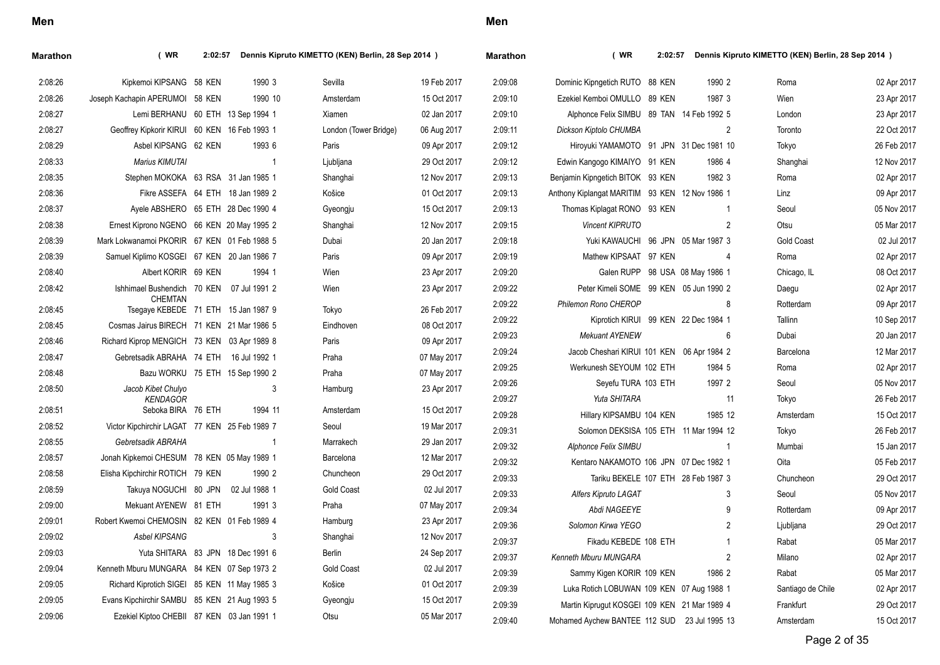| I<br>×<br>۰. |
|--------------|
|--------------|

| Marathon | (WR                                                   | 2:02:57 | Dennis Kipruto KIMETTO (KEN) Berlin, 28 Sep 2014 ) |                       |             | Marathon | (WR)                                           | Dennis Kipruto KIMETTO (KEN) Berlin, 28 Sep 2014 )<br>2:02:57 |                                 |                   |             |  |
|----------|-------------------------------------------------------|---------|----------------------------------------------------|-----------------------|-------------|----------|------------------------------------------------|---------------------------------------------------------------|---------------------------------|-------------------|-------------|--|
| 2:08:26  | Kipkemoi KIPSANG 58 KEN                               |         | 1990 3                                             | Sevilla               | 19 Feb 2017 | 2:09:08  | Dominic Kipngetich RUTO 88 KEN                 |                                                               | 1990 2                          | Roma              | 02 Apr 2017 |  |
| 2:08:26  | Joseph Kachapin APERUMOI 58 KEN                       |         | 1990 10                                            | Amsterdam             | 15 Oct 2017 | 2:09:10  | Ezekiel Kemboi OMULLO 89 KEN                   |                                                               | 1987 3                          | Wien              | 23 Apr 2017 |  |
| 2:08:27  | Lemi BERHANU 60 ETH 13 Sep 1994 1                     |         |                                                    | Xiamen                | 02 Jan 2017 | 2:09:10  | Alphonce Felix SIMBU 89 TAN 14 Feb 1992 5      |                                                               |                                 | London            | 23 Apr 2017 |  |
| 2:08:27  | Geoffrey Kipkorir KIRUI 60 KEN 16 Feb 1993 1          |         |                                                    | London (Tower Bridge) | 06 Aug 2017 | 2:09:11  | Dickson Kiptolo CHUMBA                         |                                                               | $\overline{2}$                  | Toronto           | 22 Oct 2017 |  |
| 2:08:29  | Asbel KIPSANG 62 KEN                                  |         | 1993 6                                             | Paris                 | 09 Apr 2017 | 2:09:12  | Hiroyuki YAMAMOTO 91 JPN 31 Dec 1981 10        |                                                               |                                 | Tokyo             | 26 Feb 2017 |  |
| 2:08:33  | Marius KIMUTAI                                        |         |                                                    | Ljubljana             | 29 Oct 2017 | 2:09:12  | Edwin Kangogo KIMAIYO 91 KEN                   |                                                               | 1986 4                          | Shanghai          | 12 Nov 2017 |  |
| 2:08:35  | Stephen MOKOKA 63 RSA 31 Jan 1985 1                   |         |                                                    | Shanghai              | 12 Nov 2017 | 2:09:13  | Benjamin Kipngetich BITOK 93 KEN               |                                                               | 1982 3                          | Roma              | 02 Apr 2017 |  |
| 2:08:36  |                                                       |         | Fikre ASSEFA 64 ETH 18 Jan 1989 2                  | Košice                | 01 Oct 2017 | 2:09:13  | Anthony Kiplangat MARITIM 93 KEN 12 Nov 1986 1 |                                                               |                                 | Linz              | 09 Apr 2017 |  |
| 2:08:37  | Ayele ABSHERO 65 ETH 28 Dec 1990 4                    |         |                                                    | Gyeongju              | 15 Oct 2017 | 2:09:13  | Thomas Kiplagat RONO 93 KEN                    |                                                               |                                 | Seoul             | 05 Nov 2017 |  |
| 2:08:38  | Ernest Kiprono NGENO 66 KEN 20 May 1995 2             |         |                                                    | Shanghai              | 12 Nov 2017 | 2:09:15  | Vincent KIPRUTO                                |                                                               | $\overline{2}$                  | Otsu              | 05 Mar 2017 |  |
| 2:08:39  | Mark Lokwanamoi PKORIR 67 KEN 01 Feb 1988 5           |         |                                                    | Dubai                 | 20 Jan 2017 | 2:09:18  | Yuki KAWAUCHI 96 JPN 05 Mar 1987 3             |                                                               |                                 | <b>Gold Coast</b> | 02 Jul 2017 |  |
| 2:08:39  | Samuel Kiplimo KOSGEI 67 KEN 20 Jan 1986 7            |         |                                                    | Paris                 | 09 Apr 2017 | 2:09:19  | Mathew KIPSAAT 97 KEN                          |                                                               | $\overline{4}$                  | Roma              | 02 Apr 2017 |  |
| 2:08:40  | Albert KORIR 69 KEN                                   |         | 1994 1                                             | Wien                  | 23 Apr 2017 | 2:09:20  |                                                |                                                               | Galen RUPP 98 USA 08 May 1986 1 | Chicago, IL       | 08 Oct 2017 |  |
| 2:08:42  | Ishhimael Bushendich 70 KEN 07 Jul 1991 2             |         |                                                    | Wien                  | 23 Apr 2017 | 2:09:22  | Peter Kimeli SOME 99 KEN 05 Jun 1990 2         |                                                               |                                 | Daegu             | 02 Apr 2017 |  |
| 2:08:45  | <b>CHEMTAN</b><br>Tsegaye KEBEDE 71 ETH 15 Jan 1987 9 |         |                                                    | Tokyo                 | 26 Feb 2017 | 2:09:22  | Philemon Rono CHEROP                           |                                                               | 8                               | Rotterdam         | 09 Apr 2017 |  |
| 2:08:45  | Cosmas Jairus BIRECH 71 KEN 21 Mar 1986 5             |         |                                                    | Eindhoven             | 08 Oct 2017 | 2:09:22  | Kiprotich KIRUI 99 KEN 22 Dec 1984 1           |                                                               |                                 | Tallinn           | 10 Sep 2017 |  |
| 2:08:46  | Richard Kiprop MENGICH 73 KEN 03 Apr 1989 8           |         |                                                    | Paris                 | 09 Apr 2017 | 2:09:23  | <b>Mekuant AYENEW</b>                          |                                                               | 6                               | Dubai             | 20 Jan 2017 |  |
| 2:08:47  | Gebretsadik ABRAHA 74 ETH 16 Jul 1992 1               |         |                                                    | Praha                 | 07 May 2017 | 2:09:24  | Jacob Cheshari KIRUI 101 KEN 06 Apr 1984 2     |                                                               |                                 | Barcelona         | 12 Mar 2017 |  |
| 2:08:48  |                                                       |         | Bazu WORKU 75 ETH 15 Sep 1990 2                    | Praha                 | 07 May 2017 | 2:09:25  | Werkunesh SEYOUM 102 ETH                       |                                                               | 1984 5                          | Roma              | 02 Apr 2017 |  |
| 2:08:50  | Jacob Kibet Chulyo                                    |         | 3                                                  | Hamburg               | 23 Apr 2017 | 2:09:26  | Seyefu TURA 103 ETH                            |                                                               | 1997 2                          | Seoul             | 05 Nov 2017 |  |
|          | <b>KENDAGOR</b>                                       |         |                                                    |                       |             | 2:09:27  | Yuta SHITARA                                   |                                                               | 11                              | Tokyo             | 26 Feb 2017 |  |
| 2:08:51  | Seboka BIRA 76 ETH                                    |         | 1994 11                                            | Amsterdam             | 15 Oct 2017 | 2:09:28  | Hillary KIPSAMBU 104 KEN                       |                                                               | 1985 12                         | Amsterdam         | 15 Oct 2017 |  |
| 2:08:52  | Victor Kipchirchir LAGAT 77 KEN 25 Feb 1989 7         |         |                                                    | Seoul                 | 19 Mar 2017 | 2:09:31  | Solomon DEKSISA 105 ETH 11 Mar 1994 12         |                                                               |                                 | Tokyo             | 26 Feb 2017 |  |
| 2:08:55  | Gebretsadik ABRAHA                                    |         | $\overline{1}$                                     | Marrakech             | 29 Jan 2017 | 2:09:32  | Alphonce Felix SIMBU                           |                                                               | $\overline{1}$                  | Mumbai            | 15 Jan 2017 |  |
| 2:08:57  | Jonah Kipkemoi CHESUM 78 KEN 05 May 1989 1            |         |                                                    | Barcelona             | 12 Mar 2017 | 2:09:32  | Kentaro NAKAMOTO 106 JPN 07 Dec 1982 1         |                                                               |                                 | Oita              | 05 Feb 2017 |  |
| 2:08:58  | Elisha Kipchirchir ROTICH 79 KEN                      |         | 1990 2                                             | Chuncheon             | 29 Oct 2017 | 2:09:33  | Tariku BEKELE 107 ETH 28 Feb 1987 3            |                                                               |                                 | Chuncheon         | 29 Oct 2017 |  |
| 2:08:59  | Takuya NOGUCHI 80 JPN                                 |         | 02 Jul 1988 1                                      | <b>Gold Coast</b>     | 02 Jul 2017 | 2:09:33  | Alfers Kipruto LAGAT                           |                                                               | 3                               | Seoul             | 05 Nov 2017 |  |
| 2:09:00  | Mekuant AYENEW 81 ETH                                 |         | 1991 3                                             | Praha                 | 07 May 2017 | 2:09:34  | Abdi NAGEEYE                                   |                                                               | 9                               | Rotterdam         | 09 Apr 2017 |  |
| 2:09:01  | Robert Kwemoi CHEMOSIN 82 KEN 01 Feb 1989 4           |         |                                                    | Hamburg               | 23 Apr 2017 | 2:09:36  | Solomon Kirwa YEGO                             |                                                               | $\overline{2}$                  | Ljubljana         | 29 Oct 2017 |  |
| 2:09:02  | <b>Asbel KIPSANG</b>                                  |         | 3                                                  | Shanghai              | 12 Nov 2017 | 2:09:37  | Fikadu KEBEDE 108 ETH                          |                                                               | $\mathbf{1}$                    | Rabat             | 05 Mar 2017 |  |
| 2:09:03  | Yuta SHITARA 83 JPN 18 Dec 1991 6                     |         |                                                    | <b>Berlin</b>         | 24 Sep 2017 | 2:09:37  | Kenneth Mburu MUNGARA                          |                                                               | $\overline{2}$                  | Milano            | 02 Apr 2017 |  |
| 2:09:04  | Kenneth Mburu MUNGARA 84 KEN 07 Sep 1973 2            |         |                                                    | <b>Gold Coast</b>     | 02 Jul 2017 | 2:09:39  | Sammy Kigen KORIR 109 KEN                      |                                                               | 1986 2                          | Rabat             | 05 Mar 2017 |  |
| 2:09:05  | Richard Kiprotich SIGEI 85 KEN 11 May 1985 3          |         |                                                    | Košice                | 01 Oct 2017 | 2:09:39  | Luka Rotich LOBUWAN 109 KEN 07 Aug 1988 1      |                                                               |                                 | Santiago de Chile | 02 Apr 2017 |  |
| 2:09:05  | Evans Kipchirchir SAMBU 85 KEN 21 Aug 1993 5          |         |                                                    | Gyeongju              | 15 Oct 2017 | 2:09:39  | Martin Kiprugut KOSGEI 109 KEN 21 Mar 1989 4   |                                                               |                                 | Frankfurt         | 29 Oct 2017 |  |
| 2:09:06  | Ezekiel Kiptoo CHEBII 87 KEN 03 Jan 1991 1            |         |                                                    | Otsu                  | 05 Mar 2017 | 2:09:40  | Mohamed Aychew BANTEE 112 SUD 23 Jul 1995 13   |                                                               |                                 | Amsterdam         | 15 Oct 2017 |  |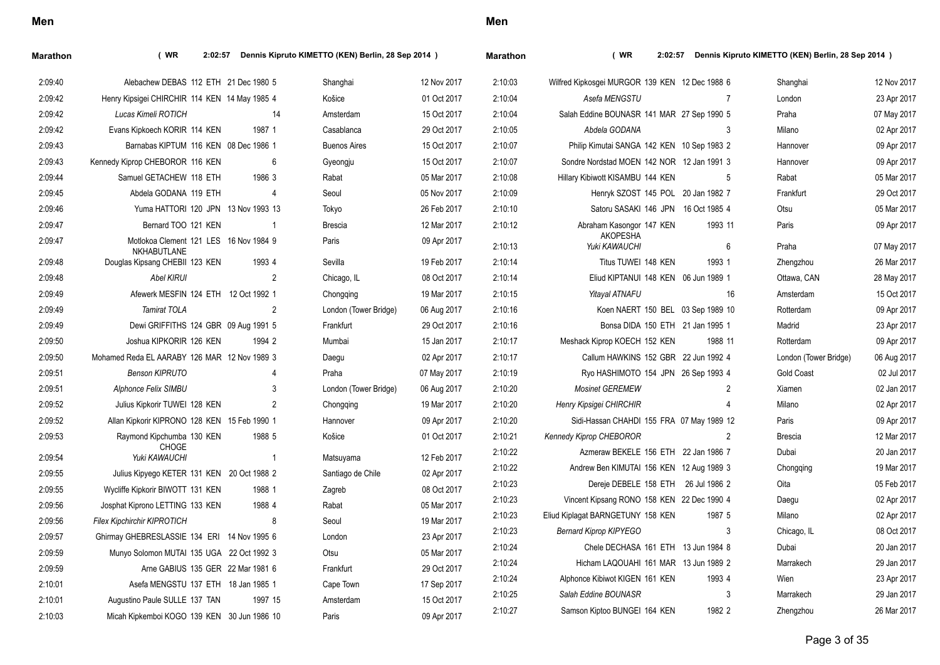| Marathon | (WR)<br>2:02:57                                       |                | Dennis Kipruto KIMETTO (KEN) Berlin, 28 Sep 2014 ) |             | <b>Marathon</b> | (WR)                                           |         | 2:02:57 Dennis Kipruto KIMETTO (KEN) Berlin, 28 Sep 2014 ) |             |
|----------|-------------------------------------------------------|----------------|----------------------------------------------------|-------------|-----------------|------------------------------------------------|---------|------------------------------------------------------------|-------------|
| 2:09:40  | Alebachew DEBAS 112 ETH 21 Dec 1980 5                 |                | Shanghai                                           | 12 Nov 2017 | 2:10:03         | Wilfred Kipkosgei MURGOR 139 KEN 12 Dec 1988 6 |         | Shanghai                                                   | 12 Nov 2017 |
| 2:09:42  | Henry Kipsigei CHIRCHIR 114 KEN 14 May 1985 4         |                | Košice                                             | 01 Oct 2017 | 2:10:04         | Asefa MENGSTU                                  | 7       | London                                                     | 23 Apr 2017 |
| 2:09:42  | Lucas Kimeli ROTICH                                   | 14             | Amsterdam                                          | 15 Oct 2017 | 2:10:04         | Salah Eddine BOUNASR 141 MAR 27 Sep 1990 5     |         | Praha                                                      | 07 May 2017 |
| 2:09:42  | Evans Kipkoech KORIR 114 KEN                          | 1987 1         | Casablanca                                         | 29 Oct 2017 | 2:10:05         | Abdela GODANA                                  | 3       | Milano                                                     | 02 Apr 2017 |
| 2:09:43  | Barnabas KIPTUM 116 KEN 08 Dec 1986 1                 |                | <b>Buenos Aires</b>                                | 15 Oct 2017 | 2:10:07         | Philip Kimutai SANGA 142 KEN 10 Sep 1983 2     |         | Hannover                                                   | 09 Apr 2017 |
| 2:09:43  | Kennedy Kiprop CHEBOROR 116 KEN                       | 6              | Gyeongju                                           | 15 Oct 2017 | 2:10:07         | Sondre Nordstad MOEN 142 NOR 12 Jan 1991 3     |         | Hannover                                                   | 09 Apr 2017 |
| 2:09:44  | Samuel GETACHEW 118 ETH                               | 1986 3         | Rabat                                              | 05 Mar 2017 | 2:10:08         | Hillary Kibiwott KISAMBU 144 KEN               | 5       | Rabat                                                      | 05 Mar 2017 |
| 2:09:45  | Abdela GODANA 119 ETH                                 | 4              | Seoul                                              | 05 Nov 2017 | 2:10:09         | Henryk SZOST 145 POL 20 Jan 1982 7             |         | Frankfurt                                                  | 29 Oct 2017 |
| 2:09:46  | Yuma HATTORI 120 JPN 13 Nov 1993 13                   |                | Tokyo                                              | 26 Feb 2017 | 2:10:10         | Satoru SASAKI 146 JPN 16 Oct 1985 4            |         | Otsu                                                       | 05 Mar 2017 |
| 2:09:47  | Bernard TOO 121 KEN                                   | -1             | <b>Brescia</b>                                     | 12 Mar 2017 | 2:10:12         | Abraham Kasongor 147 KEN                       | 1993 11 | Paris                                                      | 09 Apr 2017 |
| 2:09:47  | Motlokoa Clement 121 LES 16 Nov 1984 9<br>NKHABUTLANE |                | Paris                                              | 09 Apr 2017 | 2:10:13         | <b>AKOPESHA</b><br>Yuki KAWAUCHI               | 6       | Praha                                                      | 07 May 2017 |
| 2:09:48  | Douglas Kipsang CHEBII 123 KEN                        | 1993 4         | Sevilla                                            | 19 Feb 2017 | 2:10:14         | Titus TUWEI 148 KEN                            | 1993 1  | Zhengzhou                                                  | 26 Mar 2017 |
| 2:09:48  | Abel KIRUI                                            | $\overline{2}$ | Chicago, IL                                        | 08 Oct 2017 | 2:10:14         | Eliud KIPTANUI 148 KEN 06 Jun 1989 1           |         | Ottawa, CAN                                                | 28 May 2017 |
| 2:09:49  | Afewerk MESFIN 124 ETH 12 Oct 1992 1                  |                | Chongqing                                          | 19 Mar 2017 | 2:10:15         | <b>Yitayal ATNAFU</b>                          | 16      | Amsterdam                                                  | 15 Oct 2017 |
| 2:09:49  | <b>Tamirat TOLA</b>                                   | $\overline{2}$ | London (Tower Bridge)                              | 06 Aug 2017 | 2:10:16         | Koen NAERT 150 BEL 03 Sep 1989 10              |         | Rotterdam                                                  | 09 Apr 2017 |
| 2:09:49  | Dewi GRIFFITHS 124 GBR 09 Aug 1991 5                  |                | Frankfurt                                          | 29 Oct 2017 | 2:10:16         | Bonsa DIDA 150 ETH 21 Jan 1995 1               |         | Madrid                                                     | 23 Apr 2017 |
| 2:09:50  | Joshua KIPKORIR 126 KEN                               | 1994 2         | Mumbai                                             | 15 Jan 2017 | 2:10:17         | Meshack Kiprop KOECH 152 KEN                   | 1988 11 | Rotterdam                                                  | 09 Apr 2017 |
| 2:09:50  | Mohamed Reda EL AARABY 126 MAR 12 Nov 1989 3          |                | Daegu                                              | 02 Apr 2017 | 2:10:17         | Callum HAWKINS 152 GBR 22 Jun 1992 4           |         | London (Tower Bridge)                                      | 06 Aug 2017 |
| 2:09:51  | <b>Benson KIPRUTO</b>                                 | 4              | Praha                                              | 07 May 2017 | 2:10:19         | Ryo HASHIMOTO 154 JPN 26 Sep 1993 4            |         | <b>Gold Coast</b>                                          | 02 Jul 2017 |
| 2:09:51  | Alphonce Felix SIMBU                                  | 3              | London (Tower Bridge)                              | 06 Aug 2017 | 2:10:20         | <b>Mosinet GEREMEW</b>                         | 2       | Xiamen                                                     | 02 Jan 2017 |
| 2:09:52  | Julius Kipkorir TUWEI 128 KEN                         | $\overline{2}$ | Chongqing                                          | 19 Mar 2017 | 2:10:20         | Henry Kipsigei CHIRCHIR                        | 4       | Milano                                                     | 02 Apr 2017 |
| 2:09:52  | Allan Kipkorir KIPRONO 128 KEN 15 Feb 1990 1          |                | Hannover                                           | 09 Apr 2017 | 2:10:20         | Sidi-Hassan CHAHDI 155 FRA 07 May 1989 12      |         | Paris                                                      | 09 Apr 2017 |
| 2:09:53  | Raymond Kipchumba 130 KEN                             | 1988 5         | Košice                                             | 01 Oct 2017 | 2:10:21         | <b>Kennedy Kiprop CHEBOROR</b>                 | 2       | <b>Brescia</b>                                             | 12 Mar 2017 |
| 2:09:54  | <b>CHOGE</b><br>Yuki KAWAUCHI                         | $\overline{1}$ | Matsuyama                                          | 12 Feb 2017 | 2:10:22         | Azmeraw BEKELE 156 ETH 22 Jan 1986 7           |         | Dubai                                                      | 20 Jan 2017 |
| 2:09:55  | Julius Kipyego KETER 131 KEN 20 Oct 1988 2            |                | Santiago de Chile                                  | 02 Apr 2017 | 2:10:22         | Andrew Ben KIMUTAI 156 KEN 12 Aug 1989 3       |         | Chongging                                                  | 19 Mar 2017 |
| 2:09:55  | Wycliffe Kipkorir BIWOTT 131 KEN                      | 1988 1         | Zagreb                                             | 08 Oct 2017 | 2:10:23         | Dereje DEBELE 158 ETH 26 Jul 1986 2            |         | Oita                                                       | 05 Feb 2017 |
| 2:09:56  | Josphat Kiprono LETTING 133 KEN                       | 1988 4         | Rabat                                              | 05 Mar 2017 | 2:10:23         | Vincent Kipsang RONO 158 KEN 22 Dec 1990 4     |         | Daegu                                                      | 02 Apr 2017 |
| 2:09:56  | <b>Filex Kipchirchir KIPROTICH</b>                    | 8              | Seoul                                              | 19 Mar 2017 | 2:10:23         | Eliud Kiplagat BARNGETUNY 158 KEN              | 1987 5  | Milano                                                     | 02 Apr 2017 |
| 2:09:57  | Ghirmay GHEBRESLASSIE 134 ERI 14 Nov 1995 6           |                | London                                             | 23 Apr 2017 | 2:10:23         | <b>Bernard Kiprop KIPYEGO</b>                  | 3       | Chicago, IL                                                | 08 Oct 2017 |
| 2:09:59  | Munyo Solomon MUTAI 135 UGA 22 Oct 1992 3             |                | Otsu                                               | 05 Mar 2017 | 2:10:24         | Chele DECHASA 161 ETH 13 Jun 1984 8            |         | Dubai                                                      | 20 Jan 2017 |
| 2:09:59  | Arne GABIUS 135 GER 22 Mar 1981 6                     |                | Frankfurt                                          | 29 Oct 2017 | 2:10:24         | Hicham LAQOUAHI 161 MAR 13 Jun 1989 2          |         | Marrakech                                                  | 29 Jan 2017 |
| 2:10:01  | Asefa MENGSTU 137 ETH 18 Jan 1985 1                   |                | Cape Town                                          | 17 Sep 2017 | 2:10:24         | Alphonce Kibiwot KIGEN 161 KEN                 | 1993 4  | Wien                                                       | 23 Apr 2017 |
| 2:10:01  | Augustino Paule SULLE 137 TAN                         | 1997 15        | Amsterdam                                          | 15 Oct 2017 | 2:10:25         | Salah Eddine BOUNASR                           | 3       | Marrakech                                                  | 29 Jan 2017 |
| 2:10:03  | Micah Kipkemboi KOGO 139 KEN 30 Jun 1986 10           |                | Paris                                              | 09 Apr 2017 | 2:10:27         | Samson Kiptoo BUNGEI 164 KEN                   | 1982 2  | Zhengzhou                                                  | 26 Mar 2017 |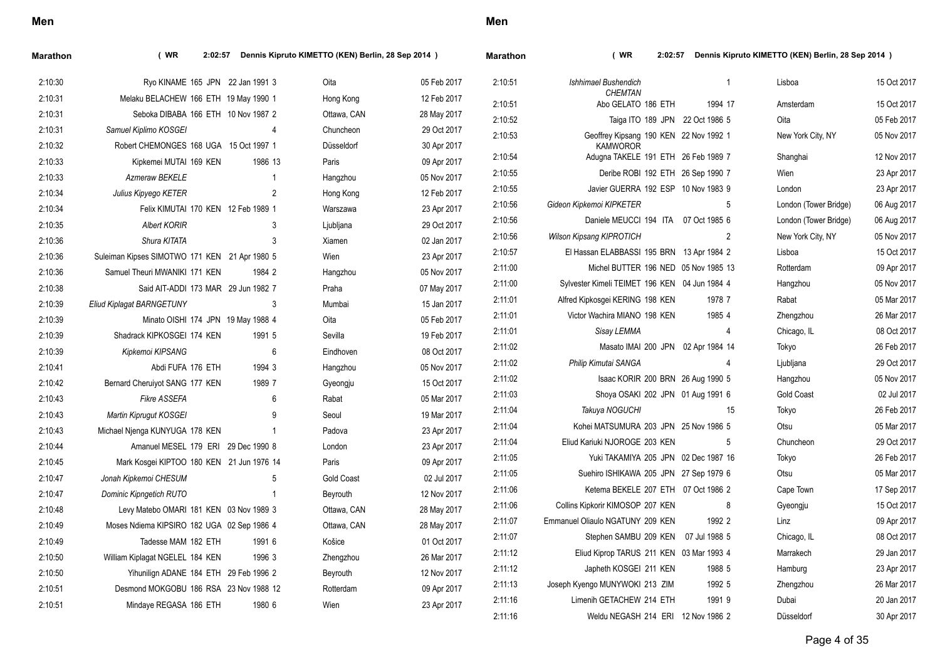| I<br>$\overline{\phantom{a}}$ |
|-------------------------------|
|-------------------------------|

|                           |                         |                                                                                                                                                                                                                                                                    | Oita                                                                                                                                                                                                                                                                                                                                                                                                                                                                                                                                                                                                       | 05 Feb 2017                                | 2:10:51                                                  | Ishhimael Bushendich                                                                                                                                   |                                                                               | Lisboa                                                                                                                                                                                                                                                                                                                                                                                                                                                                                                                                                                                                                                                                                                                                                                                                                                                                                                                                                                                                                                                                                                                     | 15 Oct 2017                                                                                                                                                                |
|---------------------------|-------------------------|--------------------------------------------------------------------------------------------------------------------------------------------------------------------------------------------------------------------------------------------------------------------|------------------------------------------------------------------------------------------------------------------------------------------------------------------------------------------------------------------------------------------------------------------------------------------------------------------------------------------------------------------------------------------------------------------------------------------------------------------------------------------------------------------------------------------------------------------------------------------------------------|--------------------------------------------|----------------------------------------------------------|--------------------------------------------------------------------------------------------------------------------------------------------------------|-------------------------------------------------------------------------------|----------------------------------------------------------------------------------------------------------------------------------------------------------------------------------------------------------------------------------------------------------------------------------------------------------------------------------------------------------------------------------------------------------------------------------------------------------------------------------------------------------------------------------------------------------------------------------------------------------------------------------------------------------------------------------------------------------------------------------------------------------------------------------------------------------------------------------------------------------------------------------------------------------------------------------------------------------------------------------------------------------------------------------------------------------------------------------------------------------------------------|----------------------------------------------------------------------------------------------------------------------------------------------------------------------------|
|                           |                         |                                                                                                                                                                                                                                                                    | Hong Kong                                                                                                                                                                                                                                                                                                                                                                                                                                                                                                                                                                                                  | 12 Feb 2017                                |                                                          |                                                                                                                                                        | 1994 17                                                                       | Amsterdam                                                                                                                                                                                                                                                                                                                                                                                                                                                                                                                                                                                                                                                                                                                                                                                                                                                                                                                                                                                                                                                                                                                  | 15 Oct 2017                                                                                                                                                                |
|                           |                         |                                                                                                                                                                                                                                                                    | Ottawa, CAN                                                                                                                                                                                                                                                                                                                                                                                                                                                                                                                                                                                                | 28 May 2017                                |                                                          |                                                                                                                                                        |                                                                               |                                                                                                                                                                                                                                                                                                                                                                                                                                                                                                                                                                                                                                                                                                                                                                                                                                                                                                                                                                                                                                                                                                                            | 05 Feb 2017                                                                                                                                                                |
| Samuel Kiplimo KOSGEI     |                         | 4                                                                                                                                                                                                                                                                  | Chuncheon                                                                                                                                                                                                                                                                                                                                                                                                                                                                                                                                                                                                  | 29 Oct 2017                                | 2:10:53                                                  |                                                                                                                                                        |                                                                               |                                                                                                                                                                                                                                                                                                                                                                                                                                                                                                                                                                                                                                                                                                                                                                                                                                                                                                                                                                                                                                                                                                                            | 05 Nov 2017                                                                                                                                                                |
|                           |                         |                                                                                                                                                                                                                                                                    | Düsseldorf                                                                                                                                                                                                                                                                                                                                                                                                                                                                                                                                                                                                 | 30 Apr 2017                                |                                                          | <b>KAMWOROR</b>                                                                                                                                        |                                                                               |                                                                                                                                                                                                                                                                                                                                                                                                                                                                                                                                                                                                                                                                                                                                                                                                                                                                                                                                                                                                                                                                                                                            |                                                                                                                                                                            |
|                           |                         | 1986 13                                                                                                                                                                                                                                                            | Paris                                                                                                                                                                                                                                                                                                                                                                                                                                                                                                                                                                                                      | 09 Apr 2017                                |                                                          |                                                                                                                                                        |                                                                               |                                                                                                                                                                                                                                                                                                                                                                                                                                                                                                                                                                                                                                                                                                                                                                                                                                                                                                                                                                                                                                                                                                                            | 12 Nov 2017                                                                                                                                                                |
| Azmeraw BEKELE            |                         | $\mathbf 1$                                                                                                                                                                                                                                                        | Hangzhou                                                                                                                                                                                                                                                                                                                                                                                                                                                                                                                                                                                                   | 05 Nov 2017                                |                                                          |                                                                                                                                                        |                                                                               |                                                                                                                                                                                                                                                                                                                                                                                                                                                                                                                                                                                                                                                                                                                                                                                                                                                                                                                                                                                                                                                                                                                            | 23 Apr 2017                                                                                                                                                                |
| Julius Kipyego KETER      |                         | $\overline{2}$                                                                                                                                                                                                                                                     | Hong Kong                                                                                                                                                                                                                                                                                                                                                                                                                                                                                                                                                                                                  | 12 Feb 2017                                |                                                          |                                                                                                                                                        |                                                                               |                                                                                                                                                                                                                                                                                                                                                                                                                                                                                                                                                                                                                                                                                                                                                                                                                                                                                                                                                                                                                                                                                                                            | 23 Apr 2017                                                                                                                                                                |
|                           |                         |                                                                                                                                                                                                                                                                    | Warszawa                                                                                                                                                                                                                                                                                                                                                                                                                                                                                                                                                                                                   | 23 Apr 2017                                |                                                          |                                                                                                                                                        |                                                                               |                                                                                                                                                                                                                                                                                                                                                                                                                                                                                                                                                                                                                                                                                                                                                                                                                                                                                                                                                                                                                                                                                                                            | 06 Aug 2017                                                                                                                                                                |
| <b>Albert KORIR</b>       |                         | 3                                                                                                                                                                                                                                                                  | Ljubljana                                                                                                                                                                                                                                                                                                                                                                                                                                                                                                                                                                                                  | 29 Oct 2017                                |                                                          |                                                                                                                                                        |                                                                               |                                                                                                                                                                                                                                                                                                                                                                                                                                                                                                                                                                                                                                                                                                                                                                                                                                                                                                                                                                                                                                                                                                                            | 06 Aug 2017                                                                                                                                                                |
| Shura KITATA              |                         | 3                                                                                                                                                                                                                                                                  | Xiamen                                                                                                                                                                                                                                                                                                                                                                                                                                                                                                                                                                                                     | 02 Jan 2017                                |                                                          |                                                                                                                                                        |                                                                               |                                                                                                                                                                                                                                                                                                                                                                                                                                                                                                                                                                                                                                                                                                                                                                                                                                                                                                                                                                                                                                                                                                                            | 05 Nov 2017                                                                                                                                                                |
|                           |                         |                                                                                                                                                                                                                                                                    | Wien                                                                                                                                                                                                                                                                                                                                                                                                                                                                                                                                                                                                       | 23 Apr 2017                                |                                                          |                                                                                                                                                        |                                                                               |                                                                                                                                                                                                                                                                                                                                                                                                                                                                                                                                                                                                                                                                                                                                                                                                                                                                                                                                                                                                                                                                                                                            | 15 Oct 2017                                                                                                                                                                |
|                           |                         | 1984 2                                                                                                                                                                                                                                                             | Hangzhou                                                                                                                                                                                                                                                                                                                                                                                                                                                                                                                                                                                                   | 05 Nov 2017                                |                                                          |                                                                                                                                                        |                                                                               |                                                                                                                                                                                                                                                                                                                                                                                                                                                                                                                                                                                                                                                                                                                                                                                                                                                                                                                                                                                                                                                                                                                            | 09 Apr 2017                                                                                                                                                                |
|                           |                         |                                                                                                                                                                                                                                                                    | Praha                                                                                                                                                                                                                                                                                                                                                                                                                                                                                                                                                                                                      | 07 May 2017                                |                                                          |                                                                                                                                                        |                                                                               |                                                                                                                                                                                                                                                                                                                                                                                                                                                                                                                                                                                                                                                                                                                                                                                                                                                                                                                                                                                                                                                                                                                            | 05 Nov 2017                                                                                                                                                                |
| Eliud Kiplagat BARNGETUNY |                         | 3                                                                                                                                                                                                                                                                  | Mumbai                                                                                                                                                                                                                                                                                                                                                                                                                                                                                                                                                                                                     | 15 Jan 2017                                |                                                          |                                                                                                                                                        |                                                                               |                                                                                                                                                                                                                                                                                                                                                                                                                                                                                                                                                                                                                                                                                                                                                                                                                                                                                                                                                                                                                                                                                                                            | 05 Mar 2017                                                                                                                                                                |
|                           |                         |                                                                                                                                                                                                                                                                    | Oita                                                                                                                                                                                                                                                                                                                                                                                                                                                                                                                                                                                                       | 05 Feb 2017                                |                                                          |                                                                                                                                                        |                                                                               | Zhengzhou                                                                                                                                                                                                                                                                                                                                                                                                                                                                                                                                                                                                                                                                                                                                                                                                                                                                                                                                                                                                                                                                                                                  | 26 Mar 2017                                                                                                                                                                |
|                           |                         | 1991 5                                                                                                                                                                                                                                                             | Sevilla                                                                                                                                                                                                                                                                                                                                                                                                                                                                                                                                                                                                    | 19 Feb 2017                                | 2:11:01                                                  | Sisay LEMMA                                                                                                                                            | 4                                                                             | Chicago, IL                                                                                                                                                                                                                                                                                                                                                                                                                                                                                                                                                                                                                                                                                                                                                                                                                                                                                                                                                                                                                                                                                                                | 08 Oct 2017                                                                                                                                                                |
| Kipkemoi KIPSANG          |                         | 6                                                                                                                                                                                                                                                                  | Eindhoven                                                                                                                                                                                                                                                                                                                                                                                                                                                                                                                                                                                                  | 08 Oct 2017                                | 2:11:02                                                  |                                                                                                                                                        |                                                                               | Tokyo                                                                                                                                                                                                                                                                                                                                                                                                                                                                                                                                                                                                                                                                                                                                                                                                                                                                                                                                                                                                                                                                                                                      | 26 Feb 2017                                                                                                                                                                |
|                           |                         | 1994 3                                                                                                                                                                                                                                                             | Hangzhou                                                                                                                                                                                                                                                                                                                                                                                                                                                                                                                                                                                                   | 05 Nov 2017                                |                                                          | Philip Kimutai SANGA                                                                                                                                   | 4                                                                             | Ljubljana                                                                                                                                                                                                                                                                                                                                                                                                                                                                                                                                                                                                                                                                                                                                                                                                                                                                                                                                                                                                                                                                                                                  | 29 Oct 2017                                                                                                                                                                |
|                           |                         | 1989 7                                                                                                                                                                                                                                                             | Gyeongju                                                                                                                                                                                                                                                                                                                                                                                                                                                                                                                                                                                                   | 15 Oct 2017                                | 2:11:02                                                  |                                                                                                                                                        |                                                                               | Hangzhou                                                                                                                                                                                                                                                                                                                                                                                                                                                                                                                                                                                                                                                                                                                                                                                                                                                                                                                                                                                                                                                                                                                   | 05 Nov 2017                                                                                                                                                                |
| <b>Fikre ASSEFA</b>       |                         | 6                                                                                                                                                                                                                                                                  | Rabat                                                                                                                                                                                                                                                                                                                                                                                                                                                                                                                                                                                                      | 05 Mar 2017                                | 2:11:03                                                  |                                                                                                                                                        |                                                                               | <b>Gold Coast</b>                                                                                                                                                                                                                                                                                                                                                                                                                                                                                                                                                                                                                                                                                                                                                                                                                                                                                                                                                                                                                                                                                                          | 02 Jul 2017                                                                                                                                                                |
| Martin Kiprugut KOSGEI    |                         | 9                                                                                                                                                                                                                                                                  | Seoul                                                                                                                                                                                                                                                                                                                                                                                                                                                                                                                                                                                                      | 19 Mar 2017                                | 2:11:04                                                  | Takuya NOGUCHI                                                                                                                                         | 15                                                                            | Tokyo                                                                                                                                                                                                                                                                                                                                                                                                                                                                                                                                                                                                                                                                                                                                                                                                                                                                                                                                                                                                                                                                                                                      | 26 Feb 2017                                                                                                                                                                |
|                           |                         | $\mathbf 1$                                                                                                                                                                                                                                                        | Padova                                                                                                                                                                                                                                                                                                                                                                                                                                                                                                                                                                                                     | 23 Apr 2017                                | 2:11:04                                                  |                                                                                                                                                        |                                                                               | Otsu                                                                                                                                                                                                                                                                                                                                                                                                                                                                                                                                                                                                                                                                                                                                                                                                                                                                                                                                                                                                                                                                                                                       | 05 Mar 2017                                                                                                                                                                |
|                           |                         |                                                                                                                                                                                                                                                                    | London                                                                                                                                                                                                                                                                                                                                                                                                                                                                                                                                                                                                     | 23 Apr 2017                                | 2:11:04                                                  |                                                                                                                                                        | 5                                                                             | Chuncheon                                                                                                                                                                                                                                                                                                                                                                                                                                                                                                                                                                                                                                                                                                                                                                                                                                                                                                                                                                                                                                                                                                                  | 29 Oct 2017                                                                                                                                                                |
|                           |                         |                                                                                                                                                                                                                                                                    | Paris                                                                                                                                                                                                                                                                                                                                                                                                                                                                                                                                                                                                      | 09 Apr 2017                                | 2:11:05                                                  |                                                                                                                                                        |                                                                               | Tokyo                                                                                                                                                                                                                                                                                                                                                                                                                                                                                                                                                                                                                                                                                                                                                                                                                                                                                                                                                                                                                                                                                                                      | 26 Feb 2017                                                                                                                                                                |
| Jonah Kipkemoi CHESUM     |                         | 5                                                                                                                                                                                                                                                                  | <b>Gold Coast</b>                                                                                                                                                                                                                                                                                                                                                                                                                                                                                                                                                                                          | 02 Jul 2017                                | 2:11:05                                                  |                                                                                                                                                        |                                                                               | Otsu                                                                                                                                                                                                                                                                                                                                                                                                                                                                                                                                                                                                                                                                                                                                                                                                                                                                                                                                                                                                                                                                                                                       | 05 Mar 2017                                                                                                                                                                |
|                           |                         | $\mathbf{1}$                                                                                                                                                                                                                                                       | Beyrouth                                                                                                                                                                                                                                                                                                                                                                                                                                                                                                                                                                                                   | 12 Nov 2017                                | 2:11:06                                                  |                                                                                                                                                        |                                                                               | Cape Town                                                                                                                                                                                                                                                                                                                                                                                                                                                                                                                                                                                                                                                                                                                                                                                                                                                                                                                                                                                                                                                                                                                  | 17 Sep 2017                                                                                                                                                                |
|                           |                         |                                                                                                                                                                                                                                                                    | Ottawa, CAN                                                                                                                                                                                                                                                                                                                                                                                                                                                                                                                                                                                                | 28 May 2017                                | 2:11:06                                                  |                                                                                                                                                        | 8                                                                             | Gyeongju                                                                                                                                                                                                                                                                                                                                                                                                                                                                                                                                                                                                                                                                                                                                                                                                                                                                                                                                                                                                                                                                                                                   | 15 Oct 2017                                                                                                                                                                |
|                           |                         |                                                                                                                                                                                                                                                                    | Ottawa, CAN                                                                                                                                                                                                                                                                                                                                                                                                                                                                                                                                                                                                |                                            | 2:11:07                                                  |                                                                                                                                                        | 1992 2                                                                        | Linz                                                                                                                                                                                                                                                                                                                                                                                                                                                                                                                                                                                                                                                                                                                                                                                                                                                                                                                                                                                                                                                                                                                       | 09 Apr 2017                                                                                                                                                                |
|                           |                         | 1991 6                                                                                                                                                                                                                                                             | Košice                                                                                                                                                                                                                                                                                                                                                                                                                                                                                                                                                                                                     | 01 Oct 2017                                | 2:11:07                                                  |                                                                                                                                                        |                                                                               | Chicago, IL                                                                                                                                                                                                                                                                                                                                                                                                                                                                                                                                                                                                                                                                                                                                                                                                                                                                                                                                                                                                                                                                                                                | 08 Oct 2017                                                                                                                                                                |
|                           |                         | 1996 3                                                                                                                                                                                                                                                             |                                                                                                                                                                                                                                                                                                                                                                                                                                                                                                                                                                                                            | 26 Mar 2017                                | 2:11:12                                                  |                                                                                                                                                        |                                                                               | Marrakech                                                                                                                                                                                                                                                                                                                                                                                                                                                                                                                                                                                                                                                                                                                                                                                                                                                                                                                                                                                                                                                                                                                  | 29 Jan 2017                                                                                                                                                                |
|                           |                         |                                                                                                                                                                                                                                                                    |                                                                                                                                                                                                                                                                                                                                                                                                                                                                                                                                                                                                            |                                            | 2:11:12                                                  |                                                                                                                                                        | 1988 5                                                                        | Hamburg                                                                                                                                                                                                                                                                                                                                                                                                                                                                                                                                                                                                                                                                                                                                                                                                                                                                                                                                                                                                                                                                                                                    | 23 Apr 2017                                                                                                                                                                |
|                           |                         |                                                                                                                                                                                                                                                                    |                                                                                                                                                                                                                                                                                                                                                                                                                                                                                                                                                                                                            |                                            | 2:11:13                                                  |                                                                                                                                                        | 1992 5                                                                        | Zhengzhou                                                                                                                                                                                                                                                                                                                                                                                                                                                                                                                                                                                                                                                                                                                                                                                                                                                                                                                                                                                                                                                                                                                  | 26 Mar 2017                                                                                                                                                                |
|                           |                         |                                                                                                                                                                                                                                                                    |                                                                                                                                                                                                                                                                                                                                                                                                                                                                                                                                                                                                            |                                            | 2:11:16                                                  |                                                                                                                                                        | 1991 9                                                                        | Dubai                                                                                                                                                                                                                                                                                                                                                                                                                                                                                                                                                                                                                                                                                                                                                                                                                                                                                                                                                                                                                                                                                                                      | 20 Jan 2017                                                                                                                                                                |
|                           |                         |                                                                                                                                                                                                                                                                    |                                                                                                                                                                                                                                                                                                                                                                                                                                                                                                                                                                                                            |                                            | 2:11:16                                                  |                                                                                                                                                        |                                                                               | Düsseldorf                                                                                                                                                                                                                                                                                                                                                                                                                                                                                                                                                                                                                                                                                                                                                                                                                                                                                                                                                                                                                                                                                                                 | 30 Apr 2017                                                                                                                                                                |
|                           | Dominic Kipngetich RUTO | Kipkemei MUTAI 169 KEN<br>Samuel Theuri MWANIKI 171 KEN<br>Shadrack KIPKOSGEI 174 KEN<br>Abdi FUFA 176 ETH<br>Bernard Cheruiyot SANG 177 KEN<br>Michael Nienga KUNYUGA 178 KEN<br>Tadesse MAM 182 ETH<br>William Kiplagat NGELEL 184 KEN<br>Mindaye REGASA 186 ETH | Ryo KINAME 165 JPN 22 Jan 1991 3<br>Melaku BELACHEW 166 ETH 19 May 1990 1<br>Seboka DIBABA 166 ETH 10 Nov 1987 2<br>Robert CHEMONGES 168 UGA 15 Oct 1997 1<br>Felix KIMUTAI 170 KEN 12 Feb 1989 1<br>Suleiman Kipses SIMOTWO 171 KEN 21 Apr 1980 5<br>Said AIT-ADDI 173 MAR 29 Jun 1982 7<br>Minato OISHI 174 JPN 19 May 1988 4<br>Amanuel MESEL 179 ERI 29 Dec 1990 8<br>Mark Kosgei KIPTOO 180 KEN 21 Jun 1976 14<br>Levy Matebo OMARI 181 KEN 03 Nov 1989 3<br>Moses Ndiema KIPSIRO 182 UGA 02 Sep 1986 4<br>Yihunilign ADANE 184 ETH 29 Feb 1996 2<br>Desmond MOKGOBU 186 RSA 23 Nov 1988 12<br>1980 6 | Zhengzhou<br>Beyrouth<br>Rotterdam<br>Wien | 28 May 2017<br>12 Nov 2017<br>09 Apr 2017<br>23 Apr 2017 | 2:10:51<br>2:10:52<br>2:10:54<br>2:10:55<br>2:10:55<br>2:10:56<br>2:10:56<br>2:10:56<br>2:10:57<br>2:11:00<br>2:11:00<br>2:11:01<br>2:11:01<br>2:11:02 | <b>CHEMTAN</b><br>Gideon Kipkemoi KIPKETER<br><b>Wilson Kipsang KIPROTICH</b> | Abo GELATO 186 ETH<br>Taiga ITO 189 JPN 22 Oct 1986 5<br>Geoffrey Kipsang 190 KEN 22 Nov 1992 1<br>Adugna TAKELE 191 ETH 26 Feb 1989 7<br>Deribe ROBI 192 ETH 26 Sep 1990 7<br>Javier GUERRA 192 ESP 10 Nov 1983 9<br>5<br>Daniele MEUCCI 194 ITA 07 Oct 1985 6<br>$\overline{2}$<br>El Hassan ELABBASSI 195 BRN 13 Apr 1984 2<br>Michel BUTTER 196 NED 05 Nov 1985 13<br>Sylvester Kimeli TEIMET 196 KEN 04 Jun 1984 4<br>Alfred Kipkosgei KERING 198 KEN<br>1978 7<br>Victor Wachira MIANO 198 KEN<br>1985 4<br>Masato IMAI 200 JPN 02 Apr 1984 14<br>Isaac KORIR 200 BRN 26 Aug 1990 5<br>Shoya OSAKI 202 JPN 01 Aug 1991 6<br>Kohei MATSUMURA 203 JPN 25 Nov 1986 5<br>Eliud Kariuki NJOROGE 203 KEN<br>Yuki TAKAMIYA 205 JPN 02 Dec 1987 16<br>Suehiro ISHIKAWA 205 JPN 27 Sep 1979 6<br>Ketema BEKELE 207 ETH 07 Oct 1986 2<br>Collins Kipkorir KIMOSOP 207 KEN<br>Emmanuel Oliaulo NGATUNY 209 KEN<br>Stephen SAMBU 209 KEN 07 Jul 1988 5<br>Eliud Kiprop TARUS 211 KEN 03 Mar 1993 4<br>Japheth KOSGEI 211 KEN<br>Joseph Kyengo MUNYWOKI 213 ZIM<br>Limenih GETACHEW 214 ETH<br>Weldu NEGASH 214 ERI 12 Nov 1986 2 | Oita<br>New York City, NY<br>Shanghai<br>Wien<br>London<br>London (Tower Bridge)<br>London (Tower Bridge)<br>New York City, NY<br>Lisboa<br>Rotterdam<br>Hangzhou<br>Rabat |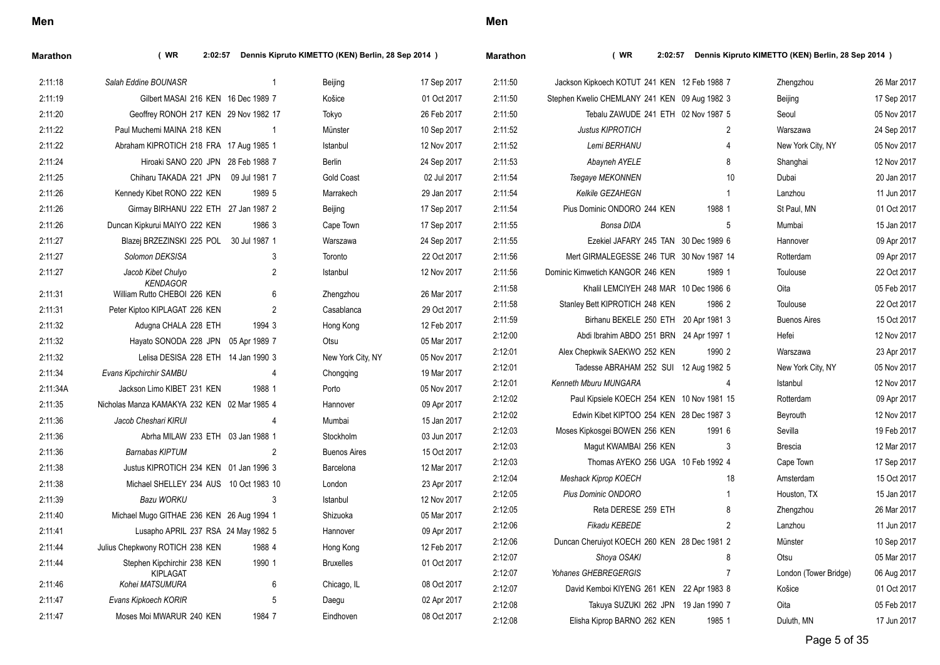| Marathon | (WR)<br>2:02:57                                 |                | Dennis Kipruto KIMETTO (KEN) Berlin, 28 Sep 2014 ) |             | Marathon | (WR)<br>2:02:57                               |                | Dennis Kipruto KIMETTO (KEN) Berlin, 28 Sep 2014 ) |             |
|----------|-------------------------------------------------|----------------|----------------------------------------------------|-------------|----------|-----------------------------------------------|----------------|----------------------------------------------------|-------------|
| 2:11:18  | Salah Eddine BOUNASR                            | -1             | Beijing                                            | 17 Sep 2017 | 2:11:50  | Jackson Kipkoech KOTUT 241 KEN 12 Feb 1988 7  |                | Zhengzhou                                          | 26 Mar 2017 |
| 2:11:19  | Gilbert MASAI 216 KEN 16 Dec 1989 7             |                | Košice                                             | 01 Oct 2017 | 2:11:50  | Stephen Kwelio CHEMLANY 241 KEN 09 Aug 1982 3 |                | Beijing                                            | 17 Sep 2017 |
| 2:11:20  | Geoffrey RONOH 217 KEN 29 Nov 1982 17           |                | Tokyo                                              | 26 Feb 2017 | 2:11:50  | Tebalu ZAWUDE 241 ETH 02 Nov 1987 5           |                | Seoul                                              | 05 Nov 2017 |
| 2:11:22  | Paul Muchemi MAINA 218 KEN                      |                | Münster                                            | 10 Sep 2017 | 2:11:52  | <b>Justus KIPROTICH</b>                       | $\overline{2}$ | Warszawa                                           | 24 Sep 2017 |
| 2:11:22  | Abraham KIPROTICH 218 FRA 17 Aug 1985 1         |                | Istanbul                                           | 12 Nov 2017 | 2:11:52  | Lemi BERHANU                                  | 4              | New York City, NY                                  | 05 Nov 2017 |
| 2:11:24  | Hiroaki SANO 220 JPN 28 Feb 1988 7              |                | Berlin                                             | 24 Sep 2017 | 2:11:53  | Abayneh AYELE                                 | 8              | Shanghai                                           | 12 Nov 2017 |
| 2:11:25  | Chiharu TAKADA 221 JPN 09 Jul 1981 7            |                | <b>Gold Coast</b>                                  | 02 Jul 2017 | 2:11:54  | Tsegaye MEKONNEN                              | 10             | Dubai                                              | 20 Jan 2017 |
| 2:11:26  | Kennedy Kibet RONO 222 KEN                      | 1989 5         | Marrakech                                          | 29 Jan 2017 | 2:11:54  | Kelkile GEZAHEGN                              | $\mathbf{1}$   | Lanzhou                                            | 11 Jun 2017 |
| 2:11:26  | Girmay BIRHANU 222 ETH 27 Jan 1987 2            |                | Beijing                                            | 17 Sep 2017 | 2:11:54  | Pius Dominic ONDORO 244 KEN                   | 1988 1         | St Paul, MN                                        | 01 Oct 2017 |
| 2:11:26  | Duncan Kipkurui MAIYO 222 KEN                   | 1986 3         | Cape Town                                          | 17 Sep 2017 | 2:11:55  | Bonsa DIDA                                    | 5              | Mumbai                                             | 15 Jan 2017 |
| 2:11:27  | Blazej BRZEZINSKI 225 POL 30 Jul 1987 1         |                | Warszawa                                           | 24 Sep 2017 | 2:11:55  | Ezekiel JAFARY 245 TAN 30 Dec 1989 6          |                | Hannover                                           | 09 Apr 2017 |
| 2:11:27  | Solomon DEKSISA                                 | 3              | Toronto                                            | 22 Oct 2017 | 2:11:56  | Mert GIRMALEGESSE 246 TUR 30 Nov 1987 14      |                | Rotterdam                                          | 09 Apr 2017 |
| 2:11:27  | Jacob Kibet Chulyo                              | $\overline{2}$ | Istanbul                                           | 12 Nov 2017 | 2:11:56  | Dominic Kimwetich KANGOR 246 KEN              | 1989 1         | Toulouse                                           | 22 Oct 2017 |
| 2:11:31  | <b>KENDAGOR</b><br>William Rutto CHEBOI 226 KEN | 6              | Zhengzhou                                          | 26 Mar 2017 | 2:11:58  | Khalil LEMCIYEH 248 MAR 10 Dec 1986 6         |                | Oita                                               | 05 Feb 2017 |
| 2:11:31  | Peter Kiptoo KIPLAGAT 226 KEN                   | $\overline{2}$ | Casablanca                                         | 29 Oct 2017 | 2:11:58  | Stanley Bett KIPROTICH 248 KEN                | 1986 2         | Toulouse                                           | 22 Oct 2017 |
| 2:11:32  | Adugna CHALA 228 ETH                            | 1994 3         | Hong Kong                                          | 12 Feb 2017 | 2:11:59  | Birhanu BEKELE 250 ETH 20 Apr 1981 3          |                | <b>Buenos Aires</b>                                | 15 Oct 2017 |
| 2:11:32  | Hayato SONODA 228 JPN 05 Apr 1989 7             |                | Otsu                                               | 05 Mar 2017 | 2:12:00  | Abdi Ibrahim ABDO 251 BRN 24 Apr 1997 1       |                | Hefei                                              | 12 Nov 2017 |
| 2.11.32  | Lelisa DESISA 228 ETH 14 Jan 1990 3             |                | New York City, NY                                  | 05 Nov 2017 | 2:12:01  | Alex Chepkwik SAEKWO 252 KEN                  | 1990 2         | Warszawa                                           | 23 Apr 2017 |
| 2:11:34  | Evans Kipchirchir SAMBU                         | $\overline{4}$ | Chongqing                                          | 19 Mar 2017 | 2:12:01  | Tadesse ABRAHAM 252 SUI 12 Aug 1982 5         |                | New York City, NY                                  | 05 Nov 2017 |
| 2:11:34A | Jackson Limo KIBET 231 KEN                      | 1988 1         | Porto                                              | 05 Nov 2017 | 2:12:01  | Kenneth Mburu MUNGARA                         | 4              | Istanbul                                           | 12 Nov 2017 |
| 2:11:35  | Nicholas Manza KAMAKYA 232 KEN 02 Mar 1985 4    |                | Hannover                                           | 09 Apr 2017 | 2:12:02  | Paul Kipsiele KOECH 254 KEN 10 Nov 1981 15    |                | Rotterdam                                          | 09 Apr 2017 |
| 2:11:36  | Jacob Cheshari KIRUI                            | $\overline{4}$ | Mumbai                                             | 15 Jan 2017 | 2:12:02  | Edwin Kibet KIPTOO 254 KEN 28 Dec 1987 3      |                | Beyrouth                                           | 12 Nov 2017 |
| 2:11:36  | Abrha MILAW 233 ETH 03 Jan 1988 1               |                | Stockholm                                          | 03 Jun 2017 | 2:12:03  | Moses Kipkosgei BOWEN 256 KEN                 | 1991 6         | Sevilla                                            | 19 Feb 2017 |
| 2:11:36  | <b>Barnabas KIPTUM</b>                          | 2              | <b>Buenos Aires</b>                                | 15 Oct 2017 | 2:12:03  | Magut KWAMBAI 256 KEN                         | 3              | Brescia                                            | 12 Mar 2017 |
| 2:11:38  | Justus KIPROTICH 234 KEN 01 Jan 1996 3          |                | Barcelona                                          | 12 Mar 2017 | 2:12:03  | Thomas AYEKO 256 UGA 10 Feb 1992 4            |                | Cape Town                                          | 17 Sep 2017 |
| 2:11:38  | Michael SHELLEY 234 AUS 10 Oct 1983 10          |                | London                                             | 23 Apr 2017 | 2:12:04  | <b>Meshack Kiprop KOECH</b>                   | 18             | Amsterdam                                          | 15 Oct 2017 |
| 2:11:39  | <b>Bazu WORKU</b>                               | 3              | Istanbul                                           | 12 Nov 2017 | 2:12:05  | Pius Dominic ONDORO                           | $\overline{1}$ | Houston, TX                                        | 15 Jan 2017 |
| 2:11:40  | Michael Mugo GITHAE 236 KEN 26 Aug 1994 1       |                | Shizuoka                                           | 05 Mar 2017 | 2:12:05  | Reta DERESE 259 ETH                           | 8              | Zhengzhou                                          | 26 Mar 2017 |
| 2:11:41  | Lusapho APRIL 237 RSA 24 May 1982 5             |                | Hannover                                           | 09 Apr 2017 | 2:12:06  | Fikadu KEBEDE                                 | $\overline{2}$ | Lanzhou                                            | 11 Jun 2017 |
| 2.11.44  | Julius Chepkwony ROTICH 238 KEN                 | 1988 4         | Hong Kong                                          | 12 Feb 2017 | 2:12:06  | Duncan Cheruiyot KOECH 260 KEN 28 Dec 1981 2  |                | Münster                                            | 10 Sep 2017 |
| 2:11:44  | Stephen Kipchirchir 238 KEN                     | 1990 1         | <b>Bruxelles</b>                                   | 01 Oct 2017 | 2:12:07  | Shoya OSAKI                                   | 8              | Otsu                                               | 05 Mar 2017 |
|          | KIPLAGAT                                        |                |                                                    |             | 2:12:07  | Yohanes GHEBREGERGIS                          | 7              | London (Tower Bridge)                              | 06 Aug 2017 |
| 2:11:46  | Kohei MATSUMURA                                 | 6              | Chicago, IL                                        | 08 Oct 2017 | 2:12:07  | David Kemboi KIYENG 261 KEN 22 Apr 1983 8     |                | Košice                                             | 01 Oct 2017 |
| 2:11:47  | Evans Kipkoech KORIR                            | 5              | Daegu                                              | 02 Apr 2017 | 2:12:08  | Takuya SUZUKI 262 JPN 19 Jan 1990 7           |                | Oita                                               | 05 Feb 2017 |
| 2.11.47  | Moses Moi MWARUR 240 KEN                        | 1984 7         | Eindhoven                                          | 08 Oct 2017 | 2:12:08  | Elisha Kiprop BARNO 262 KEN                   | 1985 1         | Duluth, MN                                         | 17 Jun 2017 |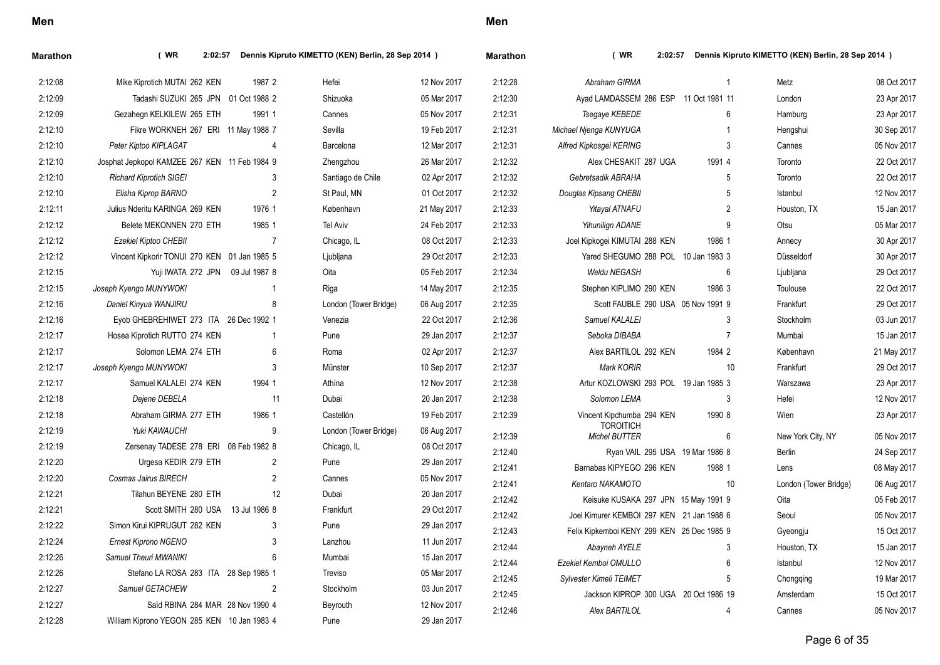| I<br>×<br>×<br>۰. |  |
|-------------------|--|
|-------------------|--|

| Marathon | $($ WR<br>2:02:57                             |                | Dennis Kipruto KIMETTO (KEN) Berlin, 28 Sep 2014 ) |             | <b>Marathon</b> | (WR)<br>Dennis Kipruto KIMETTO (KEN) Berlin, 28 Sep 2014 )<br>2:02:57 |                 |                       |             |  |
|----------|-----------------------------------------------|----------------|----------------------------------------------------|-------------|-----------------|-----------------------------------------------------------------------|-----------------|-----------------------|-------------|--|
| 2:12:08  | Mike Kiprotich MUTAI 262 KEN                  | 1987 2         | Hefei                                              | 12 Nov 2017 | 2:12:28         | Abraham GIRMA                                                         |                 | Metz                  | 08 Oct 2017 |  |
| 2:12:09  | Tadashi SUZUKI 265 JPN 01 Oct 1988 2          |                | Shizuoka                                           | 05 Mar 2017 | 2:12:30         | Ayad LAMDASSEM 286 ESP 11 Oct 1981 11                                 |                 | London                | 23 Apr 2017 |  |
| 2:12:09  | Gezahegn KELKILEW 265 ETH                     | 1991 1         | Cannes                                             | 05 Nov 2017 | 2:12:31         | Tsegaye KEBEDE                                                        | 6               | Hamburg               | 23 Apr 2017 |  |
| 2:12:10  | Fikre WORKNEH 267 ERI 11 May 1988 7           |                | Sevilla                                            | 19 Feb 2017 | 2:12:31         | Michael Njenga KUNYUGA                                                |                 | Hengshui              | 30 Sep 2017 |  |
| 2:12:10  | Peter Kiptoo KIPLAGAT                         | 4              | Barcelona                                          | 12 Mar 2017 | 2:12:31         | Alfred Kipkosgei KERING                                               | 3               | Cannes                | 05 Nov 2017 |  |
| 2:12:10  | Josphat Jepkopol KAMZEE 267 KEN 11 Feb 1984 9 |                | Zhengzhou                                          | 26 Mar 2017 | 2:12:32         | Alex CHESAKIT 287 UGA                                                 | 1991 4          | Toronto               | 22 Oct 2017 |  |
| 2:12:10  | <b>Richard Kiprotich SIGEI</b>                | 3              | Santiago de Chile                                  | 02 Apr 2017 | 2:12:32         | Gebretsadik ABRAHA                                                    | 5               | Toronto               | 22 Oct 2017 |  |
| 2:12:10  | Elisha Kiprop BARNO                           | $\overline{2}$ | St Paul, MN                                        | 01 Oct 2017 | 2:12:32         | Douglas Kipsang CHEBII                                                | 5               | Istanbul              | 12 Nov 2017 |  |
| 2:12:11  | Julius Nderitu KARINGA 269 KEN                | 1976 1         | København                                          | 21 May 2017 | 2:12:33         | <b>Yitayal ATNAFU</b>                                                 | $\overline{2}$  | Houston, TX           | 15 Jan 2017 |  |
| 2:12:12  | Belete MEKONNEN 270 ETH                       | 1985 1         | <b>Tel Aviv</b>                                    | 24 Feb 2017 | 2:12:33         | Yihunilign ADANE                                                      | 9               | Otsu                  | 05 Mar 2017 |  |
| 2:12:12  | Ezekiel Kiptoo CHEBII                         | $\overline{7}$ | Chicago, IL                                        | 08 Oct 2017 | 2:12:33         | Joel Kipkogei KIMUTAI 288 KEN                                         | 1986 1          | Annecy                | 30 Apr 2017 |  |
| 2:12:12  | Vincent Kipkorir TONUI 270 KEN 01 Jan 1985 5  |                | Ljubljana                                          | 29 Oct 2017 | 2:12:33         | Yared SHEGUMO 288 POL 10 Jan 1983 3                                   |                 | Düsseldorf            | 30 Apr 2017 |  |
| 2:12:15  | Yuji IWATA 272 JPN 09 Jul 1987 8              |                | Oita                                               | 05 Feb 2017 | 2:12:34         | Weldu NEGASH                                                          | 6               | Ljubljana             | 29 Oct 2017 |  |
| 2:12:15  | Joseph Kyengo MUNYWOKI                        | $\mathbf 1$    | Riga                                               | 14 May 2017 | 2:12:35         | Stephen KIPLIMO 290 KEN                                               | 1986 3          | Toulouse              | 22 Oct 2017 |  |
| 2:12:16  | Daniel Kinyua WANJIRU                         | 8              | London (Tower Bridge)                              | 06 Aug 2017 | 2:12:35         | Scott FAUBLE 290 USA 05 Nov 1991 9                                    |                 | Frankfurt             | 29 Oct 2017 |  |
| 2:12:16  | Eyob GHEBREHIWET 273 ITA 26 Dec 1992 1        |                | Venezia                                            | 22 Oct 2017 | 2:12:36         | Samuel KALALEI                                                        | 3               | Stockholm             | 03 Jun 2017 |  |
| 2:12:17  | Hosea Kiprotich RUTTO 274 KEN                 | -1             | Pune                                               | 29 Jan 2017 | 2:12:37         | Seboka DIBABA                                                         | $\overline{7}$  | Mumbai                | 15 Jan 2017 |  |
| 2:12:17  | Solomon LEMA 274 ETH                          | 6              | Roma                                               | 02 Apr 2017 | 2:12:37         | Alex BARTILOL 292 KEN                                                 | 1984 2          | København             | 21 May 2017 |  |
| 2:12:17  | Joseph Kyengo MUNYWOKI                        | 3              | Münster                                            | 10 Sep 2017 | 2:12:37         | <b>Mark KORIR</b>                                                     | 10              | Frankfurt             | 29 Oct 2017 |  |
| 2:12:17  | Samuel KALALEI 274 KEN                        | 1994 1         | Athína                                             | 12 Nov 2017 | 2:12:38         | Artur KOZLOWSKI 293 POL 19 Jan 1985 3                                 |                 | Warszawa              | 23 Apr 2017 |  |
| 2:12:18  | Dejene DEBELA                                 | 11             | Dubai                                              | 20 Jan 2017 | 2:12:38         | Solomon LEMA                                                          | 3               | Hefei                 | 12 Nov 2017 |  |
| 2:12:18  | Abraham GIRMA 277 ETH                         | 1986 1         | Castellón                                          | 19 Feb 2017 | 2:12:39         | Vincent Kipchumba 294 KEN                                             | 1990 8          | Wien                  | 23 Apr 2017 |  |
| 2:12:19  | Yuki KAWAUCHI                                 | 9              | London (Tower Bridge)                              | 06 Aug 2017 | 2:12:39         | <b>TOROITICH</b><br><b>Michel BUTTER</b>                              | 6               | New York City, NY     | 05 Nov 2017 |  |
| 2:12:19  | Zersenay TADESE 278 ERI 08 Feb 1982 8         |                | Chicago, IL                                        | 08 Oct 2017 | 2:12:40         | Ryan VAIL 295 USA 19 Mar 1986 8                                       |                 | Berlin                | 24 Sep 2017 |  |
| 2:12:20  | Urgesa KEDIR 279 ETH                          | $\overline{2}$ | Pune                                               | 29 Jan 2017 | 2:12:41         | Barnabas KIPYEGO 296 KEN                                              | 1988 1          | Lens                  | 08 May 2017 |  |
| 2:12:20  | Cosmas Jairus BIRECH                          | $\overline{c}$ | Cannes                                             | 05 Nov 2017 | 2:12:41         | Kentaro NAKAMOTO                                                      | 10              | London (Tower Bridge) | 06 Aug 2017 |  |
| 2:12:21  | Tilahun BEYENE 280 ETH                        | 12             | Dubai                                              | 20 Jan 2017 | 2:12:42         | Keisuke KUSAKA 297 JPN 15 May 1991 9                                  |                 | Oita                  | 05 Feb 2017 |  |
| 2:12:21  | Scott SMITH 280 USA 13 Jul 1986 8             |                | Frankfurt                                          | 29 Oct 2017 | 2:12:42         | Joel Kimurer KEMBOI 297 KEN 21 Jan 1988 6                             |                 | Seoul                 | 05 Nov 2017 |  |
| 2:12:22  | Simon Kirui KIPRUGUT 282 KEN                  | 3              | Pune                                               | 29 Jan 2017 | 2:12:43         | Felix Kipkemboi KENY 299 KEN 25 Dec 1985 9                            |                 | Gyeongju              | 15 Oct 2017 |  |
| 2:12:24  | <b>Ernest Kiprono NGENO</b>                   | 3              | Lanzhou                                            | 11 Jun 2017 | 2:12:44         | Abayneh AYELE                                                         | 3               | Houston, TX           | 15 Jan 2017 |  |
| 2:12:26  | Samuel Theuri MWANIKI                         | 6              | Mumbai                                             | 15 Jan 2017 | 2:12:44         | Ezekiel Kemboi OMULLO                                                 | 6               | Istanbul              | 12 Nov 2017 |  |
| 2:12:26  | Stefano LA ROSA 283 ITA 28 Sep 1985 1         |                | Treviso                                            | 05 Mar 2017 | 2:12:45         | <b>Sylvester Kimeli TEIMET</b>                                        | $5\overline{)}$ | Chongqing             | 19 Mar 2017 |  |
| 2:12:27  | Samuel GETACHEW                               | $\overline{2}$ | Stockholm                                          | 03 Jun 2017 | 2:12:45         | Jackson KIPROP 300 UGA 20 Oct 1986 19                                 |                 | Amsterdam             | 15 Oct 2017 |  |
| 2:12:27  | Saïd RBINA 284 MAR 28 Nov 1990 4              |                | Beyrouth                                           | 12 Nov 2017 | 2:12:46         | Alex BARTILOL                                                         | 4               | Cannes                | 05 Nov 2017 |  |
| 2:12:28  | William Kiprono YEGON 285 KEN 10 Jan 1983 4   |                | Pune                                               | 29 Jan 2017 |                 |                                                                       |                 |                       |             |  |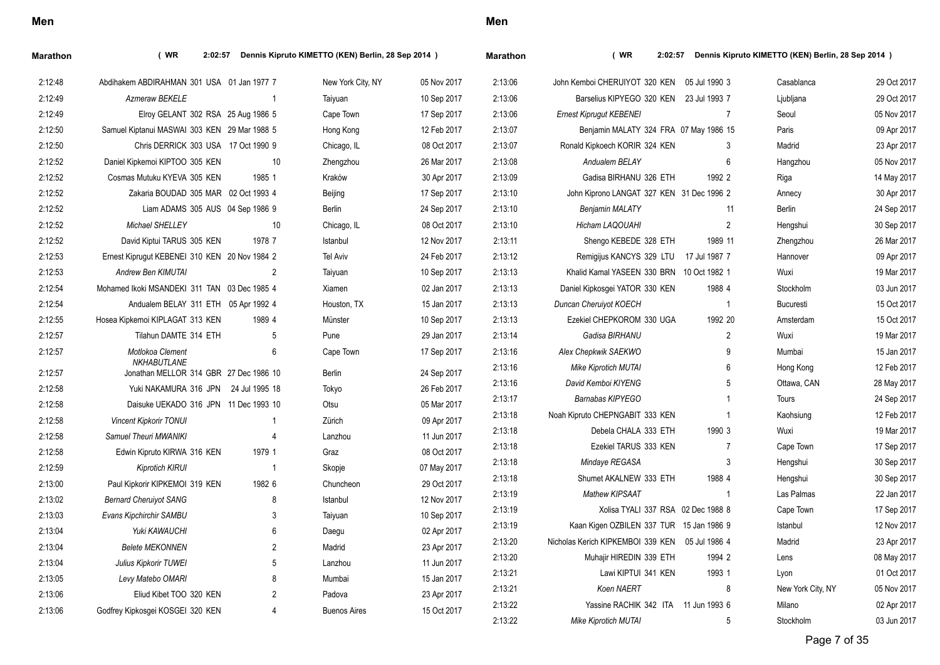| I<br>×<br>۰. |
|--------------|
|--------------|

| Marathon | (WR)<br>2:02:57                                       |                | Dennis Kipruto KIMETTO (KEN) Berlin, 28 Sep 2014 ) |             | <b>Marathon</b> | (WR)<br>2:02:57                                 |                | Dennis Kipruto KIMETTO (KEN) Berlin, 28 Sep 2014 ) |             |
|----------|-------------------------------------------------------|----------------|----------------------------------------------------|-------------|-----------------|-------------------------------------------------|----------------|----------------------------------------------------|-------------|
| 2:12:48  | Abdihakem ABDIRAHMAN 301 USA 01 Jan 1977 7            |                | New York City, NY                                  | 05 Nov 2017 | 2:13:06         | John Kemboi CHERUIYOT 320 KEN                   | 05 Jul 1990 3  | Casablanca                                         | 29 Oct 2017 |
| 2:12:49  | <b>Azmeraw BEKELE</b>                                 | -1             | Taiyuan                                            | 10 Sep 2017 | 2:13:06         | Barselius KIPYEGO 320 KEN 23 Jul 1993 7         |                | Ljubljana                                          | 29 Oct 2017 |
| 2:12:49  | Elroy GELANT 302 RSA 25 Aug 1986 5                    |                | Cape Town                                          | 17 Sep 2017 | 2:13:06         | <b>Ernest Kiprugut KEBENEI</b>                  | $\overline{7}$ | Seoul                                              | 05 Nov 2017 |
| 2:12:50  | Samuel Kiptanui MASWAI 303 KEN 29 Mar 1988 5          |                | Hong Kong                                          | 12 Feb 2017 | 2:13:07         | Benjamin MALATY 324 FRA 07 May 1986 15          |                | Paris                                              | 09 Apr 2017 |
| 2:12:50  | Chris DERRICK 303 USA 17 Oct 1990 9                   |                | Chicago, IL                                        | 08 Oct 2017 | 2:13:07         | Ronald Kipkoech KORIR 324 KEN                   | 3              | Madrid                                             | 23 Apr 2017 |
| 2:12:52  | Daniel Kipkemoi KIPTOO 305 KEN                        | 10             | Zhengzhou                                          | 26 Mar 2017 | 2:13:08         | Andualem BELAY                                  | 6              | Hangzhou                                           | 05 Nov 2017 |
| 2:12:52  | Cosmas Mutuku KYEVA 305 KEN                           | 1985 1         | Kraków                                             | 30 Apr 2017 | 2:13:09         | Gadisa BIRHANU 326 ETH                          | 1992 2         | Riga                                               | 14 May 2017 |
| 2:12:52  | Zakaria BOUDAD 305 MAR 02 Oct 1993 4                  |                | Beijing                                            | 17 Sep 2017 | 2:13:10         | John Kiprono LANGAT 327 KEN 31 Dec 1996 2       |                | Annecy                                             | 30 Apr 2017 |
| 2:12:52  | Liam ADAMS 305 AUS 04 Sep 1986 9                      |                | <b>Berlin</b>                                      | 24 Sep 2017 | 2:13:10         | <b>Benjamin MALATY</b>                          | 11             | <b>Berlin</b>                                      | 24 Sep 2017 |
| 2:12:52  | Michael SHELLEY                                       | 10             | Chicago, IL                                        | 08 Oct 2017 | 2:13:10         | <b>Hicham LAQOUAHI</b>                          | 2              | Hengshui                                           | 30 Sep 2017 |
| 2:12:52  | David Kiptui TARUS 305 KEN                            | 1978 7         | Istanbul                                           | 12 Nov 2017 | 2:13:11         | Shengo KEBEDE 328 ETH                           | 1989 11        | Zhengzhou                                          | 26 Mar 2017 |
| 2:12:53  | Ernest Kiprugut KEBENEI 310 KEN 20 Nov 1984 2         |                | <b>Tel Aviv</b>                                    | 24 Feb 2017 | 2:13:12         | Remigijus KANCYS 329 LTU                        | 17 Jul 1987 7  | Hannover                                           | 09 Apr 2017 |
| 2:12:53  | <b>Andrew Ben KIMUTAI</b>                             | 2              | Taiyuan                                            | 10 Sep 2017 | 2:13:13         | Khalid Kamal YASEEN 330 BRN 10 Oct 1982 1       |                | Wuxi                                               | 19 Mar 2017 |
| 2:12:54  | Mohamed Ikoki MSANDEKI 311 TAN 03 Dec 1985 4          |                | Xiamen                                             | 02 Jan 2017 | 2:13:13         | Daniel Kipkosgei YATOR 330 KEN                  | 1988 4         | Stockholm                                          | 03 Jun 2017 |
| 2:12:54  | Andualem BELAY 311 ETH 05 Apr 1992 4                  |                | Houston, TX                                        | 15 Jan 2017 | 2:13:13         | Duncan Cheruiyot KOECH                          | $\overline{1}$ | <b>Bucuresti</b>                                   | 15 Oct 2017 |
| 2:12:55  | Hosea Kipkemoi KIPLAGAT 313 KEN                       | 1989 4         | Münster                                            | 10 Sep 2017 | 2:13:13         | Ezekiel CHEPKOROM 330 UGA                       | 1992 20        | Amsterdam                                          | 15 Oct 2017 |
| 2:12:57  | Tilahun DAMTE 314 ETH                                 | 5              | Pune                                               | 29 Jan 2017 | 2:13:14         | Gadisa BIRHANU                                  | $\overline{2}$ | Wuxi                                               | 19 Mar 2017 |
| 2:12:57  | Motlokoa Clement                                      | 6              | Cape Town                                          | 17 Sep 2017 | 2:13:16         | Alex Chepkwik SAEKWO                            | 9              | Mumbai                                             | 15 Jan 2017 |
| 2:12:57  | NKHABUTLANE<br>Jonathan MELLOR 314 GBR 27 Dec 1986 10 |                | Berlin                                             | 24 Sep 2017 | 2:13:16         | <b>Mike Kiprotich MUTAI</b>                     | 6              | Hong Kong                                          | 12 Feb 2017 |
| 2:12:58  | Yuki NAKAMURA 316 JPN 24 Jul 1995 18                  |                | Tokyo                                              | 26 Feb 2017 | 2:13:16         | David Kemboi KIYENG                             | 5              | Ottawa, CAN                                        | 28 May 2017 |
| 2:12:58  | Daisuke UEKADO 316 JPN 11 Dec 1993 10                 |                | Otsu                                               | 05 Mar 2017 | 2:13:17         | Barnabas KIPYEGO                                |                | Tours                                              | 24 Sep 2017 |
| 2:12:58  | <b>Vincent Kipkorir TONUI</b>                         | -1             | Zürich                                             | 09 Apr 2017 | 2:13:18         | Noah Kipruto CHEPNGABIT 333 KEN                 |                | Kaohsiung                                          | 12 Feb 2017 |
| 2:12:58  | Samuel Theuri MWANIKI                                 | $\overline{4}$ | Lanzhou                                            | 11 Jun 2017 | 2:13:18         | Debela CHALA 333 ETH                            | 1990 3         | Wuxi                                               | 19 Mar 2017 |
| 2:12:58  | Edwin Kipruto KIRWA 316 KEN                           | 1979 1         | Graz                                               | 08 Oct 2017 | 2:13:18         | Ezekiel TARUS 333 KEN                           | 7              | Cape Town                                          | 17 Sep 2017 |
| 2:12:59  | Kiprotich KIRUI                                       | $\overline{1}$ | Skopje                                             | 07 May 2017 | 2:13:18         | Mindaye REGASA                                  | 3              | Hengshui                                           | 30 Sep 2017 |
| 2:13:00  | Paul Kipkorir KIPKEMOI 319 KEN                        | 1982 6         | Chuncheon                                          | 29 Oct 2017 | 2:13:18         | Shumet AKALNEW 333 ETH                          | 1988 4         | Hengshui                                           | 30 Sep 2017 |
| 2:13:02  | <b>Bernard Cheruiyot SANG</b>                         | 8              | Istanbul                                           | 12 Nov 2017 | 2:13:19         | <b>Mathew KIPSAAT</b>                           | -1             | Las Palmas                                         | 22 Jan 2017 |
| 2:13:03  | Evans Kipchirchir SAMBU                               | 3              | Taiyuan                                            | 10 Sep 2017 | 2:13:19         | Xolisa TYALI 337 RSA 02 Dec 1988 8              |                | Cape Town                                          | 17 Sep 2017 |
| 2:13:04  | Yuki KAWAUCHI                                         | 6              | Daegu                                              | 02 Apr 2017 | 2:13:19         | Kaan Kigen OZBILEN 337 TUR 15 Jan 1986 9        |                | Istanbul                                           | 12 Nov 2017 |
| 2:13:04  | <b>Belete MEKONNEN</b>                                | $\overline{2}$ | Madrid                                             | 23 Apr 2017 | 2:13:20         | Nicholas Kerich KIPKEMBOI 339 KEN 05 Jul 1986 4 |                | Madrid                                             | 23 Apr 2017 |
| 2:13:04  | Julius Kipkorir TUWEI                                 | 5              | Lanzhou                                            | 11 Jun 2017 | 2:13:20         | Muhajir HIREDIN 339 ETH                         | 1994 2         | Lens                                               | 08 May 2017 |
| 2:13:05  | Levy Matebo OMARI                                     | 8              | Mumbai                                             | 15 Jan 2017 | 2:13:21         | Lawi KIPTUI 341 KEN                             | 1993 1         | Lyon                                               | 01 Oct 2017 |
| 2:13:06  | Eliud Kibet TOO 320 KEN                               | $\overline{2}$ | Padova                                             | 23 Apr 2017 | 2.13.21         | Koen NAERT                                      | 8              | New York City, NY                                  | 05 Nov 2017 |
| 2:13:06  | Godfrey Kipkosgei KOSGEI 320 KEN                      | 4              | <b>Buenos Aires</b>                                | 15 Oct 2017 | 2:13:22         | Yassine RACHIK 342 ITA 11 Jun 1993 6            |                | Milano                                             | 02 Apr 2017 |
|          |                                                       |                |                                                    |             | 2:13:22         | Mike Kiprotich MUTAI                            | 5              | Stockholm                                          | 03 Jun 2017 |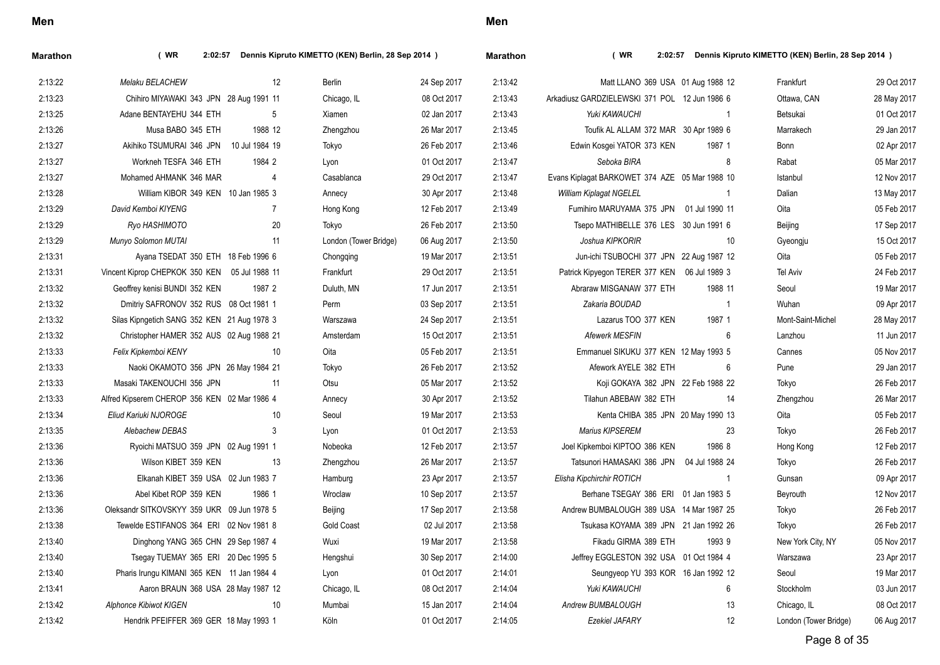| Marathon | $($ WR<br>Dennis Kipruto KIMETTO (KEN) Berlin, 28 Sep 2014 )<br>2:02:57 |                |                |                       |             | Marathon | (WR)<br>Dennis Kipruto KIMETTO (KEN) Berlin, 28 Sep 2014 )<br>2:02:57 |                |                       |             |  |
|----------|-------------------------------------------------------------------------|----------------|----------------|-----------------------|-------------|----------|-----------------------------------------------------------------------|----------------|-----------------------|-------------|--|
| 2:13:22  | Melaku BELACHEW                                                         |                | 12             | Berlin                | 24 Sep 2017 | 2.13.42  | Matt LLANO 369 USA 01 Aug 1988 12                                     |                | Frankfurt             | 29 Oct 2017 |  |
| 2:13:23  | Chihiro MIYAWAKI 343 JPN 28 Aug 1991 11                                 |                |                | Chicago, IL           | 08 Oct 2017 | 2:13:43  | Arkadiusz GARDZIELEWSKI 371 POL 12 Jun 1986 6                         |                | Ottawa, CAN           | 28 May 2017 |  |
| 2:13:25  | Adane BENTAYEHU 344 ETH                                                 |                | 5              | Xiamen                | 02 Jan 2017 | 2:13:43  | Yuki KAWAUCHI                                                         | $\overline{1}$ | Betsukai              | 01 Oct 2017 |  |
| 2:13:26  | Musa BABO 345 ETH                                                       | 1988 12        |                | Zhengzhou             | 26 Mar 2017 | 2:13:45  | Toufik AL ALLAM 372 MAR 30 Apr 1989 6                                 |                | Marrakech             | 29 Jan 2017 |  |
| 2:13:27  | Akihiko TSUMURAI 346 JPN                                                | 10 Jul 1984 19 |                | Tokyo                 | 26 Feb 2017 | 2:13:46  | Edwin Kosgei YATOR 373 KEN                                            | 1987 1         | Bonn                  | 02 Apr 2017 |  |
| 2:13:27  | Workneh TESFA 346 ETH                                                   | 1984 2         |                | Lyon                  | 01 Oct 2017 | 2:13:47  | Seboka BIRA                                                           | 8              | Rabat                 | 05 Mar 2017 |  |
| 2:13:27  | Mohamed AHMANK 346 MAR                                                  |                | $\overline{4}$ | Casablanca            | 29 Oct 2017 | 2:13:47  | Evans Kiplagat BARKOWET 374 AZE 05 Mar 1988 10                        |                | Istanbul              | 12 Nov 2017 |  |
| 2:13:28  | William KIBOR 349 KEN 10 Jan 1985 3                                     |                |                | Annecy                | 30 Apr 2017 | 2:13:48  | William Kiplagat NGELEL                                               | $\mathbf{1}$   | Dalian                | 13 May 2017 |  |
| 2:13:29  | David Kemboi KIYENG                                                     |                | $\overline{7}$ | Hong Kong             | 12 Feb 2017 | 2:13:49  | Fumihiro MARUYAMA 375 JPN 01 Jul 1990 11                              |                | Oita                  | 05 Feb 2017 |  |
| 2:13:29  | Ryo HASHIMOTO                                                           |                | 20             | Tokyo                 | 26 Feb 2017 | 2:13:50  | Tsepo MATHIBELLE 376 LES 30 Jun 1991 6                                |                | Beijing               | 17 Sep 2017 |  |
| 2:13:29  | Munyo Solomon MUTAI                                                     |                | 11             | London (Tower Bridge) | 06 Aug 2017 | 2:13:50  | Joshua KIPKORIR                                                       | 10             | Gyeongju              | 15 Oct 2017 |  |
| 2:13:31  | Ayana TSEDAT 350 ETH 18 Feb 1996 6                                      |                |                | Chongqing             | 19 Mar 2017 | 2:13:51  | Jun-ichi TSUBOCHI 377 JPN 22 Aug 1987 12                              |                | Oita                  | 05 Feb 2017 |  |
| 2:13:31  | Vincent Kiprop CHEPKOK 350 KEN 05 Jul 1988 11                           |                |                | Frankfurt             | 29 Oct 2017 | 2:13:51  | Patrick Kipyegon TERER 377 KEN 06 Jul 1989 3                          |                | Tel Aviv              | 24 Feb 2017 |  |
| 2:13:32  | Geoffrey kenisi BUNDI 352 KEN                                           | 1987 2         |                | Duluth, MN            | 17 Jun 2017 | 2:13:51  | Abraraw MISGANAW 377 ETH                                              | 1988 11        | Seoul                 | 19 Mar 2017 |  |
| 2:13:32  | Dmitriy SAFRONOV 352 RUS 08 Oct 1981 1                                  |                |                | Perm                  | 03 Sep 2017 | 2:13:51  | Zakaria BOUDAD                                                        | $\overline{1}$ | Wuhan                 | 09 Apr 2017 |  |
| 2:13:32  | Silas Kipngetich SANG 352 KEN 21 Aug 1978 3                             |                |                | Warszawa              | 24 Sep 2017 | 2:13:51  | Lazarus TOO 377 KEN                                                   | 1987 1         | Mont-Saint-Michel     | 28 May 2017 |  |
| 2:13:32  | Christopher HAMER 352 AUS 02 Aug 1988 21                                |                |                | Amsterdam             | 15 Oct 2017 | 2:13:51  | <b>Afewerk MESFIN</b>                                                 | 6              | Lanzhou               | 11 Jun 2017 |  |
| 2:13:33  | Felix Kipkemboi KENY                                                    |                | 10             | Oita                  | 05 Feb 2017 | 2:13:51  | Emmanuel SIKUKU 377 KEN 12 May 1993 5                                 |                | Cannes                | 05 Nov 2017 |  |
| 2:13:33  | Naoki OKAMOTO 356 JPN 26 May 1984 21                                    |                |                | Tokyo                 | 26 Feb 2017 | 2:13:52  | Afework AYELE 382 ETH                                                 | 6              | Pune                  | 29 Jan 2017 |  |
| 2:13:33  | Masaki TAKENOUCHI 356 JPN                                               |                | 11             | Otsu                  | 05 Mar 2017 | 2:13:52  | Koji GOKAYA 382 JPN 22 Feb 1988 22                                    |                | Tokyo                 | 26 Feb 2017 |  |
| 2:13:33  | Alfred Kipserem CHEROP 356 KEN 02 Mar 1986 4                            |                |                | Annecy                | 30 Apr 2017 | 2:13:52  | Tilahun ABEBAW 382 ETH                                                | 14             | Zhengzhou             | 26 Mar 2017 |  |
| 2:13:34  | Eliud Kariuki NJOROGE                                                   |                | 10             | Seoul                 | 19 Mar 2017 | 2:13:53  | Kenta CHIBA 385 JPN 20 May 1990 13                                    |                | Oita                  | 05 Feb 2017 |  |
| 2:13:35  | Alebachew DEBAS                                                         |                | 3              | Lyon                  | 01 Oct 2017 | 2:13:53  | Marius KIPSEREM                                                       | 23             | Tokyo                 | 26 Feb 2017 |  |
| 2:13:36  | Ryoichi MATSUO 359 JPN 02 Aug 1991 1                                    |                |                | Nobeoka               | 12 Feb 2017 | 2:13:57  | Joel Kipkemboi KIPTOO 386 KEN                                         | 1986 8         | Hong Kong             | 12 Feb 2017 |  |
| 2:13:36  | Wilson KIBET 359 KEN                                                    |                | 13             | Zhengzhou             | 26 Mar 2017 | 2:13:57  | Tatsunori HAMASAKI 386 JPN 04 Jul 1988 24                             |                | Tokyo                 | 26 Feb 2017 |  |
| 2:13:36  | Elkanah KIBET 359 USA 02 Jun 1983 7                                     |                |                | Hamburg               | 23 Apr 2017 | 2:13:57  | Elisha Kipchirchir ROTICH                                             | $\overline{1}$ | Gunsan                | 09 Apr 2017 |  |
| 2:13:36  | Abel Kibet ROP 359 KEN                                                  | 1986 1         |                | Wroclaw               | 10 Sep 2017 | 2:13:57  | Berhane TSEGAY 386 ERI 01 Jan 1983 5                                  |                | Beyrouth              | 12 Nov 2017 |  |
| 2:13:36  | Oleksandr SITKOVSKYY 359 UKR 09 Jun 1978 5                              |                |                | Beijing               | 17 Sep 2017 | 2:13:58  | Andrew BUMBALOUGH 389 USA 14 Mar 1987 25                              |                | Tokyo                 | 26 Feb 2017 |  |
| 2:13:38  | Tewelde ESTIFANOS 364 ERI 02 Nov 1981 8                                 |                |                | <b>Gold Coast</b>     | 02 Jul 2017 | 2:13:58  | Tsukasa KOYAMA 389 JPN 21 Jan 1992 26                                 |                | Tokyo                 | 26 Feb 2017 |  |
| 2:13:40  | Dinghong YANG 365 CHN 29 Sep 1987 4                                     |                |                | Wuxi                  | 19 Mar 2017 | 2:13:58  | Fikadu GIRMA 389 ETH                                                  | 1993 9         | New York City, NY     | 05 Nov 2017 |  |
| 2:13:40  | Tsegay TUEMAY 365 ERI 20 Dec 1995 5                                     |                |                | Hengshui              | 30 Sep 2017 | 2:14:00  | Jeffrey EGGLESTON 392 USA 01 Oct 1984 4                               |                | Warszawa              | 23 Apr 2017 |  |
| 2:13:40  | Pharis Irungu KIMANI 365 KEN 11 Jan 1984 4                              |                |                | Lyon                  | 01 Oct 2017 | 2:14:01  | Seungyeop YU 393 KOR 16 Jan 1992 12                                   |                | Seoul                 | 19 Mar 2017 |  |
| 2:13:41  | Aaron BRAUN 368 USA 28 May 1987 12                                      |                |                | Chicago, IL           | 08 Oct 2017 | 2:14:04  | Yuki KAWAUCHI                                                         | 6              | Stockholm             | 03 Jun 2017 |  |
| 2:13:42  | <b>Alphonce Kibiwot KIGEN</b>                                           |                | 10             | Mumbai                | 15 Jan 2017 | 2:14:04  | Andrew BUMBALOUGH                                                     | 13             | Chicago, IL           | 08 Oct 2017 |  |
| 2:13:42  | Hendrik PFEIFFER 369 GER 18 May 1993 1                                  |                |                | Köln                  | 01 Oct 2017 | 2:14:05  | Ezekiel JAFARY                                                        | 12             | London (Tower Bridge) | 06 Aug 2017 |  |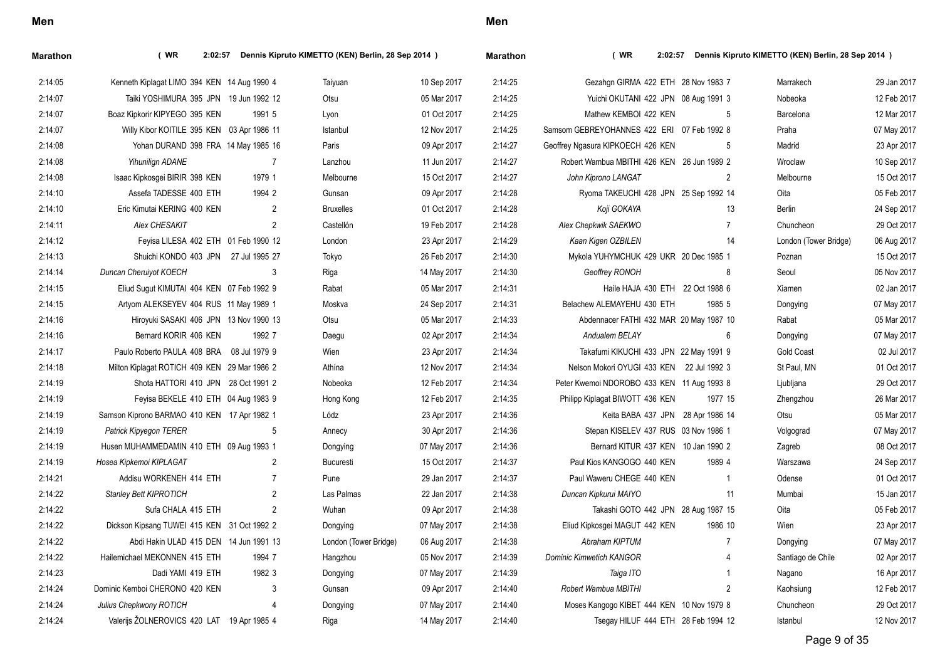| Marathon | (WR)<br>2:02:57                              |        | Dennis Kipruto KIMETTO (KEN) Berlin, 28 Sep 2014 ) |             | <b>Marathon</b> | (WR)                                       |         | 2:02:57 Dennis Kipruto KIMETTO (KEN) Berlin, 28 Sep 2014 ) |             |
|----------|----------------------------------------------|--------|----------------------------------------------------|-------------|-----------------|--------------------------------------------|---------|------------------------------------------------------------|-------------|
| 2:14:05  | Kenneth Kiplagat LIMO 394 KEN 14 Aug 1990 4  |        | Taiyuan                                            | 10 Sep 2017 | 2:14:25         | Gezahgn GIRMA 422 ETH 28 Nov 1983 7        |         | Marrakech                                                  | 29 Jan 2017 |
| 2:14:07  | Taiki YOSHIMURA 395 JPN 19 Jun 1992 12       |        | Otsu                                               | 05 Mar 2017 | 2:14:25         | Yuichi OKUTANI 422 JPN 08 Aug 1991 3       |         | Nobeoka                                                    | 12 Feb 2017 |
| 2:14:07  | Boaz Kipkorir KIPYEGO 395 KEN                | 1991 5 | Lyon                                               | 01 Oct 2017 | 2:14:25         | Mathew KEMBOI 422 KEN                      | -5      | Barcelona                                                  | 12 Mar 2017 |
| 2:14:07  | Willy Kibor KOITILE 395 KEN 03 Apr 1986 11   |        | Istanbul                                           | 12 Nov 2017 | 2:14:25         | Samsom GEBREYOHANNES 422 ERI 07 Feb 1992 8 |         | Praha                                                      | 07 May 2017 |
| 2:14:08  | Yohan DURAND 398 FRA 14 May 1985 16          |        | Paris                                              | 09 Apr 2017 | 2:14:27         | Geoffrey Ngasura KIPKOECH 426 KEN          | 5       | Madrid                                                     | 23 Apr 2017 |
| 2:14:08  | Yihunilign ADANE                             | 7      | Lanzhou                                            | 11 Jun 2017 | 2.14.27         | Robert Wambua MBITHI 426 KEN 26 Jun 1989 2 |         | Wroclaw                                                    | 10 Sep 2017 |
| 2:14:08  | Isaac Kipkosgei BIRIR 398 KEN                | 1979 1 | Melbourne                                          | 15 Oct 2017 | 2:14:27         | John Kiprono LANGAT                        | 2       | Melbourne                                                  | 15 Oct 2017 |
| 2:14:10  | Assefa TADESSE 400 ETH                       | 1994 2 | Gunsan                                             | 09 Apr 2017 | 2:14:28         | Ryoma TAKEUCHI 428 JPN 25 Sep 1992 14      |         | Oita                                                       | 05 Feb 2017 |
| 2:14:10  | Eric Kimutai KERING 400 KEN                  | 2      | <b>Bruxelles</b>                                   | 01 Oct 2017 | 2:14:28         | Koji GOKAYA                                | 13      | Berlin                                                     | 24 Sep 2017 |
| 2:14:11  | Alex CHESAKIT                                | 2      | Castellón                                          | 19 Feb 2017 | 2:14:28         | Alex Chepkwik SAEKWO                       | 7       | Chuncheon                                                  | 29 Oct 2017 |
| 2:14:12  | Feyisa LILESA 402 ETH 01 Feb 1990 12         |        | London                                             | 23 Apr 2017 | 2:14:29         | Kaan Kigen OZBILEN                         | 14      | London (Tower Bridge)                                      | 06 Aug 2017 |
| 2:14:13  | Shuichi KONDO 403 JPN 27 Jul 1995 27         |        | Tokyo                                              | 26 Feb 2017 | 2:14:30         | Mykola YUHYMCHUK 429 UKR 20 Dec 1985 1     |         | Poznan                                                     | 15 Oct 2017 |
| 2:14:14  | Duncan Cheruiyot KOECH                       | 3      | Riga                                               | 14 May 2017 | 2:14:30         | Geoffrey RONOH                             | 8       | Seoul                                                      | 05 Nov 2017 |
| 2:14:15  | Eliud Sugut KIMUTAI 404 KEN 07 Feb 1992 9    |        | Rabat                                              | 05 Mar 2017 | 2:14:31         | Haile HAJA 430 ETH 22 Oct 1988 6           |         | Xiamen                                                     | 02 Jan 2017 |
| 2:14:15  | Artyom ALEKSEYEV 404 RUS 11 May 1989 1       |        | Moskva                                             | 24 Sep 2017 | 2:14:31         | Belachew ALEMAYEHU 430 ETH                 | 1985 5  | Dongying                                                   | 07 May 2017 |
| 2:14:16  | Hiroyuki SASAKI 406 JPN 13 Nov 1990 13       |        | Otsu                                               | 05 Mar 2017 | 2:14:33         | Abdennacer FATHI 432 MAR 20 May 1987 10    |         | Rabat                                                      | 05 Mar 2017 |
| 2:14:16  | Bernard KORIR 406 KEN                        | 1992 7 | Daegu                                              | 02 Apr 2017 | 2:14:34         | Andualem BELAY                             | 6       | Dongying                                                   | 07 May 2017 |
| 2:14:17  | Paulo Roberto PAULA 408 BRA 08 Jul 1979 9    |        | Wien                                               | 23 Apr 2017 | 2:14:34         | Takafumi KIKUCHI 433 JPN 22 May 1991 9     |         | <b>Gold Coast</b>                                          | 02 Jul 2017 |
| 2:14:18  | Milton Kiplagat ROTICH 409 KEN 29 Mar 1986 2 |        | Athína                                             | 12 Nov 2017 | 2:14:34         | Nelson Mokori OYUGI 433 KEN 22 Jul 1992 3  |         | St Paul, MN                                                | 01 Oct 2017 |
| 2:14:19  | Shota HATTORI 410 JPN 28 Oct 1991 2          |        | Nobeoka                                            | 12 Feb 2017 | 2:14:34         | Peter Kwemoi NDOROBO 433 KEN 11 Aug 1993 8 |         | Ljubljana                                                  | 29 Oct 2017 |
| 2:14:19  | Feyisa BEKELE 410 ETH 04 Aug 1983 9          |        | Hong Kong                                          | 12 Feb 2017 | 2:14:35         | Philipp Kiplagat BIWOTT 436 KEN            | 1977 15 | Zhengzhou                                                  | 26 Mar 2017 |
| 2:14:19  | Samson Kiprono BARMAO 410 KEN 17 Apr 1982 1  |        | Lódz                                               | 23 Apr 2017 | 2:14:36         | Keita BABA 437 JPN 28 Apr 1986 14          |         | Otsu                                                       | 05 Mar 2017 |
| 2:14:19  | Patrick Kipyegon TERER                       | 5      | Annecy                                             | 30 Apr 2017 | 2:14:36         | Stepan KISELEV 437 RUS 03 Nov 1986 1       |         | Volgograd                                                  | 07 May 2017 |
| 2:14:19  | Husen MUHAMMEDAMIN 410 ETH 09 Aug 1993 1     |        | Dongying                                           | 07 May 2017 | 2:14:36         | Bernard KITUR 437 KEN 10 Jan 1990 2        |         | Zagreb                                                     | 08 Oct 2017 |
| 2:14:19  | Hosea Kipkemoi KIPLAGAT                      | 2      | Bucuresti                                          | 15 Oct 2017 | 2:14:37         | Paul Kios KANGOGO 440 KEN                  | 1989 4  | Warszawa                                                   | 24 Sep 2017 |
| 2.14.21  | Addisu WORKENEH 414 ETH                      | 7      | Pune                                               | 29 Jan 2017 | 2:14:37         | Paul Waweru CHEGE 440 KEN                  |         | Odense                                                     | 01 Oct 2017 |
| 2:14:22  | <b>Stanley Bett KIPROTICH</b>                | 2      | Las Palmas                                         | 22 Jan 2017 | 2:14:38         | Duncan Kipkurui MAIYO                      | -11     | Mumbai                                                     | 15 Jan 2017 |
| 2:14:22  | Sufa CHALA 415 ETH                           | 2      | Wuhan                                              | 09 Apr 2017 | 2:14:38         | Takashi GOTO 442 JPN 28 Aug 1987 15        |         | Oita                                                       | 05 Feb 2017 |
| 2:14:22  | Dickson Kipsang TUWEI 415 KEN 31 Oct 1992 2  |        | Dongying                                           | 07 May 2017 | 2:14:38         | Eliud Kipkosgei MAGUT 442 KEN              | 1986 10 | Wien                                                       | 23 Apr 2017 |
| 2:14:22  | Abdi Hakin ULAD 415 DEN 14 Jun 1991 13       |        | London (Tower Bridge)                              | 06 Aug 2017 | 2:14:38         | Abraham KIPTUM                             |         | Dongying                                                   | 07 May 2017 |
| 2:14:22  | Hailemichael MEKONNEN 415 ETH                | 1994 7 | Hangzhou                                           | 05 Nov 2017 | 2:14:39         | <b>Dominic Kimwetich KANGOR</b>            | 4       | Santiago de Chile                                          | 02 Apr 2017 |
| 2:14:23  | Dadi YAMI 419 ETH                            | 1982 3 | Dongying                                           | 07 May 2017 | 2:14:39         | Taiga ITO                                  |         | Nagano                                                     | 16 Apr 2017 |
| 2:14:24  | Dominic Kemboi CHERONO 420 KEN               | 3      | Gunsan                                             | 09 Apr 2017 | 2:14:40         | Robert Wambua MBITHI                       | 2       | Kaohsiung                                                  | 12 Feb 2017 |
| 2:14:24  | Julius Chepkwony ROTICH                      |        | Dongying                                           | 07 May 2017 | 2:14:40         | Moses Kangogo KIBET 444 KEN 10 Nov 1979 8  |         | Chuncheon                                                  | 29 Oct 2017 |
| 2:14:24  | Valerijs ŽOLNEROVICS 420 LAT 19 Apr 1985 4   |        | Riga                                               | 14 May 2017 | 2:14:40         | Tsegay HILUF 444 ETH 28 Feb 1994 12        |         | Istanbul                                                   | 12 Nov 2017 |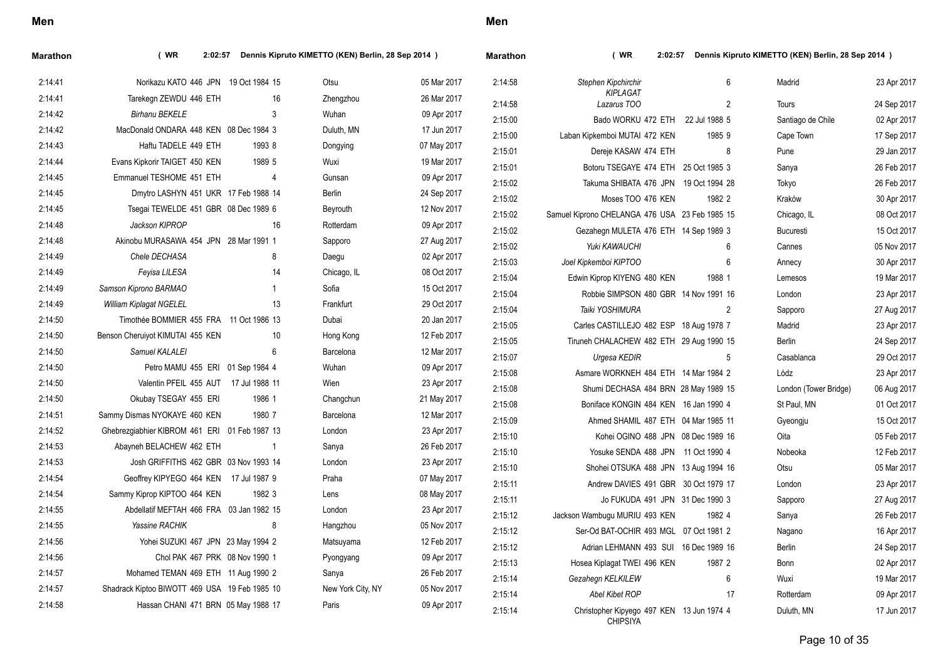| Stephen Kipchirchir<br>2:14:41<br>Norikazu KATO 446 JPN 19 Oct 1984 15<br>Otsu<br>05 Mar 2017<br>2:14:58<br>6<br>Madrid<br>KIPLAGAT<br>2:14:41<br>Tarekegn ZEWDU 446 ETH<br>16<br>26 Mar 2017<br>Zhengzhou<br>$\overline{2}$<br>2:14:58<br>Lazarus TOO<br><b>Tours</b><br>2:14:42<br><b>Birhanu BEKELE</b><br>3<br>Wuhan<br>09 Apr 2017<br>Bado WORKU 472 ETH 22 Jul 1988 5<br>2:15:00<br>Santiago de Chile<br>MacDonald ONDARA 448 KEN 08 Dec 1984 3<br>2:14:42<br>Duluth, MN<br>17 Jun 2017<br>2:15:00<br>Laban Kipkemboi MUTAI 472 KEN<br>1985 9<br>Cape Town<br>2:14:43<br>Haftu TADELE 449 ETH<br>1993 8<br>07 May 2017<br>Dongying<br>2:15:01<br>8<br>Dereje KASAW 474 ETH<br>Pune<br>2:14:44<br>1989 5<br>Evans Kipkorir TAIGET 450 KEN<br>Wuxi<br>19 Mar 2017<br>2:15:01<br>Botoru TSEGAYE 474 ETH 25 Oct 1985 3<br>Sanya<br>2:14:45<br>Emmanuel TESHOME 451 ETH<br>09 Apr 2017<br>4<br>Gunsan<br>2:15:02<br>Takuma SHIBATA 476 JPN 19 Oct 1994 28<br>Tokyo<br>2:14:45<br>Dmytro LASHYN 451 UKR 17 Feb 1988 14<br><b>Berlin</b><br>24 Sep 2017<br>2:15:02<br>Moses TOO 476 KEN<br>1982 2<br>Kraków<br>2:14:45<br>Tsegai TEWELDE 451 GBR 08 Dec 1989 6<br>12 Nov 2017<br>Beyrouth<br>2:15:02<br>Samuel Kiprono CHELANGA 476 USA 23 Feb 1985 15<br>Chicago, IL<br>2:14:48<br>Jackson KIPROP<br>16<br>09 Apr 2017<br>Rotterdam<br>2:15:02<br>Gezahegn MULETA 476 ETH 14 Sep 1989 3<br><b>Bucuresti</b><br>2:14:48<br>Akinobu MURASAWA 454 JPN 28 Mar 1991 1<br>Sapporo<br>27 Aug 2017<br>2:15:02<br>Yuki KAWAUCHI<br>6<br>Cannes<br>2:14:49<br>Chele DECHASA<br>8<br>02 Apr 2017<br>Daegu<br>2:15:03<br>6<br>Joel Kipkemboi KIPTOO<br>Annecy<br>2:14:49<br>08 Oct 2017<br>Feyisa LILESA<br>14<br>Chicago, IL<br>2:15:04<br>Edwin Kiprop KIYENG 480 KEN<br>1988 1<br>Lemesos<br>2:14:49<br>Samson Kiprono BARMAO<br>Sofia<br>15 Oct 2017<br>$\overline{1}$<br>2:15:04<br>Robbie SIMPSON 480 GBR 14 Nov 1991 16<br>London<br>2:14:49<br>13<br><b>William Kiplagat NGELEL</b><br>Frankfurt<br>29 Oct 2017<br>2:15:04<br>Taiki YOSHIMURA<br>2<br>Sapporo<br>2:14:50<br>Timothée BOMMIER 455 FRA 11 Oct 1986 13<br>Dubai<br>20 Jan 2017<br>2:15:05<br>Carles CASTILLEJO 482 ESP 18 Aug 1978 7<br>Madrid<br>2:14:50<br>Benson Cheruiyot KIMUTAI 455 KEN<br>12 Feb 2017<br>10<br>Hong Kong<br>2:15:05<br>Tiruneh CHALACHEW 482 ETH 29 Aug 1990 15<br>Berlin<br>2:14:50<br>Samuel KALALEI<br>6<br>12 Mar 2017<br>Barcelona<br>2:15:07<br>Urgesa KEDIR<br>5<br>Casablanca<br>2:14:50<br>Petro MAMU 455 ERI 01 Sep 1984 4<br>Wuhan<br>09 Apr 2017<br>2:15:08<br>Asmare WORKNEH 484 ETH 14 Mar 1984 2<br>Lódz<br>2:14:50<br>Valentin PFEIL 455 AUT 17 Jul 1988 11<br>Wien<br>23 Apr 2017<br>2:15:08<br>Shumi DECHASA 484 BRN 28 May 1989 15<br>London (Tower Bridge)<br>2:14:50<br>Okubay TSEGAY 455 ERI<br>1986 1<br>Changchun<br>21 May 2017<br>2:15:08<br>Boniface KONGIN 484 KEN 16 Jan 1990 4<br>St Paul, MN<br>2:14:51<br>1980 7<br>Sammy Dismas NYOKAYE 460 KEN<br>Barcelona<br>12 Mar 2017<br>2:15:09<br>Ahmed SHAMIL 487 ETH 04 Mar 1985 11<br>Gyeongju<br>2:14:52<br>Ghebrezgiabhier KIBROM 461 ERI 01 Feb 1987 13<br>London<br>23 Apr 2017<br>2:15:10<br>Kohei OGINO 488 JPN 08 Dec 1989 16<br>Oita<br>2:14:53<br>Abayneh BELACHEW 462 ETH<br>26 Feb 2017<br>$\overline{1}$<br>Sanya<br>2:15:10<br>Yosuke SENDA 488 JPN 11 Oct 1990 4<br>Nobeoka<br>2:14:53<br>Josh GRIFFITHS 462 GBR 03 Nov 1993 14<br>London<br>23 Apr 2017<br>2:15:10<br>Shohei OTSUKA 488 JPN 13 Aug 1994 16<br>Otsu<br>2:14:54<br>Geoffrey KIPYEGO 464 KEN 17 Jul 1987 9<br>07 May 2017<br>Praha<br>2:15:11<br>Andrew DAVIES 491 GBR 30 Oct 1979 17<br>London<br>1982 3 | Dennis Kipruto KIMETTO (KEN) Berlin, 28 Sep 2014 ) |
|---------------------------------------------------------------------------------------------------------------------------------------------------------------------------------------------------------------------------------------------------------------------------------------------------------------------------------------------------------------------------------------------------------------------------------------------------------------------------------------------------------------------------------------------------------------------------------------------------------------------------------------------------------------------------------------------------------------------------------------------------------------------------------------------------------------------------------------------------------------------------------------------------------------------------------------------------------------------------------------------------------------------------------------------------------------------------------------------------------------------------------------------------------------------------------------------------------------------------------------------------------------------------------------------------------------------------------------------------------------------------------------------------------------------------------------------------------------------------------------------------------------------------------------------------------------------------------------------------------------------------------------------------------------------------------------------------------------------------------------------------------------------------------------------------------------------------------------------------------------------------------------------------------------------------------------------------------------------------------------------------------------------------------------------------------------------------------------------------------------------------------------------------------------------------------------------------------------------------------------------------------------------------------------------------------------------------------------------------------------------------------------------------------------------------------------------------------------------------------------------------------------------------------------------------------------------------------------------------------------------------------------------------------------------------------------------------------------------------------------------------------------------------------------------------------------------------------------------------------------------------------------------------------------------------------------------------------------------------------------------------------------------------------------------------------------------------------------------------------------------------------------------------------------------------------------------------------------------------------------------------------------------------------------------------------------------------------------------------------------------------------------------------------------------------------------------------------------------------------------------------------------------------------------------------------------------------------------------------------------------------------------------------|----------------------------------------------------|
|                                                                                                                                                                                                                                                                                                                                                                                                                                                                                                                                                                                                                                                                                                                                                                                                                                                                                                                                                                                                                                                                                                                                                                                                                                                                                                                                                                                                                                                                                                                                                                                                                                                                                                                                                                                                                                                                                                                                                                                                                                                                                                                                                                                                                                                                                                                                                                                                                                                                                                                                                                                                                                                                                                                                                                                                                                                                                                                                                                                                                                                                                                                                                                                                                                                                                                                                                                                                                                                                                                                                                                                                                                                   | 23 Apr 2017                                        |
|                                                                                                                                                                                                                                                                                                                                                                                                                                                                                                                                                                                                                                                                                                                                                                                                                                                                                                                                                                                                                                                                                                                                                                                                                                                                                                                                                                                                                                                                                                                                                                                                                                                                                                                                                                                                                                                                                                                                                                                                                                                                                                                                                                                                                                                                                                                                                                                                                                                                                                                                                                                                                                                                                                                                                                                                                                                                                                                                                                                                                                                                                                                                                                                                                                                                                                                                                                                                                                                                                                                                                                                                                                                   | 24 Sep 2017                                        |
|                                                                                                                                                                                                                                                                                                                                                                                                                                                                                                                                                                                                                                                                                                                                                                                                                                                                                                                                                                                                                                                                                                                                                                                                                                                                                                                                                                                                                                                                                                                                                                                                                                                                                                                                                                                                                                                                                                                                                                                                                                                                                                                                                                                                                                                                                                                                                                                                                                                                                                                                                                                                                                                                                                                                                                                                                                                                                                                                                                                                                                                                                                                                                                                                                                                                                                                                                                                                                                                                                                                                                                                                                                                   | 02 Apr 2017                                        |
|                                                                                                                                                                                                                                                                                                                                                                                                                                                                                                                                                                                                                                                                                                                                                                                                                                                                                                                                                                                                                                                                                                                                                                                                                                                                                                                                                                                                                                                                                                                                                                                                                                                                                                                                                                                                                                                                                                                                                                                                                                                                                                                                                                                                                                                                                                                                                                                                                                                                                                                                                                                                                                                                                                                                                                                                                                                                                                                                                                                                                                                                                                                                                                                                                                                                                                                                                                                                                                                                                                                                                                                                                                                   | 17 Sep 2017                                        |
|                                                                                                                                                                                                                                                                                                                                                                                                                                                                                                                                                                                                                                                                                                                                                                                                                                                                                                                                                                                                                                                                                                                                                                                                                                                                                                                                                                                                                                                                                                                                                                                                                                                                                                                                                                                                                                                                                                                                                                                                                                                                                                                                                                                                                                                                                                                                                                                                                                                                                                                                                                                                                                                                                                                                                                                                                                                                                                                                                                                                                                                                                                                                                                                                                                                                                                                                                                                                                                                                                                                                                                                                                                                   | 29 Jan 2017                                        |
|                                                                                                                                                                                                                                                                                                                                                                                                                                                                                                                                                                                                                                                                                                                                                                                                                                                                                                                                                                                                                                                                                                                                                                                                                                                                                                                                                                                                                                                                                                                                                                                                                                                                                                                                                                                                                                                                                                                                                                                                                                                                                                                                                                                                                                                                                                                                                                                                                                                                                                                                                                                                                                                                                                                                                                                                                                                                                                                                                                                                                                                                                                                                                                                                                                                                                                                                                                                                                                                                                                                                                                                                                                                   | 26 Feb 2017                                        |
|                                                                                                                                                                                                                                                                                                                                                                                                                                                                                                                                                                                                                                                                                                                                                                                                                                                                                                                                                                                                                                                                                                                                                                                                                                                                                                                                                                                                                                                                                                                                                                                                                                                                                                                                                                                                                                                                                                                                                                                                                                                                                                                                                                                                                                                                                                                                                                                                                                                                                                                                                                                                                                                                                                                                                                                                                                                                                                                                                                                                                                                                                                                                                                                                                                                                                                                                                                                                                                                                                                                                                                                                                                                   | 26 Feb 2017                                        |
|                                                                                                                                                                                                                                                                                                                                                                                                                                                                                                                                                                                                                                                                                                                                                                                                                                                                                                                                                                                                                                                                                                                                                                                                                                                                                                                                                                                                                                                                                                                                                                                                                                                                                                                                                                                                                                                                                                                                                                                                                                                                                                                                                                                                                                                                                                                                                                                                                                                                                                                                                                                                                                                                                                                                                                                                                                                                                                                                                                                                                                                                                                                                                                                                                                                                                                                                                                                                                                                                                                                                                                                                                                                   | 30 Apr 2017                                        |
|                                                                                                                                                                                                                                                                                                                                                                                                                                                                                                                                                                                                                                                                                                                                                                                                                                                                                                                                                                                                                                                                                                                                                                                                                                                                                                                                                                                                                                                                                                                                                                                                                                                                                                                                                                                                                                                                                                                                                                                                                                                                                                                                                                                                                                                                                                                                                                                                                                                                                                                                                                                                                                                                                                                                                                                                                                                                                                                                                                                                                                                                                                                                                                                                                                                                                                                                                                                                                                                                                                                                                                                                                                                   | 08 Oct 2017                                        |
|                                                                                                                                                                                                                                                                                                                                                                                                                                                                                                                                                                                                                                                                                                                                                                                                                                                                                                                                                                                                                                                                                                                                                                                                                                                                                                                                                                                                                                                                                                                                                                                                                                                                                                                                                                                                                                                                                                                                                                                                                                                                                                                                                                                                                                                                                                                                                                                                                                                                                                                                                                                                                                                                                                                                                                                                                                                                                                                                                                                                                                                                                                                                                                                                                                                                                                                                                                                                                                                                                                                                                                                                                                                   | 15 Oct 2017                                        |
|                                                                                                                                                                                                                                                                                                                                                                                                                                                                                                                                                                                                                                                                                                                                                                                                                                                                                                                                                                                                                                                                                                                                                                                                                                                                                                                                                                                                                                                                                                                                                                                                                                                                                                                                                                                                                                                                                                                                                                                                                                                                                                                                                                                                                                                                                                                                                                                                                                                                                                                                                                                                                                                                                                                                                                                                                                                                                                                                                                                                                                                                                                                                                                                                                                                                                                                                                                                                                                                                                                                                                                                                                                                   | 05 Nov 2017                                        |
|                                                                                                                                                                                                                                                                                                                                                                                                                                                                                                                                                                                                                                                                                                                                                                                                                                                                                                                                                                                                                                                                                                                                                                                                                                                                                                                                                                                                                                                                                                                                                                                                                                                                                                                                                                                                                                                                                                                                                                                                                                                                                                                                                                                                                                                                                                                                                                                                                                                                                                                                                                                                                                                                                                                                                                                                                                                                                                                                                                                                                                                                                                                                                                                                                                                                                                                                                                                                                                                                                                                                                                                                                                                   | 30 Apr 2017                                        |
|                                                                                                                                                                                                                                                                                                                                                                                                                                                                                                                                                                                                                                                                                                                                                                                                                                                                                                                                                                                                                                                                                                                                                                                                                                                                                                                                                                                                                                                                                                                                                                                                                                                                                                                                                                                                                                                                                                                                                                                                                                                                                                                                                                                                                                                                                                                                                                                                                                                                                                                                                                                                                                                                                                                                                                                                                                                                                                                                                                                                                                                                                                                                                                                                                                                                                                                                                                                                                                                                                                                                                                                                                                                   | 19 Mar 2017                                        |
|                                                                                                                                                                                                                                                                                                                                                                                                                                                                                                                                                                                                                                                                                                                                                                                                                                                                                                                                                                                                                                                                                                                                                                                                                                                                                                                                                                                                                                                                                                                                                                                                                                                                                                                                                                                                                                                                                                                                                                                                                                                                                                                                                                                                                                                                                                                                                                                                                                                                                                                                                                                                                                                                                                                                                                                                                                                                                                                                                                                                                                                                                                                                                                                                                                                                                                                                                                                                                                                                                                                                                                                                                                                   | 23 Apr 2017                                        |
|                                                                                                                                                                                                                                                                                                                                                                                                                                                                                                                                                                                                                                                                                                                                                                                                                                                                                                                                                                                                                                                                                                                                                                                                                                                                                                                                                                                                                                                                                                                                                                                                                                                                                                                                                                                                                                                                                                                                                                                                                                                                                                                                                                                                                                                                                                                                                                                                                                                                                                                                                                                                                                                                                                                                                                                                                                                                                                                                                                                                                                                                                                                                                                                                                                                                                                                                                                                                                                                                                                                                                                                                                                                   | 27 Aug 2017                                        |
|                                                                                                                                                                                                                                                                                                                                                                                                                                                                                                                                                                                                                                                                                                                                                                                                                                                                                                                                                                                                                                                                                                                                                                                                                                                                                                                                                                                                                                                                                                                                                                                                                                                                                                                                                                                                                                                                                                                                                                                                                                                                                                                                                                                                                                                                                                                                                                                                                                                                                                                                                                                                                                                                                                                                                                                                                                                                                                                                                                                                                                                                                                                                                                                                                                                                                                                                                                                                                                                                                                                                                                                                                                                   | 23 Apr 2017                                        |
|                                                                                                                                                                                                                                                                                                                                                                                                                                                                                                                                                                                                                                                                                                                                                                                                                                                                                                                                                                                                                                                                                                                                                                                                                                                                                                                                                                                                                                                                                                                                                                                                                                                                                                                                                                                                                                                                                                                                                                                                                                                                                                                                                                                                                                                                                                                                                                                                                                                                                                                                                                                                                                                                                                                                                                                                                                                                                                                                                                                                                                                                                                                                                                                                                                                                                                                                                                                                                                                                                                                                                                                                                                                   | 24 Sep 2017                                        |
|                                                                                                                                                                                                                                                                                                                                                                                                                                                                                                                                                                                                                                                                                                                                                                                                                                                                                                                                                                                                                                                                                                                                                                                                                                                                                                                                                                                                                                                                                                                                                                                                                                                                                                                                                                                                                                                                                                                                                                                                                                                                                                                                                                                                                                                                                                                                                                                                                                                                                                                                                                                                                                                                                                                                                                                                                                                                                                                                                                                                                                                                                                                                                                                                                                                                                                                                                                                                                                                                                                                                                                                                                                                   | 29 Oct 2017                                        |
|                                                                                                                                                                                                                                                                                                                                                                                                                                                                                                                                                                                                                                                                                                                                                                                                                                                                                                                                                                                                                                                                                                                                                                                                                                                                                                                                                                                                                                                                                                                                                                                                                                                                                                                                                                                                                                                                                                                                                                                                                                                                                                                                                                                                                                                                                                                                                                                                                                                                                                                                                                                                                                                                                                                                                                                                                                                                                                                                                                                                                                                                                                                                                                                                                                                                                                                                                                                                                                                                                                                                                                                                                                                   | 23 Apr 2017                                        |
|                                                                                                                                                                                                                                                                                                                                                                                                                                                                                                                                                                                                                                                                                                                                                                                                                                                                                                                                                                                                                                                                                                                                                                                                                                                                                                                                                                                                                                                                                                                                                                                                                                                                                                                                                                                                                                                                                                                                                                                                                                                                                                                                                                                                                                                                                                                                                                                                                                                                                                                                                                                                                                                                                                                                                                                                                                                                                                                                                                                                                                                                                                                                                                                                                                                                                                                                                                                                                                                                                                                                                                                                                                                   | 06 Aug 2017                                        |
|                                                                                                                                                                                                                                                                                                                                                                                                                                                                                                                                                                                                                                                                                                                                                                                                                                                                                                                                                                                                                                                                                                                                                                                                                                                                                                                                                                                                                                                                                                                                                                                                                                                                                                                                                                                                                                                                                                                                                                                                                                                                                                                                                                                                                                                                                                                                                                                                                                                                                                                                                                                                                                                                                                                                                                                                                                                                                                                                                                                                                                                                                                                                                                                                                                                                                                                                                                                                                                                                                                                                                                                                                                                   | 01 Oct 2017                                        |
|                                                                                                                                                                                                                                                                                                                                                                                                                                                                                                                                                                                                                                                                                                                                                                                                                                                                                                                                                                                                                                                                                                                                                                                                                                                                                                                                                                                                                                                                                                                                                                                                                                                                                                                                                                                                                                                                                                                                                                                                                                                                                                                                                                                                                                                                                                                                                                                                                                                                                                                                                                                                                                                                                                                                                                                                                                                                                                                                                                                                                                                                                                                                                                                                                                                                                                                                                                                                                                                                                                                                                                                                                                                   | 15 Oct 2017                                        |
|                                                                                                                                                                                                                                                                                                                                                                                                                                                                                                                                                                                                                                                                                                                                                                                                                                                                                                                                                                                                                                                                                                                                                                                                                                                                                                                                                                                                                                                                                                                                                                                                                                                                                                                                                                                                                                                                                                                                                                                                                                                                                                                                                                                                                                                                                                                                                                                                                                                                                                                                                                                                                                                                                                                                                                                                                                                                                                                                                                                                                                                                                                                                                                                                                                                                                                                                                                                                                                                                                                                                                                                                                                                   | 05 Feb 2017                                        |
|                                                                                                                                                                                                                                                                                                                                                                                                                                                                                                                                                                                                                                                                                                                                                                                                                                                                                                                                                                                                                                                                                                                                                                                                                                                                                                                                                                                                                                                                                                                                                                                                                                                                                                                                                                                                                                                                                                                                                                                                                                                                                                                                                                                                                                                                                                                                                                                                                                                                                                                                                                                                                                                                                                                                                                                                                                                                                                                                                                                                                                                                                                                                                                                                                                                                                                                                                                                                                                                                                                                                                                                                                                                   | 12 Feb 2017                                        |
|                                                                                                                                                                                                                                                                                                                                                                                                                                                                                                                                                                                                                                                                                                                                                                                                                                                                                                                                                                                                                                                                                                                                                                                                                                                                                                                                                                                                                                                                                                                                                                                                                                                                                                                                                                                                                                                                                                                                                                                                                                                                                                                                                                                                                                                                                                                                                                                                                                                                                                                                                                                                                                                                                                                                                                                                                                                                                                                                                                                                                                                                                                                                                                                                                                                                                                                                                                                                                                                                                                                                                                                                                                                   | 05 Mar 2017                                        |
|                                                                                                                                                                                                                                                                                                                                                                                                                                                                                                                                                                                                                                                                                                                                                                                                                                                                                                                                                                                                                                                                                                                                                                                                                                                                                                                                                                                                                                                                                                                                                                                                                                                                                                                                                                                                                                                                                                                                                                                                                                                                                                                                                                                                                                                                                                                                                                                                                                                                                                                                                                                                                                                                                                                                                                                                                                                                                                                                                                                                                                                                                                                                                                                                                                                                                                                                                                                                                                                                                                                                                                                                                                                   | 23 Apr 2017                                        |
| 2:14:54<br>Sammy Kiprop KIPTOO 464 KEN<br>08 May 2017<br>Lens<br>2:15:11<br>Jo FUKUDA 491 JPN 31 Dec 1990 3<br>Sapporo                                                                                                                                                                                                                                                                                                                                                                                                                                                                                                                                                                                                                                                                                                                                                                                                                                                                                                                                                                                                                                                                                                                                                                                                                                                                                                                                                                                                                                                                                                                                                                                                                                                                                                                                                                                                                                                                                                                                                                                                                                                                                                                                                                                                                                                                                                                                                                                                                                                                                                                                                                                                                                                                                                                                                                                                                                                                                                                                                                                                                                                                                                                                                                                                                                                                                                                                                                                                                                                                                                                            | 27 Aug 2017                                        |
| 2:14:55<br>Abdellatif MEFTAH 466 FRA 03 Jan 1982 15<br>23 Apr 2017<br>London<br>2:15:12<br>Jackson Wambugu MURIU 493 KEN<br>1982 4<br>Sanya                                                                                                                                                                                                                                                                                                                                                                                                                                                                                                                                                                                                                                                                                                                                                                                                                                                                                                                                                                                                                                                                                                                                                                                                                                                                                                                                                                                                                                                                                                                                                                                                                                                                                                                                                                                                                                                                                                                                                                                                                                                                                                                                                                                                                                                                                                                                                                                                                                                                                                                                                                                                                                                                                                                                                                                                                                                                                                                                                                                                                                                                                                                                                                                                                                                                                                                                                                                                                                                                                                       | 26 Feb 2017                                        |
| 8<br>2:14:55<br>Yassine RACHIK<br>05 Nov 2017<br>Hangzhou<br>2:15:12<br>Ser-Od BAT-OCHIR 493 MGL 07 Oct 1981 2<br>Nagano                                                                                                                                                                                                                                                                                                                                                                                                                                                                                                                                                                                                                                                                                                                                                                                                                                                                                                                                                                                                                                                                                                                                                                                                                                                                                                                                                                                                                                                                                                                                                                                                                                                                                                                                                                                                                                                                                                                                                                                                                                                                                                                                                                                                                                                                                                                                                                                                                                                                                                                                                                                                                                                                                                                                                                                                                                                                                                                                                                                                                                                                                                                                                                                                                                                                                                                                                                                                                                                                                                                          | 16 Apr 2017                                        |
| 2:14:56<br>Yohei SUZUKI 467 JPN 23 May 1994 2<br>12 Feb 2017<br>Matsuyama<br>2:15:12<br>Adrian LEHMANN 493 SUI 16 Dec 1989 16<br>Berlin                                                                                                                                                                                                                                                                                                                                                                                                                                                                                                                                                                                                                                                                                                                                                                                                                                                                                                                                                                                                                                                                                                                                                                                                                                                                                                                                                                                                                                                                                                                                                                                                                                                                                                                                                                                                                                                                                                                                                                                                                                                                                                                                                                                                                                                                                                                                                                                                                                                                                                                                                                                                                                                                                                                                                                                                                                                                                                                                                                                                                                                                                                                                                                                                                                                                                                                                                                                                                                                                                                           | 24 Sep 2017                                        |
| 2:14:56<br>Chol PAK 467 PRK 08 Nov 1990 1<br>09 Apr 2017<br>Pyongyang<br>2:15:13<br>Hosea Kiplagat TWEI 496 KEN<br>1987 2<br>Bonn                                                                                                                                                                                                                                                                                                                                                                                                                                                                                                                                                                                                                                                                                                                                                                                                                                                                                                                                                                                                                                                                                                                                                                                                                                                                                                                                                                                                                                                                                                                                                                                                                                                                                                                                                                                                                                                                                                                                                                                                                                                                                                                                                                                                                                                                                                                                                                                                                                                                                                                                                                                                                                                                                                                                                                                                                                                                                                                                                                                                                                                                                                                                                                                                                                                                                                                                                                                                                                                                                                                 | 02 Apr 2017                                        |
| 2:14:57<br>Mohamed TEMAN 469 ETH 11 Aug 1990 2<br>26 Feb 2017<br>Sanya<br>2:15:14<br>Gezahegn KELKILEW<br>6<br>Wuxi                                                                                                                                                                                                                                                                                                                                                                                                                                                                                                                                                                                                                                                                                                                                                                                                                                                                                                                                                                                                                                                                                                                                                                                                                                                                                                                                                                                                                                                                                                                                                                                                                                                                                                                                                                                                                                                                                                                                                                                                                                                                                                                                                                                                                                                                                                                                                                                                                                                                                                                                                                                                                                                                                                                                                                                                                                                                                                                                                                                                                                                                                                                                                                                                                                                                                                                                                                                                                                                                                                                               | 19 Mar 2017                                        |

2:14:57 Shadrack Kiptoo BIWOTT 469 USA 19 Feb 1985 10 New York City, NY 05 Nov 2017 2:14:58 Hassan CHANI 471 BRN 05 May 1988 17 Paris 09 Apr 2017

**Men**

**Men**

497 KEN 13 Jun 1974 4 Duluth, MN 17 Jun 2017

2:15:14 *Abel Kibet ROP* 17 Rotterdam 09 Apr 2017

2:15:14 Christopher Kipyego

CHIPSIYA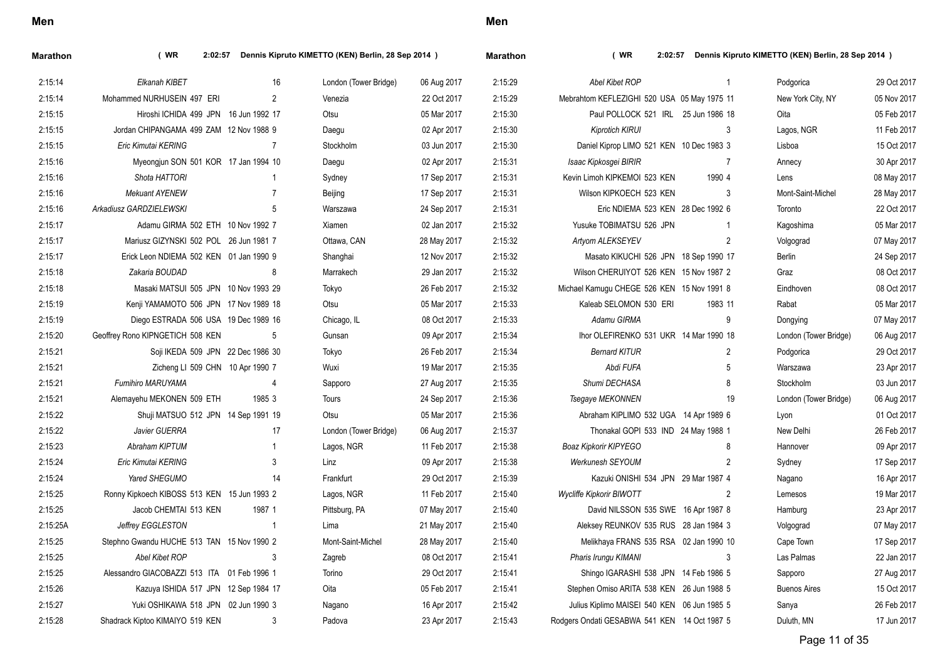| (WR)                             |                |                                                                                                                                                                                                                                                                                                                                                                                                                                                                                                                                                                                                                                                                                                                                   |             | <b>Marathon</b>                                    | (WR)                         |                |                                                                                                                                                                                                                                                                                                                                                                                                                                                                                                                                                                                                                                                                                                                                                                                                 |                                                    |
|----------------------------------|----------------|-----------------------------------------------------------------------------------------------------------------------------------------------------------------------------------------------------------------------------------------------------------------------------------------------------------------------------------------------------------------------------------------------------------------------------------------------------------------------------------------------------------------------------------------------------------------------------------------------------------------------------------------------------------------------------------------------------------------------------------|-------------|----------------------------------------------------|------------------------------|----------------|-------------------------------------------------------------------------------------------------------------------------------------------------------------------------------------------------------------------------------------------------------------------------------------------------------------------------------------------------------------------------------------------------------------------------------------------------------------------------------------------------------------------------------------------------------------------------------------------------------------------------------------------------------------------------------------------------------------------------------------------------------------------------------------------------|----------------------------------------------------|
| Elkanah KIBET                    | 16             | London (Tower Bridge)                                                                                                                                                                                                                                                                                                                                                                                                                                                                                                                                                                                                                                                                                                             | 06 Aug 2017 | 2:15:29                                            | Abel Kibet ROP               | $\mathbf{1}$   | Podgorica                                                                                                                                                                                                                                                                                                                                                                                                                                                                                                                                                                                                                                                                                                                                                                                       | 29 Oct 2017                                        |
| Mohammed NURHUSEIN 497 ERI       | $\overline{2}$ | Venezia                                                                                                                                                                                                                                                                                                                                                                                                                                                                                                                                                                                                                                                                                                                           | 22 Oct 2017 | 2:15:29                                            |                              |                | New York City, NY                                                                                                                                                                                                                                                                                                                                                                                                                                                                                                                                                                                                                                                                                                                                                                               | 05 Nov 2017                                        |
|                                  |                | Otsu                                                                                                                                                                                                                                                                                                                                                                                                                                                                                                                                                                                                                                                                                                                              | 05 Mar 2017 | 2:15:30                                            |                              |                | Oita                                                                                                                                                                                                                                                                                                                                                                                                                                                                                                                                                                                                                                                                                                                                                                                            | 05 Feb 2017                                        |
|                                  |                | Daegu                                                                                                                                                                                                                                                                                                                                                                                                                                                                                                                                                                                                                                                                                                                             | 02 Apr 2017 | 2:15:30                                            | Kiprotich KIRUI              | 3              | Lagos, NGR                                                                                                                                                                                                                                                                                                                                                                                                                                                                                                                                                                                                                                                                                                                                                                                      | 11 Feb 2017                                        |
| Eric Kimutai KERING              | 7              | Stockholm                                                                                                                                                                                                                                                                                                                                                                                                                                                                                                                                                                                                                                                                                                                         | 03 Jun 2017 | 2:15:30                                            |                              |                | Lisboa                                                                                                                                                                                                                                                                                                                                                                                                                                                                                                                                                                                                                                                                                                                                                                                          | 15 Oct 2017                                        |
|                                  |                | Daegu                                                                                                                                                                                                                                                                                                                                                                                                                                                                                                                                                                                                                                                                                                                             | 02 Apr 2017 | 2:15:31                                            | Isaac Kipkosgei BIRIR        | $\overline{7}$ | Annecy                                                                                                                                                                                                                                                                                                                                                                                                                                                                                                                                                                                                                                                                                                                                                                                          | 30 Apr 2017                                        |
| Shota HATTORI                    | -1             | Sydney                                                                                                                                                                                                                                                                                                                                                                                                                                                                                                                                                                                                                                                                                                                            | 17 Sep 2017 | 2:15:31                                            | Kevin Limoh KIPKEMOI 523 KEN | 1990 4         | Lens                                                                                                                                                                                                                                                                                                                                                                                                                                                                                                                                                                                                                                                                                                                                                                                            | 08 May 2017                                        |
| <b>Mekuant AYENEW</b>            | 7              | Beijing                                                                                                                                                                                                                                                                                                                                                                                                                                                                                                                                                                                                                                                                                                                           | 17 Sep 2017 | 2:15:31                                            | Wilson KIPKOECH 523 KEN      | 3              | Mont-Saint-Michel                                                                                                                                                                                                                                                                                                                                                                                                                                                                                                                                                                                                                                                                                                                                                                               | 28 May 2017                                        |
| Arkadiusz GARDZIELEWSKI          | 5              | Warszawa                                                                                                                                                                                                                                                                                                                                                                                                                                                                                                                                                                                                                                                                                                                          | 24 Sep 2017 | 2:15:31                                            |                              |                | Toronto                                                                                                                                                                                                                                                                                                                                                                                                                                                                                                                                                                                                                                                                                                                                                                                         | 22 Oct 2017                                        |
|                                  |                | Xiamen                                                                                                                                                                                                                                                                                                                                                                                                                                                                                                                                                                                                                                                                                                                            | 02 Jan 2017 | 2:15:32                                            | Yusuke TOBIMATSU 526 JPN     | $\overline{1}$ | Kagoshima                                                                                                                                                                                                                                                                                                                                                                                                                                                                                                                                                                                                                                                                                                                                                                                       | 05 Mar 2017                                        |
|                                  |                | Ottawa, CAN                                                                                                                                                                                                                                                                                                                                                                                                                                                                                                                                                                                                                                                                                                                       | 28 May 2017 | 2:15:32                                            | Artyom ALEKSEYEV             | $\overline{2}$ | Volgograd                                                                                                                                                                                                                                                                                                                                                                                                                                                                                                                                                                                                                                                                                                                                                                                       | 07 May 2017                                        |
|                                  |                | Shanghai                                                                                                                                                                                                                                                                                                                                                                                                                                                                                                                                                                                                                                                                                                                          | 12 Nov 2017 | 2:15:32                                            |                              |                | Berlin                                                                                                                                                                                                                                                                                                                                                                                                                                                                                                                                                                                                                                                                                                                                                                                          | 24 Sep 2017                                        |
| Zakaria BOUDAD                   | 8              | Marrakech                                                                                                                                                                                                                                                                                                                                                                                                                                                                                                                                                                                                                                                                                                                         | 29 Jan 2017 | 2:15:32                                            |                              |                | Graz                                                                                                                                                                                                                                                                                                                                                                                                                                                                                                                                                                                                                                                                                                                                                                                            | 08 Oct 2017                                        |
|                                  |                | Tokyo                                                                                                                                                                                                                                                                                                                                                                                                                                                                                                                                                                                                                                                                                                                             | 26 Feb 2017 | 2:15:32                                            |                              |                | Eindhoven                                                                                                                                                                                                                                                                                                                                                                                                                                                                                                                                                                                                                                                                                                                                                                                       | 08 Oct 2017                                        |
|                                  |                | Otsu                                                                                                                                                                                                                                                                                                                                                                                                                                                                                                                                                                                                                                                                                                                              | 05 Mar 2017 | 2:15:33                                            | Kaleab SELOMON 530 ERI       | 1983 11        | Rabat                                                                                                                                                                                                                                                                                                                                                                                                                                                                                                                                                                                                                                                                                                                                                                                           | 05 Mar 2017                                        |
|                                  |                | Chicago, IL                                                                                                                                                                                                                                                                                                                                                                                                                                                                                                                                                                                                                                                                                                                       | 08 Oct 2017 | 2:15:33                                            | Adamu GIRMA                  | 9              | Dongying                                                                                                                                                                                                                                                                                                                                                                                                                                                                                                                                                                                                                                                                                                                                                                                        | 07 May 2017                                        |
| Geoffrey Rono KIPNGETICH 508 KEN | 5              | Gunsan                                                                                                                                                                                                                                                                                                                                                                                                                                                                                                                                                                                                                                                                                                                            | 09 Apr 2017 | 2:15:34                                            |                              |                | London (Tower Bridge)                                                                                                                                                                                                                                                                                                                                                                                                                                                                                                                                                                                                                                                                                                                                                                           | 06 Aug 2017                                        |
|                                  |                | Tokyo                                                                                                                                                                                                                                                                                                                                                                                                                                                                                                                                                                                                                                                                                                                             | 26 Feb 2017 | 2:15:34                                            | <b>Bernard KITUR</b>         | $\overline{2}$ | Podgorica                                                                                                                                                                                                                                                                                                                                                                                                                                                                                                                                                                                                                                                                                                                                                                                       | 29 Oct 2017                                        |
|                                  |                | Wuxi                                                                                                                                                                                                                                                                                                                                                                                                                                                                                                                                                                                                                                                                                                                              | 19 Mar 2017 | 2:15:35                                            | Abdi FUFA                    | 5              | Warszawa                                                                                                                                                                                                                                                                                                                                                                                                                                                                                                                                                                                                                                                                                                                                                                                        | 23 Apr 2017                                        |
| Fumihiro MARUYAMA                | $\overline{4}$ | Sapporo                                                                                                                                                                                                                                                                                                                                                                                                                                                                                                                                                                                                                                                                                                                           | 27 Aug 2017 | 2:15:35                                            | Shumi DECHASA                | 8              | Stockholm                                                                                                                                                                                                                                                                                                                                                                                                                                                                                                                                                                                                                                                                                                                                                                                       | 03 Jun 2017                                        |
| Alemayehu MEKONEN 509 ETH        | 1985 3         | Tours                                                                                                                                                                                                                                                                                                                                                                                                                                                                                                                                                                                                                                                                                                                             | 24 Sep 2017 | 2:15:36                                            | Tsegaye MEKONNEN             | 19             | London (Tower Bridge)                                                                                                                                                                                                                                                                                                                                                                                                                                                                                                                                                                                                                                                                                                                                                                           | 06 Aug 2017                                        |
|                                  |                | Otsu                                                                                                                                                                                                                                                                                                                                                                                                                                                                                                                                                                                                                                                                                                                              | 05 Mar 2017 | 2:15:36                                            |                              |                | Lyon                                                                                                                                                                                                                                                                                                                                                                                                                                                                                                                                                                                                                                                                                                                                                                                            | 01 Oct 2017                                        |
| Javier GUERRA                    | 17             | London (Tower Bridge)                                                                                                                                                                                                                                                                                                                                                                                                                                                                                                                                                                                                                                                                                                             | 06 Aug 2017 | 2:15:37                                            |                              |                | New Delhi                                                                                                                                                                                                                                                                                                                                                                                                                                                                                                                                                                                                                                                                                                                                                                                       | 26 Feb 2017                                        |
| Abraham KIPTUM                   | $\overline{1}$ | Lagos, NGR                                                                                                                                                                                                                                                                                                                                                                                                                                                                                                                                                                                                                                                                                                                        | 11 Feb 2017 | 2:15:38                                            | Boaz Kipkorir KIPYEGO        | 8              | Hannover                                                                                                                                                                                                                                                                                                                                                                                                                                                                                                                                                                                                                                                                                                                                                                                        | 09 Apr 2017                                        |
| Eric Kimutai KERING              | 3              | Linz                                                                                                                                                                                                                                                                                                                                                                                                                                                                                                                                                                                                                                                                                                                              | 09 Apr 2017 | 2:15:38                                            | Werkunesh SEYOUM             | $\overline{2}$ | Sydney                                                                                                                                                                                                                                                                                                                                                                                                                                                                                                                                                                                                                                                                                                                                                                                          | 17 Sep 2017                                        |
| Yared SHEGUMO                    | 14             | Frankfurt                                                                                                                                                                                                                                                                                                                                                                                                                                                                                                                                                                                                                                                                                                                         | 29 Oct 2017 | 2:15:39                                            |                              |                | Nagano                                                                                                                                                                                                                                                                                                                                                                                                                                                                                                                                                                                                                                                                                                                                                                                          | 16 Apr 2017                                        |
|                                  |                | Lagos, NGR                                                                                                                                                                                                                                                                                                                                                                                                                                                                                                                                                                                                                                                                                                                        | 11 Feb 2017 | 2:15:40                                            | Wycliffe Kipkorir BIWOTT     | 2              | Lemesos                                                                                                                                                                                                                                                                                                                                                                                                                                                                                                                                                                                                                                                                                                                                                                                         | 19 Mar 2017                                        |
| Jacob CHEMTAI 513 KEN            | 1987 1         | Pittsburg, PA                                                                                                                                                                                                                                                                                                                                                                                                                                                                                                                                                                                                                                                                                                                     | 07 May 2017 | 2:15:40                                            |                              |                | Hamburg                                                                                                                                                                                                                                                                                                                                                                                                                                                                                                                                                                                                                                                                                                                                                                                         | 23 Apr 2017                                        |
| Jeffrey EGGLESTON                | $\overline{1}$ | Lima                                                                                                                                                                                                                                                                                                                                                                                                                                                                                                                                                                                                                                                                                                                              | 21 May 2017 | 2:15:40                                            |                              |                | Volgograd                                                                                                                                                                                                                                                                                                                                                                                                                                                                                                                                                                                                                                                                                                                                                                                       | 07 May 2017                                        |
|                                  |                | Mont-Saint-Michel                                                                                                                                                                                                                                                                                                                                                                                                                                                                                                                                                                                                                                                                                                                 | 28 May 2017 | 2:15:40                                            |                              |                | Cape Town                                                                                                                                                                                                                                                                                                                                                                                                                                                                                                                                                                                                                                                                                                                                                                                       | 17 Sep 2017                                        |
| Abel Kibet ROP                   | 3              | Zagreb                                                                                                                                                                                                                                                                                                                                                                                                                                                                                                                                                                                                                                                                                                                            | 08 Oct 2017 | 2:15:41                                            | Pharis Irungu KIMANI         | 3              | Las Palmas                                                                                                                                                                                                                                                                                                                                                                                                                                                                                                                                                                                                                                                                                                                                                                                      | 22 Jan 2017                                        |
|                                  |                | Torino                                                                                                                                                                                                                                                                                                                                                                                                                                                                                                                                                                                                                                                                                                                            | 29 Oct 2017 | 2:15:41                                            |                              |                | Sapporo                                                                                                                                                                                                                                                                                                                                                                                                                                                                                                                                                                                                                                                                                                                                                                                         | 27 Aug 2017                                        |
|                                  |                | Oita                                                                                                                                                                                                                                                                                                                                                                                                                                                                                                                                                                                                                                                                                                                              | 05 Feb 2017 | 2:15:41                                            |                              |                | <b>Buenos Aires</b>                                                                                                                                                                                                                                                                                                                                                                                                                                                                                                                                                                                                                                                                                                                                                                             | 15 Oct 2017                                        |
|                                  |                | Nagano                                                                                                                                                                                                                                                                                                                                                                                                                                                                                                                                                                                                                                                                                                                            | 16 Apr 2017 | 2:15:42                                            |                              |                | Sanya                                                                                                                                                                                                                                                                                                                                                                                                                                                                                                                                                                                                                                                                                                                                                                                           | 26 Feb 2017                                        |
| Shadrack Kiptoo KIMAIYO 519 KEN  | 3              | Padova                                                                                                                                                                                                                                                                                                                                                                                                                                                                                                                                                                                                                                                                                                                            | 23 Apr 2017 | 2:15:43                                            |                              |                | Duluth, MN                                                                                                                                                                                                                                                                                                                                                                                                                                                                                                                                                                                                                                                                                                                                                                                      | 17 Jun 2017                                        |
|                                  |                | 2:02:57<br>Hiroshi ICHIDA 499 JPN 16 Jun 1992 17<br>Jordan CHIPANGAMA 499 ZAM 12 Nov 1988 9<br>Myeongjun SON 501 KOR 17 Jan 1994 10<br>Adamu GIRMA 502 ETH 10 Nov 1992 7<br>Mariusz GIZYNSKI 502 POL 26 Jun 1981 7<br>Erick Leon NDIEMA 502 KEN 01 Jan 1990 9<br>Masaki MATSUI 505 JPN 10 Nov 1993 29<br>Kenji YAMAMOTO 506 JPN 17 Nov 1989 18<br>Diego ESTRADA 506 USA 19 Dec 1989 16<br>Soji IKEDA 509 JPN 22 Dec 1986 30<br>Zicheng LI 509 CHN 10 Apr 1990 7<br>Shuji MATSUO 512 JPN 14 Sep 1991 19<br>Ronny Kipkoech KIBOSS 513 KEN 15 Jun 1993 2<br>Stephno Gwandu HUCHE 513 TAN 15 Nov 1990 2<br>Alessandro GIACOBAZZI 513 ITA 01 Feb 1996 1<br>Kazuya ISHIDA 517 JPN 12 Sep 1984 17<br>Yuki OSHIKAWA 518 JPN 02 Jun 1990 3 |             | Dennis Kipruto KIMETTO (KEN) Berlin, 28 Sep 2014 ) |                              |                | 2:02:57<br>Mebrahtom KEFLEZIGHI 520 USA 05 May 1975 11<br>Paul POLLOCK 521 IRL 25 Jun 1986 18<br>Daniel Kiprop LIMO 521 KEN 10 Dec 1983 3<br>Eric NDIEMA 523 KEN 28 Dec 1992 6<br>Masato KIKUCHI 526 JPN 18 Sep 1990 17<br>Wilson CHERUIYOT 526 KEN 15 Nov 1987 2<br>Michael Kamugu CHEGE 526 KEN 15 Nov 1991 8<br>Ihor OLEFIRENKO 531 UKR 14 Mar 1990 18<br>Abraham KIPLIMO 532 UGA 14 Apr 1989 6<br>Thonakal GOPI 533 IND 24 May 1988 1<br>Kazuki ONISHI 534 JPN 29 Mar 1987 4<br>David NILSSON 535 SWE 16 Apr 1987 8<br>Aleksey REUNKOV 535 RUS 28 Jan 1984 3<br>Melikhaya FRANS 535 RSA 02 Jan 1990 10<br>Shingo IGARASHI 538 JPN 14 Feb 1986 5<br>Stephen Omiso ARITA 538 KEN 26 Jun 1988 5<br>Julius Kiplimo MAISEI 540 KEN 06 Jun 1985 5<br>Rodgers Ondati GESABWA 541 KEN 14 Oct 1987 5 | Dennis Kipruto KIMETTO (KEN) Berlin, 28 Sep 2014 ) |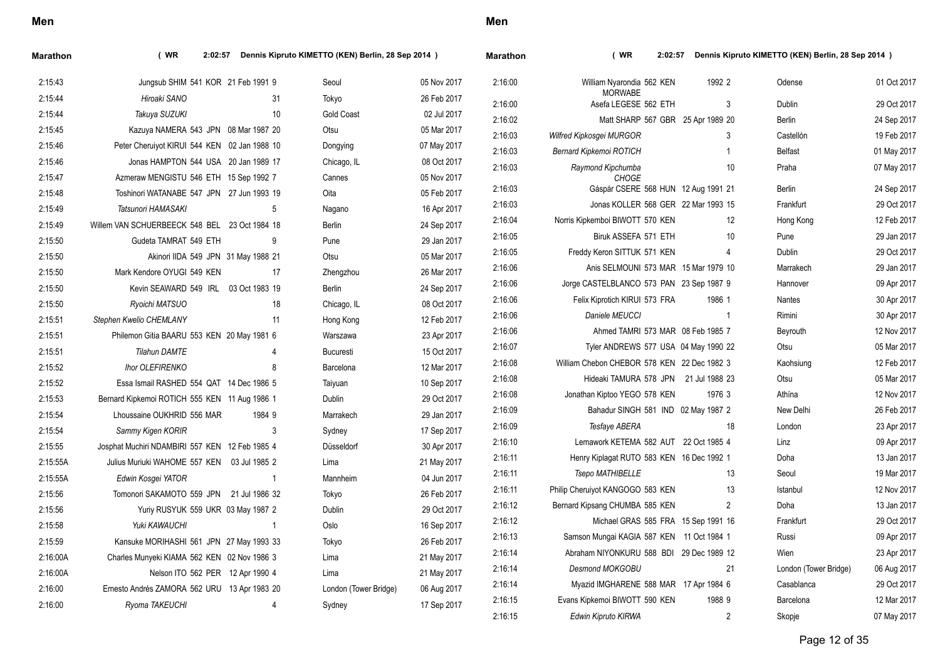| narauron |                                             |                |                | $P_{\text{c}}$ and $P_{\text{c}}$ and $P_{\text{c}}$ and $P_{\text{c}}$ and $P_{\text{c}}$ and $P_{\text{c}}$ and $P_{\text{c}}$ |             |
|----------|---------------------------------------------|----------------|----------------|----------------------------------------------------------------------------------------------------------------------------------|-------------|
| 2:16:00  | William Nyarondia 562 KEN                   | 1992 2         |                | Odense                                                                                                                           | 01 Oct 2017 |
| 2:16:00  | <b>MORWABE</b><br>Asefa LEGESE 562 ETH      |                | 3              | <b>Dublin</b>                                                                                                                    | 29 Oct 2017 |
| 2:16:02  | Matt SHARP 567 GBR 25 Apr 1989 20           |                |                | <b>Berlin</b>                                                                                                                    | 24 Sep 2017 |
| 2:16:03  | Wilfred Kipkosgei MURGOR                    |                | 3              | Castellón                                                                                                                        | 19 Feb 2017 |
| 2:16:03  | Bernard Kipkemoi ROTICH                     |                | 1              | <b>Belfast</b>                                                                                                                   | 01 May 2017 |
| 2:16:03  | Raymond Kipchumba<br><b>CHOGE</b>           |                | 10             | Praha                                                                                                                            | 07 May 2017 |
| 2:16:03  | Gáspár CSERE 568 HUN 12 Aug 1991 21         |                |                | Berlin                                                                                                                           | 24 Sep 2017 |
| 2:16:03  | Jonas KOLLER 568 GER 22 Mar 1993 15         |                |                | Frankfurt                                                                                                                        | 29 Oct 2017 |
| 2:16:04  | Norris Kipkemboi BIWOTT 570 KEN             |                | 12             | Hong Kong                                                                                                                        | 12 Feb 2017 |
| 2:16:05  | Biruk ASSEFA 571 ETH                        |                | 10             | Pune                                                                                                                             | 29 Jan 2017 |
| 2:16:05  | Freddy Keron SITTUK 571 KEN                 |                | 4              | <b>Dublin</b>                                                                                                                    | 29 Oct 2017 |
| 2:16:06  | Anis SELMOUNI 573 MAR 15 Mar 1979 10        |                |                | Marrakech                                                                                                                        | 29 Jan 2017 |
| 2:16:06  | Jorge CASTELBLANCO 573 PAN 23 Sep 1987 9    |                |                | Hannover                                                                                                                         | 09 Apr 2017 |
| 2:16:06  | Felix Kiprotich KIRUI 573 FRA               | 1986 1         |                | Nantes                                                                                                                           | 30 Apr 2017 |
| 2:16:06  | Daniele MEUCCI                              |                | 1              | Rimini                                                                                                                           | 30 Apr 2017 |
| 2:16:06  | Ahmed TAMRI 573 MAR 08 Feb 1985 7           |                |                | Beyrouth                                                                                                                         | 12 Nov 2017 |
| 2:16:07  | Tyler ANDREWS 577 USA 04 May 1990 22        |                |                | Otsu                                                                                                                             | 05 Mar 2017 |
| 2:16:08  | William Chebon CHEBOR 578 KEN 22 Dec 1982 3 |                |                | Kaohsiung                                                                                                                        | 12 Feb 2017 |
| 2:16:08  | Hideaki TAMURA 578 JPN                      | 21 Jul 1988 23 |                | Otsu                                                                                                                             | 05 Mar 2017 |
| 2:16:08  | Jonathan Kiptoo YEGO 578 KEN                | 1976 3         |                | Athína                                                                                                                           | 12 Nov 2017 |
| 2:16:09  | Bahadur SINGH 581 IND 02 May 1987 2         |                |                | New Delhi                                                                                                                        | 26 Feb 2017 |
| 2:16:09  | Tesfaye ABERA                               |                | 18             | London                                                                                                                           | 23 Apr 2017 |
| 2:16:10  | Lemawork KETEMA 582 AUT 22 Oct 1985 4       |                |                | Linz                                                                                                                             | 09 Apr 2017 |
| 2:16:11  | Henry Kiplagat RUTO 583 KEN 16 Dec 1992 1   |                |                | Doha                                                                                                                             | 13 Jan 2017 |
| 2:16:11  | Tsepo MATHIBELLE                            |                | 13             | Seoul                                                                                                                            | 19 Mar 2017 |
| 2:16:11  | Philip Cheruiyot KANGOGO 583 KEN            |                | 13             | Istanbul                                                                                                                         | 12 Nov 2017 |
| 2:16:12  | Bernard Kipsang CHUMBA 585 KEN              |                | $\overline{2}$ | Doha                                                                                                                             | 13 Jan 2017 |
| 2:16:12  | Michael GRAS 585 FRA 15 Sep 1991 16         |                |                | Frankfurt                                                                                                                        | 29 Oct 2017 |
| 2:16:13  | Samson Mungai KAGIA 587 KEN                 | 11 Oct 1984 1  |                | Russi                                                                                                                            | 09 Apr 2017 |
| 2:16:14  | Abraham NIYONKURU 588 BDI                   | 29 Dec 1989 12 |                | Wien                                                                                                                             | 23 Apr 2017 |
| 2:16:14  | <b>Desmond MOKGOBU</b>                      |                | 21             | London (Tower Bridge)                                                                                                            | 06 Aug 2017 |
| 2:16:14  | Myazid IMGHARENE 588 MAR 17 Apr 1984 6      |                |                | Casablanca                                                                                                                       | 29 Oct 2017 |
| 2:16:15  | Evans Kipkemoi BIWOTT 590 KEN               | 1988 9         |                | Barcelona                                                                                                                        | 12 Mar 2017 |
| 2:16:15  | Edwin Kipruto KIRWA                         |                | $\overline{2}$ | Skopje                                                                                                                           | 07 May 2017 |

### **Marathon ( WR 2:02:57 Dennis Kipruto KIMETTO (KEN) Berlin, 28 Sep 2014 )**

2:16:00 *Ryoma TAKEUCHI* 4 Sydney 17 Sep 2017

**Men**

### **Marathon ( WR 2:02:57 Dennis Kipruto KIMETTO (KEN) Berlin, 28 Sep 2014 )**

| 2:15:43  | Jungsub SHIM 541 KOR 21 Feb 1991 9             | Seoul                   | 05 Nov 2017 | 2:16:00 | William Nyarondia 562 KEN                   | 1992 2         |
|----------|------------------------------------------------|-------------------------|-------------|---------|---------------------------------------------|----------------|
| 2:15:44  | Hiroaki SANO                                   | 31<br>Tokyo             | 26 Feb 2017 | 2:16:00 | <b>MORWABE</b><br>Asefa LEGESE 562 ETH      | 3              |
| 2:15:44  | Takuya SUZUKI                                  | 10<br><b>Gold Coast</b> | 02 Jul 2017 | 2:16:02 | Matt SHARP 567 GBR 25 Apr 1989 20           |                |
| 2:15:45  | Kazuya NAMERA 543 JPN 08 Mar 1987 20           | Otsu                    | 05 Mar 2017 | 2:16:03 | Wilfred Kipkosgei MURGOR                    | 3              |
| 2:15:46  | Peter Cheruiyot KIRUI 544 KEN 02 Jan 1988 10   | Dongying                | 07 May 2017 | 2:16:03 | Bernard Kipkemoi ROTICH                     |                |
| 2:15:46  | Jonas HAMPTON 544 USA 20 Jan 1989 17           | Chicago, IL             | 08 Oct 2017 | 2:16:03 | Raymond Kipchumba                           | 10             |
| 2:15:47  | Azmeraw MENGISTU 546 ETH 15 Sep 1992 7         | Cannes                  | 05 Nov 2017 |         | CHOGE                                       |                |
| 2:15:48  | Toshinori WATANABE 547 JPN 27 Jun 1993 19      | Oita                    | 05 Feb 2017 | 2:16:03 | Gáspár CSERE 568 HUN 12 Aug 1991 21         |                |
| 2:15:49  | Tatsunori HAMASAKI                             | 5<br>Nagano             | 16 Apr 2017 | 2:16:03 | Jonas KOLLER 568 GER 22 Mar 1993 15         |                |
| 2:15:49  | Willem VAN SCHUERBEECK 548 BEL 23 Oct 1984 18  | Berlin                  | 24 Sep 2017 | 2:16:04 | Norris Kipkemboi BIWOTT 570 KEN             | 12             |
| 2:15:50  | Gudeta TAMRAT 549 ETH<br>9                     | Pune                    | 29 Jan 2017 | 2:16:05 | Biruk ASSEFA 571 ETH                        | 10             |
| 2:15:50  | Akinori IIDA 549 JPN 31 May 1988 21            | Otsu                    | 05 Mar 2017 | 2:16:05 | Freddy Keron SITTUK 571 KEN                 | 4              |
| 2:15:50  | Mark Kendore OYUGI 549 KEN                     | 17<br>Zhengzhou         | 26 Mar 2017 | 2:16:06 | Anis SELMOUNI 573 MAR 15 Mar 1979 10        |                |
| 2:15:50  | Kevin SEAWARD 549 IRL 03 Oct 1983 19           | Berlin                  | 24 Sep 2017 | 2:16:06 | Jorge CASTELBLANCO 573 PAN 23 Sep 1987 9    |                |
| 2:15:50  | Ryoichi MATSUO                                 | 18<br>Chicago, IL       | 08 Oct 2017 | 2:16:06 | Felix Kiprotich KIRUI 573 FRA               | 1986 1         |
| 2:15:51  | Stephen Kwelio CHEMLANY                        | 11<br>Hong Kong         | 12 Feb 2017 | 2:16:06 | Daniele MEUCCI                              | $\overline{1}$ |
| 2:15:51  | Philemon Gitia BAARU 553 KEN 20 May 1981 6     | Warszawa                | 23 Apr 2017 | 2:16:06 | Ahmed TAMRI 573 MAR 08 Feb 1985 7           |                |
| 2:15:51  | <b>Tilahun DAMTE</b><br>4                      | <b>Bucuresti</b>        | 15 Oct 2017 | 2:16:07 | Tyler ANDREWS 577 USA 04 May 1990 22        |                |
| 2:15:52  | <b>Ihor OLEFIRENKO</b><br>8                    | Barcelona               | 12 Mar 2017 | 2:16:08 | William Chebon CHEBOR 578 KEN 22 Dec 1982 3 |                |
| 2:15:52  | Essa Ismail RASHED 554 QAT 14 Dec 1986 5       | Taiyuan                 | 10 Sep 2017 | 2:16:08 | Hideaki TAMURA 578 JPN 21 Jul 1988 23       |                |
| 2:15:53  | Bernard Kipkemoi ROTICH 555 KEN 11 Aug 1986 1  | Dublin                  | 29 Oct 2017 | 2:16:08 | Jonathan Kiptoo YEGO 578 KEN                | 1976 3         |
| 2:15:54  | Lhoussaine OUKHRID 556 MAR<br>1984 9           | Marrakech               | 29 Jan 2017 | 2:16:09 | Bahadur SINGH 581 IND 02 May 1987 2         |                |
| 2:15:54  | Sammy Kigen KORIR<br>3                         | Sydney                  | 17 Sep 2017 | 2:16:09 | Tesfaye ABERA                               | 18             |
| 2:15:55  | Josphat Muchiri NDAMBIRI 557 KEN 12 Feb 1985 4 | Düsseldorf              | 30 Apr 2017 | 2:16:10 | Lemawork KETEMA 582 AUT 22 Oct 1985 4       |                |
| 2:15:55A | Julius Muriuki WAHOME 557 KEN 03 Jul 1985 2    | Lima                    | 21 May 2017 | 2:16:11 | Henry Kiplagat RUTO 583 KEN 16 Dec 1992 1   |                |
| 2:15:55A | Edwin Kosgei YATOR<br>-1                       | Mannheim                | 04 Jun 2017 | 2:16:11 | Tsepo MATHIBELLE                            | 13             |
| 2:15:56  | Tomonori SAKAMOTO 559 JPN 21 Jul 1986 32       | Tokyo                   | 26 Feb 2017 | 2:16:11 | Philip Cheruiyot KANGOGO 583 KEN            | 13             |
| 2:15:56  | Yuriy RUSYUK 559 UKR 03 May 1987 2             | Dublin                  | 29 Oct 2017 | 2:16:12 | Bernard Kipsang CHUMBA 585 KEN              | 2              |
| 2:15:58  | Yuki KAWAUCHI                                  | Oslo                    | 16 Sep 2017 | 2:16:12 | Michael GRAS 585 FRA 15 Sep 1991 16         |                |
| 2:15:59  | Kansuke MORIHASHI 561 JPN 27 May 1993 33       | Tokyo                   | 26 Feb 2017 | 2:16:13 | Samson Mungai KAGIA 587 KEN 11 Oct 1984 1   |                |
| 2:16:00A | Charles Munyeki KIAMA 562 KEN 02 Nov 1986 3    | Lima                    | 21 May 2017 | 2:16:14 | Abraham NIYONKURU 588 BDI 29 Dec 1989 12    |                |
| 2:16:00A | Nelson ITO 562 PER 12 Apr 1990 4               | Lima                    | 21 May 2017 | 2:16:14 | <b>Desmond MOKGOBU</b>                      | 21             |
| 2:16:00  | Ernesto Andrés ZAMORA 562 URU 13 Apr 1983 20   | London (Tower Bridge)   | 06 Aug 2017 | 2:16:14 | Myazid IMGHARENE 588 MAR 17 Apr 1984 6      |                |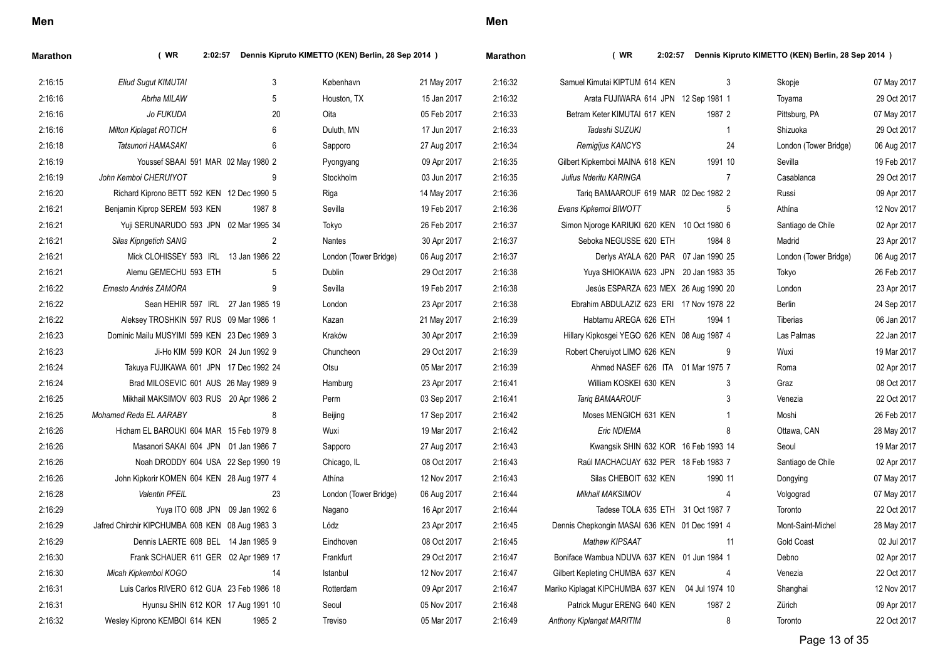| ×<br>I<br>×<br>۰. |
|-------------------|
|-------------------|

| <b>Marathon</b> | (WR)<br>2:02:57                                 |                | Dennis Kipruto KIMETTO (KEN) Berlin, 28 Sep 2014 ) |             | <b>Marathon</b> | (WR)<br>2:02:57                                  |                | Dennis Kipruto KIMETTO (KEN) Berlin, 28 Sep 2014 ) |             |
|-----------------|-------------------------------------------------|----------------|----------------------------------------------------|-------------|-----------------|--------------------------------------------------|----------------|----------------------------------------------------|-------------|
| 2:16:15         | Eliud Sugut KIMUTAI                             | 3              | København                                          | 21 May 2017 | 2:16:32         | Samuel Kimutai KIPTUM 614 KEN                    | 3              | Skopje                                             | 07 May 2017 |
| 2:16:16         | Abrha MILAW                                     | 5              | Houston, TX                                        | 15 Jan 2017 | 2:16:32         | Arata FUJIWARA 614 JPN 12 Sep 1981 1             |                | Toyama                                             | 29 Oct 2017 |
| 2:16:16         | Jo FUKUDA                                       | 20             | Oita                                               | 05 Feb 2017 | 2:16:33         | Betram Keter KIMUTAI 617 KEN                     | 1987 2         | Pittsburg, PA                                      | 07 May 2017 |
| 2:16:16         | Milton Kiplagat ROTICH                          | 6              | Duluth, MN                                         | 17 Jun 2017 | 2:16:33         | Tadashi SUZUKI                                   | $\mathbf{1}$   | Shizuoka                                           | 29 Oct 2017 |
| 2:16:18         | Tatsunori HAMASAKI                              | 6              | Sapporo                                            | 27 Aug 2017 | 2:16:34         | Remigijus KANCYS                                 | 24             | London (Tower Bridge)                              | 06 Aug 2017 |
| 2:16:19         | Youssef SBAAI 591 MAR 02 May 1980 2             |                | Pyongyang                                          | 09 Apr 2017 | 2:16:35         | Gilbert Kipkemboi MAINA 618 KEN                  | 1991 10        | Sevilla                                            | 19 Feb 2017 |
| 2:16:19         | John Kemboi CHERUIYOT                           | 9              | Stockholm                                          | 03 Jun 2017 | 2:16:35         | Julius Nderitu KARINGA                           | $\overline{7}$ | Casablanca                                         | 29 Oct 2017 |
| 2:16:20         | Richard Kiprono BETT 592 KEN 12 Dec 1990 5      |                | Riga                                               | 14 May 2017 | 2:16:36         | Tarig BAMAAROUF 619 MAR 02 Dec 1982 2            |                | Russi                                              | 09 Apr 2017 |
| 2:16:21         | Benjamin Kiprop SEREM 593 KEN                   | 1987 8         | Sevilla                                            | 19 Feb 2017 | 2:16:36         | Evans Kipkemoi BIWOTT                            | 5              | Athína                                             | 12 Nov 2017 |
| 2:16:21         | Yuji SERUNARUDO 593 JPN 02 Mar 1995 34          |                | Tokyo                                              | 26 Feb 2017 | 2:16:37         | Simon Njoroge KARIUKI 620 KEN 10 Oct 1980 6      |                | Santiago de Chile                                  | 02 Apr 2017 |
| 2:16:21         | Silas Kipngetich SANG                           | $\overline{2}$ | Nantes                                             | 30 Apr 2017 | 2:16:37         | Seboka NEGUSSE 620 ETH                           | 1984 8         | Madrid                                             | 23 Apr 2017 |
| 2:16:21         | Mick CLOHISSEY 593 IRL 13 Jan 1986 22           |                | London (Tower Bridge)                              | 06 Aug 2017 | 2:16:37         | Derlys AYALA 620 PAR 07 Jan 1990 25              |                | London (Tower Bridge)                              | 06 Aug 2017 |
| 2:16:21         | Alemu GEMECHU 593 ETH                           | -5             | Dublin                                             | 29 Oct 2017 | 2:16:38         | Yuya SHIOKAWA 623 JPN 20 Jan 1983 35             |                | Tokyo                                              | 26 Feb 2017 |
| 2:16:22         | Ernesto Andrés ZAMORA                           | 9              | Sevilla                                            | 19 Feb 2017 | 2:16:38         | Jesús ESPARZA 623 MEX 26 Aug 1990 20             |                | London                                             | 23 Apr 2017 |
| 2:16:22         | Sean HEHIR 597 IRL 27 Jan 1985 19               |                | London                                             | 23 Apr 2017 | 2:16:38         | Ebrahim ABDULAZIZ 623 ERI 17 Nov 1978 22         |                | Berlin                                             | 24 Sep 2017 |
| 2:16:22         | Aleksey TROSHKIN 597 RUS 09 Mar 1986 1          |                | Kazan                                              | 21 May 2017 | 2:16:39         | Habtamu AREGA 626 ETH                            | 1994 1         | Tiberias                                           | 06 Jan 2017 |
| 2:16:23         | Dominic Mailu MUSYIMI 599 KEN 23 Dec 1989 3     |                | Kraków                                             | 30 Apr 2017 | 2:16:39         | Hillary Kipkosgei YEGO 626 KEN 08 Aug 1987 4     |                | Las Palmas                                         | 22 Jan 2017 |
| 2:16:23         | Ji-Ho KIM 599 KOR 24 Jun 1992 9                 |                | Chuncheon                                          | 29 Oct 2017 | 2:16:39         | Robert Cheruiyot LIMO 626 KEN                    | 9              | Wuxi                                               | 19 Mar 2017 |
| 2:16:24         | Takuya FUJIKAWA 601 JPN 17 Dec 1992 24          |                | Otsu                                               | 05 Mar 2017 | 2:16:39         | Ahmed NASEF 626 ITA 01 Mar 1975 7                |                | Roma                                               | 02 Apr 2017 |
| 2:16:24         | Brad MILOSEVIC 601 AUS 26 May 1989 9            |                | Hamburg                                            | 23 Apr 2017 | 2:16:41         | William KOSKEI 630 KEN                           | 3              | Graz                                               | 08 Oct 2017 |
| 2:16:25         | Mikhail MAKSIMOV 603 RUS 20 Apr 1986 2          |                | Perm                                               | 03 Sep 2017 | 2:16:41         | Tariq BAMAAROUF                                  | 3              | Venezia                                            | 22 Oct 2017 |
| 2:16:25         | Mohamed Reda EL AARABY                          | 8              | Beijing                                            | 17 Sep 2017 | 2:16:42         | Moses MENGICH 631 KEN                            | $\mathbf{1}$   | Moshi                                              | 26 Feb 2017 |
| 2:16:26         | Hicham EL BAROUKI 604 MAR 15 Feb 1979 8         |                | Wuxi                                               | 19 Mar 2017 | 2:16:42         | Eric NDIEMA                                      | 8              | Ottawa, CAN                                        | 28 May 2017 |
| 2:16:26         | Masanori SAKAI 604 JPN 01 Jan 1986 7            |                | Sapporo                                            | 27 Aug 2017 | 2:16:43         | Kwangsik SHIN 632 KOR 16 Feb 1993 14             |                | Seoul                                              | 19 Mar 2017 |
| 2:16:26         | Noah DRODDY 604 USA 22 Sep 1990 19              |                | Chicago, IL                                        | 08 Oct 2017 | 2:16:43         | Raúl MACHACUAY 632 PER 18 Feb 1983 7             |                | Santiago de Chile                                  | 02 Apr 2017 |
| 2:16:26         | John Kipkorir KOMEN 604 KEN 28 Aug 1977 4       |                | Athína                                             | 12 Nov 2017 | 2:16:43         | Silas CHEBOIT 632 KEN                            | 1990 11        | Dongying                                           | 07 May 2017 |
| 2:16:28         | <b>Valentin PFEIL</b>                           | 23             | London (Tower Bridge)                              | 06 Aug 2017 | 2:16:44         | Mikhail MAKSIMOV                                 | 4              | Volgograd                                          | 07 May 2017 |
| 2:16:29         | Yuya ITO 608 JPN 09 Jan 1992 6                  |                | Nagano                                             | 16 Apr 2017 | 2:16:44         | Tadese TOLA 635 ETH 31 Oct 1987 7                |                | Toronto                                            | 22 Oct 2017 |
| 2:16:29         | Jafred Chirchir KIPCHUMBA 608 KEN 08 Aug 1983 3 |                | Lódz                                               | 23 Apr 2017 | 2:16:45         | Dennis Chepkongin MASAI 636 KEN 01 Dec 1991 4    |                | Mont-Saint-Michel                                  | 28 May 2017 |
| 2:16:29         | Dennis LAERTE 608 BEL 14 Jan 1985 9             |                | Eindhoven                                          | 08 Oct 2017 | 2:16:45         | Mathew KIPSAAT                                   | 11             | <b>Gold Coast</b>                                  | 02 Jul 2017 |
| 2:16:30         | Frank SCHAUER 611 GER 02 Apr 1989 17            |                | Frankfurt                                          | 29 Oct 2017 | 2:16:47         | Boniface Wambua NDUVA 637 KEN 01 Jun 1984 1      |                | Debno                                              | 02 Apr 2017 |
| 2:16:30         | Micah Kipkemboi KOGO                            | 14             | Istanbul                                           | 12 Nov 2017 | 2:16:47         | Gilbert Kepleting CHUMBA 637 KEN                 | 4              | Venezia                                            | 22 Oct 2017 |
| 2:16:31         | Luis Carlos RIVERO 612 GUA 23 Feb 1986 18       |                | Rotterdam                                          | 09 Apr 2017 | 2:16:47         | Mariko Kiplagat KIPCHUMBA 637 KEN 04 Jul 1974 10 |                | Shanghai                                           | 12 Nov 2017 |
| 2:16:31         | Hyunsu SHIN 612 KOR 17 Aug 1991 10              |                | Seoul                                              | 05 Nov 2017 | 2:16:48         | Patrick Mugur ERENG 640 KEN                      | 1987 2         | Zürich                                             | 09 Apr 2017 |
| 2:16:32         | Wesley Kiprono KEMBOI 614 KEN                   | 1985 2         | Treviso                                            | 05 Mar 2017 | 2:16:49         | Anthony Kiplangat MARITIM                        | 8              | Toronto                                            | 22 Oct 2017 |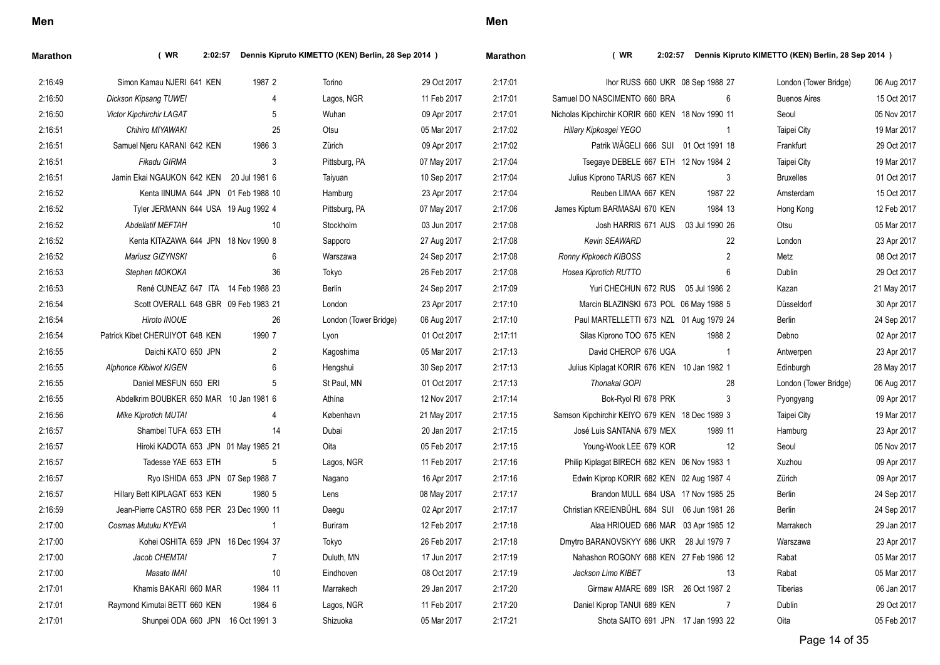| <b>Marathon</b> | (WR)<br>2:02:57                           |                | Dennis Kipruto KIMETTO (KEN) Berlin, 28 Sep 2014 ) |             | Marathon | (WR)<br>2:02:57                                   |                | Dennis Kipruto KIMETTO (KEN) Berlin, 28 Sep 2014 ) |             |
|-----------------|-------------------------------------------|----------------|----------------------------------------------------|-------------|----------|---------------------------------------------------|----------------|----------------------------------------------------|-------------|
| 2:16:49         | Simon Kamau NJERI 641 KEN                 | 1987 2         | Torino                                             | 29 Oct 2017 | 2:17:01  | Ihor RUSS 660 UKR 08 Sep 1988 27                  |                | London (Tower Bridge)                              | 06 Aug 2017 |
| 2:16:50         | Dickson Kipsang TUWEI                     | $\overline{4}$ | Lagos, NGR                                         | 11 Feb 2017 | 2:17:01  | Samuel DO NASCIMENTO 660 BRA                      | 6              | <b>Buenos Aires</b>                                | 15 Oct 2017 |
| 2:16:50         | <b>Victor Kipchirchir LAGAT</b>           | 5              | Wuhan                                              | 09 Apr 2017 | 2:17:01  | Nicholas Kipchirchir KORIR 660 KEN 18 Nov 1990 11 |                | Seoul                                              | 05 Nov 2017 |
| 2:16:51         | Chihiro MIYAWAKI                          | 25             | Otsu                                               | 05 Mar 2017 | 2:17:02  | Hillary Kipkosgei YEGO                            | $\mathbf{1}$   | Taipei City                                        | 19 Mar 2017 |
| 2:16:51         | Samuel Njeru KARANI 642 KEN               | 1986 3         | Zürich                                             | 09 Apr 2017 | 2:17:02  | Patrik WÄGELI 666 SUI 01 Oct 1991 18              |                | Frankfurt                                          | 29 Oct 2017 |
| 2:16:51         | Fikadu GIRMA                              | 3              | Pittsburg, PA                                      | 07 May 2017 | 2:17:04  | Tsegaye DEBELE 667 ETH 12 Nov 1984 2              |                | Taipei City                                        | 19 Mar 2017 |
| 2:16:51         | Jamin Ekai NGAUKON 642 KEN 20 Jul 1981 6  |                | Taiyuan                                            | 10 Sep 2017 | 2:17:04  | Julius Kiprono TARUS 667 KEN                      | 3              | <b>Bruxelles</b>                                   | 01 Oct 2017 |
| 2:16:52         | Kenta IINUMA 644 JPN 01 Feb 1988 10       |                | Hamburg                                            | 23 Apr 2017 | 2:17:04  | Reuben LIMAA 667 KEN                              | 1987 22        | Amsterdam                                          | 15 Oct 2017 |
| 2:16:52         | Tyler JERMANN 644 USA 19 Aug 1992 4       |                | Pittsburg, PA                                      | 07 May 2017 | 2:17:06  | James Kiptum BARMASAI 670 KEN                     | 1984 13        | Hong Kong                                          | 12 Feb 2017 |
| 2:16:52         | <b>Abdellatif MEFTAH</b>                  | 10             | Stockholm                                          | 03 Jun 2017 | 2:17:08  | Josh HARRIS 671 AUS                               | 03 Jul 1990 26 | Otsu                                               | 05 Mar 2017 |
| 2:16:52         | Kenta KITAZAWA 644 JPN 18 Nov 1990 8      |                | Sapporo                                            | 27 Aug 2017 | 2:17:08  | Kevin SEAWARD                                     | 22             | London                                             | 23 Apr 2017 |
| 2:16:52         | Mariusz GIZYNSKI                          | 6              | Warszawa                                           | 24 Sep 2017 | 2:17:08  | Ronny Kipkoech KIBOSS                             | $\overline{c}$ | Metz                                               | 08 Oct 2017 |
| 2:16:53         | Stephen MOKOKA                            | 36             | Tokyo                                              | 26 Feb 2017 | 2:17:08  | Hosea Kiprotich RUTTO                             | 6              | <b>Dublin</b>                                      | 29 Oct 2017 |
| 2:16:53         | René CUNEAZ 647 ITA 14 Feb 1988 23        |                | <b>Berlin</b>                                      | 24 Sep 2017 | 2:17:09  | Yuri CHECHUN 672 RUS 05 Jul 1986 2                |                | Kazan                                              | 21 May 2017 |
| 2:16:54         | Scott OVERALL 648 GBR 09 Feb 1983 21      |                | London                                             | 23 Apr 2017 | 2:17:10  | Marcin BLAZINSKI 673 POL 06 May 1988 5            |                | Düsseldorf                                         | 30 Apr 2017 |
| 2:16:54         | <b>Hiroto INOUE</b>                       | 26             | London (Tower Bridge)                              | 06 Aug 2017 | 2:17:10  | Paul MARTELLETTI 673 NZL 01 Aug 1979 24           |                | Berlin                                             | 24 Sep 2017 |
| 2:16:54         | Patrick Kibet CHERUIYOT 648 KEN           | 1990 7         | Lyon                                               | 01 Oct 2017 | 2:17:11  | Silas Kiprono TOO 675 KEN                         | 1988 2         | Debno                                              | 02 Apr 2017 |
| 2:16:55         | Daichi KATO 650 JPN                       | 2              | Kagoshima                                          | 05 Mar 2017 | 2:17:13  | David CHEROP 676 UGA                              | $\overline{1}$ | Antwerpen                                          | 23 Apr 2017 |
| 2:16:55         | Alphonce Kibiwot KIGEN                    | 6              | Hengshui                                           | 30 Sep 2017 | 2:17:13  | Julius Kiplagat KORIR 676 KEN 10 Jan 1982 1       |                | Edinburgh                                          | 28 May 2017 |
| 2:16:55         | Daniel MESFUN 650 ERI                     | -5             | St Paul, MN                                        | 01 Oct 2017 | 2:17:13  | <b>Thonakal GOPI</b>                              | 28             | London (Tower Bridge)                              | 06 Aug 2017 |
| 2:16:55         | Abdelkrim BOUBKER 650 MAR 10 Jan 1981 6   |                | Athína                                             | 12 Nov 2017 | 2:17:14  | Bok-Ryol RI 678 PRK                               | 3              | Pyongyang                                          | 09 Apr 2017 |
| 2:16:56         | <b>Mike Kiprotich MUTAI</b>               | $\overline{4}$ | København                                          | 21 May 2017 | 2:17:15  | Samson Kipchirchir KEIYO 679 KEN 18 Dec 1989 3    |                | Taipei City                                        | 19 Mar 2017 |
| 2:16:57         | Shambel TUFA 653 ETH                      | 14             | Dubai                                              | 20 Jan 2017 | 2:17:15  | José Luis SANTANA 679 MEX                         | 1989 11        | Hamburg                                            | 23 Apr 2017 |
| 2:16:57         | Hiroki KADOTA 653 JPN 01 May 1985 21      |                | Oita                                               | 05 Feb 2017 | 2:17:15  | Young-Wook LEE 679 KOR                            | 12             | Seoul                                              | 05 Nov 2017 |
| 2:16:57         | Tadesse YAE 653 ETH                       | 5              | Lagos, NGR                                         | 11 Feb 2017 | 2:17:16  | Philip Kiplagat BIRECH 682 KEN 06 Nov 1983 1      |                | Xuzhou                                             | 09 Apr 2017 |
| 2:16:57         | Ryo ISHIDA 653 JPN 07 Sep 1988 7          |                | Nagano                                             | 16 Apr 2017 | 2:17:16  | Edwin Kiprop KORIR 682 KEN 02 Aug 1987 4          |                | Zürich                                             | 09 Apr 2017 |
| 2:16:57         | Hillary Bett KIPLAGAT 653 KEN             | 1980 5         | Lens                                               | 08 May 2017 | 2:17:17  | Brandon MULL 684 USA 17 Nov 1985 25               |                | Berlin                                             | 24 Sep 2017 |
| 2:16:59         | Jean-Pierre CASTRO 658 PER 23 Dec 1990 11 |                | Daegu                                              | 02 Apr 2017 | 2:17:17  | Christian KREIENBÜHL 684 SUI 06 Jun 1981 26       |                | <b>Berlin</b>                                      | 24 Sep 2017 |
| 2:17:00         | Cosmas Mutuku KYEVA                       | $\overline{1}$ | <b>Buriram</b>                                     | 12 Feb 2017 | 2:17:18  | Alaa HRIOUED 686 MAR 03 Apr 1985 12               |                | Marrakech                                          | 29 Jan 2017 |
| 2:17:00         | Kohei OSHITA 659 JPN 16 Dec 1994 37       |                | Tokyo                                              | 26 Feb 2017 | 2:17:18  | Dmytro BARANOVSKYY 686 UKR 28 Jul 1979 7          |                | Warszawa                                           | 23 Apr 2017 |
| 2:17:00         | Jacob CHEMTAI                             | $\overline{7}$ | Duluth, MN                                         | 17 Jun 2017 | 2:17:19  | Nahashon ROGONY 688 KEN 27 Feb 1986 12            |                | Rabat                                              | 05 Mar 2017 |
| 2:17:00         | Masato IMAI                               | 10             | Eindhoven                                          | 08 Oct 2017 | 2:17:19  | Jackson Limo KIBET                                | 13             | Rabat                                              | 05 Mar 2017 |
| 2:17:01         | Khamis BAKARI 660 MAR                     | 1984 11        | Marrakech                                          | 29 Jan 2017 | 2:17:20  | Girmaw AMARE 689 ISR 26 Oct 1987 2                |                | Tiberias                                           | 06 Jan 2017 |
| 2:17:01         | Raymond Kimutai BETT 660 KEN              | 1984 6         | Lagos, NGR                                         | 11 Feb 2017 | 2:17:20  | Daniel Kiprop TANUI 689 KEN                       | $\overline{7}$ | Dublin                                             | 29 Oct 2017 |
| 2:17:01         | Shunpei ODA 660 JPN 16 Oct 1991 3         |                | Shizuoka                                           | 05 Mar 2017 | 2:17:21  | Shota SAITO 691 JPN 17 Jan 1993 22                |                | Oita                                               | 05 Feb 2017 |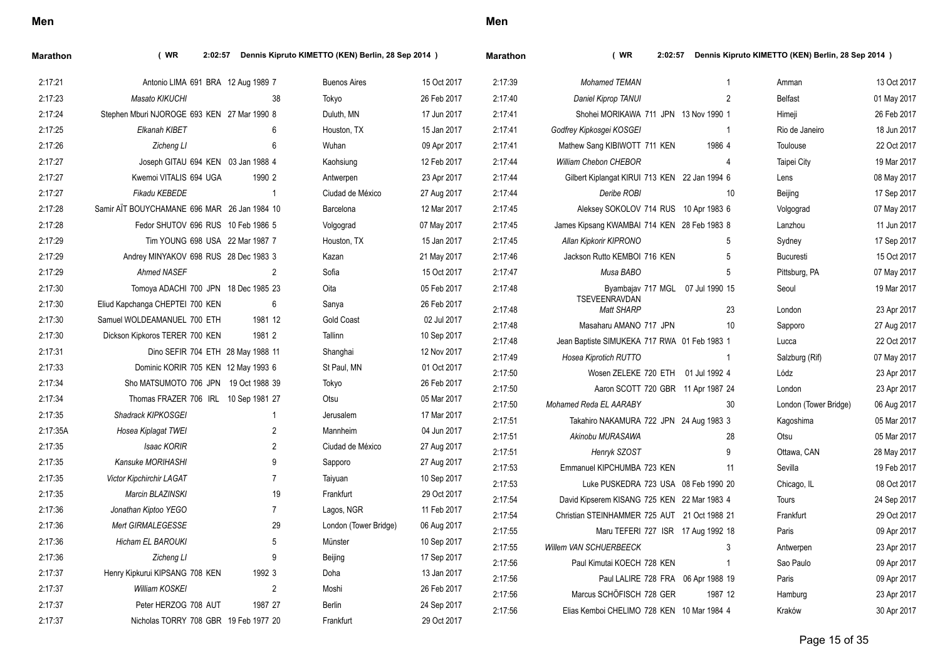| I<br>$\overline{\phantom{a}}$ |
|-------------------------------|
|-------------------------------|

| Marathon | (WR)<br>2:02:57                              |         | Dennis Kipruto KIMETTO (KEN) Berlin, 28 Sep 2014 ) |             | <b>Marathon</b> | (WR)<br>2:02:57                                                   |                | Dennis Kipruto KIMETTO (KEN) Berlin, 28 Sep 2014 ) |                            |
|----------|----------------------------------------------|---------|----------------------------------------------------|-------------|-----------------|-------------------------------------------------------------------|----------------|----------------------------------------------------|----------------------------|
| 2:17:21  | Antonio LIMA 691 BRA 12 Aug 1989 7           |         | <b>Buenos Aires</b>                                | 15 Oct 2017 | 2:17:39         | <b>Mohamed TEMAN</b>                                              |                | Amman                                              | 13 Oct 2017                |
| 2:17:23  | Masato KIKUCHI                               |         | 38<br>Tokyo                                        | 26 Feb 2017 | 2:17:40         | Daniel Kiprop TANUI                                               | $\overline{2}$ | <b>Belfast</b>                                     | 01 May 2017                |
| 2:17:24  | Stephen Mburi NJOROGE 693 KEN 27 Mar 1990 8  |         | Duluth, MN                                         | 17 Jun 2017 | 2.17.41         | Shohei MORIKAWA 711 JPN 13 Nov 1990 1                             |                | Himeji                                             | 26 Feb 2017                |
| 2:17:25  | Elkanah KIBET                                |         | 6<br>Houston, TX                                   | 15 Jan 2017 | 2:17:41         | Godfrey Kipkosgei KOSGEI                                          | $\overline{1}$ | Rio de Janeiro                                     | 18 Jun 2017                |
| 2:17:26  | Zicheng LI                                   |         | 6<br>Wuhan                                         | 09 Apr 2017 | 2:17:41         | Mathew Sang KIBIWOTT 711 KEN                                      | 1986 4         | Toulouse                                           | 22 Oct 2017                |
| 2:17:27  | Joseph GITAU 694 KEN 03 Jan 1988 4           |         | Kaohsiung                                          | 12 Feb 2017 | 2:17:44         | William Chebon CHEBOR                                             | $\overline{4}$ | <b>Taipei City</b>                                 | 19 Mar 2017                |
| 2:17:27  | Kwemoi VITALIS 694 UGA                       | 1990 2  | Antwerpen                                          | 23 Apr 2017 | 2:17:44         | Gilbert Kiplangat KIRUI 713 KEN 22 Jan 1994 6                     |                | Lens                                               | 08 May 2017                |
| 2:17:27  | <b>Fikadu KEBEDE</b>                         |         | $\overline{1}$<br>Ciudad de México                 | 27 Aug 2017 | 2:17:44         | Deribe ROBI                                                       | 10             | Beijing                                            | 17 Sep 2017                |
| 2:17:28  | Samir AIT BOUYCHAMANE 696 MAR 26 Jan 1984 10 |         | Barcelona                                          | 12 Mar 2017 | 2:17:45         | Aleksey SOKOLOV 714 RUS 10 Apr 1983 6                             |                | Volgograd                                          | 07 May 2017                |
| 2:17:28  | Fedor SHUTOV 696 RUS 10 Feb 1986 5           |         | Volgograd                                          | 07 May 2017 | 2:17:45         | James Kipsang KWAMBAI 714 KEN 28 Feb 1983 8                       |                | Lanzhou                                            | 11 Jun 2017                |
| 2:17:29  | Tim YOUNG 698 USA 22 Mar 1987 7              |         | Houston, TX                                        | 15 Jan 2017 | 2:17:45         | Allan Kipkorir KIPRONO                                            | 5              | Sydney                                             | 17 Sep 2017                |
| 2:17:29  | Andrey MINYAKOV 698 RUS 28 Dec 1983 3        |         | Kazan                                              | 21 May 2017 | 2:17:46         | Jackson Rutto KEMBOI 716 KEN                                      | 5              | <b>Bucuresti</b>                                   | 15 Oct 2017                |
| 2:17:29  | <b>Ahmed NASEF</b>                           |         | $\overline{2}$<br>Sofia                            | 15 Oct 2017 | 2:17:47         | Musa BABO                                                         | 5              | Pittsburg, PA                                      | 07 May 2017                |
| 2:17:30  | Tomoya ADACHI 700 JPN 18 Dec 1985 23         |         | Oita                                               | 05 Feb 2017 | 2:17:48         | Byambajav 717 MGL 07 Jul 1990 15                                  |                | Seoul                                              | 19 Mar 2017                |
| 2:17:30  | Eliud Kapchanga CHEPTEI 700 KEN              |         | 6<br>Sanya                                         | 26 Feb 2017 | 2:17:48         | <b>TSEVEENRAVDAN</b><br><b>Matt SHARP</b>                         | 23             | London                                             | 23 Apr 2017                |
| 2:17:30  | Samuel WOLDEAMANUEL 700 ETH                  | 1981 12 | <b>Gold Coast</b>                                  | 02 Jul 2017 | 2:17:48         | Masaharu AMANO 717 JPN                                            | 10             | Sapporo                                            | 27 Aug 2017                |
| 2:17:30  | Dickson Kipkoros TERER 700 KEN               | 1981 2  | Tallinn                                            | 10 Sep 2017 | 2:17:48         | Jean Baptiste SIMUKEKA 717 RWA 01 Feb 1983 1                      |                | Lucca                                              | 22 Oct 2017                |
| 2:17:31  | Dino SEFIR 704 ETH 28 May 1988 11            |         | Shanghai                                           | 12 Nov 2017 | 2:17:49         | Hosea Kiprotich RUTTO                                             | $\overline{1}$ | Salzburg (Rif)                                     | 07 May 2017                |
| 2:17:33  | Dominic KORIR 705 KEN 12 May 1993 6          |         | St Paul, MN                                        | 01 Oct 2017 | 2:17:50         | Wosen ZELEKE 720 ETH 01 Jul 1992 4                                |                | Lódz                                               |                            |
| 2:17:34  | Sho MATSUMOTO 706 JPN 19 Oct 1988 39         |         | Tokyo                                              | 26 Feb 2017 | 2:17:50         |                                                                   |                |                                                    | 23 Apr 2017                |
| 2:17:34  | Thomas FRAZER 706 IRL 10 Sep 1981 27         |         | Otsu                                               | 05 Mar 2017 | 2:17:50         | Aaron SCOTT 720 GBR 11 Apr 1987 24                                | 30             | London                                             | 23 Apr 2017                |
| 2:17:35  | Shadrack KIPKOSGEI                           |         | $\mathbf{1}$<br>Jerusalem                          | 17 Mar 2017 | 2:17:51         | Mohamed Reda EL AARABY<br>Takahiro NAKAMURA 722 JPN 24 Aug 1983 3 |                | London (Tower Bridge)                              | 06 Aug 2017<br>05 Mar 2017 |
| 2:17:35A | Hosea Kiplagat TWEI                          |         | $\overline{2}$<br>Mannheim                         | 04 Jun 2017 | 2:17:51         | Akinobu MURASAWA                                                  | 28             | Kagoshima<br>Otsu                                  | 05 Mar 2017                |
| 2:17:35  | Isaac KORIR                                  |         | $\overline{2}$<br>Ciudad de México                 | 27 Aug 2017 |                 |                                                                   | 9              |                                                    |                            |
| 2:17:35  | Kansuke MORIHASHI                            |         | 9<br>Sapporo                                       | 27 Aug 2017 | 2:17:51         | Henryk SZOST                                                      |                | Ottawa, CAN                                        | 28 May 2017                |
| 2:17:35  | Victor Kipchirchir LAGAT                     |         | $\overline{7}$<br>Taiyuan                          | 10 Sep 2017 | 2:17:53         | Emmanuel KIPCHUMBA 723 KEN                                        | 11             | Sevilla                                            | 19 Feb 2017                |
| 2:17:35  | Marcin BLAZINSKI                             |         | 19<br>Frankfurt                                    | 29 Oct 2017 | 2:17:53         | Luke PUSKEDRA 723 USA 08 Feb 1990 20                              |                | Chicago, IL                                        | 08 Oct 2017                |
| 2:17:36  | Jonathan Kiptoo YEGO                         |         | $\overline{7}$<br>Lagos, NGR                       | 11 Feb 2017 | 2:17:54         | David Kipserem KISANG 725 KEN 22 Mar 1983 4                       |                | Tours                                              | 24 Sep 2017                |
| 2:17:36  | Mert GIRMALEGESSE                            |         | 29<br>London (Tower Bridge)                        | 06 Aug 2017 | 2:17:54         | Christian STEINHAMMER 725 AUT 21 Oct 1988 21                      |                | Frankfurt                                          | 29 Oct 2017                |
| 2:17:36  | <b>Hicham EL BAROUKI</b>                     |         | 5<br>Münster                                       | 10 Sep 2017 | 2:17:55         | Maru TEFERI 727 ISR 17 Aug 1992 18                                |                | Paris                                              | 09 Apr 2017                |
| 2:17:36  | Zicheng LI                                   |         | 9<br>Beijing                                       | 17 Sep 2017 | 2:17:55         | Willem VAN SCHUERBEECK                                            | 3              | Antwerpen                                          | 23 Apr 2017                |
| 2:17:37  | Henry Kipkurui KIPSANG 708 KEN               | 1992 3  | Doha                                               | 13 Jan 2017 | 2:17:56         | Paul Kimutai KOECH 728 KEN                                        | $\overline{1}$ | Sao Paulo                                          | 09 Apr 2017                |
| 2:17:37  | William KOSKEI                               |         | $\sqrt{2}$<br>Moshi                                | 26 Feb 2017 | 2:17:56         | Paul LALIRE 728 FRA 06 Apr 1988 19                                |                | Paris                                              | 09 Apr 2017                |
| 2:17:37  | Peter HERZOG 708 AUT                         | 1987 27 | <b>Berlin</b>                                      | 24 Sep 2017 | 2:17:56         | Marcus SCHÖFISCH 728 GER                                          | 1987 12        | Hamburg                                            | 23 Apr 2017                |
| 2:17:37  | Nicholas TORRY 708 GBR 19 Feb 1977 20        |         | Frankfurt                                          | 29 Oct 2017 | 2:17:56         | Elias Kemboi CHELIMO 728 KEN 10 Mar 1984 4                        |                | Kraków                                             | 30 Apr 2017                |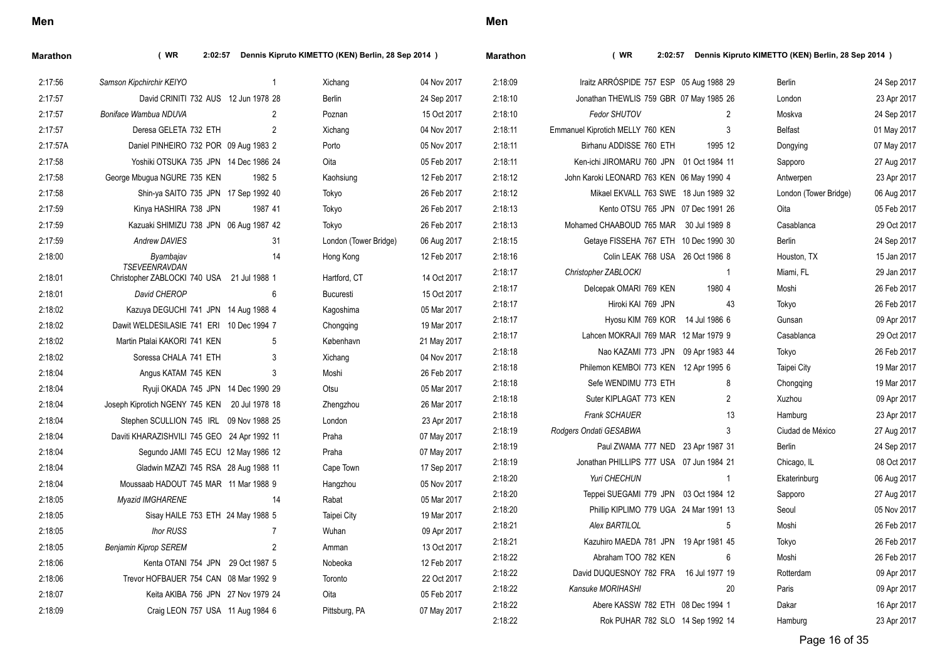| <b>Marathon</b> | (WR)<br>2:02:57                                             |                | Dennis Kipruto KIMETTO (KEN) Berlin, 28 Sep 2014 ) |             | <b>Marathon</b> | (WR)                                      |                | 2:02:57 Dennis Kipruto KIMETTO (KEN) Berlin, 28 Sep 2014 ) |             |
|-----------------|-------------------------------------------------------------|----------------|----------------------------------------------------|-------------|-----------------|-------------------------------------------|----------------|------------------------------------------------------------|-------------|
| 2:17:56         | Samson Kipchirchir KEIYO                                    | $\mathbf{1}$   | Xichang                                            | 04 Nov 2017 | 2:18:09         | Iraitz ARRÓSPIDE 757 ESP 05 Aug 1988 29   |                | <b>Berlin</b>                                              | 24 Sep 2017 |
| 2:17:57         | David CRINITI 732 AUS 12 Jun 1978 28                        |                | <b>Berlin</b>                                      | 24 Sep 2017 | 2:18:10         | Jonathan THEWLIS 759 GBR 07 May 1985 26   |                | London                                                     | 23 Apr 2017 |
| 2:17:57         | Boniface Wambua NDUVA                                       | 2              | Poznan                                             | 15 Oct 2017 | 2:18:10         | Fedor SHUTOV                              | 2              | Moskva                                                     | 24 Sep 2017 |
| 2:17:57         | Deresa GELETA 732 ETH                                       | 2              | Xichang                                            | 04 Nov 2017 | 2:18:11         | Emmanuel Kiprotich MELLY 760 KEN          | 3              | <b>Belfast</b>                                             | 01 May 2017 |
| 2:17:57A        | Daniel PINHEIRO 732 POR 09 Aug 1983 2                       |                | Porto                                              | 05 Nov 2017 | 2:18:11         | Birhanu ADDISSE 760 ETH                   | 1995 12        | Dongying                                                   | 07 May 2017 |
| 2:17:58         | Yoshiki OTSUKA 735 JPN 14 Dec 1986 24                       |                | Oita                                               | 05 Feb 2017 | 2:18:11         | Ken-ichi JIROMARU 760 JPN 01 Oct 1984 11  |                | Sapporo                                                    | 27 Aug 2017 |
| 2:17:58         | George Mbuqua NGURE 735 KEN                                 | 1982 5         | Kaohsiung                                          | 12 Feb 2017 | 2:18:12         | John Karoki LEONARD 763 KEN 06 May 1990 4 |                | Antwerpen                                                  | 23 Apr 2017 |
| 2:17:58         | Shin-ya SAITO 735 JPN 17 Sep 1992 40                        |                | Tokyo                                              | 26 Feb 2017 | 2:18:12         | Mikael EKVALL 763 SWE 18 Jun 1989 32      |                | London (Tower Bridge)                                      | 06 Aug 2017 |
| 2:17:59         | Kinya HASHIRA 738 JPN                                       | 1987 41        | Tokyo                                              | 26 Feb 2017 | 2:18:13         | Kento OTSU 765 JPN 07 Dec 1991 26         |                | Oita                                                       | 05 Feb 2017 |
| 2:17:59         | Kazuaki SHIMIZU 738 JPN 06 Aug 1987 42                      |                | Tokyo                                              | 26 Feb 2017 | 2:18:13         | Mohamed CHAABOUD 765 MAR 30 Jul 1989 8    |                | Casablanca                                                 | 29 Oct 2017 |
| 2:17:59         | Andrew DAVIES                                               | 31             | London (Tower Bridge)                              | 06 Aug 2017 | 2:18:15         | Getaye FISSEHA 767 ETH 10 Dec 1990 30     |                | <b>Berlin</b>                                              | 24 Sep 2017 |
| 2:18:00         | Byambajav                                                   | 14             | Hong Kong                                          | 12 Feb 2017 | 2:18:16         | Colin LEAK 768 USA 26 Oct 1986 8          |                | Houston, TX                                                | 15 Jan 2017 |
| 2:18:01         | TSEVEENRAVDAN<br>Christopher ZABLOCKI 740 USA 21 Jul 1988 1 |                | Hartford, CT                                       | 14 Oct 2017 | 2:18:17         | Christopher ZABLOCKI                      | $\overline{1}$ | Miami, FL                                                  | 29 Jan 2017 |
| 2:18:01         | David CHEROP                                                | 6              | Bucuresti                                          | 15 Oct 2017 | 2:18:17         | Delcepak OMARI 769 KEN                    | 1980 4         | Moshi                                                      | 26 Feb 2017 |
| 2:18:02         | Kazuya DEGUCHI 741 JPN 14 Aug 1988 4                        |                | Kagoshima                                          | 05 Mar 2017 | 2:18:17         | Hiroki KAI 769 JPN                        | 43             | Tokyo                                                      | 26 Feb 2017 |
| 2:18:02         | Dawit WELDESILASIE 741 ERI 10 Dec 1994 7                    |                | Chongqing                                          | 19 Mar 2017 | 2:18:17         | Hyosu KIM 769 KOR 14 Jul 1986 6           |                | Gunsan                                                     | 09 Apr 2017 |
| 2:18:02         | Martin Ptalai KAKORI 741 KEN                                | 5              | København                                          | 21 May 2017 | 2:18:17         | Lahcen MOKRAJI 769 MAR 12 Mar 1979 9      |                | Casablanca                                                 | 29 Oct 2017 |
| 2:18:02         | Soressa CHALA 741 ETH                                       | 3              | Xichang                                            | 04 Nov 2017 | 2:18:18         | Nao KAZAMI 773 JPN 09 Apr 1983 44         |                | Tokyo                                                      | 26 Feb 2017 |
| 2:18:04         | Angus KATAM 745 KEN                                         | 3              | Moshi                                              | 26 Feb 2017 | 2:18:18         | Philemon KEMBOI 773 KEN 12 Apr 1995 6     |                | Taipei City                                                | 19 Mar 2017 |
| 2:18:04         | Ryuji OKADA 745 JPN 14 Dec 1990 29                          |                | Otsu                                               | 05 Mar 2017 | 2:18:18         | Sefe WENDIMU 773 ETH                      | 8              | Chongqing                                                  | 19 Mar 2017 |
| 2:18:04         | Joseph Kiprotich NGENY 745 KEN 20 Jul 1978 18               |                | Zhengzhou                                          | 26 Mar 2017 | 2:18:18         | Suter KIPLAGAT 773 KEN                    | 2              | Xuzhou                                                     | 09 Apr 2017 |
| 2:18:04         | Stephen SCULLION 745 IRL 09 Nov 1988 25                     |                | London                                             | 23 Apr 2017 | 2:18:18         | <b>Frank SCHAUER</b>                      | 13             | Hamburg                                                    | 23 Apr 2017 |
| 2:18:04         | Daviti KHARAZISHVILI 745 GEO 24 Apr 1992 11                 |                | Praha                                              | 07 May 2017 | 2:18:19         | Rodgers Ondati GESABWA                    | 3              | Ciudad de México                                           | 27 Aug 2017 |
| 2:18:04         | Segundo JAMI 745 ECU 12 May 1986 12                         |                | Praha                                              | 07 May 2017 | 2:18:19         | Paul ZWAMA 777 NED 23 Apr 1987 31         |                | Berlin                                                     | 24 Sep 2017 |
| 2:18:04         | Gladwin MZAZI 745 RSA 28 Aug 1988 11                        |                | Cape Town                                          | 17 Sep 2017 | 2:18:19         | Jonathan PHILLIPS 777 USA 07 Jun 1984 21  |                | Chicago, IL                                                | 08 Oct 2017 |
| 2:18:04         | Moussaab HADOUT 745 MAR 11 Mar 1988 9                       |                | Hangzhou                                           | 05 Nov 2017 | 2:18:20         | Yuri CHECHUN                              | $\mathbf{1}$   | Ekaterinburg                                               | 06 Aug 2017 |
| 2:18:05         | <b>Myazid IMGHARENE</b>                                     | 14             | Rabat                                              | 05 Mar 2017 | 2:18:20         | Teppei SUEGAMI 779 JPN 03 Oct 1984 12     |                | Sapporo                                                    | 27 Aug 2017 |
| 2:18:05         | Sisay HAILE 753 ETH 24 May 1988 5                           |                | Taipei City                                        | 19 Mar 2017 | 2:18:20         | Phillip KIPLIMO 779 UGA 24 Mar 1991 13    |                | Seoul                                                      | 05 Nov 2017 |
| 2:18:05         | <b>Ihor RUSS</b>                                            | $\overline{7}$ | Wuhan                                              | 09 Apr 2017 | 2:18:21         | Alex BARTILOL                             | 5              | Moshi                                                      | 26 Feb 2017 |
| 2:18:05         | <b>Benjamin Kiprop SEREM</b>                                | $\overline{2}$ | Amman                                              | 13 Oct 2017 | 2:18:21         | Kazuhiro MAEDA 781 JPN 19 Apr 1981 45     |                | Tokyo                                                      | 26 Feb 2017 |
| 2:18:06         | Kenta OTANI 754 JPN 29 Oct 1987 5                           |                | Nobeoka                                            | 12 Feb 2017 | 2:18:22         | Abraham TOO 782 KEN                       | 6              | Moshi                                                      | 26 Feb 2017 |
| 2:18:06         | Trevor HOFBAUER 754 CAN 08 Mar 1992 9                       |                | Toronto                                            | 22 Oct 2017 | 2:18:22         | David DUQUESNOY 782 FRA 16 Jul 1977 19    |                | Rotterdam                                                  | 09 Apr 2017 |
| 2:18:07         |                                                             |                |                                                    |             | 2:18:22         | Kansuke MORIHASHI                         | 20             | Paris                                                      | 09 Apr 2017 |
|                 | Keita AKIBA 756 JPN 27 Nov 1979 24                          |                | Oita                                               | 05 Feb 2017 |                 |                                           |                |                                                            |             |

Page 16 of 35

2:18:22 Rok PUHAR 782 SLO 14 Sep 1992 14 Hamburg 23 Apr 2017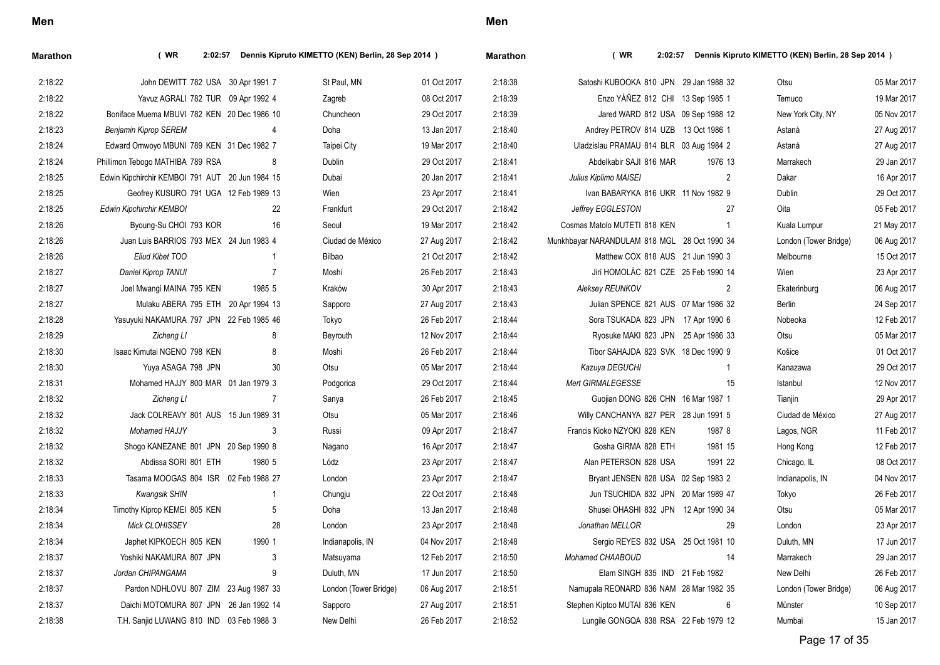| ×<br>I<br>×<br>۰. |
|-------------------|
|-------------------|

| <b>Marathon</b> | (WR)                                            |                | 2:02:57 Dennis Kipruto KIMETTO (KEN) Berlin, 28 Sep 2014 ) |             | <b>Marathon</b> | (WR)                                         |                | 2:02:57 Dennis Kipruto KIMETTO (KEN) Berlin, 28 Sep 2014 ) |             |
|-----------------|-------------------------------------------------|----------------|------------------------------------------------------------|-------------|-----------------|----------------------------------------------|----------------|------------------------------------------------------------|-------------|
| 2:18:22         | John DEWITT 782 USA 30 Apr 1991 7               |                | St Paul, MN                                                | 01 Oct 2017 | 2:18:38         | Satoshi KUBOOKA 810 JPN 29 Jan 1988 32       |                | Otsu                                                       | 05 Mar 2017 |
| 2:18:22         | Yavuz AGRALI 782 TUR 09 Apr 1992 4              |                | Zagreb                                                     | 08 Oct 2017 | 2:18:39         | Enzo YÁÑEZ 812 CHI 13 Sep 1985 1             |                | Temuco                                                     | 19 Mar 2017 |
| 2:18:22         | Boniface Muema MBUVI 782 KEN 20 Dec 1986 10     |                | Chuncheon                                                  | 29 Oct 2017 | 2:18:39         | Jared WARD 812 USA 09 Sep 1988 12            |                | New York City, NY                                          | 05 Nov 2017 |
| 2:18:23         | <b>Benjamin Kiprop SEREM</b>                    | $\overline{4}$ | Doha                                                       | 13 Jan 2017 | 2:18:40         | Andrey PETROV 814 UZB 13 Oct 1986 1          |                | Astaná                                                     | 27 Aug 2017 |
| 2:18:24         | Edward Omwoyo MBUNI 789 KEN 31 Dec 1982 7       |                | <b>Taipei City</b>                                         | 19 Mar 2017 | 2:18:40         | Uladzislau PRAMAU 814 BLR 03 Aug 1984 2      |                | Astaná                                                     | 27 Aug 2017 |
| 2:18:24         | Phillimon Tebogo MATHIBA 789 RSA                | -8             | Dublin                                                     | 29 Oct 2017 | 2:18:41         | Abdelkabir SAJI 816 MAR                      | 1976 13        | Marrakech                                                  | 29 Jan 2017 |
| 2:18:25         | Edwin Kipchirchir KEMBOI 791 AUT 20 Jun 1984 15 |                | Dubai                                                      | 20 Jan 2017 | 2:18:41         | Julius Kiplimo MAISEI                        | $\overline{2}$ | Dakar                                                      | 16 Apr 2017 |
| 2:18:25         | Geofrey KUSURO 791 UGA 12 Feb 1989 13           |                | Wien                                                       | 23 Apr 2017 | 2:18:41         | Ivan BABARYKA 816 UKR 11 Nov 1982 9          |                | Dublin                                                     | 29 Oct 2017 |
| 2:18:25         | Edwin Kipchirchir KEMBOI                        | 22             | Frankfurt                                                  | 29 Oct 2017 | 2:18:42         | Jeffrey EGGLESTON                            | 27             | Oita                                                       | 05 Feb 2017 |
| 2:18:26         | Byoung-Su CHOI 793 KOR                          | 16             | Seoul                                                      | 19 Mar 2017 | 2:18:42         | Cosmas Matolo MUTETI 818 KEN                 | $\overline{1}$ | Kuala Lumpur                                               | 21 May 2017 |
| 2:18:26         | Juan Luis BARRIOS 793 MEX 24 Jun 1983 4         |                | Ciudad de México                                           | 27 Aug 2017 | 2:18:42         | Munkhbayar NARANDULAM 818 MGL 28 Oct 1990 34 |                | London (Tower Bridge)                                      | 06 Aug 2017 |
| 2:18:26         | Eliud Kibet TOO                                 |                | Bilbao                                                     | 21 Oct 2017 | 2:18:42         | Matthew COX 818 AUS 21 Jun 1990 3            |                | Melbourne                                                  | 15 Oct 2017 |
| 2:18:27         | Daniel Kiprop TANUI                             | $\overline{7}$ | Moshi                                                      | 26 Feb 2017 | 2.18.43         | Jirí HOMOLÁC 821 CZE 25 Feb 1990 14          |                | Wien                                                       | 23 Apr 2017 |
| 2:18:27         | Joel Mwangi MAINA 795 KEN                       | 1985 5         | Kraków                                                     | 30 Apr 2017 | 2.18.43         | Aleksey REUNKOV                              | $\overline{2}$ | Ekaterinburg                                               | 06 Aug 2017 |
| 2:18:27         | Mulaku ABERA 795 ETH 20 Apr 1994 13             |                | Sapporo                                                    | 27 Aug 2017 | 2:18:43         | Julian SPENCE 821 AUS 07 Mar 1986 32         |                | Berlin                                                     | 24 Sep 2017 |
| 2:18:28         | Yasuyuki NAKAMURA 797 JPN 22 Feb 1985 46        |                | Tokyo                                                      | 26 Feb 2017 | 2:18:44         | Sora TSUKADA 823 JPN 17 Apr 1990 6           |                | Nobeoka                                                    | 12 Feb 2017 |
| 2:18:29         | Zicheng LI                                      | 8              | Beyrouth                                                   | 12 Nov 2017 | 2:18:44         | Ryosuke MAKI 823 JPN 25 Apr 1986 33          |                | Otsu                                                       | 05 Mar 2017 |
| 2:18:30         | Isaac Kimutai NGENO 798 KEN                     | 8              | Moshi                                                      | 26 Feb 2017 | 2:18:44         | Tibor SAHAJDA 823 SVK 18 Dec 1990 9          |                | Košice                                                     | 01 Oct 2017 |
| 2:18:30         | Yuya ASAGA 798 JPN                              | 30             | Otsu                                                       | 05 Mar 2017 | 2:18:44         | Kazuya DEGUCHI                               | $\mathbf{1}$   | Kanazawa                                                   | 29 Oct 2017 |
| 2:18:31         | Mohamed HAJJY 800 MAR 01 Jan 1979 3             |                | Podgorica                                                  | 29 Oct 2017 | 2:18:44         | Mert GIRMALEGESSE                            | 15             | Istanbul                                                   | 12 Nov 2017 |
| 2:18:32         | Zicheng LI                                      | 7              | Sanya                                                      | 26 Feb 2017 | 2:18:45         | Guojian DONG 826 CHN 16 Mar 1987 1           |                | Tianiin                                                    | 29 Apr 2017 |
| 2:18:32         | Jack COLREAVY 801 AUS 15 Jun 1989 31            |                | Otsu                                                       | 05 Mar 2017 | 2.18.46         | Willy CANCHANYA 827 PER 28 Jun 1991 5        |                | Ciudad de México                                           | 27 Aug 2017 |
| 2:18:32         | <b>Mohamed HAJJY</b>                            | 3              | Russi                                                      | 09 Apr 2017 | 2.18.47         | Francis Kioko NZYOKI 828 KEN                 | 1987 8         | Lagos, NGR                                                 | 11 Feb 2017 |
| 2:18:32         | Shogo KANEZANE 801 JPN 20 Sep 1990 8            |                | Nagano                                                     | 16 Apr 2017 | 2:18:47         | Gosha GIRMA 828 ETH                          | 1981 15        | Hong Kong                                                  | 12 Feb 2017 |
| 2:18:32         | Abdissa SORI 801 ETH                            | 1980 5         | Lódz                                                       | 23 Apr 2017 | 2:18:47         | Alan PETERSON 828 USA                        | 1991 22        | Chicago, IL                                                | 08 Oct 2017 |
| 2:18:33         | Tasama MOOGAS 804 ISR 02 Feb 1988 27            |                | London                                                     | 23 Apr 2017 | 2:18:47         | Bryant JENSEN 828 USA 02 Sep 1983 2          |                | Indianapolis, IN                                           | 04 Nov 2017 |
| 2:18:33         | <b>Kwangsik SHIN</b>                            | -1             | Chungju                                                    | 22 Oct 2017 | 2:18:48         | Jun TSUCHIDA 832 JPN 20 Mar 1989 47          |                | Tokyo                                                      | 26 Feb 2017 |
| 2:18:34         | Timothy Kiprop KEMEI 805 KEN                    | 5              | Doha                                                       | 13 Jan 2017 | 2:18:48         | Shusei OHASHI 832 JPN 12 Apr 1990 34         |                | Otsu                                                       | 05 Mar 2017 |
| 2:18:34         | Mick CLOHISSEY                                  | 28             | London                                                     | 23 Apr 2017 | 2:18:48         | Jonathan MELLOR                              | 29             | London                                                     | 23 Apr 2017 |
| 2:18:34         | Japhet KIPKOECH 805 KEN                         | 1990 1         | Indianapolis, IN                                           | 04 Nov 2017 | 2:18:48         | Sergio REYES 832 USA 25 Oct 1981 10          |                | Duluth, MN                                                 | 17 Jun 2017 |
| 2:18:37         | Yoshiki NAKAMURA 807 JPN                        | 3              | Matsuyama                                                  | 12 Feb 2017 | 2:18:50         | Mohamed CHAABOUD                             | 14             | Marrakech                                                  | 29 Jan 2017 |
| 2:18:37         | Jordan CHIPANGAMA                               | 9              | Duluth, MN                                                 | 17 Jun 2017 | 2:18:50         | Elam SINGH 835 IND 21 Feb 1982               |                | New Delhi                                                  | 26 Feb 2017 |
| 2:18:37         | Pardon NDHLOVU 807 ZIM 23 Aug 1987 33           |                | London (Tower Bridge)                                      | 06 Aug 2017 | 2:18:51         | Namupala REONARD 836 NAM 28 Mar 1982 35      |                | London (Tower Bridge)                                      | 06 Aug 2017 |
| 2:18:37         | Daichi MOTOMURA 807 JPN 26 Jan 1992 14          |                | Sapporo                                                    | 27 Aug 2017 | 2:18:51         | Stephen Kiptoo MUTAI 836 KEN                 | 6              | Münster                                                    | 10 Sep 2017 |
| 2:18:38         | T.H. Sanjid LUWANG 810 IND 03 Feb 1988 3        |                | New Delhi                                                  | 26 Feb 2017 | 2:18:52         | Lungile GONGQA 838 RSA 22 Feb 1979 12        |                | Mumbai                                                     | 15 Jan 2017 |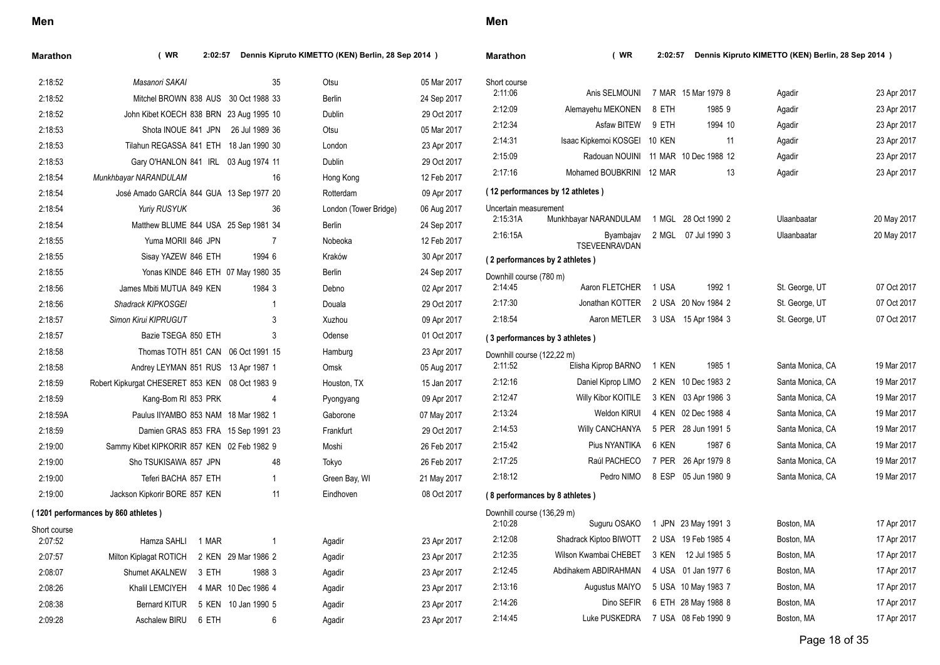| Marathon     | (WR<br>Dennis Kipruto KIMETTO (KEN) Berlin, 28 Sep 2014 )<br>2:02:57 |                     |                       | <b>Marathon</b> | (WR                        | Dennis Kipruto KIMETTO (KEN) Berlin, 28 Sep 2014 )<br>2:02:57 |               |                     |                  |             |
|--------------|----------------------------------------------------------------------|---------------------|-----------------------|-----------------|----------------------------|---------------------------------------------------------------|---------------|---------------------|------------------|-------------|
| 2:18:52      | Masanori SAKAI                                                       | 35                  | Otsu                  | 05 Mar 2017     | Short course               |                                                               |               |                     |                  |             |
| 2:18:52      | Mitchel BROWN 838 AUS 30 Oct 1988 33                                 |                     | Berlin                | 24 Sep 2017     | 2:11:06                    | Anis SELMOUNI                                                 |               | 7 MAR 15 Mar 1979 8 | Agadir           | 23 Apr 2017 |
| 2:18:52      | John Kibet KOECH 838 BRN 23 Aug 1995 10                              |                     | Dublin                | 29 Oct 2017     | 2:12:09                    | Alemayehu MEKONEN                                             | 8 ETH         | 1985 9              | Agadir           | 23 Apr 2017 |
| 2:18:53      | Shota INOUE 841 JPN 26 Jul 1989 36                                   |                     | Otsu                  | 05 Mar 2017     | 2:12:34                    | Asfaw BITEW                                                   | 9 ETH         | 1994 10             | Agadir           | 23 Apr 2017 |
| 2:18:53      | Tilahun REGASSA 841 ETH 18 Jan 1990 30                               |                     | London                | 23 Apr 2017     | 2:14:31                    | Isaac Kipkemoi KOSGEI                                         | <b>10 KEN</b> | 11                  | Agadir           | 23 Apr 2017 |
| 2:18:53      | Gary O'HANLON 841 IRL 03 Aug 1974 11                                 |                     | Dublin                | 29 Oct 2017     | 2:15:09                    | Radouan NOUINI 11 MAR 10 Dec 1988 12                          |               |                     | Agadir           | 23 Apr 2017 |
| 2:18:54      | Munkhbayar NARANDULAM                                                | 16                  | Hong Kong             | 12 Feb 2017     | 2:17:16                    | Mohamed BOUBKRINI 12 MAR                                      |               | 13                  | Agadir           | 23 Apr 2017 |
| 2:18:54      | José Amado GARCÍA 844 GUA 13 Sep 1977 20                             |                     | Rotterdam             | 09 Apr 2017     |                            | (12 performances by 12 athletes)                              |               |                     |                  |             |
| 2:18:54      | Yuriy RUSYUK                                                         | 36                  | London (Tower Bridge) | 06 Aug 2017     | Uncertain measurement      |                                                               |               |                     |                  |             |
| 2:18:54      | Matthew BLUME 844 USA 25 Sep 1981 34                                 |                     | Berlin                | 24 Sep 2017     | 2:15:31A                   | Munkhbayar NARANDULAM                                         |               | 1 MGL 28 Oct 1990 2 | Ulaanbaatar      | 20 May 2017 |
| 2:18:55      | Yuma MORII 846 JPN                                                   | $\overline{7}$      | Nobeoka               | 12 Feb 2017     | 2:16:15A                   | Byambajav<br>TSEVEENRAVDAN                                    |               | 2 MGL 07 Jul 1990 3 | Ulaanbaatar      | 20 May 2017 |
| 2:18:55      | Sisay YAZEW 846 ETH                                                  | 1994 6              | Kraków                | 30 Apr 2017     |                            | (2 performances by 2 athletes)                                |               |                     |                  |             |
| 2:18:55      | Yonas KINDE 846 ETH 07 May 1980 35                                   |                     | Berlin                | 24 Sep 2017     | Downhill course (780 m)    |                                                               |               |                     |                  |             |
| 2:18:56      | James Mbiti MUTUA 849 KEN                                            | 1984 3              | Debno                 | 02 Apr 2017     | 2:14:45                    | Aaron FLETCHER                                                | 1 USA         | 1992 1              | St. George, UT   | 07 Oct 2017 |
| 2:18:56      | Shadrack KIPKOSGEI                                                   |                     | Douala                | 29 Oct 2017     | 2:17:30                    | Jonathan KOTTER                                               |               | 2 USA 20 Nov 1984 2 | St. George, UT   | 07 Oct 2017 |
| 2:18:57      | Simon Kirui KIPRUGUT                                                 | 3                   | Xuzhou                | 09 Apr 2017     | 2:18:54                    | Aaron METLER                                                  |               | 3 USA 15 Apr 1984 3 | St. George, UT   | 07 Oct 2017 |
| 2:18:57      | Bazie TSEGA 850 ETH                                                  | 3                   | Odense                | 01 Oct 2017     |                            | (3 performances by 3 athletes)                                |               |                     |                  |             |
| 2:18:58      | Thomas TOTH 851 CAN 06 Oct 1991 15                                   |                     | Hamburg               | 23 Apr 2017     | Downhill course (122,22 m) |                                                               |               |                     |                  |             |
| 2:18:58      | Andrey LEYMAN 851 RUS 13 Apr 1987 1                                  |                     | Omsk                  | 05 Aug 2017     | 2:11:52                    | Elisha Kiprop BARNO                                           | 1 KEN         | 1985 1              | Santa Monica, CA | 19 Mar 2017 |
| 2:18:59      | Robert Kipkurgat CHESERET 853 KEN 08 Oct 1983 9                      |                     | Houston, TX           | 15 Jan 2017     | 2:12:16                    | Daniel Kiprop LIMO                                            |               | 2 KEN 10 Dec 1983 2 | Santa Monica, CA | 19 Mar 2017 |
| 2:18:59      | Kang-Bom RI 853 PRK                                                  | 4                   | Pyongyang             | 09 Apr 2017     | 2:12:47                    | Willy Kibor KOITILE                                           |               | 3 KEN 03 Apr 1986 3 | Santa Monica, CA | 19 Mar 2017 |
| 2:18:59A     | Paulus IIYAMBO 853 NAM 18 Mar 1982 1                                 |                     | Gaborone              | 07 May 2017     | 2:13:24                    | Weldon KIRUI                                                  |               | 4 KEN 02 Dec 1988 4 | Santa Monica, CA | 19 Mar 2017 |
| 2:18:59      | Damien GRAS 853 FRA 15 Sep 1991 23                                   |                     | Frankfurt             | 29 Oct 2017     | 2:14:53                    | <b>Willy CANCHANYA</b>                                        |               | 5 PER 28 Jun 1991 5 | Santa Monica, CA | 19 Mar 2017 |
| 2:19:00      | Sammy Kibet KIPKORIR 857 KEN 02 Feb 1982 9                           |                     | Moshi                 | 26 Feb 2017     | 2:15:42                    | Pius NYANTIKA                                                 | 6 KEN         | 1987 6              | Santa Monica, CA | 19 Mar 2017 |
| 2:19:00      | Sho TSUKISAWA 857 JPN                                                | 48                  | Tokyo                 | 26 Feb 2017     | 2:17:25                    | Raúl PACHECO                                                  |               | 7 PER 26 Apr 1979 8 | Santa Monica, CA | 19 Mar 2017 |
| 2:19:00      | Teferi BACHA 857 ETH                                                 | $\overline{1}$      | Green Bay, WI         | 21 May 2017     | 2:18:12                    | Pedro NIMO                                                    |               | 8 ESP 05 Jun 1980 9 | Santa Monica, CA | 19 Mar 2017 |
| 2:19:00      | Jackson Kipkorir BORE 857 KEN                                        | 11                  | Eindhoven             | 08 Oct 2017     |                            | (8 performances by 8 athletes)                                |               |                     |                  |             |
|              | (1201 performances by 860 athletes)                                  |                     |                       |                 | Downhill course (136,29 m) |                                                               |               |                     |                  |             |
| Short course |                                                                      |                     |                       |                 | 2:10:28                    | Suguru OSAKO                                                  |               | 1 JPN 23 May 1991 3 | Boston, MA       | 17 Apr 2017 |
| 2:07:52      | Hamza SAHLI<br>1 MAR                                                 | $\overline{1}$      | Agadir                | 23 Apr 2017     | 2:12:08                    | Shadrack Kiptoo BIWOTT                                        |               | 2 USA 19 Feb 1985 4 | Boston, MA       | 17 Apr 2017 |
| 2:07:57      | Milton Kiplagat ROTICH                                               | 2 KEN 29 Mar 1986 2 | Agadir                | 23 Apr 2017     | 2:12:35                    | Wilson Kwambai CHEBET                                         |               | 3 KEN 12 Jul 1985 5 | Boston, MA       | 17 Apr 2017 |
| 2:08:07      | Shumet AKALNEW<br>3 ETH                                              | 1988 3              | Agadir                | 23 Apr 2017     | 2:12:45                    | Abdihakem ABDIRAHMAN                                          |               | 4 USA 01 Jan 1977 6 | Boston, MA       | 17 Apr 2017 |
| 2:08:26      | Khalil LEMCIYEH                                                      | 4 MAR 10 Dec 1986 4 | Agadir                | 23 Apr 2017     | 2:13:16                    | Augustus MAIYO                                                |               | 5 USA 10 May 1983 7 | Boston, MA       | 17 Apr 2017 |
| 2:08:38      | <b>Bernard KITUR</b>                                                 | 5 KEN 10 Jan 1990 5 | Agadir                | 23 Apr 2017     | 2:14:26                    | Dino SEFIR                                                    |               | 6 ETH 28 May 1988 8 | Boston, MA       | 17 Apr 2017 |
| 2:09:28      | Aschalew BIRU 6 ETH                                                  | 6                   | Agadir                | 23 Apr 2017     | 2:14:45                    | Luke PUSKEDRA                                                 |               | 7 USA 08 Feb 1990 9 | Boston, MA       | 17 Apr 2017 |
|              |                                                                      |                     |                       |                 |                            |                                                               |               |                     |                  |             |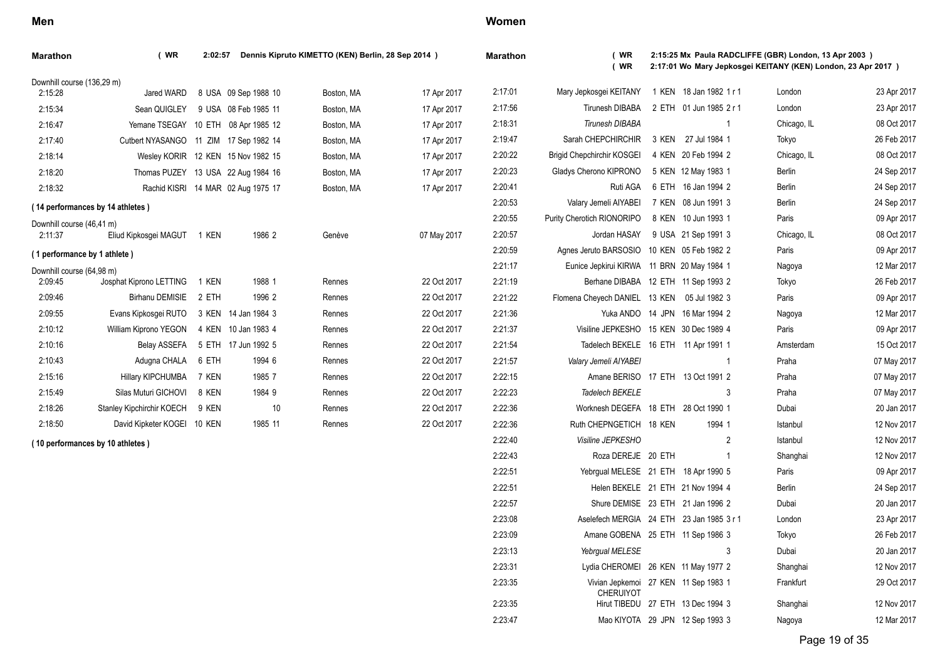| <b>Marathon</b>              | (WR)                             | 2:02:57       |                                    | Dennis Kipruto KIMETTO (KEN) Berlin, 28 Sep 2014 ) |             | Ma                      |
|------------------------------|----------------------------------|---------------|------------------------------------|----------------------------------------------------|-------------|-------------------------|
| Downhill course (136,29 m)   |                                  |               |                                    |                                                    |             |                         |
| 2:15:28                      | Jared WARD                       |               | 8 USA 09 Sep 1988 10               | Boston, MA                                         | 17 Apr 2017 | $\overline{\mathbf{c}}$ |
| 2:15:34                      | Sean QUIGLEY                     |               | 9 USA 08 Feb 1985 11               | Boston, MA                                         | 17 Apr 2017 | $\overline{c}$          |
| 2:16:47                      | Yemane TSEGAY                    | 10 ETH        | 08 Apr 1985 12                     | Boston, MA                                         | 17 Apr 2017 | $\overline{2}$          |
| 2:17:40                      | Cutbert NYASANGO                 | 11 ZIM        | 17 Sep 1982 14                     | Boston, MA                                         | 17 Apr 2017 | $\overline{2}$          |
| 2:18:14                      |                                  |               | Wesley KORIR 12 KEN 15 Nov 1982 15 | Boston, MA                                         | 17 Apr 2017 | $\overline{2}$          |
| 2:18:20                      | Thomas PUZEY                     |               | 13 USA 22 Aug 1984 16              | Boston, MA                                         | 17 Apr 2017 | $\overline{c}$          |
| 2:18:32                      | Rachid KISRI                     |               | 14 MAR 02 Aug 1975 17              | Boston, MA                                         | 17 Apr 2017 | $\overline{2}$          |
|                              | (14 performances by 14 athletes) |               |                                    |                                                    |             | $\overline{c}$          |
| Downhill course (46,41 m)    |                                  |               |                                    |                                                    |             | $\overline{2}$          |
| 2:11:37                      | Eliud Kipkosgei MAGUT            | 1 KEN         | 1986 2                             | Genève                                             | 07 May 2017 | $\overline{2}$          |
| (1 performance by 1 athlete) |                                  |               |                                    |                                                    |             | $\overline{2}$          |
| Downhill course (64,98 m)    |                                  |               |                                    |                                                    |             | $\overline{2}$          |
| 2:09:45                      | Josphat Kiprono LETTING          | 1 KEN         | 1988 1                             | Rennes                                             | 22 Oct 2017 | $\overline{2}$          |
| 2:09:46                      | <b>Birhanu DEMISIE</b>           | 2 ETH         | 1996 2                             | Rennes                                             | 22 Oct 2017 | $\overline{2}$          |
| 2:09:55                      | Evans Kipkosgei RUTO             | 3 KEN         | 14 Jan 1984 3                      | Rennes                                             | 22 Oct 2017 | $\overline{2}$          |
| 2:10:12                      | William Kiprono YEGON            | 4 KEN         | 10 Jan 1983 4                      | Rennes                                             | 22 Oct 2017 | $\overline{2}$          |
| 2:10:16                      | <b>Belay ASSEFA</b>              | 5 ETH         | 17 Jun 1992 5                      | Rennes                                             | 22 Oct 2017 | $\overline{2}$          |
| 2:10:43                      | Adugna CHALA                     | 6 ETH         | 1994 6                             | Rennes                                             | 22 Oct 2017 | $\overline{2}$          |
| 2:15:16                      | Hillary KIPCHUMBA                | 7 KEN         | 1985 7                             | Rennes                                             | 22 Oct 2017 | $\overline{2}$          |
| 2:15:49                      | Silas Muturi GICHOVI             | 8 KEN         | 1984 9                             | Rennes                                             | 22 Oct 2017 | $\overline{2}$          |
| 2:18:26                      | Stanley Kipchirchir KOECH        | 9 KEN         | 10                                 | Rennes                                             | 22 Oct 2017 | 2                       |
| 2:18:50                      | David Kipketer KOGEI             | <b>10 KEN</b> | 1985 11                            | Rennes                                             | 22 Oct 2017 | $\overline{c}$          |
|                              | (10 performances by 10 athletes) |               |                                    |                                                    |             | $\overline{2}$          |
|                              |                                  |               |                                    |                                                    |             | $\mathfrak{p}$          |

### **Women**

2:23:35

| arathon | $($ WR<br>(WR)                      | 2:15:25 Mx Paula RADCLIFFE (GBR) London, 13 Apr 2003 )<br>2:17:01 Wo Mary Jepkosgei KEITANY (KEN) London, 23 Apr 2017 ) |                                 |   |               |             |  |  |  |
|---------|-------------------------------------|-------------------------------------------------------------------------------------------------------------------------|---------------------------------|---|---------------|-------------|--|--|--|
| 2:17:01 | Mary Jepkosgei KEITANY              | 1 KEN                                                                                                                   | 18 Jan 1982 1 r 1               |   | London        | 23 Apr 2017 |  |  |  |
| 2:17:56 | <b>Tirunesh DIBABA</b>              | 2 ETH                                                                                                                   | 01 Jun 1985 2 r 1               |   | London        | 23 Apr 2017 |  |  |  |
| 2:18:31 | <b>Tirunesh DIBABA</b>              |                                                                                                                         |                                 | 1 | Chicago, IL   | 08 Oct 2017 |  |  |  |
| 2:19:47 | Sarah CHEPCHIRCHIR                  | 3 KEN                                                                                                                   | 27 Jul 1984 1                   |   | Tokyo         | 26 Feb 2017 |  |  |  |
| 2:20:22 | <b>Brigid Chepchirchir KOSGEI</b>   | 4 KEN                                                                                                                   | 20 Feb 1994 2                   |   | Chicago, IL   | 08 Oct 2017 |  |  |  |
| 2:20:23 | Gladys Cherono KIPRONO              | 5 KEN                                                                                                                   | 12 May 1983 1                   |   | Berlin        | 24 Sep 2017 |  |  |  |
| 2:20:41 | Ruti AGA                            | 6 ETH                                                                                                                   | 16 Jan 1994 2                   |   | Berlin        | 24 Sep 2017 |  |  |  |
| 2:20:53 | Valary Jemeli AIYABEI               | 7 KEN                                                                                                                   | 08 Jun 1991 3                   |   | Berlin        | 24 Sep 2017 |  |  |  |
| 2:20:55 | Purity Cherotich RIONORIPO          | 8 KEN                                                                                                                   | 10 Jun 1993 1                   |   | Paris         | 09 Apr 2017 |  |  |  |
| 2:20:57 | Jordan HASAY                        |                                                                                                                         | 9 USA 21 Sep 1991 3             |   | Chicago, IL   | 08 Oct 2017 |  |  |  |
| 2:20:59 | Agnes Jeruto BARSOSIO               |                                                                                                                         | 10 KEN 05 Feb 1982 2            |   | Paris         | 09 Apr 2017 |  |  |  |
| 2:21:17 | Eunice Jepkirui KIRWA               |                                                                                                                         | 11 BRN 20 May 1984 1            |   | Nagoya        | 12 Mar 2017 |  |  |  |
| 2:21:19 | Berhane DIBABA                      | 12 ETH                                                                                                                  | 11 Sep 1993 2                   |   | Tokyo         | 26 Feb 2017 |  |  |  |
| 2:21:22 | Flomena Cheyech DANIEL              | 13 KEN                                                                                                                  | 05 Jul 1982 3                   |   | Paris         | 09 Apr 2017 |  |  |  |
| 2:21:36 | Yuka ANDO                           | 14 JPN                                                                                                                  | 16 Mar 1994 2                   |   | Nagoya        | 12 Mar 2017 |  |  |  |
| 2:21:37 | Visiline JEPKESHO                   | <b>15 KEN</b>                                                                                                           | 30 Dec 1989 4                   |   | Paris         | 09 Apr 2017 |  |  |  |
| 2:21:54 | Tadelech BEKELE                     | 16 ETH                                                                                                                  | 11 Apr 1991 1                   |   | Amsterdam     | 15 Oct 2017 |  |  |  |
| 2:21:57 | Valary Jemeli AIYABEI               |                                                                                                                         |                                 | 1 | Praha         | 07 May 2017 |  |  |  |
| 2:22:15 | Amane BERISO                        | 17 ETH                                                                                                                  | 13 Oct 1991 2                   |   | Praha         | 07 May 2017 |  |  |  |
| 2:22:23 | Tadelech BEKELE                     |                                                                                                                         |                                 | 3 | Praha         | 07 May 2017 |  |  |  |
| 2:22:36 | Worknesh DEGEFA                     | 18 ETH                                                                                                                  | 28 Oct 1990 1                   |   | Dubai         | 20 Jan 2017 |  |  |  |
| 2:22:36 | Ruth CHEPNGETICH                    | 18 KEN                                                                                                                  | 1994 1                          |   | Istanbul      | 12 Nov 2017 |  |  |  |
| 2:22:40 | Visiline JEPKESHO                   |                                                                                                                         |                                 | 2 | Istanbul      | 12 Nov 2017 |  |  |  |
| 2:22:43 | Roza DEREJE 20 ETH                  |                                                                                                                         |                                 | 1 | Shanghai      | 12 Nov 2017 |  |  |  |
| 2:22:51 | Yebrgual MELESE 21 ETH              |                                                                                                                         | 18 Apr 1990 5                   |   | Paris         | 09 Apr 2017 |  |  |  |
| 2:22:51 | Helen BEKELE 21 ETH                 |                                                                                                                         | 21 Nov 1994 4                   |   | <b>Berlin</b> | 24 Sep 2017 |  |  |  |
| 2:22:57 | Shure DEMISE 23 ETH                 |                                                                                                                         | 21 Jan 1996 2                   |   | Dubai         | 20 Jan 2017 |  |  |  |
| 2:23:08 | Aselefech MERGIA 24 ETH             |                                                                                                                         | 23 Jan 1985 3 r 1               |   | London        | 23 Apr 2017 |  |  |  |
| 2:23:09 | Amane GOBENA 25 ETH 11 Sep 1986 3   |                                                                                                                         |                                 |   | Tokyo         | 26 Feb 2017 |  |  |  |
| 2:23:13 | Yebrgual MELESE                     |                                                                                                                         |                                 | 3 | Dubai         | 20 Jan 2017 |  |  |  |
| 2:23:31 | Lydia CHEROMEI                      |                                                                                                                         | 26 KEN 11 May 1977 2            |   | Shanghai      | 12 Nov 2017 |  |  |  |
| 2:23:35 | Vivian Jepkemoi<br><b>CHERUIYOT</b> | 27 KEN                                                                                                                  | 11 Sep 1983 1                   |   | Frankfurt     | 29 Oct 2017 |  |  |  |
| 2:23:35 | Hirut TIBEDU                        |                                                                                                                         | 27 ETH 13 Dec 1994 3            |   | Shanghai      | 12 Nov 2017 |  |  |  |
| 2.23.47 |                                     |                                                                                                                         | Mao KIYOTA 29 JPN 12 Sep 1993 3 |   | Nagoya        | 12 Mar 2017 |  |  |  |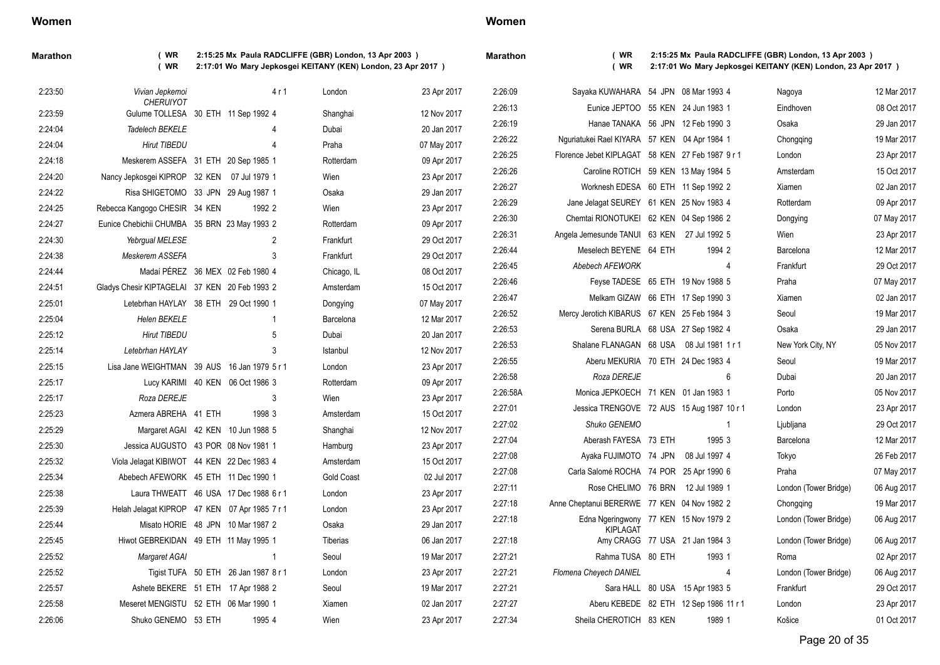| Maratho |  |
|---------|--|
|---------|--|

**Marathon ( WR 2:15:25 Mx Paula RADCLIFFE (GBR) London, 13 Apr 2003 ) ( WR 2:17:01 Wo Mary Jepkosgei KEITANY (KEN) London, 23 Apr 2017 )**

**Marathon ( WR 2:15:25 Mx Paula RADCLIFFE (GBR) London, 13 Apr 2003 ) ( WR 2:17:01 Wo Mary Jepkosgei KEITANY (KEN) London, 23 Apr 2017 )**

| 2:23:50 | Vivian Jepkemoi                                         | 4r1                                    | London            | 23 Apr 2017 | 2:26:09  | Sayaka KUWAHARA 54 JPN 08 Mar 1993 4             |                                        | Nagoya                | 12 Mar 2017 |
|---------|---------------------------------------------------------|----------------------------------------|-------------------|-------------|----------|--------------------------------------------------|----------------------------------------|-----------------------|-------------|
| 2:23:59 | <b>CHERUIYOT</b><br>Gulume TOLLESA 30 ETH 11 Sep 1992 4 |                                        | Shanghai          | 12 Nov 2017 | 2:26:13  | Eunice JEPTOO 55 KEN 24 Jun 1983 1               |                                        | Eindhoven             | 08 Oct 2017 |
| 2:24:04 | Tadelech BEKELE                                         |                                        | Dubai             | 20 Jan 2017 | 2:26:19  | Hanae TANAKA 56 JPN 12 Feb 1990 3                |                                        | Osaka                 | 29 Jan 2017 |
| 2:24:04 | <b>Hirut TIBEDU</b>                                     |                                        | Praha             | 07 May 2017 | 2:26:22  | Nguriatukei Rael KIYARA 57 KEN 04 Apr 1984 1     |                                        | Chongqing             | 19 Mar 2017 |
| 2:24:18 | Meskerem ASSEFA 31 ETH 20 Sep 1985 1                    |                                        | Rotterdam         | 09 Apr 2017 | 2:26:25  | Florence Jebet KIPLAGAT 58 KEN 27 Feb 1987 9 r 1 |                                        | London                | 23 Apr 2017 |
| 2:24:20 | Nancy Jepkosqei KIPROP 32 KEN 07 Jul 1979 1             |                                        | Wien              | 23 Apr 2017 | 2:26:26  | Caroline ROTICH 59 KEN 13 May 1984 5             |                                        | Amsterdam             | 15 Oct 2017 |
| 2:24:22 | Risa SHIGETOMO 33 JPN 29 Aug 1987 1                     |                                        | Osaka             | 29 Jan 2017 | 2:26:27  | Worknesh EDESA 60 ETH 11 Sep 1992 2              |                                        | Xiamen                | 02 Jan 2017 |
| 2:24:25 | Rebecca Kangogo CHESIR 34 KEN                           | 1992 2                                 | Wien              | 23 Apr 2017 | 2:26:29  | Jane Jelagat SEUREY 61 KEN 25 Nov 1983 4         |                                        | Rotterdam             | 09 Apr 2017 |
| 2:24:27 | Eunice Chebichii CHUMBA 35 BRN 23 May 1993 2            |                                        | Rotterdam         | 09 Apr 2017 | 2:26:30  | Chemtai RIONOTUKEI 62 KEN 04 Sep 1986 2          |                                        | Dongying              | 07 May 2017 |
| 2:24:30 | Yebrgual MELESE                                         | $\overline{2}$                         | Frankfurt         | 29 Oct 2017 | 2:26:31  | Angela Jemesunde TANUI 63 KEN 27 Jul 1992 5      |                                        | Wien                  | 23 Apr 2017 |
| 2:24:38 | Meskerem ASSEFA                                         | 3                                      | Frankfurt         | 29 Oct 2017 | 2:26:44  | Meselech BEYENE 64 ETH                           | 1994 2                                 | Barcelona             | 12 Mar 2017 |
| 2:24:44 |                                                         | Madaí PÉREZ 36 MEX 02 Feb 1980 4       | Chicago, IL       | 08 Oct 2017 | 2:26:45  | Abebech AFEWORK                                  | 4                                      | Frankfurt             | 29 Oct 2017 |
| 2:24:51 | Gladys Chesir KIPTAGELAI 37 KEN 20 Feb 1993 2           |                                        | Amsterdam         | 15 Oct 2017 | 2:26:46  | Feyse TADESE 65 ETH 19 Nov 1988 5                |                                        | Praha                 | 07 May 2017 |
| 2:25:01 | Letebrhan HAYLAY 38 ETH 29 Oct 1990 1                   |                                        | Dongying          | 07 May 2017 | 2:26:47  | Melkam GIZAW 66 ETH 17 Sep 1990 3                |                                        | Xiamen                | 02 Jan 2017 |
| 2:25:04 | <b>Helen BEKELE</b>                                     | -1                                     | Barcelona         | 12 Mar 2017 | 2:26:52  | Mercy Jerotich KIBARUS 67 KEN 25 Feb 1984 3      |                                        | Seoul                 | 19 Mar 2017 |
| 2:25:12 | <b>Hirut TIBEDU</b>                                     | 5                                      | Dubai             | 20 Jan 2017 | 2:26:53  | Serena BURLA 68 USA 27 Sep 1982 4                |                                        | Osaka                 | 29 Jan 2017 |
| 2:25:14 | Letebrhan HAYLAY                                        | 3                                      | Istanbul          | 12 Nov 2017 | 2:26:53  | Shalane FLANAGAN 68 USA 08 Jul 1981 1 r 1        |                                        | New York City, NY     | 05 Nov 2017 |
| 2:25:15 | Lisa Jane WEIGHTMAN 39 AUS 16 Jan 1979 5 r 1            |                                        | London            | 23 Apr 2017 | 2:26:55  | Aberu MEKURIA 70 ETH 24 Dec 1983 4               |                                        | Seoul                 | 19 Mar 2017 |
| 2:25:17 |                                                         | Lucy KARIMI 40 KEN 06 Oct 1986 3       | Rotterdam         | 09 Apr 2017 | 2:26:58  | Roza DEREJE                                      | 6                                      | Dubai                 | 20 Jan 2017 |
| 2:25:17 | Roza DEREJE                                             | 3                                      | Wien              | 23 Apr 2017 | 2:26:58A | Monica JEPKOECH 71 KEN 01 Jan 1983 1             |                                        | Porto                 | 05 Nov 2017 |
| 2:25:23 | Azmera ABREHA 41 ETH                                    | 1998 3                                 | Amsterdam         | 15 Oct 2017 | 2:27:01  | Jessica TRENGOVE 72 AUS 15 Aug 1987 10 r 1       |                                        | London                | 23 Apr 2017 |
| 2:25:29 |                                                         | Margaret AGAI 42 KEN 10 Jun 1988 5     | Shanghai          | 12 Nov 2017 | 2:27:02  | Shuko GENEMO                                     | -1                                     | Ljubljana             | 29 Oct 2017 |
| 2:25:30 | Jessica AUGUSTO 43 POR 08 Nov 1981 1                    |                                        | Hamburg           | 23 Apr 2017 | 2:27:04  | Aberash FAYESA 73 ETH                            | 1995 3                                 | Barcelona             | 12 Mar 2017 |
| 2:25:32 | Viola Jelagat KIBIWOT 44 KEN 22 Dec 1983 4              |                                        | Amsterdam         | 15 Oct 2017 | 2:27:08  | Ayaka FUJIMOTO 74 JPN                            | 08 Jul 1997 4                          | Tokyo                 | 26 Feb 2017 |
| 2:25:34 | Abebech AFEWORK 45 ETH 11 Dec 1990 1                    |                                        | <b>Gold Coast</b> | 02 Jul 2017 | 2:27:08  | Carla Salomé ROCHA 74 POR 25 Apr 1990 6          |                                        | Praha                 | 07 May 2017 |
| 2:25:38 |                                                         | Laura THWEATT 46 USA 17 Dec 1988 6 r 1 | London            | 23 Apr 2017 | 2:27:11  | Rose CHELIMO 76 BRN 12 Jul 1989 1                |                                        | London (Tower Bridge) | 06 Aug 2017 |
| 2:25:39 | Helah Jelagat KIPROP 47 KEN 07 Apr 1985 7 r 1           |                                        | London            | 23 Apr 2017 | 2:27:18  | Anne Cheptanui BERERWE 77 KEN 04 Nov 1982 2      |                                        | Chongqing             | 19 Mar 2017 |
| 2:25:44 |                                                         | Misato HORIE 48 JPN 10 Mar 1987 2      | Osaka             | 29 Jan 2017 | 2:27:18  | Edna Ngeringwony 77 KEN 15 Nov 1979 2            |                                        | London (Tower Bridge) | 06 Aug 2017 |
| 2:25:45 | Hiwot GEBREKIDAN 49 ETH 11 May 1995 1                   |                                        | Tiberias          | 06 Jan 2017 | 2:27:18  | <b>KIPLAGAT</b>                                  | Amy CRAGG 77 USA 21 Jan 1984 3         | London (Tower Bridge) | 06 Aug 2017 |
| 2:25:52 | Margaret AGAI                                           | $\overline{1}$                         | Seoul             | 19 Mar 2017 | 2:27:21  | Rahma TUSA 80 ETH                                | 1993 1                                 | Roma                  | 02 Apr 2017 |
| 2:25:52 |                                                         | Tigist TUFA 50 ETH 26 Jan 1987 8 r 1   | London            | 23 Apr 2017 | 2:27:21  | Flomena Cheyech DANIEL                           | -4                                     | London (Tower Bridge) | 06 Aug 2017 |
| 2:25:57 | Ashete BEKERE 51 ETH 17 Apr 1988 2                      |                                        | Seoul             | 19 Mar 2017 | 2:27:21  |                                                  | Sara HALL 80 USA 15 Apr 1983 5         | Frankfurt             | 29 Oct 2017 |
| 2:25:58 | Meseret MENGISTU 52 ETH 06 Mar 1990 1                   |                                        | Xiamen            | 02 Jan 2017 | 2:27:27  |                                                  | Aberu KEBEDE 82 ETH 12 Sep 1986 11 r 1 | London                | 23 Apr 2017 |
| 2:26:06 | Shuko GENEMO 53 ETH                                     | 1995 4                                 | Wien              | 23 Apr 2017 | 2:27:34  | Sheila CHEROTICH 83 KEN                          | 1989 1                                 | Košice                | 01 Oct 2017 |
|         |                                                         |                                        |                   |             |          |                                                  |                                        |                       |             |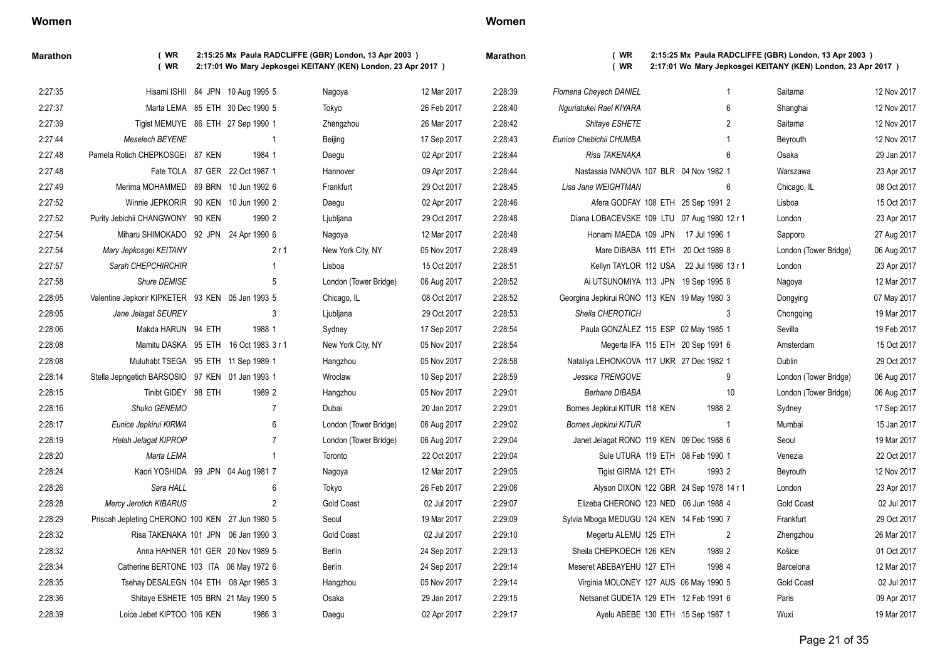| Women |  |  |
|-------|--|--|
|-------|--|--|

| Maratho |  |
|---------|--|

**Marathon ( WR 2:15:25 Mx Paula RADCLIFFE (GBR) London, 13 Apr 2003 ) ( WR 2:17:01 Wo Mary Jepkosgei KEITANY (KEN) London, 23 Apr 2017 )**

| 2:28:39 | Flomena Cheyech DANIEL                       |               | 1  | Saitama               | 12 Nov 2017 |
|---------|----------------------------------------------|---------------|----|-----------------------|-------------|
| 2:28:40 | Nguriatukei Rael KIYARA                      |               | 6  | Shanghai              | 12 Nov 2017 |
| 2:28:42 | Shitaye ESHETE                               |               | 2  | Saitama               | 12 Nov 2017 |
| 2:28:43 | Eunice Chebichii CHUMBA                      |               | 1  | Beyrouth              | 12 Nov 2017 |
| 2:28:44 | Risa TAKENAKA                                |               | 6  | Osaka                 | 29 Jan 2017 |
| 2:28:44 | Nastassia IVANOVA 107 BLR 04 Nov 1982 1      |               |    | Warszawa              | 23 Apr 2017 |
| 2:28:45 | Lisa Jane WEIGHTMAN                          |               | 6  | Chicago, IL           | 08 Oct 2017 |
| 2:28:46 | Afera GODFAY 108 ETH 25 Sep 1991 2           |               |    | Lisboa                | 15 Oct 2017 |
| 2:28:48 | Diana LOBACEVSKE 109 LTU 07 Aug 1980 12 r 1  |               |    | London                | 23 Apr 2017 |
| 2:28:48 | Honami MAEDA 109 JPN                         | 17 Jul 1996 1 |    | Sapporo               | 27 Aug 2017 |
| 2:28:49 | Mare DIBABA 111 ETH 20 Oct 1989 8            |               |    | London (Tower Bridge) | 06 Aug 2017 |
| 2:28:51 | Kellyn TAYLOR 112 USA 22 Jul 1986 13 r 1     |               |    | London                | 23 Apr 2017 |
| 2:28:52 | Ai UTSUNOMIYA 113 JPN 19 Sep 1995 8          |               |    | Nagoya                | 12 Mar 2017 |
| 2:28:52 | Georgina Jepkirui RONO 113 KEN 19 May 1980 3 |               |    | Dongying              | 07 May 2017 |
| 2:28:53 | Sheila CHEROTICH                             |               | 3  | Chongging             | 19 Mar 2017 |
| 2:28:54 | Paula GONZÁLEZ 115 ESP 02 May 1985 1         |               |    | Sevilla               | 19 Feb 2017 |
| 2:28:54 | Megerta IFA 115 ETH 20 Sep 1991 6            |               |    | Amsterdam             | 15 Oct 2017 |
| 2:28:58 | Nataliya LEHONKOVA 117 UKR 27 Dec 1982 1     |               |    | Dublin                | 29 Oct 2017 |
| 2:28:59 | Jessica TRENGOVE                             |               | 9  | London (Tower Bridge) | 06 Aug 2017 |
| 2:29:01 | <b>Berhane DIBABA</b>                        |               | 10 | London (Tower Bridge) | 06 Aug 2017 |
| 2:29:01 | Bornes Jepkirui KITUR 118 KEN                | 1988 2        |    | Sydney                | 17 Sep 2017 |
| 2:29:02 | <b>Bornes Jepkirui KITUR</b>                 |               | 1  | Mumbai                | 15 Jan 2017 |
| 2:29:04 | Janet Jelagat RONO 119 KEN 09 Dec 1988 6     |               |    | Seoul                 | 19 Mar 2017 |
| 2:29:04 | Sule UTURA 119 ETH 08 Feb 1990 1             |               |    | Venezia               | 22 Oct 2017 |
| 2:29:05 | Tigist GIRMA 121 ETH                         | 1993 2        |    | Beyrouth              | 12 Nov 2017 |
| 2:29:06 | Alyson DIXON 122 GBR 24 Sep 1978 14 r 1      |               |    | London                | 23 Apr 2017 |
| 2:29:07 | Elizeba CHERONO 123 NED 06 Jun 1988 4        |               |    | <b>Gold Coast</b>     | 02 Jul 2017 |
| 2:29:09 | Sylvia Mboga MEDUGU 124 KEN 14 Feb 1990 7    |               |    | Frankfurt             | 29 Oct 2017 |
| 2:29:10 | Megertu ALEMU 125 ETH                        |               | 2  | Zhengzhou             | 26 Mar 2017 |
| 2:29:13 | Sheila CHEPKOECH 126 KEN                     | 1989 2        |    | Košice                | 01 Oct 2017 |
| 2:29:14 | Meseret ABEBAYEHU 127 ETH                    | 1998 4        |    | Barcelona             | 12 Mar 2017 |
| 2:29:14 | Virginia MOLONEY 127 AUS 06 May 1990 5       |               |    | <b>Gold Coast</b>     | 02 Jul 2017 |
| 2:29:15 | Netsanet GUDETA 129 ETH 12 Feb 1991 6        |               |    | Paris                 | 09 Apr 2017 |
| 2:29:17 | Ayelu ABEBE 130 ETH 15 Sep 1987 1            |               |    | Wuxi                  | 19 Mar 2017 |

| 2:27:35 |                                                  | Hisami ISHII 84 JPN 10 Aug 1995 5 |                | Nagoya                | 12 Mar 2017 | 2:28 |
|---------|--------------------------------------------------|-----------------------------------|----------------|-----------------------|-------------|------|
| 2:27:37 |                                                  | Marta LEMA 85 ETH 30 Dec 1990 5   |                | Tokyo                 | 26 Feb 2017 | 2:28 |
| 2:27:39 | Tigist MEMUYE 86 ETH 27 Sep 1990 1               |                                   |                | Zhengzhou             | 26 Mar 2017 | 2:28 |
| 2:27:44 | <b>Meselech BEYENE</b>                           |                                   | 1              | Beijing               | 17 Sep 2017 | 2:28 |
| 2.27:48 | Pamela Rotich CHEPKOSGEI 87 KEN                  | 1984 1                            |                | Daegu                 | 02 Apr 2017 | 2:28 |
| 2:27:48 |                                                  | Fate TOLA 87 GER 22 Oct 1987 1    |                | Hannover              | 09 Apr 2017 | 2:28 |
| 2:27:49 | Merima MOHAMMED 89 BRN                           | 10 Jun 1992 6                     |                | Frankfurt             | 29 Oct 2017 | 2:28 |
| 2:27:52 | Winnie JEPKORIR 90 KEN                           | 10 Jun 1990 2                     |                | Daegu                 | 02 Apr 2017 | 2:28 |
| 2:27:52 | Purity Jebichii CHANGWONY 90 KEN                 | 1990 2                            |                | Ljubljana             | 29 Oct 2017 | 2:28 |
| 2:27:54 | Miharu SHIMOKADO 92 JPN                          | 24 Apr 1990 6                     |                | Nagoya                | 12 Mar 2017 | 2:28 |
| 2:27:54 | Mary Jepkosgei KEITANY                           |                                   | 2r1            | New York City, NY     | 05 Nov 2017 | 2:28 |
| 2:27:57 | Sarah CHEPCHIRCHIR                               |                                   | 1              | Lisboa                | 15 Oct 2017 | 2:28 |
| 2:27:58 | Shure DEMISE                                     |                                   | 5              | London (Tower Bridge) | 06 Aug 2017 | 2:28 |
| 2:28:05 | Valentine Jepkorir KIPKETER 93 KEN 05 Jan 1993 5 |                                   |                | Chicago, IL           | 08 Oct 2017 | 2:28 |
| 2:28:05 | Jane Jelagat SEUREY                              |                                   | 3              | Ljubljana             | 29 Oct 2017 | 2:28 |
| 2:28:06 | Makda HARUN 94 ETH                               | 1988 1                            |                | Sydney                | 17 Sep 2017 | 2:28 |
| 2:28:08 | Mamitu DASKA 95 ETH                              | 16 Oct 1983 3 r 1                 |                | New York City, NY     | 05 Nov 2017 | 2:28 |
| 2:28:08 | Muluhabt TSEGA 95 ETH                            | 11 Sep 1989 1                     |                | Hangzhou              | 05 Nov 2017 | 2:28 |
| 2:28:14 | Stella Jepngetich BARSOSIO 97 KEN 01 Jan 1993 1  |                                   |                | Wroclaw               | 10 Sep 2017 | 2:28 |
| 2:28:15 | Tinibt GIDEY 98 ETH                              | 1989 2                            |                | Hangzhou              | 05 Nov 2017 | 2:29 |
| 2:28:16 | Shuko GENEMO                                     |                                   | $\overline{7}$ | Dubai                 | 20 Jan 2017 | 2:29 |
| 2:28:17 | Eunice Jepkirui KIRWA                            |                                   | 6              | London (Tower Bridge) | 06 Aug 2017 | 2:29 |
| 2:28:19 | <b>Helah Jelagat KIPROP</b>                      |                                   | $\overline{7}$ | London (Tower Bridge) | 06 Aug 2017 | 2:29 |
| 2:28:20 | Marta LEMA                                       |                                   | $\mathbf{1}$   | Toronto               | 22 Oct 2017 | 2:29 |
| 2:28:24 | Kaori YOSHIDA 99 JPN 04 Aug 1981 7               |                                   |                | Nagoya                | 12 Mar 2017 | 2:29 |
| 2:28:26 | Sara HALL                                        |                                   | 6              | Tokyo                 | 26 Feb 2017 | 2:29 |
| 2:28:28 | <b>Mercy Jerotich KIBARUS</b>                    |                                   | $\overline{2}$ | <b>Gold Coast</b>     | 02 Jul 2017 | 2:29 |
| 2:28:29 | Priscah Jepleting CHERONO 100 KEN 27 Jun 1980 5  |                                   |                | Seoul                 | 19 Mar 2017 | 2:29 |
| 2:28:32 | Risa TAKENAKA 101 JPN                            | 06 Jan 1990 3                     |                | <b>Gold Coast</b>     | 02 Jul 2017 | 2:29 |
| 2.28.32 | Anna HAHNER 101 GER 20 Nov 1989 5                |                                   |                | <b>Berlin</b>         | 24 Sep 2017 | 2:29 |
| 2:28:34 | Catherine BERTONE 103 ITA 06 May 1972 6          |                                   |                | Berlin                | 24 Sep 2017 | 2:29 |
| 2:28:35 | Tsehay DESALEGN 104 ETH 08 Apr 1985 3            |                                   |                | Hangzhou              | 05 Nov 2017 | 2:29 |
| 2:28:36 | Shitaye ESHETE 105 BRN 21 May 1990 5             |                                   |                | Osaka                 | 29 Jan 2017 | 2:29 |
| 2:28:39 | Loice Jebet KIPTOO 106 KEN                       | 1986 3                            |                | Daegu                 | 02 Apr 2017 | 2:29 |
|         |                                                  |                                   |                |                       |             |      |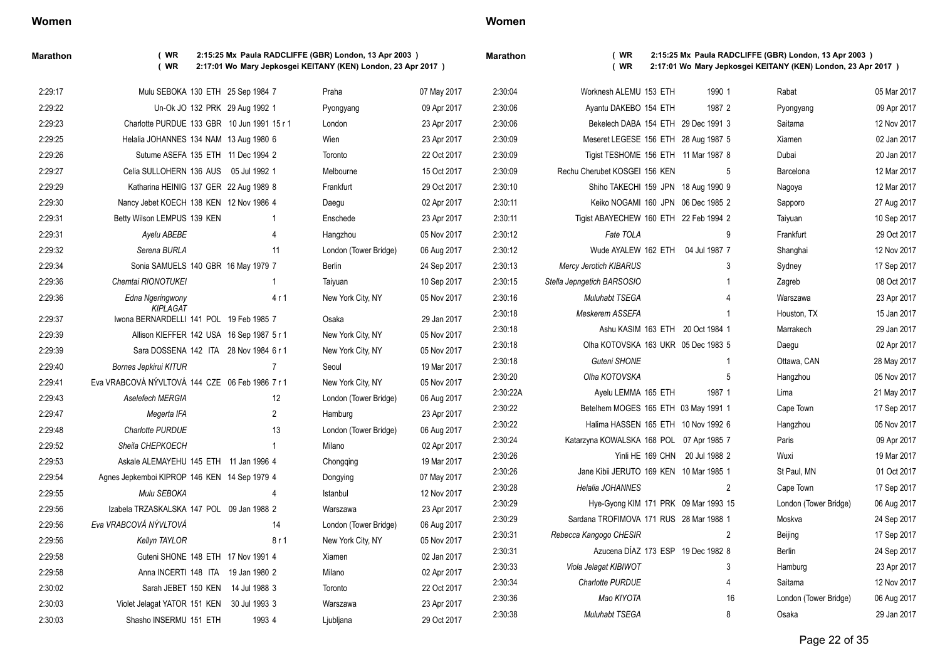| Women |  |
|-------|--|
|-------|--|

**Marathon ( WR 2:15:25 Mx Paula RADCLIFFE (GBR) London, 13 Apr 2003 ) ( WR 2:17:01 Wo Mary Jepkosgei KEITANY (KEN) London, 23 Apr 2017 )**

| <b>Marathon</b> |  |
|-----------------|--|

| 2:29:17 | Mulu SEBOKA 130 ETH 25 Sep 1984 7                          |                | Praha                 | 07 May 2017 | 2:30:04  | Worknesh ALEMU 153 ETH                   | 1990 1         | Rabat                 | 05 Mar 2017 |
|---------|------------------------------------------------------------|----------------|-----------------------|-------------|----------|------------------------------------------|----------------|-----------------------|-------------|
| 2:29:22 | Un-Ok JO 132 PRK 29 Aug 1992 1                             |                | Pyongyang             | 09 Apr 2017 | 2:30:06  | Ayantu DAKEBO 154 ETH                    | 1987 2         | Pyongyang             | 09 Apr 2017 |
| 2:29:23 | Charlotte PURDUE 133 GBR 10 Jun 1991 15 r 1                |                | London                | 23 Apr 2017 | 2:30:06  | Bekelech DABA 154 ETH 29 Dec 1991 3      |                | Saitama               | 12 Nov 2017 |
| 2:29:25 | Helalia JOHANNES 134 NAM 13 Aug 1980 6                     |                | Wien                  | 23 Apr 2017 | 2:30:09  | Meseret LEGESE 156 ETH 28 Aug 1987 5     |                | Xiamen                | 02 Jan 2017 |
| 2:29:26 | Sutume ASEFA 135 ETH 11 Dec 1994 2                         |                | Toronto               | 22 Oct 2017 | 2:30:09  | Tigist TESHOME 156 ETH 11 Mar 1987 8     |                | Dubai                 | 20 Jan 2017 |
| 2:29:27 | Celia SULLOHERN 136 AUS 05 Jul 1992 1                      |                | Melbourne             | 15 Oct 2017 | 2:30:09  | Rechu Cherubet KOSGEI 156 KEN            | 5              | Barcelona             | 12 Mar 2017 |
| 2:29:29 | Katharina HEINIG 137 GER 22 Aug 1989 8                     |                | Frankfurt             | 29 Oct 2017 | 2:30:10  | Shiho TAKECHI 159 JPN 18 Aug 1990 9      |                | Nagoya                | 12 Mar 2017 |
| 2:29:30 | Nancy Jebet KOECH 138 KEN 12 Nov 1986 4                    |                | Daegu                 | 02 Apr 2017 | 2:30:11  | Keiko NOGAMI 160 JPN 06 Dec 1985 2       |                | Sapporo               | 27 Aug 2017 |
| 2:29:31 | Betty Wilson LEMPUS 139 KEN                                | -1             | Enschede              | 23 Apr 2017 | 2:30:11  | Tigist ABAYECHEW 160 ETH 22 Feb 1994 2   |                | Taiyuan               | 10 Sep 2017 |
| 2:29:31 | Ayelu ABEBE                                                | 4              | Hangzhou              | 05 Nov 2017 | 2:30:12  | Fate TOLA                                | 9              | Frankfurt             | 29 Oct 2017 |
| 2:29:32 | Serena BURLA                                               | 11             | London (Tower Bridge) | 06 Aug 2017 | 2:30:12  | Wude AYALEW 162 ETH 04 Jul 1987 7        |                | Shanghai              | 12 Nov 2017 |
| 2:29:34 | Sonia SAMUELS 140 GBR 16 May 1979 7                        |                | <b>Berlin</b>         | 24 Sep 2017 | 2:30:13  | <b>Mercy Jerotich KIBARUS</b>            | 3              | Sydney                | 17 Sep 2017 |
| 2:29:36 | Chemtai RIONOTUKEI                                         | 1              | Taiyuan               | 10 Sep 2017 | 2:30:15  | Stella Jepngetich BARSOSIO               |                | Zagreb                | 08 Oct 2017 |
| 2:29:36 | Edna Ngeringwony                                           | 4 r 1          | New York City, NY     | 05 Nov 2017 | 2:30:16  | Muluhabt TSEGA                           |                | Warszawa              | 23 Apr 2017 |
| 2:29:37 | <b>KIPLAGAT</b><br>Iwona BERNARDELLI 141 POL 19 Feb 1985 7 |                | Osaka                 | 29 Jan 2017 | 2:30:18  | Meskerem ASSEFA                          |                | Houston, TX           | 15 Jan 2017 |
| 2:29:39 | Allison KIEFFER 142 USA 16 Sep 1987 5 r 1                  |                | New York City, NY     | 05 Nov 2017 | 2:30:18  | Ashu KASIM 163 ETH 20 Oct 1984 1         |                | Marrakech             | 29 Jan 2017 |
| 2:29:39 | Sara DOSSENA 142 ITA 28 Nov 1984 6 r 1                     |                | New York City, NY     | 05 Nov 2017 | 2:30:18  | Olha KOTOVSKA 163 UKR 05 Dec 1983 5      |                | Daegu                 | 02 Apr 2017 |
| 2:29:40 | <b>Bornes Jepkirui KITUR</b>                               | $\overline{7}$ | Seoul                 | 19 Mar 2017 | 2:30:18  | Guteni SHONE                             | $\overline{1}$ | Ottawa, CAN           | 28 May 2017 |
| 2:29:41 | Eva VRABCOVÁ NÝVLTOVÁ 144 CZE 06 Feb 1986 7 r 1            |                | New York City, NY     | 05 Nov 2017 | 2:30:20  | Olha KOTOVSKA                            | 5              | Hangzhou              | 05 Nov 2017 |
| 2:29:43 | Aselefech MERGIA                                           | 12             | London (Tower Bridge) | 06 Aug 2017 | 2:30:22A | Ayelu LEMMA 165 ETH                      | 1987 1         | Lima                  | 21 May 2017 |
| 2:29:47 | Megerta IFA                                                | $\overline{2}$ | Hamburg               | 23 Apr 2017 | 2:30:22  | Betelhem MOGES 165 ETH 03 May 1991 1     |                | Cape Town             | 17 Sep 2017 |
| 2:29:48 | Charlotte PURDUE                                           | 13             | London (Tower Bridge) | 06 Aug 2017 | 2:30:22  | Halima HASSEN 165 ETH 10 Nov 1992 6      |                | Hangzhou              | 05 Nov 2017 |
| 2:29:52 | Sheila CHEPKOECH                                           | $\mathbf 1$    | Milano                | 02 Apr 2017 | 2:30:24  | Katarzyna KOWALSKA 168 POL 07 Apr 1985 7 |                | Paris                 | 09 Apr 2017 |
| 2:29:53 | Askale ALEMAYEHU 145 ETH 11 Jan 1996 4                     |                | Chongqing             | 19 Mar 2017 | 2:30:26  | Yinli HE 169 CHN 20 Jul 1988 2           |                | Wuxi                  | 19 Mar 2017 |
| 2:29:54 | Agnes Jepkemboi KIPROP 146 KEN 14 Sep 1979 4               |                | Dongying              | 07 May 2017 | 2:30:26  | Jane Kibii JERUTO 169 KEN 10 Mar 1985 1  |                | St Paul, MN           | 01 Oct 2017 |
| 2:29:55 | Mulu SEBOKA                                                | 4              | Istanbul              | 12 Nov 2017 | 2:30:28  | Helalia JOHANNES                         | 2              | Cape Town             | 17 Sep 2017 |
| 2:29:56 | Izabela TRZASKALSKA 147 POL 09 Jan 1988 2                  |                | Warszawa              | 23 Apr 2017 | 2:30:29  | Hye-Gyong KIM 171 PRK 09 Mar 1993 15     |                | London (Tower Bridge) | 06 Aug 2017 |
| 2:29:56 | Eva VRABCOVÁ NÝVLTOVÁ                                      | 14             | London (Tower Bridge) | 06 Aug 2017 | 2:30:29  | Sardana TROFIMOVA 171 RUS 28 Mar 1988 1  |                | Moskva                | 24 Sep 2017 |
| 2:29:56 | Kellyn TAYLOR                                              | 8r1            | New York City, NY     | 05 Nov 2017 | 2:30:31  | Rebecca Kangogo CHESIR                   | 2              | Beijing               | 17 Sep 2017 |
| 2:29:58 | Guteni SHONE 148 ETH 17 Nov 1991 4                         |                | Xiamen                | 02 Jan 2017 | 2:30:31  | Azucena DÍAZ 173 ESP 19 Dec 1982 8       |                | Berlin                | 24 Sep 2017 |
| 2:29:58 | Anna INCERTI 148 ITA 19 Jan 1980 2                         |                | Milano                | 02 Apr 2017 | 2:30:33  | Viola Jelagat KIBIWOT                    | 3              | Hamburg               | 23 Apr 2017 |
| 2:30:02 | Sarah JEBET 150 KEN 14 Jul 1988 3                          |                | Toronto               | 22 Oct 2017 | 2:30:34  | Charlotte PURDUE                         |                | Saitama               | 12 Nov 2017 |
| 2:30:03 | Violet Jelagat YATOR 151 KEN 30 Jul 1993 3                 |                | Warszawa              | 23 Apr 2017 | 2:30:36  | Mao KIYOTA                               | 16             | London (Tower Bridge) | 06 Aug 2017 |
| 2:30:03 | Shasho INSERMU 151 ETH                                     | 1993 4         | Ljubljana             | 29 Oct 2017 | 2:30:38  | Muluhabt TSEGA                           | 8              | Osaka                 | 29 Jan 2017 |
|         |                                                            |                |                       |             |          |                                          |                |                       |             |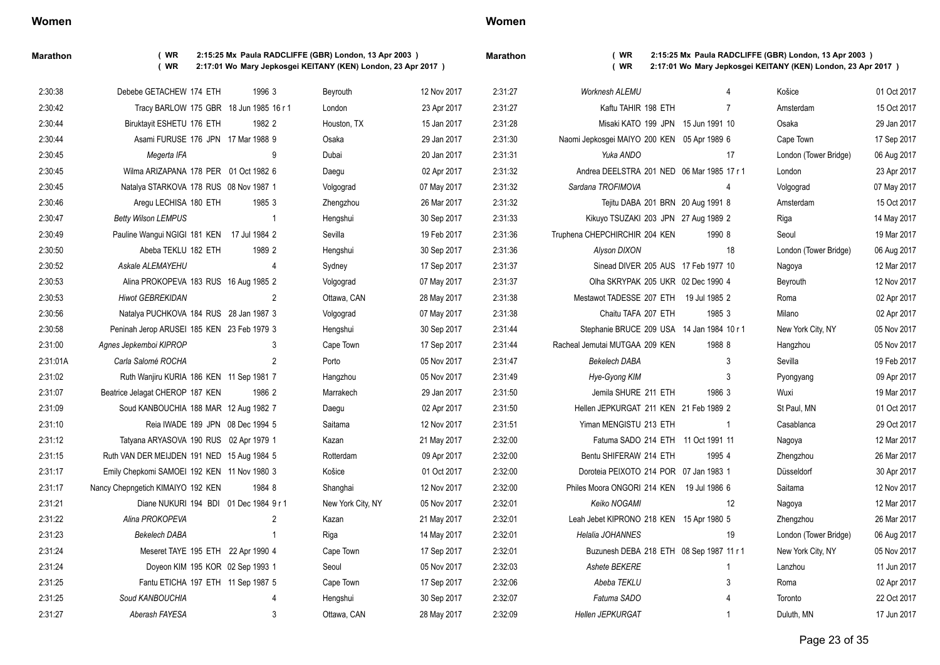**Marathon ( WR 2:15:25 Mx Paula RADCLIFFE (GBR) London, 13 Apr 2003 ) ( WR 2:17:01 Wo Mary Jepkosgei KEITANY (KEN) London, 23 Apr 2017 )**

| larathon |  |  |
|----------|--|--|
|          |  |  |

| 2:30:38  | Debebe GETACHEW 174 ETH                     | 1996 3         | Beyrouth          | 12 Nov 2017 | 2:31:27 | <b>Worknesh ALEMU</b>                       |                | Košice                | 01 Oct 2017 |
|----------|---------------------------------------------|----------------|-------------------|-------------|---------|---------------------------------------------|----------------|-----------------------|-------------|
| 2:30:42  | Tracy BARLOW 175 GBR 18 Jun 1985 16 r 1     |                | London            | 23 Apr 2017 | 2:31:27 | Kaftu TAHIR 198 ETH                         | $\overline{7}$ | Amsterdam             | 15 Oct 2017 |
| 2:30:44  | Biruktayit ESHETU 176 ETH                   | 1982 2         | Houston, TX       | 15 Jan 2017 | 2:31:28 | Misaki KATO 199 JPN 15 Jun 1991 10          |                | Osaka                 | 29 Jan 2017 |
| 2:30:44  | Asami FURUSE 176 JPN 17 Mar 1988 9          |                | Osaka             | 29 Jan 2017 | 2:31:30 | Naomi Jepkosgei MAIYO 200 KEN 05 Apr 1989 6 |                | Cape Town             | 17 Sep 2017 |
| 2:30:45  | Megerta IFA                                 | 9              | Dubai             | 20 Jan 2017 | 2:31:31 | Yuka ANDO                                   | 17             | London (Tower Bridge) | 06 Aug 2017 |
| 2:30:45  | Wilma ARIZAPANA 178 PER 01 Oct 1982 6       |                | Daegu             | 02 Apr 2017 | 2:31:32 | Andrea DEELSTRA 201 NED 06 Mar 1985 17 r 1  |                | London                | 23 Apr 2017 |
| 2:30:45  | Natalya STARKOVA 178 RUS 08 Nov 1987 1      |                | Volgograd         | 07 May 2017 | 2:31:32 | Sardana TROFIMOVA                           | 4              | Volgograd             | 07 May 2017 |
| 2:30:46  | Aregu LECHISA 180 ETH                       | 1985 3         | Zhengzhou         | 26 Mar 2017 | 2:31:32 | Tejitu DABA 201 BRN 20 Aug 1991 8           |                | Amsterdam             | 15 Oct 2017 |
| 2:30:47  | <b>Betty Wilson LEMPUS</b>                  | $\overline{1}$ | Hengshui          | 30 Sep 2017 | 2:31:33 | Kikuyo TSUZAKI 203 JPN 27 Aug 1989 2        |                | Riga                  | 14 May 2017 |
| 2:30:49  | Pauline Wangui NGIGI 181 KEN 17 Jul 1984 2  |                | Sevilla           | 19 Feb 2017 | 2:31:36 | Truphena CHEPCHIRCHIR 204 KEN               | 1990 8         | Seoul                 | 19 Mar 2017 |
| 2:30:50  | Abeba TEKLU 182 ETH                         | 1989 2         | Hengshui          | 30 Sep 2017 | 2:31:36 | Alyson DIXON                                | 18             | London (Tower Bridge) | 06 Aug 2017 |
| 2:30:52  | <b>Askale ALEMAYEHU</b>                     | 4              | Sydney            | 17 Sep 2017 | 2:31:37 | Sinead DIVER 205 AUS 17 Feb 1977 10         |                | Nagoya                | 12 Mar 2017 |
| 2:30:53  | Alina PROKOPEVA 183 RUS 16 Aug 1985 2       |                | Volgograd         | 07 May 2017 | 2:31:37 | Olha SKRYPAK 205 UKR 02 Dec 1990 4          |                | Beyrouth              | 12 Nov 2017 |
| 2:30:53  | <b>Hiwot GEBREKIDAN</b>                     | $\overline{2}$ | Ottawa, CAN       | 28 May 2017 | 2:31:38 | Mestawot TADESSE 207 ETH 19 Jul 1985 2      |                | Roma                  | 02 Apr 2017 |
| 2:30:56  | Natalya PUCHKOVA 184 RUS 28 Jan 1987 3      |                | Volgograd         | 07 May 2017 | 2:31:38 | Chaitu TAFA 207 ETH                         | 1985 3         | Milano                | 02 Apr 2017 |
| 2:30:58  | Peninah Jerop ARUSEI 185 KEN 23 Feb 1979 3  |                | Hengshui          | 30 Sep 2017 | 2:31:44 | Stephanie BRUCE 209 USA 14 Jan 1984 10 r 1  |                | New York City, NY     | 05 Nov 2017 |
| 2:31:00  | Agnes Jepkemboi KIPROP                      | 3              | Cape Town         | 17 Sep 2017 | 2.31.44 | Racheal Jemutai MUTGAA 209 KEN              | 1988 8         | Hangzhou              | 05 Nov 2017 |
| 2:31:01A | Carla Salomé ROCHA                          | 2              | Porto             | 05 Nov 2017 | 2:31:47 | Bekelech DABA                               | 3              | Sevilla               | 19 Feb 2017 |
| 2:31:02  | Ruth Wanjiru KURIA 186 KEN 11 Sep 1981 7    |                | Hangzhou          | 05 Nov 2017 | 2:31:49 | Hye-Gyong KIM                               | 3              | Pyongyang             | 09 Apr 2017 |
| 2:31:07  | Beatrice Jelagat CHEROP 187 KEN             | 1986 2         | Marrakech         | 29 Jan 2017 | 2:31:50 | Jemila SHURE 211 ETH                        | 1986 3         | Wuxi                  | 19 Mar 2017 |
| 2:31:09  | Soud KANBOUCHIA 188 MAR 12 Aug 1982 7       |                | Daegu             | 02 Apr 2017 | 2:31:50 | Hellen JEPKURGAT 211 KEN 21 Feb 1989 2      |                | St Paul, MN           | 01 Oct 2017 |
| 2:31:10  | Reia IWADE 189 JPN 08 Dec 1994 5            |                | Saitama           | 12 Nov 2017 | 2:31:51 | Yiman MENGISTU 213 ETH                      |                | Casablanca            | 29 Oct 2017 |
| 2:31:12  | Tatyana ARYASOVA 190 RUS 02 Apr 1979 1      |                | Kazan             | 21 May 2017 | 2:32:00 | Fatuma SADO 214 ETH 11 Oct 1991 11          |                | Nagoya                | 12 Mar 2017 |
| 2:31:15  | Ruth VAN DER MEIJDEN 191 NED 15 Aug 1984 5  |                | Rotterdam         | 09 Apr 2017 | 2:32:00 | Bentu SHIFERAW 214 ETH                      | 1995 4         | Zhengzhou             | 26 Mar 2017 |
| 2:31:17  | Emily Chepkomi SAMOEI 192 KEN 11 Nov 1980 3 |                | Košice            | 01 Oct 2017 | 2:32:00 | Doroteia PEIXOTO 214 POR 07 Jan 1983 1      |                | Düsseldorf            | 30 Apr 2017 |
| 2:31:17  | Nancy Chepngetich KIMAIYO 192 KEN           | 1984 8         | Shanghai          | 12 Nov 2017 | 2:32:00 | Philes Moora ONGORI 214 KEN 19 Jul 1986 6   |                | Saitama               | 12 Nov 2017 |
| 2:31:21  | Diane NUKURI 194 BDI 01 Dec 1984 9 r 1      |                | New York City, NY | 05 Nov 2017 | 2:32:01 | Keiko NOGAMI                                | 12             | Nagoya                | 12 Mar 2017 |
| 2:31:22  | Alina PROKOPEVA                             | $\overline{2}$ | Kazan             | 21 May 2017 | 2:32:01 | Leah Jebet KIPRONO 218 KEN 15 Apr 1980 5    |                | Zhengzhou             | 26 Mar 2017 |
| 2:31:23  | <b>Bekelech DABA</b>                        | $\overline{1}$ | Riga              | 14 May 2017 | 2:32:01 | Helalia JOHANNES                            | 19             | London (Tower Bridge) | 06 Aug 2017 |
| 2:31:24  | Meseret TAYE 195 ETH 22 Apr 1990 4          |                | Cape Town         | 17 Sep 2017 | 2:32:01 | Buzunesh DEBA 218 ETH 08 Sep 1987 11 r 1    |                | New York City, NY     | 05 Nov 2017 |
| 2:31:24  | Doyeon KIM 195 KOR 02 Sep 1993 1            |                | Seoul             | 05 Nov 2017 | 2:32:03 | Ashete BEKERE                               |                | Lanzhou               | 11 Jun 2017 |
| 2:31:25  | Fantu ETICHA 197 ETH 11 Sep 1987 5          |                | Cape Town         | 17 Sep 2017 | 2:32:06 | Abeba TEKLU                                 | 3              | Roma                  | 02 Apr 2017 |
| 2:31:25  | Soud KANBOUCHIA                             | 4              | Hengshui          | 30 Sep 2017 | 2:32:07 | Fatuma SADO                                 |                | Toronto               | 22 Oct 2017 |
| 2:31:27  | Aberash FAYESA                              | 3              | Ottawa, CAN       | 28 May 2017 | 2:32:09 | <b>Hellen JEPKURGAT</b>                     |                | Duluth, MN            | 17 Jun 2017 |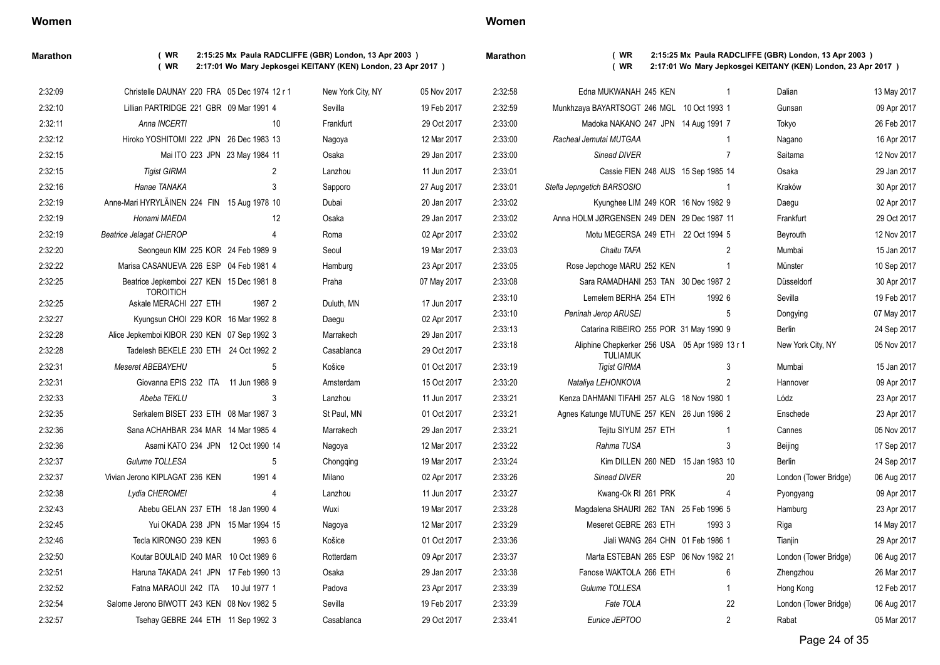### **Marathon ( WR 2:15:25 Mx Paula RADCLIFFE (GBR) London, 13 Apr 2003 ) ( WR 2:17:01 Wo Mary Jepkosgei KEITANY (KEN) London, 23 Apr 2017 )**

|          | Marathon |  |
|----------|----------|--|
| $2017$ ) |          |  |

| 2:32:09 | Christelle DAUNAY 220 FRA 05 Dec 1974 12 r 1 |                | New York City, NY | 05 Nov 2017 | 2:32:58 | Edna MUKWANAH 245 KEN                                             | $\overline{1}$ | Dalian                | 13 May 2017 |
|---------|----------------------------------------------|----------------|-------------------|-------------|---------|-------------------------------------------------------------------|----------------|-----------------------|-------------|
| 2:32:10 | Lillian PARTRIDGE 221 GBR 09 Mar 1991 4      |                | Sevilla           | 19 Feb 2017 | 2:32:59 | Munkhzaya BAYARTSOGT 246 MGL 10 Oct 1993 1                        |                | Gunsan                | 09 Apr 2017 |
| 2:32:11 | Anna INCERTI                                 | 10             | Frankfurt         | 29 Oct 2017 | 2:33:00 | Madoka NAKANO 247 JPN 14 Aug 1991 7                               |                | Tokyo                 | 26 Feb 2017 |
| 2:32:12 | Hiroko YOSHITOMI 222 JPN 26 Dec 1983 13      |                | Nagoya            | 12 Mar 2017 | 2:33:00 | Racheal Jemutai MUTGAA                                            |                | Nagano                | 16 Apr 2017 |
| 2:32:15 | Mai ITO 223 JPN 23 May 1984 11               |                | Osaka             | 29 Jan 2017 | 2:33:00 | Sinead DIVER                                                      | 7              | Saitama               | 12 Nov 2017 |
| 2:32:15 | <b>Tigist GIRMA</b>                          | $\overline{2}$ | Lanzhou           | 11 Jun 2017 | 2:33:01 | Cassie FIEN 248 AUS 15 Sep 1985 14                                |                | Osaka                 | 29 Jan 2017 |
| 2:32:16 | Hanae TANAKA                                 | 3              | Sapporo           | 27 Aug 2017 | 2:33:01 | Stella Jepngetich BARSOSIO                                        | $\overline{1}$ | Kraków                | 30 Apr 2017 |
| 2:32:19 | Anne-Mari HYRYLÄINEN 224 FIN 15 Aug 1978 10  |                | Dubai             | 20 Jan 2017 | 2:33:02 | Kyunghee LIM 249 KOR 16 Nov 1982 9                                |                | Daegu                 | 02 Apr 2017 |
| 2:32:19 | Honami MAEDA                                 | 12             | Osaka             | 29 Jan 2017 | 2:33:02 | Anna HOLM JØRGENSEN 249 DEN 29 Dec 1987 11                        |                | Frankfurt             | 29 Oct 2017 |
| 2:32:19 | <b>Beatrice Jelagat CHEROP</b>               | $\overline{4}$ | Roma              | 02 Apr 2017 | 2:33:02 | Motu MEGERSA 249 ETH 22 Oct 1994 5                                |                | Beyrouth              | 12 Nov 2017 |
| 2:32:20 | Seongeun KIM 225 KOR 24 Feb 1989 9           |                | Seoul             | 19 Mar 2017 | 2:33:03 | Chaitu TAFA                                                       | $\overline{2}$ | Mumbai                | 15 Jan 2017 |
| 2:32:22 | Marisa CASANUEVA 226 ESP 04 Feb 1981 4       |                | Hamburg           | 23 Apr 2017 | 2:33:05 | Rose Jepchoge MARU 252 KEN                                        | -1             | Münster               | 10 Sep 2017 |
| 2:32:25 | Beatrice Jepkemboi 227 KEN 15 Dec 1981 8     |                | Praha             | 07 May 2017 | 2:33:08 | Sara RAMADHANI 253 TAN 30 Dec 1987 2                              |                | Düsseldorf            | 30 Apr 2017 |
| 2:32:25 | <b>TOROITICH</b><br>Askale MERACHI 227 ETH   | 1987 2         | Duluth, MN        | 17 Jun 2017 | 2:33:10 | Lemelem BERHA 254 ETH                                             | 1992 6         | Sevilla               | 19 Feb 2017 |
| 2:32:27 | Kyungsun CHOI 229 KOR 16 Mar 1992 8          |                | Daegu             | 02 Apr 2017 | 2:33:10 | Peninah Jerop ARUSEI                                              | $\overline{5}$ | Dongying              | 07 May 2017 |
| 2:32:28 | Alice Jepkemboi KIBOR 230 KEN 07 Sep 1992 3  |                | Marrakech         | 29 Jan 2017 | 2:33:13 | Catarina RIBEIRO 255 POR 31 May 1990 9                            |                | Berlin                | 24 Sep 2017 |
| 2:32:28 | Tadelesh BEKELE 230 ETH 24 Oct 1992 2        |                | Casablanca        | 29 Oct 2017 | 2:33:18 | Aliphine Chepkerker 256 USA 05 Apr 1989 13 r 1<br><b>TULIAMUK</b> |                | New York City, NY     | 05 Nov 2017 |
| 2:32:31 | <b>Meseret ABEBAYEHU</b>                     | 5              | Košice            | 01 Oct 2017 | 2:33:19 | <b>Tigist GIRMA</b>                                               | 3              | Mumbai                | 15 Jan 2017 |
| 2:32:31 | Giovanna EPIS 232 ITA 11 Jun 1988 9          |                | Amsterdam         | 15 Oct 2017 | 2:33:20 | Nataliya LEHONKOVA                                                | 2              | Hannover              | 09 Apr 2017 |
| 2:32:33 | Abeba TEKLU                                  | 3              | Lanzhou           | 11 Jun 2017 | 2:33:21 | Kenza DAHMANI TIFAHI 257 ALG 18 Nov 1980 1                        |                | Lódz                  | 23 Apr 2017 |
| 2:32:35 | Serkalem BISET 233 ETH 08 Mar 1987 3         |                | St Paul, MN       | 01 Oct 2017 | 2:33:21 | Agnes Katunge MUTUNE 257 KEN 26 Jun 1986 2                        |                | Enschede              | 23 Apr 2017 |
| 2:32:36 | Sana ACHAHBAR 234 MAR 14 Mar 1985 4          |                | Marrakech         | 29 Jan 2017 | 2:33:21 | Tejitu SIYUM 257 ETH                                              |                | Cannes                | 05 Nov 2017 |
| 2:32:36 | Asami KATO 234 JPN 12 Oct 1990 14            |                | Nagoya            | 12 Mar 2017 | 2:33:22 | Rahma TUSA                                                        | 3              | Beijing               | 17 Sep 2017 |
| 2:32:37 | Gulume TOLLESA                               | 5              | Chongqing         | 19 Mar 2017 | 2:33:24 | Kim DILLEN 260 NED 15 Jan 1983 10                                 |                | <b>Berlin</b>         | 24 Sep 2017 |
| 2:32:37 | Vivian Jerono KIPLAGAT 236 KEN               | 1991 4         | Milano            | 02 Apr 2017 | 2:33:26 | Sinead DIVER                                                      | 20             | London (Tower Bridge) | 06 Aug 2017 |
| 2:32:38 | Lydia CHEROMEI                               | $\overline{4}$ | Lanzhou           | 11 Jun 2017 | 2:33:27 | Kwang-Ok RI 261 PRK                                               | 4              | Pyongyang             | 09 Apr 2017 |
| 2:32:43 | Abebu GELAN 237 ETH 18 Jan 1990 4            |                | Wuxi              | 19 Mar 2017 | 2:33:28 | Magdalena SHAURI 262 TAN 25 Feb 1996 5                            |                | Hamburg               | 23 Apr 2017 |
| 2:32:45 | Yui OKADA 238 JPN 15 Mar 1994 15             |                | Nagoya            | 12 Mar 2017 | 2:33:29 | Meseret GEBRE 263 ETH                                             | 1993 3         | Riga                  | 14 May 2017 |
| 2:32:46 | Tecla KIRONGO 239 KEN                        | 1993 6         | Košice            | 01 Oct 2017 | 2:33:36 | Jiali WANG 264 CHN 01 Feb 1986 1                                  |                | Tianjin               | 29 Apr 2017 |
| 2:32:50 | Koutar BOULAID 240 MAR 10 Oct 1989 6         |                | Rotterdam         | 09 Apr 2017 | 2:33:37 | Marta ESTEBAN 265 ESP 06 Nov 1982 21                              |                | London (Tower Bridge) | 06 Aug 2017 |
| 2:32:51 | Haruna TAKADA 241 JPN 17 Feb 1990 13         |                | Osaka             | 29 Jan 2017 | 2:33:38 | Fanose WAKTOLA 266 ETH                                            | 6              | Zhengzhou             | 26 Mar 2017 |
| 2:32:52 | Fatna MARAOUI 242 ITA 10 Jul 1977 1          |                | Padova            | 23 Apr 2017 | 2:33:39 | Gulume TOLLESA                                                    |                | Hong Kong             | 12 Feb 2017 |
| 2:32:54 | Salome Jerono BIWOTT 243 KEN 08 Nov 1982 5   |                | Sevilla           | 19 Feb 2017 | 2:33:39 | Fate TOLA                                                         | 22             | London (Tower Bridge) | 06 Aug 2017 |

2:32:57 Tsehay GEBRE 244 ETH 11 Sep 1992 3 Casablanca 29 Oct 2017

| 2:32:59 | Munkhzaya BAYARTSOGT 246 MGL 10 Oct 1993 1                        |        |                | Gunsan                | 09 Apr 2017 |
|---------|-------------------------------------------------------------------|--------|----------------|-----------------------|-------------|
| 2:33:00 | Madoka NAKANO 247 JPN 14 Aug 1991 7                               |        |                | Tokyo                 | 26 Feb 2017 |
| 2:33:00 | Racheal Jemutai MUTGAA                                            |        | 1              | Nagano                | 16 Apr 2017 |
| 2:33:00 | Sinead DIVER                                                      |        | $\overline{7}$ | Saitama               | 12 Nov 2017 |
| 2:33:01 | Cassie FIEN 248 AUS 15 Sep 1985 14                                |        |                | Osaka                 | 29 Jan 2017 |
| 2:33:01 | Stella Jepngetich BARSOSIO                                        |        | 1              | Kraków                | 30 Apr 2017 |
| 2:33:02 | Kyunghee LIM 249 KOR 16 Nov 1982 9                                |        |                | Daegu                 | 02 Apr 2017 |
| 2:33:02 | Anna HOLM JØRGENSEN 249 DEN 29 Dec 1987 11                        |        |                | Frankfurt             | 29 Oct 2017 |
| 2:33:02 | Motu MEGERSA 249 ETH 22 Oct 1994 5                                |        |                | Beyrouth              | 12 Nov 2017 |
| 2:33:03 | Chaitu TAFA                                                       |        | 2              | Mumbai                | 15 Jan 2017 |
| 2:33:05 | Rose Jepchoge MARU 252 KEN                                        |        | 1              | Münster               | 10 Sep 2017 |
| 2:33:08 | Sara RAMADHANI 253 TAN 30 Dec 1987 2                              |        |                | Düsseldorf            | 30 Apr 2017 |
| 2:33:10 | Lemelem BERHA 254 ETH                                             | 1992 6 |                | Sevilla               | 19 Feb 2017 |
| 2:33:10 | Peninah Jerop ARUSEI                                              |        | 5              | Dongying              | 07 May 2017 |
| 2:33:13 | Catarina RIBEIRO 255 POR 31 May 1990 9                            |        |                | <b>Berlin</b>         | 24 Sep 2017 |
| 2:33:18 | Aliphine Chepkerker 256 USA 05 Apr 1989 13 r 1<br><b>TULIAMUK</b> |        |                | New York City, NY     | 05 Nov 2017 |
| 2:33:19 | <b>Tigist GIRMA</b>                                               |        | 3              | Mumbai                | 15 Jan 2017 |
| 2:33:20 | Nataliya LEHONKOVA                                                |        | $\overline{2}$ | Hannover              | 09 Apr 2017 |
| 2:33:21 | Kenza DAHMANI TIFAHI 257 ALG 18 Nov 1980 1                        |        |                | Lódz                  | 23 Apr 2017 |
| 2:33:21 | Agnes Katunge MUTUNE 257 KEN 26 Jun 1986 2                        |        |                | Enschede              | 23 Apr 2017 |
| 2:33:21 | Tejitu SIYUM 257 ETH                                              |        | 1              | Cannes                | 05 Nov 2017 |
| 2:33:22 | Rahma TUSA                                                        |        | 3              | Beijing               | 17 Sep 2017 |
| 2:33:24 | Kim DILLEN 260 NED 15 Jan 1983 10                                 |        |                | <b>Berlin</b>         | 24 Sep 2017 |
| 2:33:26 | Sinead DIVER                                                      |        | 20             | London (Tower Bridge) | 06 Aug 2017 |
| 2:33:27 | Kwang-Ok RI 261 PRK                                               |        | 4              | Pyongyang             | 09 Apr 2017 |
| 2:33:28 | Magdalena SHAURI 262 TAN 25 Feb 1996 5                            |        |                | Hamburg               | 23 Apr 2017 |
| 2:33:29 | Meseret GEBRE 263 ETH                                             | 1993 3 |                | Riga                  | 14 May 2017 |
| 2:33:36 | Jiali WANG 264 CHN 01 Feb 1986 1                                  |        |                | Tianjin               | 29 Apr 2017 |
| 2:33:37 | Marta ESTEBAN 265 ESP 06 Nov 1982 21                              |        |                | London (Tower Bridge) | 06 Aug 2017 |
| 2:33:38 | Fanose WAKTOLA 266 ETH                                            |        | 6              | Zhengzhou             | 26 Mar 2017 |
| 2:33:39 | Gulume TOLLESA                                                    |        | 1              | Hong Kong             | 12 Feb 2017 |

2:33:41 *Eunice JEPTOO* 2 Rabat 05 Mar 2017

**Marathon ( WR 2:15:25 Mx Paula RADCLIFFE (GBR) London, 13 Apr 2003 )**

**( WR 2:17:01 Wo Mary Jepkosgei KEITANY (KEN) London, 23 Apr 2017 )**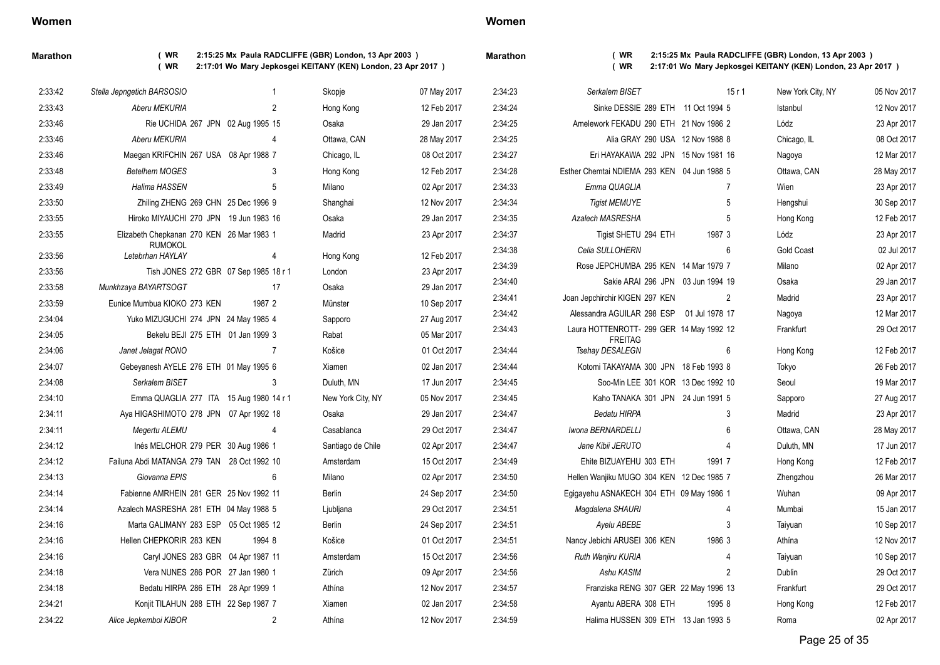### **Women**

**Marathon ( WR 2:15:25 Mx Paula RADCLIFFE (GBR) London, 13 Apr 2003 ) ( WR 2:17:01 Wo Mary Jepkosgei KEITANY (KEN) London, 23 Apr 2017 )**

| <b>Marathon</b> |  |
|-----------------|--|
|                 |  |

| 2:33:42 | Stella Jepngetich BARSOSIO                  | 1              | Skopje            | 07 May 2017 | 2:34:23 | Serkalem BISET                              | 15r1           | New York City, NY | 05 Nov 2017 |
|---------|---------------------------------------------|----------------|-------------------|-------------|---------|---------------------------------------------|----------------|-------------------|-------------|
| 2:33:43 | Aberu MEKURIA                               | 2              | Hong Kong         | 12 Feb 2017 | 2:34:24 | Sinke DESSIE 289 ETH 11 Oct 1994 5          |                | Istanbul          | 12 Nov 2017 |
| 2:33:46 | Rie UCHIDA 267 JPN 02 Aug 1995 15           |                | Osaka             | 29 Jan 2017 | 2:34:25 | Amelework FEKADU 290 ETH 21 Nov 1986 2      |                | Lódz              | 23 Apr 2017 |
| 2:33:46 | Aberu MEKURIA                               | 4              | Ottawa, CAN       | 28 May 2017 | 2:34:25 | Alia GRAY 290 USA 12 Nov 1988 8             |                | Chicago, IL       | 08 Oct 2017 |
| 2:33:46 | Maegan KRIFCHIN 267 USA 08 Apr 1988 7       |                | Chicago, IL       | 08 Oct 2017 | 2:34:27 | Eri HAYAKAWA 292 JPN 15 Nov 1981 16         |                | Nagoya            | 12 Mar 2017 |
| 2:33:48 | <b>Betelhem MOGES</b>                       | 3              | Hong Kong         | 12 Feb 2017 | 2:34:28 | Esther Chemtai NDIEMA 293 KEN 04 Jun 1988 5 |                | Ottawa, CAN       | 28 May 2017 |
| 2:33:49 | Halima HASSEN                               | 5              | Milano            | 02 Apr 2017 | 2:34:33 | Emma QUAGLIA                                | $\overline{7}$ | Wien              | 23 Apr 2017 |
| 2:33:50 | Zhiling ZHENG 269 CHN 25 Dec 1996 9         |                | Shanghai          | 12 Nov 2017 | 2:34:34 | <b>Tigist MEMUYE</b>                        | 5              | Hengshui          | 30 Sep 2017 |
| 2:33:55 | Hiroko MIYAUCHI 270 JPN 19 Jun 1983 16      |                | Osaka             | 29 Jan 2017 | 2:34:35 | <b>Azalech MASRESHA</b>                     | 5              | Hong Kong         | 12 Feb 2017 |
| 2:33:55 | Elizabeth Chepkanan 270 KEN 26 Mar 1983 1   |                | Madrid            | 23 Apr 2017 | 2.34.37 | Tigist SHETU 294 ETH                        | 1987 3         | Lódz              | 23 Apr 2017 |
| 2:33:56 | <b>RUMOKOL</b><br>Letebrhan HAYLAY          | 4              | Hong Kong         | 12 Feb 2017 | 2:34:38 | Celia SULLOHERN                             | 6              | <b>Gold Coast</b> | 02 Jul 2017 |
| 2:33:56 | Tish JONES 272 GBR 07 Sep 1985 18 r 1       |                | London            | 23 Apr 2017 | 2:34:39 | Rose JEPCHUMBA 295 KEN 14 Mar 1979 7        |                | Milano            | 02 Apr 2017 |
| 2:33:58 | Munkhzaya BAYARTSOGT                        | 17             | Osaka             | 29 Jan 2017 | 2:34:40 | Sakie ARAI 296 JPN 03 Jun 1994 19           |                | Osaka             | 29 Jan 2017 |
| 2:33:59 | Eunice Mumbua KIOKO 273 KEN                 | 1987 2         | Münster           | 10 Sep 2017 | 2:34:41 | Joan Jepchirchir KIGEN 297 KEN              | $\overline{2}$ | Madrid            | 23 Apr 2017 |
| 2:34:04 | Yuko MIZUGUCHI 274 JPN 24 May 1985 4        |                | Sapporo           | 27 Aug 2017 | 2.34.42 | Alessandra AGUILAR 298 ESP 01 Jul 1978 17   |                | Nagoya            | 12 Mar 2017 |
| 2:34:05 | Bekelu BEJI 275 ETH 01 Jan 1999 3           |                | Rabat             | 05 Mar 2017 | 2:34:43 | Laura HOTTENROTT- 299 GER 14 May 1992 12    |                | Frankfurt         | 29 Oct 2017 |
| 2:34:06 | Janet Jelagat RONO                          | $\overline{7}$ | Košice            | 01 Oct 2017 | 2:34:44 | <b>FREITAG</b><br>Tsehay DESALEGN           | 6              | Hong Kong         | 12 Feb 2017 |
| 2:34:07 | Gebeyanesh AYELE 276 ETH 01 May 1995 6      |                | Xiamen            | 02 Jan 2017 | 2:34:44 | Kotomi TAKAYAMA 300 JPN 18 Feb 1993 8       |                | Tokyo             | 26 Feb 2017 |
| 2:34:08 | Serkalem BISET                              | 3              | Duluth, MN        | 17 Jun 2017 | 2:34:45 | Soo-Min LEE 301 KOR 13 Dec 1992 10          |                | Seoul             | 19 Mar 2017 |
| 2:34:10 | Emma QUAGLIA 277 ITA 15 Aug 1980 14 r 1     |                | New York City, NY | 05 Nov 2017 | 2:34:45 | Kaho TANAKA 301 JPN 24 Jun 1991 5           |                | Sapporo           | 27 Aug 2017 |
| 2:34:11 | Aya HIGASHIMOTO 278 JPN 07 Apr 1992 18      |                | Osaka             | 29 Jan 2017 | 2:34:47 | Bedatu HIRPA                                | 3              | Madrid            | 23 Apr 2017 |
| 2:34:11 | Megertu ALEMU                               | $\overline{4}$ | Casablanca        | 29 Oct 2017 | 2:34:47 | Iwona BERNARDELLI                           | 6              | Ottawa, CAN       | 28 May 2017 |
| 2:34:12 | Inés MELCHOR 279 PER 30 Aug 1986 1          |                | Santiago de Chile | 02 Apr 2017 | 2:34:47 | Jane Kibii JERUTO                           |                | Duluth, MN        | 17 Jun 2017 |
| 2:34:12 | Failuna Abdi MATANGA 279 TAN 28 Oct 1992 10 |                | Amsterdam         | 15 Oct 2017 | 2:34:49 | Ehite BIZUAYEHU 303 ETH                     | 1991 7         | Hong Kong         | 12 Feb 2017 |
| 2:34:13 | Giovanna EPIS                               | 6              | Milano            | 02 Apr 2017 | 2:34:50 | Hellen Wanjiku MUGO 304 KEN 12 Dec 1985 7   |                | Zhengzhou         | 26 Mar 2017 |
| 2:34:14 | Fabienne AMRHEIN 281 GER 25 Nov 1992 11     |                | Berlin            | 24 Sep 2017 | 2:34:50 | Egigayehu ASNAKECH 304 ETH 09 May 1986 1    |                | Wuhan             | 09 Apr 2017 |
| 2:34:14 | Azalech MASRESHA 281 ETH 04 May 1988 5      |                | Ljubljana         | 29 Oct 2017 | 2.34.51 | Magdalena SHAURI                            |                | Mumbai            | 15 Jan 2017 |
| 2:34:16 | Marta GALIMANY 283 ESP 05 Oct 1985 12       |                | Berlin            | 24 Sep 2017 | 2:34:51 | Ayelu ABEBE                                 | 3              | Taiyuan           | 10 Sep 2017 |
| 2:34:16 | Hellen CHEPKORIR 283 KEN                    | 1994 8         | Košice            | 01 Oct 2017 | 2:34:51 | Nancy Jebichi ARUSEI 306 KEN                | 1986 3         | Athína            | 12 Nov 2017 |
| 2.34.16 | Caryl JONES 283 GBR 04 Apr 1987 11          |                | Amsterdam         | 15 Oct 2017 | 2:34:56 | Ruth Wanjiru KURIA                          |                | Taiyuan           | 10 Sep 2017 |
| 2:34:18 | Vera NUNES 286 POR 27 Jan 1980 1            |                | Zürich            | 09 Apr 2017 | 2:34:56 | Ashu KASIM                                  | $\overline{2}$ | Dublin            | 29 Oct 2017 |
| 2:34:18 | Bedatu HIRPA 286 ETH 28 Apr 1999 1          |                | Athína            | 12 Nov 2017 | 2:34:57 | Franziska RENG 307 GER 22 May 1996 13       |                | Frankfurt         | 29 Oct 2017 |
| 2:34:21 | Konjit TILAHUN 288 ETH 22 Sep 1987 7        |                | Xiamen            | 02 Jan 2017 | 2:34:58 | Ayantu ABERA 308 ETH                        | 1995 8         | Hong Kong         | 12 Feb 2017 |
| 2:34:22 | Alice Jepkemboi KIBOR                       | $\mathfrak{p}$ | Athína            | 12 Nov 2017 | 2:34:59 | Halima HUSSEN 309 ETH 13 Jan 1993 5         |                | Roma              | 02 Apr 2017 |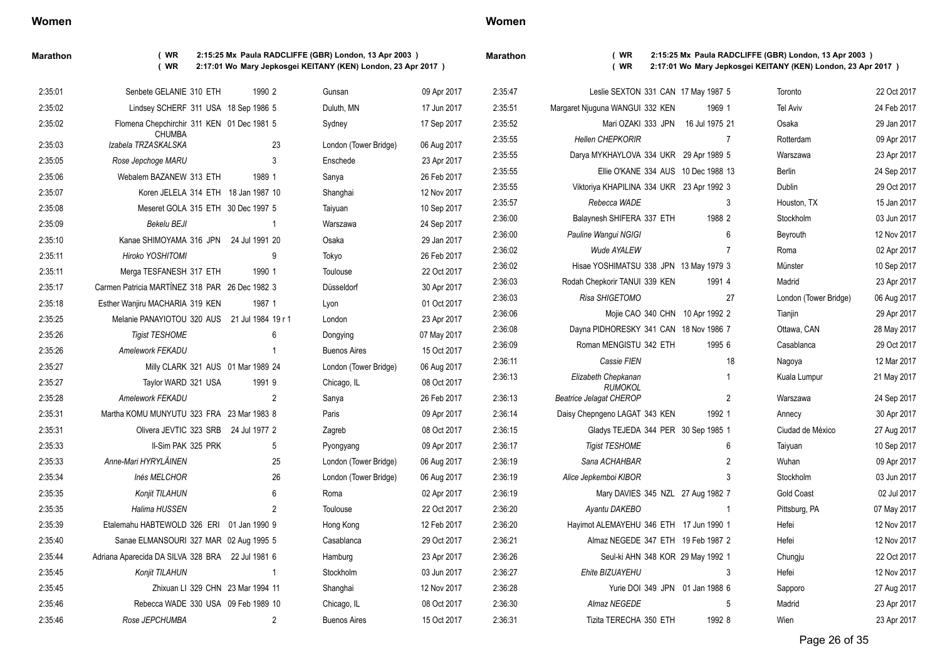### **Marathon ( WR 2:15:25 Mx Paula RADCLIFFE (GBR) London, 13 Apr 2003 ) ( WR 2:17:01 Wo Mary Jepkosgei KEITANY (KEN) London, 23 Apr 2017 )**

| 2:35:01 | Senbete GELANIE 310 ETH                          | 1990 2                             |                | Gunsan                | 09 Apr 2017 | 2.35:47 |     |
|---------|--------------------------------------------------|------------------------------------|----------------|-----------------------|-------------|---------|-----|
| 2:35:02 | Lindsey SCHERF 311 USA 18 Sep 1986 5             |                                    |                | Duluth, MN            | 17 Jun 2017 | 2:35:51 | Mar |
| 2:35:02 | Flomena Chepchirchir 311 KEN 01 Dec 1981 5       |                                    |                | Sydney                | 17 Sep 2017 | 2:35:52 |     |
| 2:35:03 | <b>CHUMBA</b><br>Izabela TRZASKALSKA             |                                    | 23             | London (Tower Bridge) | 06 Aug 2017 | 2.35.55 |     |
| 2:35:05 | Rose Jepchoge MARU                               |                                    | 3              | Enschede              | 23 Apr 2017 | 2.35.55 |     |
| 2:35:06 | Webalem BAZANEW 313 ETH                          | 1989 1                             |                | Sanya                 | 26 Feb 2017 | 2:35:55 |     |
| 2:35:07 | Koren JELELA 314 ETH 18 Jan 1987 10              |                                    |                | Shanghai              | 12 Nov 2017 | 2:35:55 |     |
| 2:35:08 | Meseret GOLA 315 ETH 30 Dec 1997 5               |                                    |                | Taiyuan               | 10 Sep 2017 | 2:35:57 |     |
| 2:35:09 | <b>Bekelu BEJI</b>                               |                                    | 1              | Warszawa              | 24 Sep 2017 | 2:36:00 |     |
| 2:35:10 | Kanae SHIMOYAMA 316 JPN                          | 24 Jul 1991 20                     |                | Osaka                 | 29 Jan 2017 | 2:36:00 |     |
| 2:35:11 | Hiroko YOSHITOMI                                 |                                    | 9              | Tokyo                 | 26 Feb 2017 | 2.36.02 |     |
| 2:35:11 | Merga TESFANESH 317 ETH                          | 1990 1                             |                | Toulouse              | 22 Oct 2017 | 2:36:02 |     |
| 2:35:17 | Carmen Patricia MARTÍNEZ 318 PAR 26 Dec 1982 3   |                                    |                | Düsseldorf            | 30 Apr 2017 | 2:36:03 |     |
| 2:35:18 | Esther Wanjiru MACHARIA 319 KEN                  | 1987 1                             |                | Lyon                  | 01 Oct 2017 | 2:36:03 |     |
| 2:35:25 | Melanie PANAYIOTOU 320 AUS                       | 21 Jul 1984 19 r 1                 |                | London                | 23 Apr 2017 | 2:36:06 |     |
| 2:35:26 | <b>Tigist TESHOME</b>                            |                                    | 6              | Dongying              | 07 May 2017 | 2:36:08 |     |
| 2:35:26 | Amelework FEKADU                                 |                                    | 1              | <b>Buenos Aires</b>   | 15 Oct 2017 | 2:36:09 |     |
| 2:35:27 |                                                  | Milly CLARK 321 AUS 01 Mar 1989 24 |                | London (Tower Bridge) | 06 Aug 2017 | 2:36:11 |     |
| 2:35:27 | Taylor WARD 321 USA                              | 1991 9                             |                | Chicago, IL           | 08 Oct 2017 | 2:36:13 |     |
| 2:35:28 | <b>Amelework FEKADU</b>                          |                                    | $\mathfrak{p}$ | Sanya                 | 26 Feb 2017 | 2:36:13 | Be  |
| 2:35:31 | Martha KOMU MUNYUTU 323 FRA 23 Mar 1983 8        |                                    |                | Paris                 | 09 Apr 2017 | 2:36:14 | D   |
| 2:35:31 | Olivera JEVTIC 323 SRB                           | 24 Jul 1977 2                      |                | Zagreb                | 08 Oct 2017 | 2.36.15 |     |
| 2:35:33 | II-Sim PAK 325 PRK                               |                                    | 5              | Pyongyang             | 09 Apr 2017 | 2.36.17 |     |
| 2:35:33 | Anne-Mari HYRYLÄINEN                             |                                    | 25             | London (Tower Bridge) | 06 Aug 2017 | 2.36.19 |     |
| 2:35:34 | Inés MELCHOR                                     |                                    | 26             | London (Tower Bridge) | 06 Aug 2017 | 2.36.19 |     |
| 2:35:35 | Konjit TILAHUN                                   |                                    | 6              | Roma                  | 02 Apr 2017 | 2.36.19 |     |
| 2:35:35 | Halima HUSSEN                                    |                                    | $\overline{2}$ | Toulouse              | 22 Oct 2017 | 2.36:20 |     |
| 2.35.39 | Etalemahu HABTEWOLD 326 ERI                      | 01 Jan 1990 9                      |                | Hong Kong             | 12 Feb 2017 | 2.36:20 |     |
| 2:35:40 | Sanae ELMANSOURI 327 MAR 02 Aug 1995 5           |                                    |                | Casablanca            | 29 Oct 2017 | 2:36:21 |     |
| 2:35:44 | Adriana Aparecida DA SILVA 328 BRA 22 Jul 1981 6 |                                    |                | Hamburg               | 23 Apr 2017 | 2:36:26 |     |
| 2:35:45 | Konjit TILAHUN                                   |                                    | 1              | Stockholm             | 03 Jun 2017 | 2:36:27 |     |
| 2:35:45 |                                                  | Zhixuan LI 329 CHN 23 Mar 1994 11  |                | Shanghai              | 12 Nov 2017 | 2:36:28 |     |
| 2:35:46 | Rebecca WADE 330 USA 09 Feb 1989 10              |                                    |                | Chicago, IL           | 08 Oct 2017 | 2:36:30 |     |
| 2:35:46 | Rose JEPCHUMBA                                   |                                    | 2              | <b>Buenos Aires</b>   | 15 Oct 2017 | 2:36:31 |     |

| 2:35:47 | Leslie SEXTON 331 CAN 17 May 1987 5              |                |                | Toronto               | 22 Oct 2017 |
|---------|--------------------------------------------------|----------------|----------------|-----------------------|-------------|
| 2:35:51 | Margaret Njuguna WANGUI 332 KEN                  | 1969 1         |                | <b>Tel Aviv</b>       | 24 Feb 2017 |
| 2:35:52 | Mari OZAKI 333 JPN                               | 16 Jul 1975 21 |                | Osaka                 | 29 Jan 2017 |
| 2:35:55 | <b>Hellen CHEPKORIR</b>                          |                | 7              | Rotterdam             | 09 Apr 2017 |
| 2:35:55 | Darya MYKHAYLOVA 334 UKR 29 Apr 1989 5           |                |                | Warszawa              | 23 Apr 2017 |
| 2:35:55 | Ellie O'KANE 334 AUS 10 Dec 1988 13              |                |                | Berlin                | 24 Sep 2017 |
| 2:35:55 | Viktoriya KHAPILINA 334 UKR 23 Apr 1992 3        |                |                | Dublin                | 29 Oct 2017 |
| 2:35:57 | Rebecca WADE                                     |                | 3              | Houston, TX           | 15 Jan 2017 |
| 2:36:00 | Balaynesh SHIFERA 337 ETH                        | 1988 2         |                | Stockholm             | 03 Jun 2017 |
| 2:36:00 | Pauline Wangui NGIGI                             |                | 6              | Beyrouth              | 12 Nov 2017 |
| 2:36:02 | Wude AYALEW                                      |                | $\overline{7}$ | Roma                  | 02 Apr 2017 |
| 2:36:02 | Hisae YOSHIMATSU 338 JPN 13 May 1979 3           |                |                | Münster               | 10 Sep 2017 |
| 2:36:03 | Rodah Chepkorir TANUI 339 KEN                    | 1991 4         |                | Madrid                | 23 Apr 2017 |
| 2:36:03 | Risa SHIGETOMO                                   |                | 27             | London (Tower Bridge) | 06 Aug 2017 |
| 2:36:06 | Mojie CAO 340 CHN 10 Apr 1992 2                  |                |                | Tianjin               | 29 Apr 2017 |
| 2:36:08 | Dayna PIDHORESKY 341 CAN 18 Nov 1986 7           |                |                | Ottawa, CAN           | 28 May 2017 |
| 2:36:09 | Roman MENGISTU 342 ETH                           | 1995 6         |                | Casablanca            | 29 Oct 2017 |
| 2:36:11 | Cassie FIEN                                      |                | 18             | Nagoya                | 12 Mar 2017 |
| 2:36:13 | Elizabeth Chepkanan                              |                | 1              | Kuala Lumpur          | 21 May 2017 |
| 2:36:13 | <b>RUMOKOL</b><br><b>Beatrice Jelagat CHEROP</b> |                | 2              | Warszawa              | 24 Sep 2017 |
| 2:36:14 | Daisy Chepngeno LAGAT 343 KEN                    | 1992 1         |                | Annecy                | 30 Apr 2017 |
| 2:36:15 | Gladys TEJEDA 344 PER 30 Sep 1985 1              |                |                | Ciudad de México      | 27 Aug 2017 |
| 2:36:17 | <b>Tigist TESHOME</b>                            |                | 6              | Taiyuan               | 10 Sep 2017 |
| 2:36:19 | Sana ACHAHBAR                                    |                | $\overline{2}$ | Wuhan                 | 09 Apr 2017 |
| 2:36:19 | Alice Jepkemboi KIBOR                            |                | 3              | Stockholm             | 03 Jun 2017 |
| 2:36:19 | Mary DAVIES 345 NZL 27 Aug 1982 7                |                |                | Gold Coast            | 02 Jul 2017 |
| 2:36:20 | Ayantu DAKEBO                                    |                | 1              | Pittsburg, PA         | 07 May 2017 |
| 2:36:20 | Hayimot ALEMAYEHU 346 ETH 17 Jun 1990 1          |                |                | Hefei                 | 12 Nov 2017 |
| 2:36:21 | Almaz NEGEDE 347 ETH 19 Feb 1987 2               |                |                | Hefei                 | 12 Nov 2017 |
| 2:36:26 | Seul-ki AHN 348 KOR 29 May 1992 1                |                |                | Chungju               | 22 Oct 2017 |
| 2:36:27 | Ehite BIZUAYEHU                                  |                | 3              | Hefei                 | 12 Nov 2017 |
| 2:36:28 | Yurie DOI 349 JPN 01 Jan 1988 6                  |                |                | Sapporo               | 27 Aug 2017 |
| 2:36:30 | Almaz NEGEDE                                     |                | 5              | Madrid                | 23 Apr 2017 |
| 2:36:31 | Tizita TERECHA 350 ETH                           | 1992 8         |                | Wien                  | 23 Apr 2017 |
|         |                                                  |                |                |                       |             |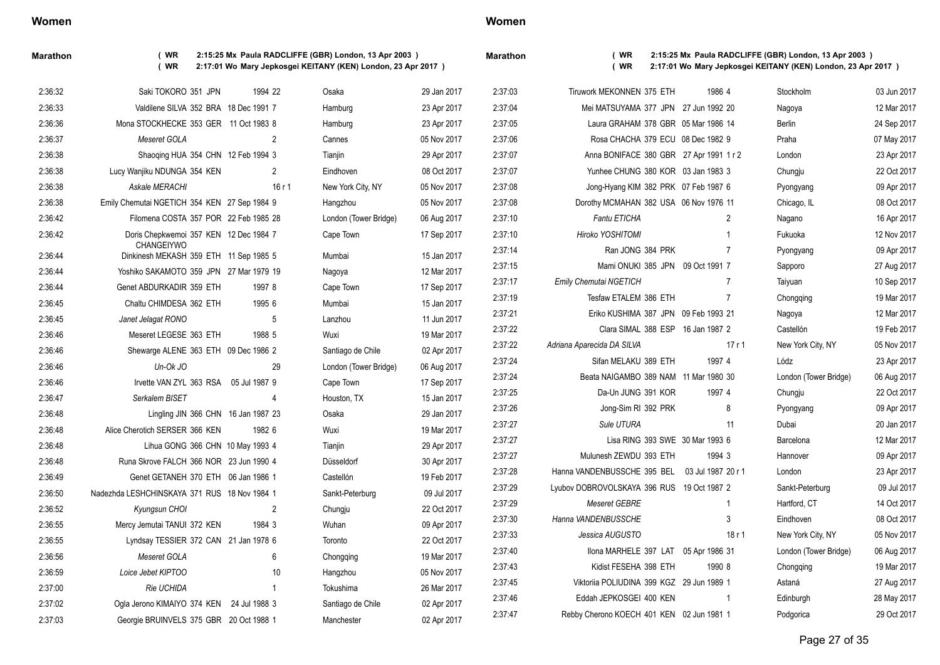| Maratho |  |
|---------|--|
|         |  |

**Marathon ( WR 2:15:25 Mx Paula RADCLIFFE (GBR) London, 13 Apr 2003 ) ( WR 2:17:01 Wo Mary Jepkosgei KEITANY (KEN) London, 23 Apr 2017 )**

**Marathon ( WR 2:15:25 Mx Paula RADCLIFFE (GBR) London, 13 Apr 2003 ) ( WR 2:17:01 Wo Mary Jepkosgei KEITANY (KEN) London, 23 Apr 2017 )**

| 2:36:32 | Saki TOKORO 351 JPN                                  | 1994 22        | Osaka                 | 29 Jan 2017 | 2:37:03 | Tiruwork MEKONNEN 375 ETH                      | 1986 4         | Stockholm             | 03 Jun 2017 |
|---------|------------------------------------------------------|----------------|-----------------------|-------------|---------|------------------------------------------------|----------------|-----------------------|-------------|
| 2:36:33 | Valdilene SILVA 352 BRA 18 Dec 1991 7                |                | Hamburg               | 23 Apr 2017 | 2:37:04 | Mei MATSUYAMA 377 JPN 27 Jun 1992 20           |                | Nagoya                | 12 Mar 2017 |
| 2:36:36 | Mona STOCKHECKE 353 GER 11 Oct 1983 8                |                | Hamburg               | 23 Apr 2017 | 2:37:05 | Laura GRAHAM 378 GBR 05 Mar 1986 14            |                | Berlin                | 24 Sep 2017 |
| 2:36:37 | Meseret GOLA                                         | 2              | Cannes                | 05 Nov 2017 | 2:37:06 | Rosa CHACHA 379 ECU 08 Dec 1982 9              |                | Praha                 | 07 May 2017 |
| 2:36:38 | Shaoqing HUA 354 CHN 12 Feb 1994 3                   |                | Tianjin               | 29 Apr 2017 | 2:37:07 | Anna BONIFACE 380 GBR 27 Apr 1991 1 r 2        |                | London                | 23 Apr 2017 |
| 2:36:38 | Lucy Wanjiku NDUNGA 354 KEN                          | $\overline{2}$ | Eindhoven             | 08 Oct 2017 | 2:37:07 | Yunhee CHUNG 380 KOR 03 Jan 1983 3             |                | Chungju               | 22 Oct 2017 |
| 2:36:38 | Askale MERACHI                                       | 16r1           | New York City, NY     | 05 Nov 2017 | 2:37:08 | Jong-Hyang KIM 382 PRK 07 Feb 1987 6           |                | Pyongyang             | 09 Apr 2017 |
| 2:36:38 | Emily Chemutai NGETICH 354 KEN 27 Sep 1984 9         |                | Hangzhou              | 05 Nov 2017 | 2:37:08 | Dorothy MCMAHAN 382 USA 06 Nov 1976 11         |                | Chicago, IL           | 08 Oct 2017 |
| 2:36:42 | Filomena COSTA 357 POR 22 Feb 1985 28                |                | London (Tower Bridge) | 06 Aug 2017 | 2:37:10 | <b>Fantu ETICHA</b>                            | 2              | Nagano                | 16 Apr 2017 |
| 2:36:42 | Doris Chepkwemoi 357 KEN 12 Dec 1984 7               |                | Cape Town             | 17 Sep 2017 | 2:37:10 | Hiroko YOSHITOMI                               |                | Fukuoka               | 12 Nov 2017 |
| 2:36:44 | CHANGEIYWO<br>Dinkinesh MEKASH 359 ETH 11 Sep 1985 5 |                | Mumbai                | 15 Jan 2017 | 2:37:14 | Ran JONG 384 PRK                               | 7              | Pyongyang             | 09 Apr 2017 |
| 2:36:44 | Yoshiko SAKAMOTO 359 JPN 27 Mar 1979 19              |                | Nagoya                | 12 Mar 2017 | 2:37:15 | Mami ONUKI 385 JPN 09 Oct 1991 7               |                | Sapporo               | 27 Aug 2017 |
| 2:36:44 | Genet ABDURKADIR 359 ETH                             | 1997 8         | Cape Town             | 17 Sep 2017 | 2:37:17 | <b>Emily Chemutai NGETICH</b>                  | $\overline{7}$ | Taiyuan               | 10 Sep 2017 |
| 2:36:45 | Chaltu CHIMDESA 362 ETH                              | 1995 6         | Mumbai                | 15 Jan 2017 | 2:37:19 | Tesfaw ETALEM 386 ETH                          | $\overline{7}$ | Chongqing             | 19 Mar 2017 |
| 2:36:45 | Janet Jelagat RONO                                   | 5              | Lanzhou               | 11 Jun 2017 | 2:37:21 | Eriko KUSHIMA 387 JPN 09 Feb 1993 21           |                | Nagoya                | 12 Mar 2017 |
| 2:36:46 | Meseret LEGESE 363 ETH                               | 1988 5         | Wuxi                  | 19 Mar 2017 | 2:37:22 | Clara SIMAL 388 ESP 16 Jan 1987 2              |                | Castellón             | 19 Feb 2017 |
| 2:36:46 | Shewarge ALENE 363 ETH 09 Dec 1986 2                 |                | Santiago de Chile     | 02 Apr 2017 | 2:37:22 | Adriana Aparecida DA SILVA                     | 17r1           | New York City, NY     | 05 Nov 2017 |
| 2:36:46 | Un-Ok JO                                             | 29             | London (Tower Bridge) | 06 Aug 2017 | 2:37:24 | Sifan MELAKU 389 ETH                           | 1997 4         | Lódz                  | 23 Apr 2017 |
| 2:36:46 | Irvette VAN ZYL 363 RSA 05 Jul 1987 9                |                | Cape Town             | 17 Sep 2017 | 2:37:24 | Beata NAIGAMBO 389 NAM 11 Mar 1980 30          |                | London (Tower Bridge) | 06 Aug 2017 |
| 2:36:47 | Serkalem BISET                                       | $\overline{4}$ | Houston, TX           | 15 Jan 2017 | 2:37:25 | Da-Un JUNG 391 KOR                             | 1997 4         | Chungju               | 22 Oct 2017 |
| 2:36:48 | Lingling JIN 366 CHN 16 Jan 1987 23                  |                | Osaka                 | 29 Jan 2017 | 2:37:26 | Jong-Sim RI 392 PRK                            | 8              | Pyongyang             | 09 Apr 2017 |
| 2:36:48 | Alice Cherotich SERSER 366 KEN                       | 1982 6         | Wuxi                  | 19 Mar 2017 | 2:37:27 | Sule UTURA                                     | 11             | Dubai                 | 20 Jan 2017 |
| 2:36:48 | Lihua GONG 366 CHN 10 May 1993 4                     |                | Tianjin               | 29 Apr 2017 | 2:37:27 | Lisa RING 393 SWE 30 Mar 1993 6                |                | Barcelona             | 12 Mar 2017 |
| 2:36:48 | Runa Skrove FALCH 366 NOR 23 Jun 1990 4              |                | Düsseldorf            | 30 Apr 2017 | 2:37:27 | Mulunesh ZEWDU 393 ETH                         | 1994 3         | Hannover              | 09 Apr 2017 |
| 2:36:49 | Genet GETANEH 370 ETH 06 Jan 1986 1                  |                | Castellón             | 19 Feb 2017 | 2:37:28 | Hanna VANDENBUSSCHE 395 BEL 03 Jul 1987 20 r 1 |                | London                | 23 Apr 2017 |
| 2:36:50 | Nadezhda LESHCHINSKAYA 371 RUS 18 Nov 1984 1         |                | Sankt-Peterburg       | 09 Jul 2017 | 2:37:29 | Lyubov DOBROVOLSKAYA 396 RUS 19 Oct 1987 2     |                | Sankt-Peterburg       | 09 Jul 2017 |
| 2:36:52 | Kyungsun CHOI                                        | $\overline{2}$ | Chungju               | 22 Oct 2017 | 2:37:29 | Meseret GEBRE                                  |                | Hartford, CT          | 14 Oct 2017 |
| 2:36:55 | Mercy Jemutai TANUI 372 KEN                          | 1984 3         | Wuhan                 | 09 Apr 2017 | 2:37:30 | Hanna VANDENBUSSCHE                            | 3              | Eindhoven             | 08 Oct 2017 |
| 2:36:55 | Lyndsay TESSIER 372 CAN 21 Jan 1978 6                |                | Toronto               | 22 Oct 2017 | 2:37:33 | Jessica AUGUSTO                                | 18r1           | New York City, NY     | 05 Nov 2017 |
| 2:36:56 | Meseret GOLA                                         | 6              | Chongqing             | 19 Mar 2017 | 2:37:40 | Ilona MARHELE 397 LAT 05 Apr 1986 31           |                | London (Tower Bridge) | 06 Aug 2017 |
| 2:36:59 | Loice Jebet KIPTOO                                   | 10             | Hangzhou              | 05 Nov 2017 | 2:37:43 | Kidist FESEHA 398 ETH                          | 1990 8         | Chongqing             | 19 Mar 2017 |
| 2:37:00 | Rie UCHIDA                                           | $\mathbf{1}$   | Tokushima             | 26 Mar 2017 | 2:37:45 | Viktoriia POLIUDINA 399 KGZ 29 Jun 1989 1      |                | Astaná                | 27 Aug 2017 |
| 2:37:02 | Ogla Jerono KIMAIYO 374 KEN 24 Jul 1988 3            |                | Santiago de Chile     | 02 Apr 2017 | 2:37:46 | Eddah JEPKOSGEI 400 KEN                        |                | Edinburgh             | 28 May 2017 |
| 2:37:03 | Georgie BRUINVELS 375 GBR 20 Oct 1988 1              |                | Manchester            | 02 Apr 2017 | 2:37:47 | Rebby Cherono KOECH 401 KEN 02 Jun 1981 1      |                | Podgorica             | 29 Oct 2017 |
|         |                                                      |                |                       |             |         |                                                |                |                       |             |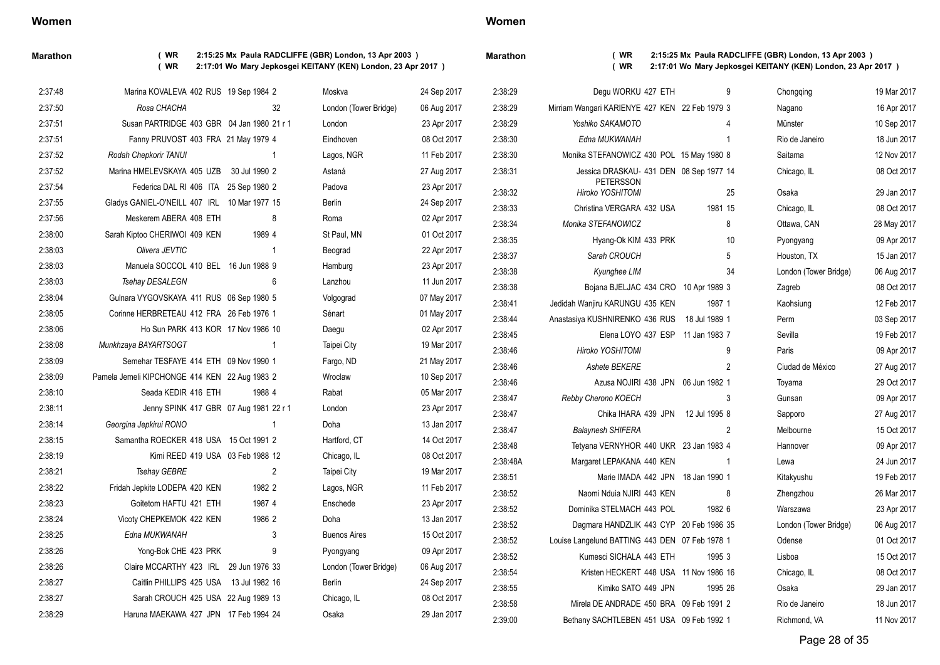**Marathon ( WR 2:15:25 Mx Paula RADCLIFFE (GBR) London, 13 Apr 2003 ) ( WR 2:17:01 Wo Mary Jepkosgei KEITANY (KEN) London, 23 Apr 2017 )**

| 2:37:48 | Marina KOVALEVA 402 RUS 19 Sep 1984 2         |                | Moskva                | 24 Sep 2017 | 2:38:29            | Degu WORKU 427 ETH                             | 9              | Chongqing             | 19 Mar 2017                |
|---------|-----------------------------------------------|----------------|-----------------------|-------------|--------------------|------------------------------------------------|----------------|-----------------------|----------------------------|
| 2:37:50 | Rosa CHACHA                                   | 32             | London (Tower Bridge) | 06 Aug 2017 | 2:38:29            | Mirriam Wangari KARIENYE 427 KEN 22 Feb 1979 3 |                | Nagano                | 16 Apr 2017                |
| 2:37:51 | Susan PARTRIDGE 403 GBR 04 Jan 1980 21 r 1    |                | London                | 23 Apr 2017 | 2:38:29            | Yoshiko SAKAMOTO                               | 4              | Münster               | 10 Sep 2017                |
| 2:37:51 | Fanny PRUVOST 403 FRA 21 May 1979 4           |                | Eindhoven             | 08 Oct 2017 | 2:38:30            | Edna MUKWANAH                                  | -1             | Rio de Janeiro        | 18 Jun 2017                |
| 2:37:52 | Rodah Chepkorir TANUI                         | -1             | Lagos, NGR            | 11 Feb 2017 | 2:38:30            | Monika STEFANOWICZ 430 POL 15 May 1980 8       |                | Saitama               | 12 Nov 2017                |
| 2:37:52 | Marina HMELEVSKAYA 405 UZB 30 Jul 1990 2      |                | Astaná                | 27 Aug 2017 | 2:38:31            | Jessica DRASKAU- 431 DEN 08 Sep 1977 14        |                | Chicago, IL           | 08 Oct 2017                |
| 2:37:54 | Federica DAL RI 406 ITA 25 Sep 1980 2         |                | Padova                | 23 Apr 2017 | 2:38:32            | PETERSSON<br>Hiroko YOSHITOMI                  | 25             | Osaka                 | 29 Jan 2017                |
| 2:37:55 | Gladys GANIEL-O'NEILL 407 IRL 10 Mar 1977 15  |                | Berlin                | 24 Sep 2017 | 2:38:33            | Christina VERGARA 432 USA                      | 1981 15        | Chicago, IL           | 08 Oct 2017                |
| 2:37:56 | Meskerem ABERA 408 ETH                        | 8              | Roma                  | 02 Apr 2017 | 2:38:34            | Monika STEFANOWICZ                             | 8              | Ottawa, CAN           | 28 May 2017                |
| 2:38:00 | Sarah Kiptoo CHERIWOI 409 KEN                 | 1989 4         | St Paul, MN           | 01 Oct 2017 | 2:38:35            | Hyang-Ok KIM 433 PRK                           | 10             | Pyongyang             | 09 Apr 2017                |
| 2:38:03 | Olivera JEVTIC                                | -1             | Beograd               | 22 Apr 2017 | 2:38:37            | Sarah CROUCH                                   | 5              | Houston, TX           | 15 Jan 2017                |
| 2:38:03 | Manuela SOCCOL 410 BEL 16 Jun 1988 9          |                | Hamburg               | 23 Apr 2017 | 2:38:38            | Kyunghee LIM                                   | 34             | London (Tower Bridge) | 06 Aug 2017                |
| 2:38:03 | Tsehay DESALEGN                               | 6              | Lanzhou               | 11 Jun 2017 | 2:38:38            | Bojana BJELJAC 434 CRO 10 Apr 1989 3           |                | Zagreb                | 08 Oct 2017                |
| 2:38:04 | Gulnara VYGOVSKAYA 411 RUS 06 Sep 1980 5      |                | Volgograd             | 07 May 2017 | 2:38:41            | Jedidah Wanjiru KARUNGU 435 KEN                | 1987 1         | Kaohsiung             | 12 Feb 2017                |
| 2:38:05 | Corinne HERBRETEAU 412 FRA 26 Feb 1976 1      |                | Sénart                | 01 May 2017 | 2:38:44            | Anastasiya KUSHNIRENKO 436 RUS                 | 18 Jul 1989 1  | Perm                  | 03 Sep 2017                |
| 2:38:06 | Ho Sun PARK 413 KOR 17 Nov 1986 10            |                | Daegu                 | 02 Apr 2017 | 2:38:45            | Elena LOYO 437 ESP 11 Jan 1983 7               |                | Sevilla               | 19 Feb 2017                |
| 2:38:08 | Munkhzaya BAYARTSOGT                          | -1             | Taipei City           | 19 Mar 2017 | 2:38:46            | Hiroko YOSHITOMI                               | 9              | Paris                 | 09 Apr 2017                |
| 2:38:09 | Semehar TESFAYE 414 ETH 09 Nov 1990 1         |                | Fargo, ND             | 21 May 2017 | 2:38:46            | Ashete BEKERE                                  | $\overline{2}$ | Ciudad de México      | 27 Aug 2017                |
| 2:38:09 | Pamela Jemeli KIPCHONGE 414 KEN 22 Aug 1983 2 |                | Wroclaw               | 10 Sep 2017 | 2:38:46            | Azusa NOJIRI 438 JPN 06 Jun 1982 1             |                | Toyama                | 29 Oct 2017                |
| 2:38:10 | Seada KEDIR 416 ETH                           | 1988 4         | Rabat                 | 05 Mar 2017 | 2:38:47            | Rebby Cherono KOECH                            | 3              | Gunsan                | 09 Apr 2017                |
| 2:38:11 | Jenny SPINK 417 GBR 07 Aug 1981 22 r 1        |                | London                | 23 Apr 2017 | 2:38:47            | Chika IHARA 439 JPN 12 Jul 1995 8              |                | Sapporo               | 27 Aug 2017                |
| 2:38:14 | Georgina Jepkirui RONO                        |                | Doha                  | 13 Jan 2017 | 2:38:47            | <b>Balaynesh SHIFERA</b>                       | $\overline{2}$ | Melbourne             | 15 Oct 2017                |
| 2:38:15 | Samantha ROECKER 418 USA 15 Oct 1991 2        |                | Hartford, CT          | 14 Oct 2017 | 2:38:48            | Tetyana VERNYHOR 440 UKR 23 Jan 1983 4         |                | Hannover              | 09 Apr 2017                |
| 2:38:19 | Kimi REED 419 USA 03 Feb 1988 12              |                | Chicago, IL           | 08 Oct 2017 | 2:38:48A           | Margaret LEPAKANA 440 KEN                      | - 1            | Lewa                  | 24 Jun 2017                |
| 2:38:21 | Tsehay GEBRE                                  | $\overline{2}$ | Taipei City           | 19 Mar 2017 | 2:38:51            | Marie IMADA 442 JPN 18 Jan 1990 1              |                | Kitakyushu            | 19 Feb 2017                |
| 2:38:22 | Fridah Jepkite LODEPA 420 KEN                 | 1982 2         | Lagos, NGR            | 11 Feb 2017 | 2:38:52            | Naomi Nduia NJIRI 443 KEN                      | 8              | Zhengzhou             | 26 Mar 2017                |
| 2:38:23 | Goitetom HAFTU 421 ETH                        | 1987 4         | Enschede              | 23 Apr 2017 | 2:38:52            | Dominika STELMACH 443 POL                      | 1982 6         | Warszawa              | 23 Apr 2017                |
| 2:38:24 | Vicoty CHEPKEMOK 422 KEN                      | 1986 2         | Doha                  | 13 Jan 2017 | 2:38:52            | Dagmara HANDZLIK 443 CYP 20 Feb 1986 35        |                | London (Tower Bridge) | 06 Aug 2017                |
| 2:38:25 | Edna MUKWANAH                                 | 3              | <b>Buenos Aires</b>   | 15 Oct 2017 | 2:38:52            | Louise Langelund BATTING 443 DEN 07 Feb 1978 1 |                | Odense                | 01 Oct 2017                |
| 2:38:26 | Yong-Bok CHE 423 PRK                          | 9              | Pyongyang             | 09 Apr 2017 | 2:38:52            | Kumesci SICHALA 443 ETH                        | 1995 3         | Lisboa                | 15 Oct 2017                |
| 2:38:26 | Claire MCCARTHY 423 IRL                       | 29 Jun 1976 33 | London (Tower Bridge) | 06 Aug 2017 | 2:38:54            | Kristen HECKERT 448 USA 11 Nov 1986 16         |                |                       | 08 Oct 2017                |
| 2:38:27 | Caitlin PHILLIPS 425 USA 13 Jul 1982 16       |                | Berlin                | 24 Sep 2017 |                    |                                                |                | Chicago, IL           |                            |
| 2:38:27 | Sarah CROUCH 425 USA 22 Aug 1989 13           |                | Chicago, IL           | 08 Oct 2017 | 2:38:55            | Kimiko SATO 449 JPN                            | 1995 26        | Osaka                 | 29 Jan 2017                |
| 2:38:29 | Haruna MAEKAWA 427 JPN 17 Feb 1994 24         |                | Osaka                 | 29 Jan 2017 | 2:38:58<br>2:39:00 | Mirela DE ANDRADE 450 BRA 09 Feb 1991 2        |                | Rio de Janeiro        | 18 Jun 2017<br>11 Nov 2017 |
|         |                                               |                |                       |             |                    | Bethany SACHTLEBEN 451 USA 09 Feb 1992 1       |                | Richmond, VA          |                            |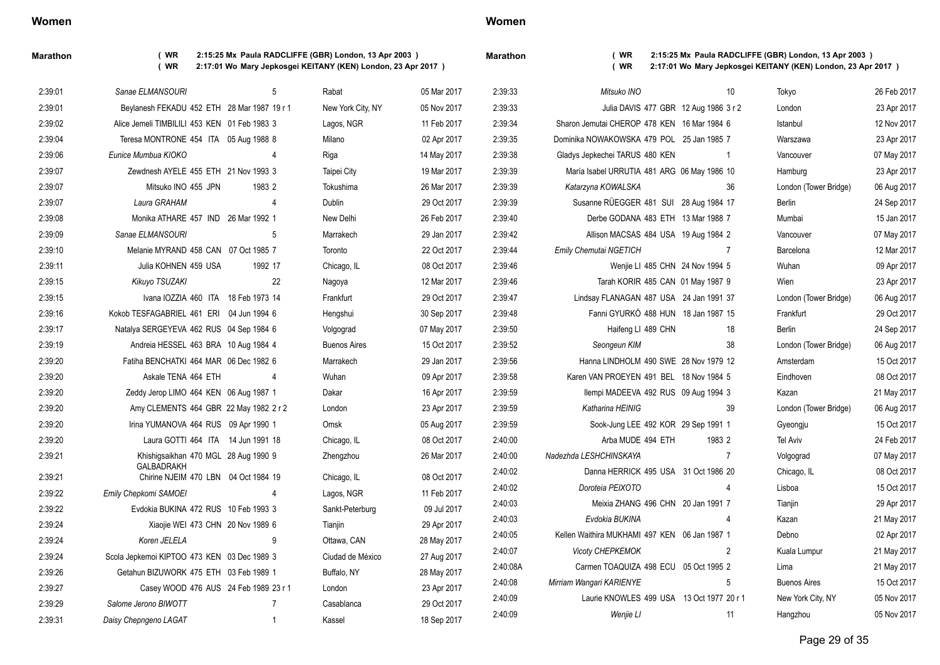| Maratho |
|---------|
|---------|

 $2:39:21$ 

**Marathon ( WR 2:15:25 Mx Paula RADCLIFFE (GBR) London, 13 Apr 2003 ) ( WR 2:17:01 Wo Mary Jepkosgei KEITANY (KEN) London, 23 Apr 2017 )**

| arathon |  |
|---------|--|
|         |  |

**Marathon ( WR 2:15:25 Mx Paula RADCLIFFE (GBR) London, 13 Apr 2003 )**

**( WR 2:17:01 Wo Mary Jepkosgei KEITANY (KEN) London, 23 Apr 2017 )**

| 2:39:01 | Sanae ELMANSOURI                                          | 5              | Rabat               | 05 Mar 2017 | 2:39:33  | Mitsuko INO                                   | 10             | Tokyo                 | 26 Feb 2017 |
|---------|-----------------------------------------------------------|----------------|---------------------|-------------|----------|-----------------------------------------------|----------------|-----------------------|-------------|
| 2:39:01 | Beylanesh FEKADU 452 ETH 28 Mar 1987 19 r 1               |                | New York City, NY   | 05 Nov 2017 | 2:39:33  | Julia DAVIS 477 GBR 12 Aug 1986 3 r 2         |                | London                | 23 Apr 2017 |
| 2:39:02 | Alice Jemeli TIMBILILI 453 KEN 01 Feb 1983 3              |                | Lagos, NGR          | 11 Feb 2017 | 2:39:34  | Sharon Jemutai CHEROP 478 KEN 16 Mar 1984 6   |                | Istanbul              | 12 Nov 2017 |
| 2:39:04 | Teresa MONTRONE 454 ITA 05 Aug 1988 8                     |                | Milano              | 02 Apr 2017 | 2:39:35  | Dominika NOWAKOWSKA 479 POL 25 Jan 1985 7     |                | Warszawa              | 23 Apr 2017 |
| 2:39:06 | Eunice Mumbua KIOKO                                       | 4              | Riga                | 14 May 2017 | 2:39:38  | Gladys Jepkechei TARUS 480 KEN                | $\overline{1}$ | Vancouver             | 07 May 2017 |
| 2:39:07 | Zewdnesh AYELE 455 ETH 21 Nov 1993 3                      |                | Taipei City         | 19 Mar 2017 | 2:39:39  | María Isabel URRUTIA 481 ARG 06 May 1986 10   |                | Hamburg               | 23 Apr 2017 |
| 2:39:07 | Mitsuko INO 455 JPN                                       | 1983 2         | Tokushima           | 26 Mar 2017 | 2:39:39  | Katarzyna KOWALSKA                            | 36             | London (Tower Bridge) | 06 Aug 2017 |
| 2:39:07 | Laura GRAHAM                                              | 4              | Dublin              | 29 Oct 2017 | 2:39:39  | Susanne RÜEGGER 481 SUI 28 Aug 1984 17        |                | <b>Berlin</b>         | 24 Sep 2017 |
| 2:39:08 | Monika ATHARE 457 IND 26 Mar 1992 1                       |                | New Delhi           | 26 Feb 2017 | 2:39:40  | Derbe GODANA 483 ETH 13 Mar 1988 7            |                | Mumbai                | 15 Jan 2017 |
| 2:39:09 | Sanae ELMANSOURI                                          | 5              | Marrakech           | 29 Jan 2017 | 2:39:42  | Allison MACSAS 484 USA 19 Aug 1984 2          |                | Vancouver             | 07 May 2017 |
| 2:39:10 | Melanie MYRAND 458 CAN 07 Oct 1985 7                      |                | Toronto             | 22 Oct 2017 | 2.39.44  | Emily Chemutai NGETICH                        | 7              | Barcelona             | 12 Mar 2017 |
| 2:39:11 | Julia KOHNEN 459 USA                                      | 1992 17        | Chicago, IL         | 08 Oct 2017 | 2:39:46  | Wenjie LI 485 CHN 24 Nov 1994 5               |                | Wuhan                 | 09 Apr 2017 |
| 2:39:15 | Kikuyo TSUZAKI                                            | 22             | Nagoya              | 12 Mar 2017 | 2:39:46  | Tarah KORIR 485 CAN 01 May 1987 9             |                | Wien                  | 23 Apr 2017 |
| 2:39:15 | Ivana IOZZIA 460 ITA 18 Feb 1973 14                       |                | Frankfurt           | 29 Oct 2017 | 2:39:47  | Lindsay FLANAGAN 487 USA 24 Jan 1991 37       |                | London (Tower Bridge) | 06 Aug 2017 |
| 2:39:16 | Kokob TESFAGABRIEL 461 ERI 04 Jun 1994 6                  |                | Hengshui            | 30 Sep 2017 | 2:39:48  | Fanni GYURKÓ 488 HUN 18 Jan 1987 15           |                | Frankfurt             | 29 Oct 2017 |
| 2:39:17 | Natalya SERGEYEVA 462 RUS 04 Sep 1984 6                   |                | Volgograd           | 07 May 2017 | 2:39:50  | Haifeng LI 489 CHN                            | 18             | Berlin                | 24 Sep 2017 |
| 2:39:19 | Andreia HESSEL 463 BRA 10 Aug 1984 4                      |                | <b>Buenos Aires</b> | 15 Oct 2017 | 2:39:52  | Seongeun KIM                                  | 38             | London (Tower Bridge) | 06 Aug 2017 |
| 2:39:20 | Fatiha BENCHATKI 464 MAR 06 Dec 1982 6                    |                | Marrakech           | 29 Jan 2017 | 2:39:56  | Hanna LINDHOLM 490 SWE 28 Nov 1979 12         |                | Amsterdam             | 15 Oct 2017 |
| 2:39:20 | Askale TENA 464 ETH                                       |                | Wuhan               | 09 Apr 2017 | 2:39:58  | Karen VAN PROEYEN 491 BEL 18 Nov 1984 5       |                | Eindhoven             | 08 Oct 2017 |
| 2:39:20 | Zeddy Jerop LIMO 464 KEN 06 Aug 1987 1                    |                | Dakar               | 16 Apr 2017 | 2:39:59  | Ilempi MADEEVA 492 RUS 09 Aug 1994 3          |                | Kazan                 | 21 May 2017 |
| 2:39:20 | Amy CLEMENTS 464 GBR 22 May 1982 2 r 2                    |                | London              | 23 Apr 2017 | 2:39:59  | Katharina HEINIG                              | 39             | London (Tower Bridge) | 06 Aug 2017 |
| 2:39:20 | Irina YUMANOVA 464 RUS 09 Apr 1990 1                      |                | Omsk                | 05 Aug 2017 | 2:39:59  | Sook-Jung LEE 492 KOR 29 Sep 1991 1           |                | Gyeongju              | 15 Oct 2017 |
| 2:39:20 | Laura GOTTI 464 ITA 14 Jun 1991 18                        |                | Chicago, IL         | 08 Oct 2017 | 2:40:00  | Arba MUDE 494 ETH                             | 1983 2         | <b>Tel Aviv</b>       | 24 Feb 2017 |
| 2:39:21 | Khishigsaikhan 470 MGL 28 Aug 1990 9                      |                | Zhengzhou           | 26 Mar 2017 | 2:40:00  | Nadezhda LESHCHINSKAYA                        | $\overline{7}$ | Volgograd             | 07 May 2017 |
| 2:39:21 | <b>GALBADRAKH</b><br>Chirine NJEIM 470 LBN 04 Oct 1984 19 |                | Chicago, IL         | 08 Oct 2017 | 2:40:02  | Danna HERRICK 495 USA 31 Oct 1986 20          |                | Chicago, IL           | 08 Oct 2017 |
| 2:39:22 | Emily Chepkomi SAMOEI                                     |                | Lagos, NGR          | 11 Feb 2017 | 2:40:02  | Doroteia PEIXOTO                              | 4              | Lisboa                | 15 Oct 2017 |
| 2:39:22 | Evdokia BUKINA 472 RUS 10 Feb 1993 3                      |                | Sankt-Peterburg     | 09 Jul 2017 | 2:40:03  | Meixia ZHANG 496 CHN 20 Jan 1991 7            |                | Tianjin               | 29 Apr 2017 |
| 2:39:24 | Xiaojie WEI 473 CHN 20 Nov 1989 6                         |                | Tianjin             | 29 Apr 2017 | 2:40:03  | Evdokia BUKINA                                | -4             | Kazan                 | 21 May 2017 |
| 2:39:24 | Koren JELELA                                              | 9              | Ottawa, CAN         | 28 May 2017 | 2:40:05  | Kellen Waithira MUKHAMI 497 KEN 06 Jan 1987 1 |                | Debno                 | 02 Apr 2017 |
| 2:39:24 | Scola Jepkemoi KIPTOO 473 KEN 03 Dec 1989 3               |                | Ciudad de México    | 27 Aug 2017 | 2.40:07  | Vicoty CHEPKEMOK                              | 2              | Kuala Lumpur          | 21 May 2017 |
| 2:39:26 | Getahun BIZUWORK 475 ETH 03 Feb 1989 1                    |                | Buffalo, NY         | 28 May 2017 | 2:40:08A | Carmen TOAQUIZA 498 ECU 05 Oct 1995 2         |                | Lima                  | 21 May 2017 |
| 2:39:27 | Casey WOOD 476 AUS 24 Feb 1989 23 r 1                     |                | London              | 23 Apr 2017 | 2:40:08  | Mirriam Wangari KARIENYE                      | 5              | <b>Buenos Aires</b>   | 15 Oct 2017 |
| 2:39:29 | Salome Jerono BIWOTT                                      | $\overline{7}$ | Casablanca          | 29 Oct 2017 | 2:40:09  | Laurie KNOWLES 499 USA 13 Oct 1977 20 r 1     |                | New York City, NY     | 05 Nov 2017 |
| 2:39:31 | Daisy Chepngeno LAGAT                                     | $\overline{1}$ | Kassel              | 18 Sep 2017 | 2:40:09  | Wenjie Ll                                     | 11             | Hangzhou              | 05 Nov 2017 |
|         |                                                           |                |                     |             |          |                                               |                |                       |             |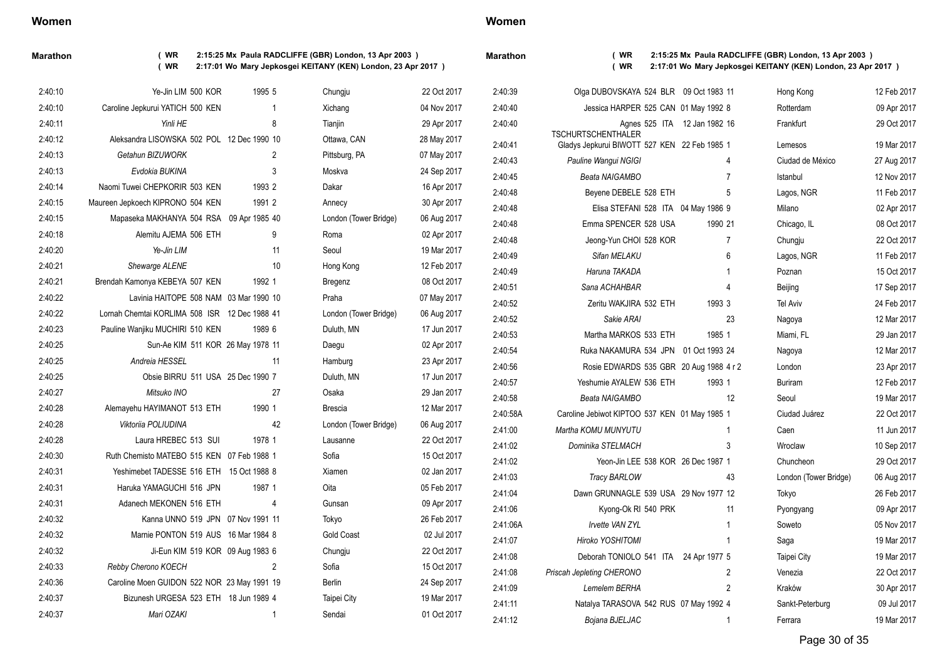**Marathon ( WR 2:15:25 Mx Paula RADCLIFFE (GBR) London, 13 Apr 2003 ) ( WR 2:17:01 Wo Mary Jepkosgei KEITANY (KEN) London, 23 Apr 2017 )**

**Marathon ( WR 2:15:25 Mx Paula RADCLIFFE (GBR) London, 13 Apr 2003 ) ( WR 2:17:01 Wo Mary Jepkosgei KEITANY (KEN) London, 23 Apr 2017 )**

| 2:40:10 | Ye-Jin LIM 500 KOR                            | 1995 5 | Chungju               | 22 Oct 2017 | 2.40.39  | Olga DUBOVSKAYA 524 BLR 09 Oct 1983 11                                    |                              | Hong Kong             | 12 Feb 2017    |
|---------|-----------------------------------------------|--------|-----------------------|-------------|----------|---------------------------------------------------------------------------|------------------------------|-----------------------|----------------|
| 2:40:10 | Caroline Jepkurui YATICH 500 KEN              |        | Xichang               | 04 Nov 2017 | 2.40.40  | Jessica HARPER 525 CAN 01 May 1992 8                                      |                              | Rotterdam             | 09 Apr 2017    |
| 2:40:11 | Yinli HE                                      | 8      | Tianjin               | 29 Apr 2017 | 2.40.40  |                                                                           | Agnes 525 ITA 12 Jan 1982 16 | Frankfurt             | 29 Oct 2017    |
| 2:40:12 | Aleksandra LISOWSKA 502 POL 12 Dec 1990 10    |        | Ottawa, CAN           | 28 May 2017 | 2:40:41  | <b>TSCHURTSCHENTHALER</b><br>Gladys Jepkurui BIWOTT 527 KEN 22 Feb 1985 1 |                              | Lemesos               | 19 Mar 2017    |
| 2:40:13 | Getahun BIZUWORK                              | 2      | Pittsburg, PA         | 07 May 2017 | 2:40:43  | Pauline Wangui NGIGI                                                      | 4                            | Ciudad de México      | 27 Aug 2017    |
| 2:40:13 | Evdokia BUKINA                                | 3      | Moskva                | 24 Sep 2017 | 2:40:45  | Beata NAIGAMBO                                                            | $\overline{7}$               | Istanbul              | 12 Nov 2017    |
| 2:40:14 | Naomi Tuwei CHEPKORIR 503 KEN                 | 1993 2 | Dakar                 | 16 Apr 2017 | 2:40:48  | Beyene DEBELE 528 ETH                                                     | 5                            | Lagos, NGR            | 11 Feb 2017    |
| 2:40:15 | Maureen Jepkoech KIPRONO 504 KEN              | 1991 2 | Annecy                | 30 Apr 2017 | 2:40:48  | Elisa STEFANI 528 ITA 04 May 1986 9                                       |                              | Milano                | 02 Apr 2017    |
| 2:40:15 | Mapaseka MAKHANYA 504 RSA 09 Apr 1985 40      |        | London (Tower Bridge) | 06 Aug 2017 | 2:40:48  | Emma SPENCER 528 USA                                                      | 1990 21                      | Chicago, IL           | 08 Oct 2017    |
| 2:40:18 | Alemitu AJEMA 506 ETH                         | 9      | Roma                  | 02 Apr 2017 | 2:40:48  | Jeong-Yun CHOI 528 KOR                                                    | 7                            | Chungju               | 22 Oct 2017    |
| 2:40:20 | Ye-Jin LIM                                    | 11     | Seoul                 | 19 Mar 2017 | 2:40:49  | Sifan MELAKU                                                              | 6                            | Lagos, NGR            | 11 Feb 2017    |
| 2:40:21 | Shewarge ALENE                                | 10     | Hong Kong             | 12 Feb 2017 | 2.40.49  | Haruna TAKADA                                                             | -1                           | Poznan                | 15 Oct 2017    |
| 2:40:21 | Brendah Kamonya KEBEYA 507 KEN                | 1992 1 | Bregenz               | 08 Oct 2017 | 2:40:51  | Sana ACHAHBAR                                                             | 4                            | Beijing               | 17 Sep 2017    |
| 2:40:22 | Lavinia HAITOPE 508 NAM 03 Mar 1990 10        |        | Praha                 | 07 May 2017 | 2:40:52  | Zeritu WAKJIRA 532 ETH                                                    | 1993 3                       | <b>Tel Aviv</b>       | 24 Feb 2017    |
| 2:40:22 | Lornah Chemtai KORLIMA 508 ISR 12 Dec 1988 41 |        | London (Tower Bridge) | 06 Aug 2017 | 2:40:52  | Sakie ARAI                                                                | 23                           | Nagoya                | 12 Mar 2017    |
| 2:40:23 | Pauline Wanjiku MUCHIRI 510 KEN               | 1989 6 | Duluth, MN            | 17 Jun 2017 | 2:40:53  | Martha MARKOS 533 ETH                                                     | 1985 1                       | Miami, FL             | 29 Jan 2017    |
| 2:40:25 | Sun-Ae KIM 511 KOR 26 May 1978 11             |        | Daegu                 | 02 Apr 2017 | 2:40:54  | Ruka NAKAMURA 534 JPN 01 Oct 1993 24                                      |                              | Nagoya                | 12 Mar 2017    |
| 2:40:25 | Andreia HESSEL                                | 11     | Hamburg               | 23 Apr 2017 | 2:40:56  | Rosie EDWARDS 535 GBR 20 Aug 1988 4 r 2                                   |                              | London                | 23 Apr 2017    |
| 2:40:25 | Obsie BIRRU 511 USA 25 Dec 1990 7             |        | Duluth, MN            | 17 Jun 2017 | 2:40:57  | Yeshumie AYALEW 536 ETH                                                   | 1993 1                       | <b>Buriram</b>        | 12 Feb 2017    |
| 2:40:27 | Mitsuko INO                                   | 27     | Osaka                 | 29 Jan 2017 | 2:40:58  | Beata NAIGAMBO                                                            | 12                           | Seoul                 | 19 Mar 2017    |
| 2:40:28 | Alemayehu HAYIMANOT 513 ETH                   | 1990 1 | <b>Brescia</b>        | 12 Mar 2017 | 2:40:58A | Caroline Jebiwot KIPTOO 537 KEN 01 May 1985 1                             |                              | Ciudad Juárez         | 22 Oct 2017    |
| 2:40:28 | Viktoriia POLIUDINA                           | 42     | London (Tower Bridge) | 06 Aug 2017 | 2:41:00  | Martha KOMU MUNYUTU                                                       | -1                           | Caen                  | 11 Jun 2017    |
| 2:40:28 | Laura HREBEC 513 SUI                          | 1978 1 | Lausanne              | 22 Oct 2017 | 2.41.02  | Dominika STELMACH                                                         | 3                            | Wroclaw               | 10 Sep 2017    |
| 2:40:30 | Ruth Chemisto MATEBO 515 KEN 07 Feb 1988 1    |        | Sofia                 | 15 Oct 2017 | 2.41.02  | Yeon-Jin LEE 538 KOR 26 Dec 1987 1                                        |                              | Chuncheon             | 29 Oct 2017    |
| 2:40:31 | Yeshimebet TADESSE 516 ETH 15 Oct 1988 8      |        | Xiamen                | 02 Jan 2017 | 2.41.03  | <b>Tracy BARLOW</b>                                                       | 43                           | London (Tower Bridge) | 06 Aug 2017    |
| 2:40:31 | Haruka YAMAGUCHI 516 JPN                      | 1987 1 | Oita                  | 05 Feb 2017 | 2:41:04  | Dawn GRUNNAGLE 539 USA 29 Nov 1977 12                                     |                              | Tokyo                 | 26 Feb 2017    |
| 2:40:31 | Adanech MEKONEN 516 ETH                       | 4      | Gunsan                | 09 Apr 2017 | 2:41:06  | Kyong-Ok RI 540 PRK                                                       | 11                           | Pyongyang             | 09 Apr 2017    |
| 2:40:32 | Kanna UNNO 519 JPN 07 Nov 1991 11             |        | Tokyo                 | 26 Feb 2017 | 2:41:06A | <b>Invette VAN ZYL</b>                                                    | -1                           | Soweto                | 05 Nov 2017    |
| 2:40:32 | Marnie PONTON 519 AUS 16 Mar 1984 8           |        | <b>Gold Coast</b>     | 02 Jul 2017 | 2:41:07  | Hiroko YOSHITOMI                                                          | -1                           | Saga                  | 19 Mar 2017    |
| 2:40:32 | Ji-Eun KIM 519 KOR 09 Aug 1983 6              |        | Chungju               | 22 Oct 2017 | 2:41:08  | Deborah TONIOLO 541 ITA 24 Apr 1977 5                                     |                              | Taipei City           | 19 Mar 2017    |
| 2:40:33 | Rebby Cherono KOECH                           | 2      | Sofia                 | 15 Oct 2017 | 2:41:08  | Priscah Jepleting CHERONO                                                 | 2                            | Venezia               | 22 Oct 2017    |
| 2:40:36 | Caroline Moen GUIDON 522 NOR 23 May 1991 19   |        | Berlin                | 24 Sep 2017 | 2.41.09  | Lemelem BERHA                                                             | 2                            | Kraków                | 30 Apr 2017    |
| 2:40:37 | Bizunesh URGESA 523 ETH 18 Jun 1989 4         |        | Taipei City           | 19 Mar 2017 | 2:41:11  | Natalya TARASOVA 542 RUS 07 May 1992 4                                    |                              | Sankt-Peterburg       | 09 Jul 2017    |
| 2:40:37 | Mari OZAKI                                    |        | Sendai                | 01 Oct 2017 | 0.11.10  | $D2 = D1 + D2 + D3$                                                       |                              | <b>Express</b>        | $40.11 - 2017$ |

2:41:12 *Bojana BJELJAC* 1 Ferrara 19 Mar 2017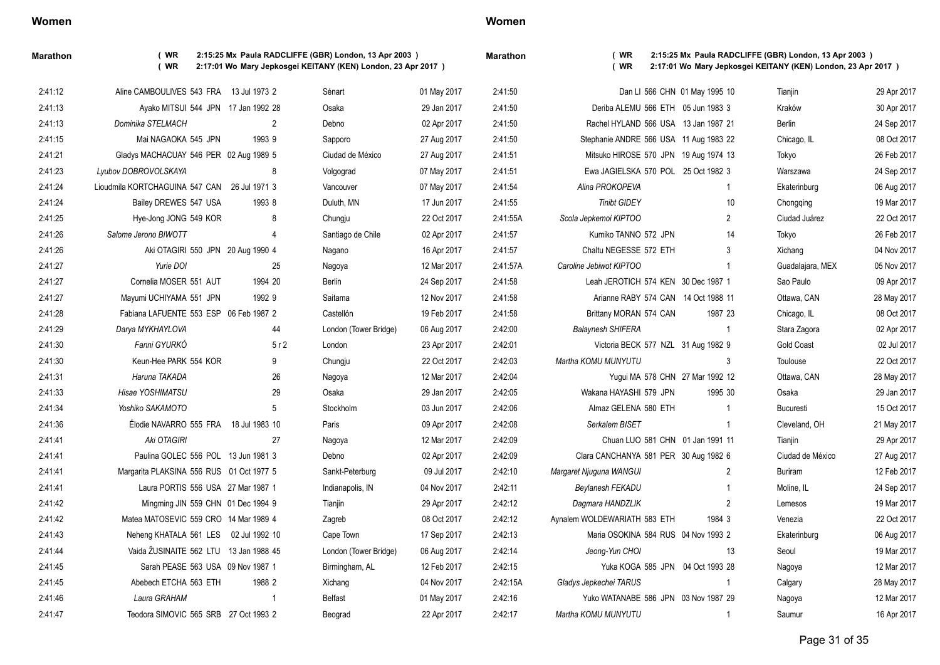**Marathon ( WR 2:15:25 Mx Paula RADCLIFFE (GBR) London, 13 Apr 2003 ) ( WR 2:17:01 Wo Mary Jepkosgei KEITANY (KEN) London, 23 Apr 2017 )**

**Marathon ( WR 2:15:25 Mx Paula RADCLIFFE (GBR) London, 13 Apr 2003 ) ( WR 2:17:01 Wo Mary Jepkosgei KEITANY (KEN) London, 23 Apr 2017 )**

| 2:41:12 | Aline CAMBOULIVES 543 FRA 13 Jul 1973 2      |                | Sénart                | 01 May 2017 | 2:41:50  | Dan LI 566 CHN 01 May 1995 10          |                | Tianjin           | 29 Apr 2017 |
|---------|----------------------------------------------|----------------|-----------------------|-------------|----------|----------------------------------------|----------------|-------------------|-------------|
| 2:41:13 | Ayako MITSUI 544 JPN 17 Jan 1992 28          |                | Osaka                 | 29 Jan 2017 | 2:41:50  | Deriba ALEMU 566 ETH 05 Jun 1983 3     |                | Kraków            | 30 Apr 2017 |
| 2:41:13 | Dominika STELMACH                            | $\overline{2}$ | Debno                 | 02 Apr 2017 | 2:41:50  | Rachel HYLAND 566 USA 13 Jan 1987 21   |                | <b>Berlin</b>     | 24 Sep 2017 |
| 2:41:15 | Mai NAGAOKA 545 JPN                          | 1993 9         | Sapporo               | 27 Aug 2017 | 2:41:50  | Stephanie ANDRE 566 USA 11 Aug 1983 22 |                | Chicago, IL       | 08 Oct 2017 |
| 2:41:21 | Gladys MACHACUAY 546 PER 02 Aug 1989 5       |                | Ciudad de México      | 27 Aug 2017 | 2:41:51  | Mitsuko HIROSE 570 JPN 19 Aug 1974 13  |                | Tokyo             | 26 Feb 2017 |
| 2:41:23 | Lyubov DOBROVOLSKAYA                         | 8              | Volgograd             | 07 May 2017 | 2:41:51  | Ewa JAGIELSKA 570 POL 25 Oct 1982 3    |                | Warszawa          | 24 Sep 2017 |
| 2:41:24 | Lioudmila KORTCHAGUINA 547 CAN 26 Jul 1971 3 |                | Vancouver             | 07 May 2017 | 2:41:54  | Alina PROKOPEVA                        | $\overline{1}$ | Ekaterinburg      | 06 Aug 2017 |
| 2:41:24 | Bailey DREWES 547 USA                        | 1993 8         | Duluth, MN            | 17 Jun 2017 | 2:41:55  | <b>Tinibt GIDEY</b>                    | 10             | Chongqing         | 19 Mar 2017 |
| 2:41:25 | Hye-Jong JONG 549 KOR                        | 8              | Chungju               | 22 Oct 2017 | 2:41:55A | Scola Jepkemoi KIPTOO                  | 2              | Ciudad Juárez     | 22 Oct 2017 |
| 2:41:26 | Salome Jerono BIWOTT                         | $\overline{4}$ | Santiago de Chile     | 02 Apr 2017 | 2:41:57  | Kumiko TANNO 572 JPN                   | 14             | Tokyo             | 26 Feb 2017 |
| 2:41:26 | Aki OTAGIRI 550 JPN 20 Aug 1990 4            |                | Nagano                | 16 Apr 2017 | 2:41:57  | Chaltu NEGESSE 572 ETH                 | 3              | Xichang           | 04 Nov 2017 |
| 2:41:27 | Yurie DOI                                    | 25             | Nagoya                | 12 Mar 2017 | 2:41:57A | Caroline Jebiwot KIPTOO                | $\overline{1}$ | Guadalajara, MEX  | 05 Nov 2017 |
| 2:41:27 | Cornelia MOSER 551 AUT                       | 1994 20        | Berlin                | 24 Sep 2017 | 2:41:58  | Leah JEROTICH 574 KEN 30 Dec 1987 1    |                | Sao Paulo         | 09 Apr 2017 |
| 2:41:27 | Mayumi UCHIYAMA 551 JPN                      | 1992 9         | Saitama               | 12 Nov 2017 | 2:41:58  | Arianne RABY 574 CAN 14 Oct 1988 11    |                | Ottawa, CAN       | 28 May 2017 |
| 2:41:28 | Fabiana LAFUENTE 553 ESP 06 Feb 1987 2       |                | Castellón             | 19 Feb 2017 | 2:41:58  | Brittany MORAN 574 CAN                 | 1987 23        | Chicago, IL       | 08 Oct 2017 |
| 2.41.29 | Darya MYKHAYLOVA                             | 44             | London (Tower Bridge) | 06 Aug 2017 | 2:42:00  | <b>Balaynesh SHIFERA</b>               | $\overline{1}$ | Stara Zagora      | 02 Apr 2017 |
| 2:41:30 | Fanni GYURKÓ                                 | 5r2            | London                | 23 Apr 2017 | 2:42:01  | Victoria BECK 577 NZL 31 Aug 1982 9    |                | <b>Gold Coast</b> | 02 Jul 2017 |
| 2.41.30 | Keun-Hee PARK 554 KOR                        | 9              | Chungju               | 22 Oct 2017 | 2:42:03  | Martha KOMU MUNYUTU                    | 3              | Toulouse          | 22 Oct 2017 |
| 2:41:31 | Haruna TAKADA                                | 26             | Nagoya                | 12 Mar 2017 | 2:42:04  | Yugui MA 578 CHN 27 Mar 1992 12        |                | Ottawa, CAN       | 28 May 2017 |
| 2:41:33 | Hisae YOSHIMATSU                             | 29             | Osaka                 | 29 Jan 2017 | 2:42:05  | Wakana HAYASHI 579 JPN                 | 1995 30        | Osaka             | 29 Jan 2017 |
| 2:41:34 | Yoshiko SAKAMOTO                             | 5              | Stockholm             | 03 Jun 2017 | 2:42:06  | Almaz GELENA 580 ETH                   | -1             | <b>Bucuresti</b>  | 15 Oct 2017 |
| 2:41:36 | Élodie NAVARRO 555 FRA                       | 18 Jul 1983 10 | Paris                 | 09 Apr 2017 | 2:42:08  | Serkalem BISET                         | $\overline{1}$ | Cleveland, OH     | 21 May 2017 |
| 2:41:41 | Aki OTAGIRI                                  | 27             | Nagoya                | 12 Mar 2017 | 2:42:09  | Chuan LUO 581 CHN 01 Jan 1991 11       |                | Tianjin           | 29 Apr 2017 |
| 2:41:41 | Paulina GOLEC 556 POL 13 Jun 1981 3          |                | Debno                 | 02 Apr 2017 | 2:42:09  | Clara CANCHANYA 581 PER 30 Aug 1982 6  |                | Ciudad de México  | 27 Aug 2017 |
| 2:41:41 | Margarita PLAKSINA 556 RUS 01 Oct 1977 5     |                | Sankt-Peterburg       | 09 Jul 2017 | 2:42:10  | Margaret Njuguna WANGUI                | $\overline{2}$ | <b>Buriram</b>    | 12 Feb 2017 |
| 2:41:41 | Laura PORTIS 556 USA 27 Mar 1987 1           |                | Indianapolis, IN      | 04 Nov 2017 | 2:42:11  | <b>Beylanesh FEKADU</b>                | -1             | Moline, IL        | 24 Sep 2017 |
| 2.41.42 | Mingming JIN 559 CHN 01 Dec 1994 9           |                | Tianjin               | 29 Apr 2017 | 2:42:12  | Dagmara HANDZLIK                       | $\overline{2}$ | Lemesos           | 19 Mar 2017 |
| 2:41:42 | Matea MATOSEVIC 559 CRO 14 Mar 1989 4        |                | Zagreb                | 08 Oct 2017 | 2:42:12  | Aynalem WOLDEWARIATH 583 ETH           | 1984 3         | Venezia           | 22 Oct 2017 |
| 2:41:43 | Neheng KHATALA 561 LES 02 Jul 1992 10        |                | Cape Town             | 17 Sep 2017 | 2:42:13  | Maria OSOKINA 584 RUS 04 Nov 1993 2    |                | Ekaterinburg      | 06 Aug 2017 |
| 2:41:44 | Vaida ŽUSINAITE 562 LTU 13 Jan 1988 45       |                | London (Tower Bridge) | 06 Aug 2017 | 2:42:14  | Jeong-Yun CHOI                         | 13             | Seoul             | 19 Mar 2017 |
| 2:41:45 | Sarah PEASE 563 USA 09 Nov 1987 1            |                | Birmingham, AL        | 12 Feb 2017 | 2:42:15  | Yuka KOGA 585 JPN 04 Oct 1993 28       |                | Nagoya            | 12 Mar 2017 |
| 2:41:45 | Abebech ETCHA 563 ETH                        | 1988 2         | Xichang               | 04 Nov 2017 | 2:42:15A | Gladys Jepkechei TARUS                 | $\overline{1}$ | Calgary           | 28 May 2017 |
| 2.41.46 | Laura GRAHAM                                 | $\overline{1}$ | <b>Belfast</b>        | 01 May 2017 | 2:42:16  | Yuko WATANABE 586 JPN 03 Nov 1987 29   |                | Nagoya            | 12 Mar 2017 |
| 2:41:47 | Teodora SIMOVIC 565 SRB 27 Oct 1993 2        |                | Beograd               | 22 Apr 2017 | 2:42:17  | Martha KOMU MUNYUTU                    | -1             | Saumur            | 16 Apr 2017 |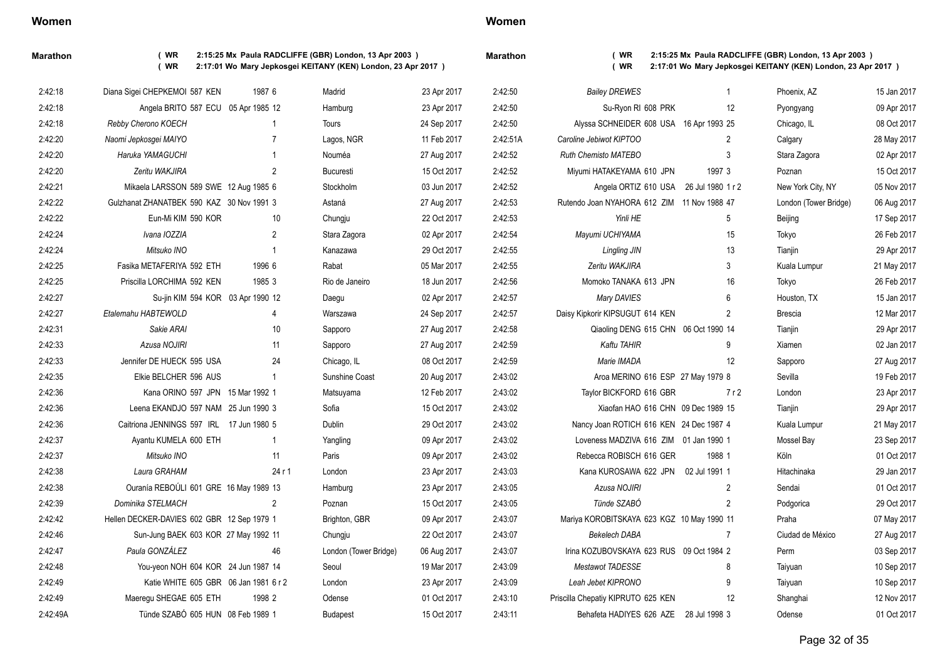| Women |  |
|-------|--|
|-------|--|

**Marathon ( WR 2:15:25 Mx Paula RADCLIFFE (GBR) London, 13 Apr 2003 ) ( WR 2:17:01 Wo Mary Jepkosgei KEITANY (KEN) London, 23 Apr 2017 )**

**Marathon ( WR 2:15:25 Mx Paula RADCLIFFE (GBR) London, 13 Apr 2003 ) ( WR 2:17:01 Wo Mary Jepkosgei KEITANY (KEN) London, 23 Apr 2017 )**

| 2:42:50  | <b>Bailey DREWES</b>                        |                   | 1              | Phoenix, AZ           | 15 Jan 2017 |
|----------|---------------------------------------------|-------------------|----------------|-----------------------|-------------|
| 2:42:50  | Su-Ryon RI 608 PRK                          |                   | 12             | Pyongyang             | 09 Apr 2017 |
| 2:42:50  | Alyssa SCHNEIDER 608 USA 16 Apr 1993 25     |                   |                | Chicago, IL           | 08 Oct 2017 |
| 2:42:51A | Caroline Jebiwot KIPTOO                     |                   | 2              | Calgary               | 28 May 2017 |
| 2:42:52  | <b>Ruth Chemisto MATEBO</b>                 |                   | 3              | Stara Zagora          | 02 Apr 2017 |
| 2:42:52  | Miyumi HATAKEYAMA 610 JPN                   | 1997 3            |                | Poznan                | 15 Oct 2017 |
| 2:42:52  | Angela ORTIZ 610 USA                        | 26 Jul 1980 1 r 2 |                | New York City, NY     | 05 Nov 2017 |
| 2:42:53  | Rutendo Joan NYAHORA 612 ZIM 11 Nov 1988 47 |                   |                | London (Tower Bridge) | 06 Aug 2017 |
| 2:42:53  | Yinli HE                                    |                   | 5              | Beijing               | 17 Sep 2017 |
| 2:42:54  | Mayumi UCHIYAMA                             |                   | 15             | Tokyo                 | 26 Feb 2017 |
| 2:42:55  | Lingling JIN                                |                   | 13             | Tianjin               | 29 Apr 2017 |
| 2:42:55  | Zeritu WAKJIRA                              |                   | 3              | Kuala Lumpur          | 21 May 2017 |
| 2:42:56  | Momoko TANAKA 613 JPN                       |                   | 16             | Tokyo                 | 26 Feb 2017 |
| 2:42:57  | Mary DAVIES                                 |                   | 6              | Houston, TX           | 15 Jan 2017 |
| 2:42:57  | Daisy Kipkorir KIPSUGUT 614 KEN             |                   | 2              | <b>Brescia</b>        | 12 Mar 2017 |
| 2:42:58  | Qiaoling DENG 615 CHN 06 Oct 1990 14        |                   |                | Tianjin               | 29 Apr 2017 |
| 2:42:59  | Kaftu TAHIR                                 |                   | 9              | Xiamen                | 02 Jan 2017 |
| 2:42:59  | Marie IMADA                                 |                   | 12             | Sapporo               | 27 Aug 2017 |
| 2:43:02  | Aroa MERINO 616 ESP 27 May 1979 8           |                   |                | Sevilla               | 19 Feb 2017 |
| 2:43:02  | Taylor BICKFORD 616 GBR                     |                   | 7r2            | London                | 23 Apr 2017 |
| 2:43:02  | Xiaofan HAO 616 CHN 09 Dec 1989 15          |                   |                | Tianjin               | 29 Apr 2017 |
| 2:43:02  | Nancy Joan ROTICH 616 KEN 24 Dec 1987 4     |                   |                | Kuala Lumpur          | 21 May 2017 |
| 2:43:02  | Loveness MADZIVA 616 ZIM 01 Jan 1990 1      |                   |                | Mossel Bay            | 23 Sep 2017 |
| 2:43:02  | Rebecca ROBISCH 616 GER                     | 1988 1            |                | Köln                  | 01 Oct 2017 |
| 2:43:03  | Kana KUROSAWA 622 JPN                       | 02 Jul 1991 1     |                | Hitachinaka           | 29 Jan 2017 |
| 2:43:05  | Azusa NOJIRI                                |                   | $\overline{c}$ | Sendai                | 01 Oct 2017 |
| 2:43:05  | Tünde SZABÓ                                 |                   | $\overline{c}$ | Podgorica             | 29 Oct 2017 |
| 2:43:07  | Mariya KOROBITSKAYA 623 KGZ 10 May 1990 11  |                   |                | Praha                 | 07 May 2017 |
| 2:43:07  | <b>Bekelech DABA</b>                        |                   | 7              | Ciudad de México      | 27 Aug 2017 |
| 2:43:07  | Irina KOZUBOVSKAYA 623 RUS 09 Oct 1984 2    |                   |                | Perm                  | 03 Sep 2017 |
| 2:43:09  | Mestawot TADESSE                            |                   | 8              | Taiyuan               | 10 Sep 2017 |

| 2:42:18  | Diana Sigei CHEPKEMOI 587 KEN              | 1987 6         | Madrid                | 23 Apr 2017                | 2:42:50  | <b>Bailey DREWES</b>                        | -1             | Phoenix, AZ              | 15 Jan 2017                |
|----------|--------------------------------------------|----------------|-----------------------|----------------------------|----------|---------------------------------------------|----------------|--------------------------|----------------------------|
| 2:42:18  | Angela BRITO 587 ECU 05 Apr 1985 12        |                | Hamburg               | 23 Apr 2017                | 2:42:50  | Su-Ryon RI 608 PRK                          | 12             |                          | 09 Apr 2017                |
| 2:42:18  | Rebby Cherono KOECH                        | $\overline{1}$ | Tours                 | 24 Sep 2017                | 2:42:50  | Alyssa SCHNEIDER 608 USA 16 Apr 1993 25     |                | Pyongyang<br>Chicago, IL | 08 Oct 2017                |
| 2:42:20  | Naomi Jepkosgei MAIYO                      | $\overline{7}$ |                       | 11 Feb 2017                | 2:42:51A | Caroline Jebiwot KIPTOO                     | 2              | Calgary                  | 28 May 2017                |
| 2:42:20  | Haruka YAMAGUCHI                           | $\overline{1}$ | Lagos, NGR<br>Nouméa  |                            | 2:42:52  | <b>Ruth Chemisto MATEBO</b>                 | 3              |                          |                            |
| 2:42:20  | Zeritu WAKJIRA                             | $\overline{2}$ | <b>Bucuresti</b>      | 27 Aug 2017<br>15 Oct 2017 | 2:42:52  |                                             | 1997 3         | Stara Zagora             | 02 Apr 2017<br>15 Oct 2017 |
| 2:42:21  |                                            |                |                       |                            | 2:42:52  | Miyumi HATAKEYAMA 610 JPN                   |                | Poznan                   | 05 Nov 2017                |
| 2:42:22  | Mikaela LARSSON 589 SWE 12 Aug 1985 6      |                | Stockholm             | 03 Jun 2017                |          | Angela ORTIZ 610 USA 26 Jul 1980 1 r 2      |                | New York City, NY        |                            |
|          | Gulzhanat ZHANATBEK 590 KAZ 30 Nov 1991 3  |                | Astaná                | 27 Aug 2017                | 2:42:53  | Rutendo Joan NYAHORA 612 ZIM 11 Nov 1988 47 |                | London (Tower Bridge)    | 06 Aug 2017                |
| 2:42:22  | Eun-Mi KIM 590 KOR                         | 10             | Chungju               | 22 Oct 2017                | 2:42:53  | Yinli HE                                    | 5              | Beijing                  | 17 Sep 2017                |
| 2:42:24  | Ivana IOZZIA                               | $\overline{2}$ | Stara Zagora          | 02 Apr 2017                | 2.42.54  | Mayumi UCHIYAMA                             | 15             | Tokyo                    | 26 Feb 2017                |
| 2:42:24  | Mitsuko INO                                | $\overline{1}$ | Kanazawa              | 29 Oct 2017                | 2:42:55  | <b>Lingling JIN</b>                         | 13             | Tianjin                  | 29 Apr 2017                |
| 2:42:25  | Fasika METAFERIYA 592 ETH                  | 1996 6         | Rabat                 | 05 Mar 2017                | 2.42.55  | Zeritu WAKJIRA                              | 3              | Kuala Lumpur             | 21 May 2017                |
| 2:42:25  | Priscilla LORCHIMA 592 KEN                 | 1985 3         | Rio de Janeiro        | 18 Jun 2017                | 2:42:56  | Momoko TANAKA 613 JPN                       | 16             | Tokyo                    | 26 Feb 2017                |
| 2:42:27  | Su-jin KIM 594 KOR 03 Apr 1990 12          |                | Daegu                 | 02 Apr 2017                | 2:42:57  | Mary DAVIES                                 | 6              | Houston, TX              | 15 Jan 2017                |
| 2:42:27  | Etalemahu HABTEWOLD                        | $\overline{4}$ | Warszawa              | 24 Sep 2017                | 2:42:57  | Daisy Kipkorir KIPSUGUT 614 KEN             | $\overline{2}$ | <b>Brescia</b>           | 12 Mar 2017                |
| 2:42:31  | Sakie ARAI                                 | 10             | Sapporo               | 27 Aug 2017                | 2:42:58  | Qiaoling DENG 615 CHN 06 Oct 1990 14        |                | Tianjin                  | 29 Apr 2017                |
| 2:42:33  | Azusa NOJIRI                               | 11             | Sapporo               | 27 Aug 2017                | 2:42:59  | Kaftu TAHIR                                 | 9              | Xiamen                   | 02 Jan 2017                |
| 2:42:33  | Jennifer DE HUECK 595 USA                  | 24             | Chicago, IL           | 08 Oct 2017                | 2:42:59  | Marie IMADA                                 | 12             | Sapporo                  | 27 Aug 2017                |
| 2:42:35  | Elkie BELCHER 596 AUS                      | $\overline{1}$ | Sunshine Coast        | 20 Aug 2017                | 2:43:02  | Aroa MERINO 616 ESP 27 May 1979 8           |                | Sevilla                  | 19 Feb 2017                |
| 2:42:36  | Kana ORINO 597 JPN 15 Mar 1992 1           |                | Matsuyama             | 12 Feb 2017                | 2:43:02  | Taylor BICKFORD 616 GBR                     | 7r2            | London                   | 23 Apr 2017                |
| 2:42:36  | Leena EKANDJO 597 NAM 25 Jun 1990 3        |                | Sofia                 | 15 Oct 2017                | 2:43:02  | Xiaofan HAO 616 CHN 09 Dec 1989 15          |                | Tianjin                  | 29 Apr 2017                |
| 2:42:36  | Caitriona JENNINGS 597 IRL 17 Jun 1980 5   |                | Dublin                | 29 Oct 2017                | 2:43:02  | Nancy Joan ROTICH 616 KEN 24 Dec 1987 4     |                | Kuala Lumpur             | 21 May 2017                |
| 2:42:37  | Ayantu KUMELA 600 ETH                      | -1             | Yangling              | 09 Apr 2017                | 2:43:02  | Loveness MADZIVA 616 ZIM 01 Jan 1990 1      |                | Mossel Bay               | 23 Sep 2017                |
| 2:42:37  | Mitsuko INO                                | 11             | Paris                 | 09 Apr 2017                | 2:43:02  | Rebecca ROBISCH 616 GER                     | 1988 1         | Köln                     | 01 Oct 2017                |
| 2:42:38  | Laura GRAHAM                               | 24r1           | London                | 23 Apr 2017                | 2:43:03  | Kana KUROSAWA 622 JPN                       | 02 Jul 1991 1  | Hitachinaka              | 29 Jan 2017                |
| 2:42:38  | Ouranía REBOÚLI 601 GRE 16 May 1989 13     |                | Hamburg               | 23 Apr 2017                | 2:43:05  | Azusa NOJIRI                                | 2              | Sendai                   | 01 Oct 2017                |
| 2:42:39  | Dominika STELMACH                          | $\mathcal{P}$  | Poznan                | 15 Oct 2017                | 2:43:05  | Tünde SZABÓ                                 | 2              | Podgorica                | 29 Oct 2017                |
| 2.42.42  | Hellen DECKER-DAVIES 602 GBR 12 Sep 1979 1 |                | Brighton, GBR         | 09 Apr 2017                | 2:43:07  | Mariya KOROBITSKAYA 623 KGZ 10 May 1990 11  |                | Praha                    | 07 May 2017                |
| 2:42:46  | Sun-Jung BAEK 603 KOR 27 May 1992 11       |                | Chungju               | 22 Oct 2017                | 2:43:07  | <b>Bekelech DABA</b>                        | $\overline{7}$ | Ciudad de México         | 27 Aug 2017                |
| 2:42:47  | Paula GONZÁLEZ                             | 46             | London (Tower Bridge) | 06 Aug 2017                | 2.43:07  | Irina KOZUBOVSKAYA 623 RUS 09 Oct 1984 2    |                | Perm                     | 03 Sep 2017                |
| 2:42:48  | You-yeon NOH 604 KOR 24 Jun 1987 14        |                | Seoul                 | 19 Mar 2017                | 2:43:09  | Mestawot TADESSE                            | 8              | Taiyuan                  | 10 Sep 2017                |
| 2:42:49  | Katie WHITE 605 GBR 06 Jan 1981 6 r 2      |                | London                | 23 Apr 2017                | 2:43:09  | Leah Jebet KIPRONO                          | 9              | Taiyuan                  | 10 Sep 2017                |
| 2:42:49  | Maeregu SHEGAE 605 ETH                     | 1998 2         | Odense                | 01 Oct 2017                | 2:43:10  | Priscilla Chepatiy KIPRUTO 625 KEN          | 12             | Shanghai                 | 12 Nov 2017                |
| 2:42:49A | Tünde SZABÓ 605 HUN 08 Feb 1989 1          |                | <b>Budapest</b>       | 15 Oct 2017                | 2:43:11  | Behafeta HADIYES 626 AZE 28 Jul 1998 3      |                | Odense                   | 01 Oct 2017                |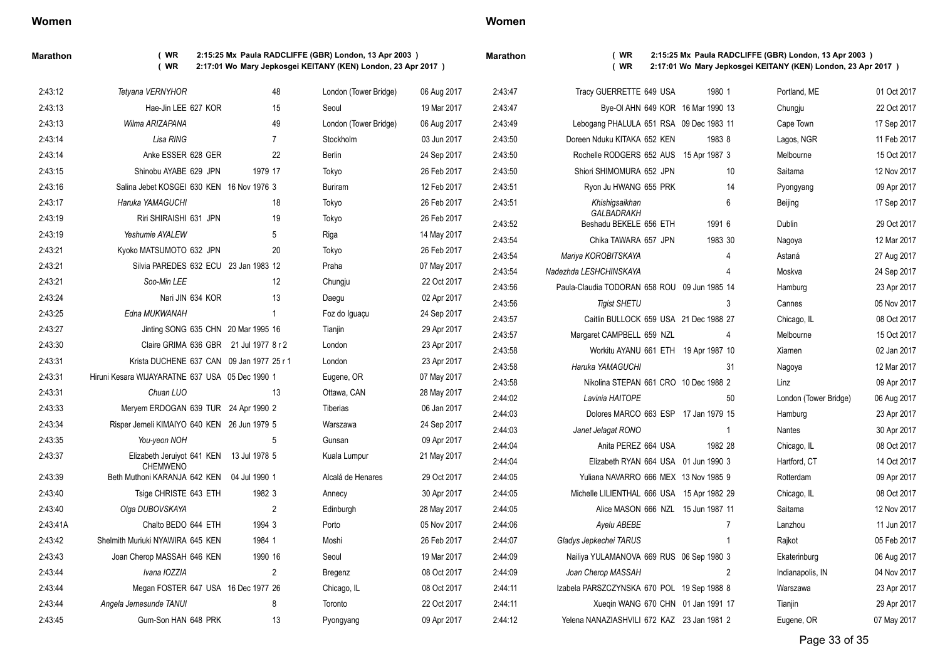### **Marathon ( WR 2:15:25 Mx Paula RADCLIFFE (GBR) London, 13 Apr 2003 ) ( WR 2:17:01 Wo Mary Jepkosgei KEITANY (KEN) London, 23 Apr 2017 )**

| 2:43:12  | Tetyana VERNYHOR                                | 48                 | London (Tower Bridge) | 06 Aug 2017 | 2.43.47 |
|----------|-------------------------------------------------|--------------------|-----------------------|-------------|---------|
| 2:43:13  | Hae-Jin LEE 627 KOR                             | 15                 | Seoul                 | 19 Mar 2017 | 2:43:47 |
| 2:43:13  | Wilma ARIZAPANA                                 | 49                 | London (Tower Bridge) | 06 Aug 2017 | 2:43:49 |
| 2:43:14  | Lisa RING                                       | $\overline{7}$     | Stockholm             | 03 Jun 2017 | 2:43:50 |
| 2:43:14  | Anke ESSER 628 GER                              | 22                 | Berlin                | 24 Sep 2017 | 2.43.50 |
| 2:43:15  | Shinobu AYABE 629 JPN                           | 1979 17            | Tokyo                 | 26 Feb 2017 | 2.43.50 |
| 2:43:16  | Salina Jebet KOSGEI 630 KEN 16 Nov 1976 3       |                    | <b>Buriram</b>        | 12 Feb 2017 | 2:43:51 |
| 2:43:17  | Haruka YAMAGUCHI                                | 18                 | Tokyo                 | 26 Feb 2017 | 2:43:51 |
| 2:43:19  | Riri SHIRAISHI 631 JPN                          | 19                 | Tokyo                 | 26 Feb 2017 | 2:43:52 |
| 2:43:19  | Yeshumie AYALEW                                 | 5                  | Riga                  | 14 May 2017 | 2:43:54 |
| 2:43:21  | Kyoko MATSUMOTO 632 JPN                         | 20                 | Tokyo                 | 26 Feb 2017 | 2.43:54 |
| 2:43:21  | Silvia PAREDES 632 ECU 23 Jan 1983 12           |                    | Praha                 | 07 May 2017 | 2.43:54 |
| 2:43:21  | Soo-Min LEE                                     | 12                 | Chungju               | 22 Oct 2017 | 2:43:56 |
| 2:43:24  | Nari JIN 634 KOR                                | 13                 | Daegu                 | 02 Apr 2017 | 2:43:56 |
| 2:43:25  | Edna MUKWANAH                                   | 1                  | Foz do Iguaçu         | 24 Sep 2017 | 2:43:57 |
| 2:43:27  | Jinting SONG 635 CHN 20 Mar 1995 16             |                    | Tianjin               | 29 Apr 2017 | 2.43.57 |
| 2:43:30  | Claire GRIMA 636 GBR                            | 21 Jul 1977 8 r 2  | London                | 23 Apr 2017 | 2:43:58 |
| 2:43:31  | Krista DUCHENE 637 CAN                          | 09 Jan 1977 25 r 1 | London                | 23 Apr 2017 | 2:43:58 |
| 2:43:31  | Hiruni Kesara WIJAYARATNE 637 USA 05 Dec 1990 1 |                    | Eugene, OR            | 07 May 2017 | 2:43:58 |
| 2:43:31  | Chuan LUO                                       | 13                 | Ottawa, CAN           | 28 May 2017 | 2.44:02 |
| 2:43:33  | Meryem ERDOGAN 639 TUR 24 Apr 1990 2            |                    | <b>Tiberias</b>       | 06 Jan 2017 | 2.44:03 |
| 2:43:34  | Risper Jemeli KIMAIYO 640 KEN 26 Jun 1979 5     |                    | Warszawa              | 24 Sep 2017 | 2.44.03 |
| 2:43:35  | You-yeon NOH                                    | 5                  | Gunsan                | 09 Apr 2017 | 2:44:04 |
| 2:43:37  | Elizabeth Jeruiyot 641 KEN<br><b>CHEMWENO</b>   | 13 Jul 1978 5      | Kuala Lumpur          | 21 May 2017 | 2.44:04 |
| 2:43:39  | Beth Muthoni KARANJA 642 KEN                    | 04 Jul 1990 1      | Alcalá de Henares     | 29 Oct 2017 | 2:44:05 |
| 2:43:40  | Tsige CHRISTE 643 ETH                           | 1982 3             | Annecy                | 30 Apr 2017 | 2:44:05 |
| 2:43:40  | Olga DUBOVSKAYA                                 | $\overline{2}$     | Edinburgh             | 28 May 2017 | 2:44:05 |
| 2:43:41A | Chalto BEDO 644 ETH                             | 1994 3             | Porto                 | 05 Nov 2017 | 2:44:06 |
| 2:43:42  | Shelmith Muriuki NYAWIRA 645 KEN                | 1984 1             | Moshi                 | 26 Feb 2017 | 2:44:07 |
| 2:43:43  | Joan Cherop MASSAH 646 KEN                      | 1990 16            | Seoul                 | 19 Mar 2017 | 2:44:09 |
| 2:43:44  | Ivana IOZZIA                                    | $\overline{2}$     | Bregenz               | 08 Oct 2017 | 2:44:09 |
| 2:43:44  | Megan FOSTER 647 USA 16 Dec 1977 26             |                    | Chicago, IL           | 08 Oct 2017 | 2:44:11 |
| 2:43:44  | Angela Jemesunde TANUI                          | 8                  | Toronto               | 22 Oct 2017 | 2:44:11 |
| 2:43:45  | Gum-Son HAN 648 PRK                             | 13                 | Pyongyang             | 09 Apr 2017 | 2.44.12 |

## **Women**

### **Marathon ( WR 2:15:25 Mx Paula RADCLIFFE (GBR) London, 13 Apr 2003 ) ( WR 2:17:01 Wo Mary Jepkosgei KEITANY (KEN) London, 23 Apr 2017 )**

| 2:43:47 | Tracy GUERRETTE 649 USA                      | 1980 1         | Portland, ME          | 01 Oct 2017 |
|---------|----------------------------------------------|----------------|-----------------------|-------------|
| 2:43:47 | Bye-OI AHN 649 KOR 16 Mar 1990 13            |                | Chungju               | 22 Oct 2017 |
| 2:43:49 | Lebogang PHALULA 651 RSA 09 Dec 1983 11      |                | Cape Town             | 17 Sep 2017 |
| 2:43:50 | Doreen Nduku KITAKA 652 KEN                  | 1983 8         | Lagos, NGR            | 11 Feb 2017 |
| 2:43:50 | Rochelle RODGERS 652 AUS 15 Apr 1987 3       |                | Melbourne             | 15 Oct 2017 |
| 2:43:50 | Shiori SHIMOMURA 652 JPN                     | 10             | Saitama               | 12 Nov 2017 |
| 2:43:51 | Ryon Ju HWANG 655 PRK                        | 14             | Pyongyang             | 09 Apr 2017 |
| 2:43:51 | Khishigsaikhan<br>GALBADRAKH                 | 6              | Beijing               | 17 Sep 2017 |
| 2:43:52 | Beshadu BEKELE 656 ETH                       | 1991 6         | Dublin                | 29 Oct 2017 |
| 2:43:54 | Chika TAWARA 657 JPN                         | 1983 30        | Nagoya                | 12 Mar 2017 |
| 2:43:54 | Mariya KOROBITSKAYA                          | 4              | Astaná                | 27 Aug 2017 |
| 2:43:54 | Nadezhda LESHCHINSKAYA                       | 4              | Moskva                | 24 Sep 2017 |
| 2:43:56 | Paula-Claudia TODORAN 658 ROU 09 Jun 1985 14 |                | Hamburg               | 23 Apr 2017 |
| 2:43:56 | <b>Tigist SHETU</b>                          | 3              | Cannes                | 05 Nov 2017 |
| 2:43:57 | Caitlin BULLOCK 659 USA 21 Dec 1988 27       |                | Chicago, IL           | 08 Oct 2017 |
| 2:43:57 | Margaret CAMPBELL 659 NZL                    | 4              | Melbourne             | 15 Oct 2017 |
| 2:43:58 | Workitu AYANU 661 ETH 19 Apr 1987 10         |                | Xiamen                | 02 Jan 2017 |
| 2:43:58 | Haruka YAMAGUCHI                             | 31             | Nagoya                | 12 Mar 2017 |
| 2:43:58 | Nikolina STEPAN 661 CRO 10 Dec 1988 2        |                | Linz                  | 09 Apr 2017 |
| 2:44:02 | Lavinia HAITOPE                              | 50             | London (Tower Bridge) | 06 Aug 2017 |
| 2:44:03 | Dolores MARCO 663 ESP 17 Jan 1979 15         |                | Hamburg               | 23 Apr 2017 |
| 2:44:03 | Janet Jelagat RONO                           | $\mathbf{1}$   | Nantes                | 30 Apr 2017 |
| 2:44:04 | Anita PEREZ 664 USA                          | 1982 28        | Chicago, IL           | 08 Oct 2017 |
| 2:44:04 | Elizabeth RYAN 664 USA 01 Jun 1990 3         |                | Hartford, CT          | 14 Oct 2017 |
| 2:44:05 | Yuliana NAVARRO 666 MEX 13 Nov 1985 9        |                | Rotterdam             | 09 Apr 2017 |
| 2:44:05 | Michelle LILIENTHAL 666 USA 15 Apr 1982 29   |                | Chicago, IL           | 08 Oct 2017 |
| 2:44:05 | Alice MASON 666 NZL 15 Jun 1987 11           |                | Saitama               | 12 Nov 2017 |
| 2:44:06 | Ayelu ABEBE                                  | $\overline{7}$ | Lanzhou               | 11 Jun 2017 |
| 2:44:07 | Gladys Jepkechei TARUS                       | 1              | Rajkot                | 05 Feb 2017 |
| 2:44:09 | Nailiya YULAMANOVA 669 RUS 06 Sep 1980 3     |                | Ekaterinburg          | 06 Aug 2017 |
| 2:44:09 | Joan Cherop MASSAH                           | $\overline{2}$ | Indianapolis, IN      | 04 Nov 2017 |
| 2:44:11 | Izabela PARSZCZYNSKA 670 POL 19 Sep 1988 8   |                | Warszawa              | 23 Apr 2017 |
| 2:44:11 | Xueqin WANG 670 CHN 01 Jan 1991 17           |                | Tianjin               | 29 Apr 2017 |
| 2:44:12 | Yelena NANAZIASHVILI 672 KAZ 23 Jan 1981 2   |                | Eugene, OR            | 07 May 2017 |

Page 33 of 35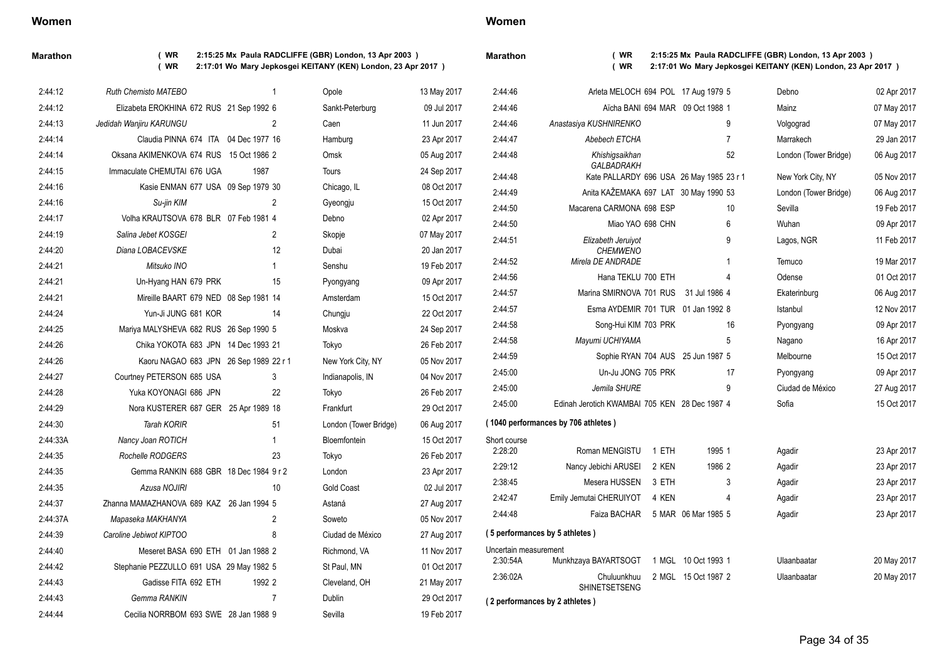**Marathon ( WR 2:15:25 Mx Paula RADCLIFFE (GBR) London, 13 Apr 2003 ) ( WR 2:17:01 Wo Mary Jepkosgei KEITANY (KEN) London, 23 Apr 2017 )**

| 2:44:12  | Ruth Chemisto MATEBO                     |                | Opole                 | 13 May 2017 | 2:44:46               | Arleta MELOCH 694 POL 17 Aug 1979 5           |                                          | Debno                 | 02 Apr 2017 |
|----------|------------------------------------------|----------------|-----------------------|-------------|-----------------------|-----------------------------------------------|------------------------------------------|-----------------------|-------------|
| 2:44:12  | Elizabeta EROKHINA 672 RUS 21 Sep 1992 6 |                | Sankt-Peterburg       | 09 Jul 2017 | 2:44:46               |                                               | Aïcha BANI 694 MAR 09 Oct 1988 1         | Mainz                 | 07 May 2017 |
| 2:44:13  | Jedidah Wanjiru KARUNGU                  | $\overline{2}$ | Caen                  | 11 Jun 2017 | 2:44:46               | Anastasiya KUSHNIRENKO                        | 9                                        | Volgograd             | 07 May 2017 |
| 2:44:14  | Claudia PINNA 674 ITA 04 Dec 1977 16     |                | Hamburg               | 23 Apr 2017 | 2.44.47               | Abebech ETCHA                                 | 7                                        | Marrakech             | 29 Jan 2017 |
| 2:44:14  | Oksana AKIMENKOVA 674 RUS 15 Oct 1986 2  |                | Omsk                  | 05 Aug 2017 | 2:44:48               | Khishiqsaikhan                                | 52                                       | London (Tower Bridge) | 06 Aug 2017 |
| 2.44.15  | Immaculate CHEMUTAI 676 UGA              | 1987           | Tours                 | 24 Sep 2017 | 2:44:48               | GALBADRAKH                                    | Kate PALLARDY 696 USA 26 May 1985 23 r 1 | New York City, NY     | 05 Nov 2017 |
| 2:44:16  | Kasie ENMAN 677 USA 09 Sep 1979 30       |                | Chicago, IL           | 08 Oct 2017 | 2:44:49               | Anita KAŽEMAKA 697 LAT 30 May 1990 53         |                                          | London (Tower Bridge) | 06 Aug 2017 |
| 2:44:16  | Su-jin KIM                               | 2              | Gyeongju              | 15 Oct 2017 | 2:44:50               | Macarena CARMONA 698 ESP                      | 10                                       | Sevilla               | 19 Feb 2017 |
| 2:44:17  | Volha KRAUTSOVA 678 BLR 07 Feb 1981 4    |                | Debno                 | 02 Apr 2017 | 2:44:50               | Miao YAO 698 CHN                              | 6                                        | Wuhan                 | 09 Apr 2017 |
| 2:44:19  | Salina Jebet KOSGEI                      | $\overline{2}$ | Skopje                | 07 May 2017 | 2:44:51               | Elizabeth Jeruiyot                            | 9                                        | Lagos, NGR            | 11 Feb 2017 |
| 2:44:20  | Diana LOBACEVSKE                         | 12             | Dubai                 | 20 Jan 2017 |                       | <b>CHEMWENO</b>                               |                                          |                       |             |
| 2.44.21  | Mitsuko INO                              |                | Senshu                | 19 Feb 2017 | 2:44:52               | Mirela DE ANDRADE                             |                                          | Temuco                | 19 Mar 2017 |
| 2.44.21  | Un-Hyang HAN 679 PRK                     | 15             | Pyongyang             | 09 Apr 2017 | 2:44:56               | Hana TEKLU 700 ETH                            |                                          | Odense                | 01 Oct 2017 |
| 2:44:21  | Mireille BAART 679 NED 08 Sep 1981 14    |                | Amsterdam             | 15 Oct 2017 | 2:44:57               | Marina SMIRNOVA 701 RUS 31 Jul 1986 4         |                                          | Ekaterinburg          | 06 Aug 2017 |
| 2:44:24  | Yun-Ji JUNG 681 KOR                      | 14             | Chungju               | 22 Oct 2017 | 2:44:57               | Esma AYDEMIR 701 TUR 01 Jan 1992 8            |                                          | Istanbul              | 12 Nov 2017 |
| 2:44:25  | Mariya MALYSHEVA 682 RUS 26 Sep 1990 5   |                | Moskva                | 24 Sep 2017 | 2:44:58               | Song-Hui KIM 703 PRK                          | 16                                       | Pyongyang             | 09 Apr 2017 |
| 2:44:26  | Chika YOKOTA 683 JPN 14 Dec 1993 21      |                | Tokyo                 | 26 Feb 2017 | 2:44:58               | Mayumi UCHIYAMA                               | 5                                        | Nagano                | 16 Apr 2017 |
| 2.44.26  | Kaoru NAGAO 683 JPN 26 Sep 1989 22 r 1   |                | New York City, NY     | 05 Nov 2017 | 2:44:59               |                                               | Sophie RYAN 704 AUS 25 Jun 1987 5        | Melbourne             | 15 Oct 2017 |
| 2:44:27  | Courtney PETERSON 685 USA                | 3              | Indianapolis, IN      | 04 Nov 2017 | 2:45:00               | Un-Ju JONG 705 PRK                            | 17                                       | Pyongyang             | 09 Apr 2017 |
| 2:44:28  | Yuka KOYONAGI 686 JPN                    | 22             | Tokyo                 | 26 Feb 2017 | 2:45:00               | Jemila SHURE                                  | 9                                        | Ciudad de México      | 27 Aug 2017 |
| 2:44:29  | Nora KUSTERER 687 GER 25 Apr 1989 18     |                | Frankfurt             | 29 Oct 2017 | 2:45:00               | Edinah Jerotich KWAMBAI 705 KEN 28 Dec 1987 4 |                                          | Sofia                 | 15 Oct 2017 |
| 2:44:30  | <b>Tarah KORIR</b>                       | 51             | London (Tower Bridge) | 06 Aug 2017 |                       | (1040 performances by 706 athletes)           |                                          |                       |             |
| 2:44:33A | Nancy Joan ROTICH                        |                | Bloemfontein          | 15 Oct 2017 | Short course          |                                               |                                          |                       |             |
| 2:44:35  | Rochelle RODGERS                         | 23             | Tokyo                 | 26 Feb 2017 | 2:28:20               | Roman MENGISTU                                | 1995 1<br>1 ETH                          | Agadir                | 23 Apr 2017 |
| 2.44.35  | Gemma RANKIN 688 GBR 18 Dec 1984 9 r 2   |                | London                | 23 Apr 2017 | 2:29:12               | Nancy Jebichi ARUSEI                          | 2 KEN<br>1986 2                          | Agadir                | 23 Apr 2017 |
| 2:44:35  | Azusa NOJIRI                             | 10             | <b>Gold Coast</b>     | 02 Jul 2017 | 2:38:45               | Mesera HUSSEN                                 | 3 ETH<br>3                               | Agadir                | 23 Apr 2017 |
| 2:44:37  | Zhanna MAMAZHANOVA 689 KAZ 26 Jan 1994 5 |                | Astaná                | 27 Aug 2017 | 2:42:47               | Emily Jemutai CHERUIYOT                       | 4 KEN                                    | Agadir                | 23 Apr 2017 |
| 2:44:37A | Mapaseka MAKHANYA                        | $\overline{2}$ | Soweto                | 05 Nov 2017 | 2:44:48               | Faiza BACHAR                                  | 5 MAR 06 Mar 1985 5                      | Agadir                | 23 Apr 2017 |
| 2:44:39  | Caroline Jebiwot KIPTOO                  | 8              | Ciudad de México      | 27 Aug 2017 |                       | (5 performances by 5 athletes)                |                                          |                       |             |
| 2.44.40  | Meseret BASA 690 ETH 01 Jan 1988 2       |                | Richmond, VA          | 11 Nov 2017 | Uncertain measurement |                                               |                                          |                       |             |
| 2.44.42  | Stephanie PEZZULLO 691 USA 29 May 1982 5 |                | St Paul, MN           | 01 Oct 2017 | 2:30:54A              | Munkhzaya BAYARTSOGT                          | 1 MGL 10 Oct 1993 1                      | Ulaanbaatar           | 20 May 2017 |
| 2:44:43  | Gadisse FITA 692 ETH                     | 1992 2         | Cleveland, OH         | 21 May 2017 | 2:36:02A              | Chuluunkhuu                                   | 2 MGL 15 Oct 1987 2                      | Ulaanbaatar           | 20 May 2017 |
| 2:44:43  | Gemma RANKIN                             |                | Dublin                | 29 Oct 2017 |                       | SHINETSETSENG                                 |                                          |                       |             |
| 2:44:44  | Cecilia NORRBOM 693 SWE 28 Jan 1988 9    |                | Sevilla               | 19 Feb 2017 |                       | (2 performances by 2 athletes)                |                                          |                       |             |
|          |                                          |                |                       |             |                       |                                               |                                          |                       |             |